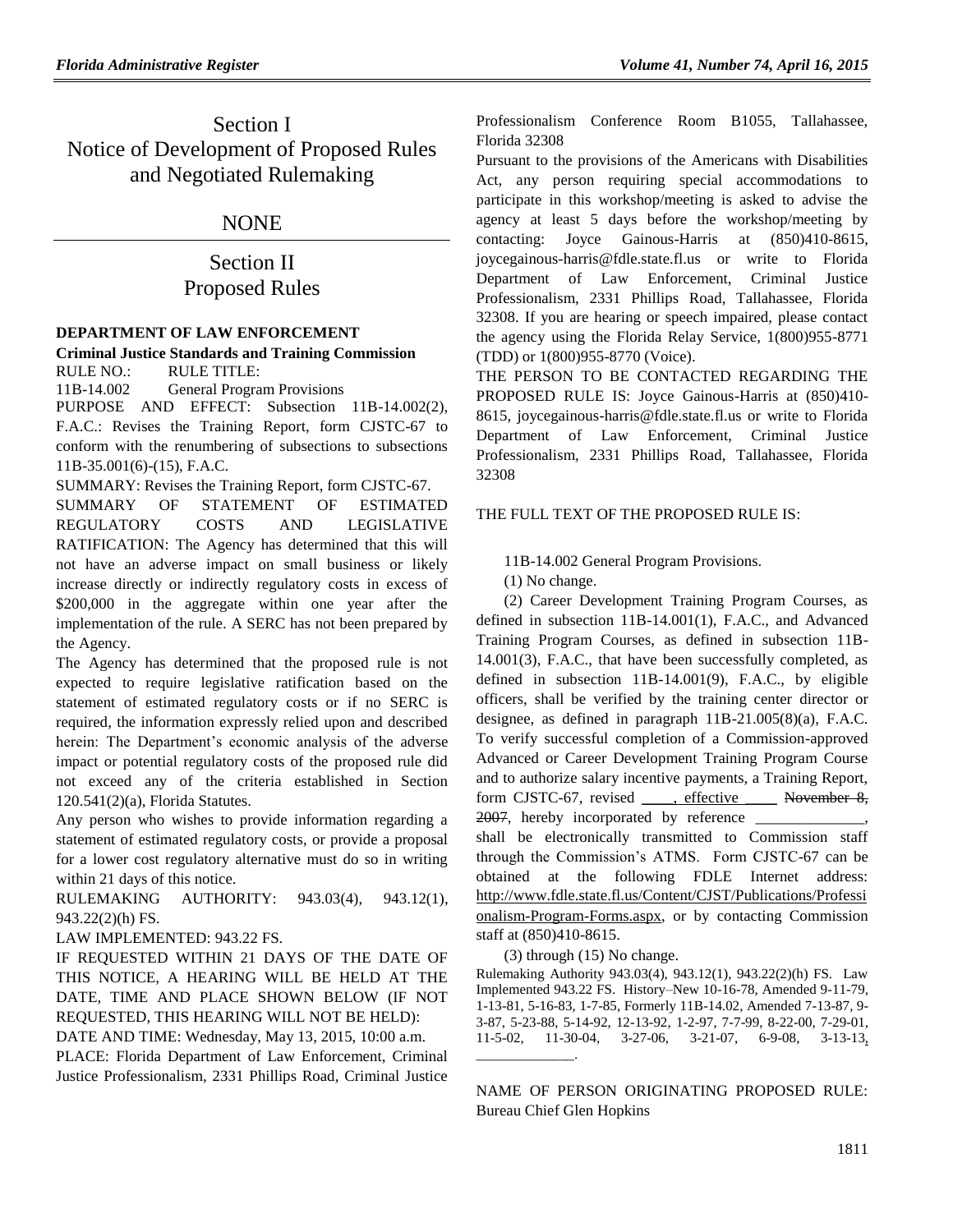# Section I Notice of Development of Proposed Rules and Negotiated Rulemaking

### NONE

# Section II Proposed Rules

### **[DEPARTMENT OF LAW ENFORCEMENT](https://www.flrules.org/gateway/department.asp?id=11)**

**[Criminal Justice Standards and Training Commission](https://www.flrules.org/gateway/organization.asp?id=20)** RULE NO.: RULE TITLE:

[11B-14.002](https://www.flrules.org/gateway/ruleNo.asp?id=11B-14.002) General Program Provisions PURPOSE AND EFFECT: Subsection 11B-14.002(2), F.A.C.: Revises the Training Report, form CJSTC-67 to conform with the renumbering of subsections to subsections 11B-35.001(6)-(15), F.A.C.

SUMMARY: Revises the Training Report, form CJSTC-67. SUMMARY OF STATEMENT OF ESTIMATED REGULATORY COSTS AND LEGISLATIVE RATIFICATION: The Agency has determined that this will not have an adverse impact on small business or likely increase directly or indirectly regulatory costs in excess of \$200,000 in the aggregate within one year after the implementation of the rule. A SERC has not been prepared by the Agency.

The Agency has determined that the proposed rule is not expected to require legislative ratification based on the statement of estimated regulatory costs or if no SERC is required, the information expressly relied upon and described herein: The Department's economic analysis of the adverse impact or potential regulatory costs of the proposed rule did not exceed any of the criteria established in Section 120.541(2)(a), Florida Statutes.

Any person who wishes to provide information regarding a statement of estimated regulatory costs, or provide a proposal for a lower cost regulatory alternative must do so in writing within 21 days of this notice.

### RULEMAKING AUTHORITY: [943.03\(4\),](https://www.flrules.org/gateway/statute.asp?id=943.03(4)) [943.12\(1\),](https://www.flrules.org/gateway/statute.asp?id=%20943.12(1)) [943.22\(2\)\(h\) FS.](https://www.flrules.org/gateway/statute.asp?id=%20943.22(2)(h)%20FS.)

LAW IMPLEMENTED: [943.22 FS.](https://www.flrules.org/gateway/statute.asp?id=943.22%20FS.)

IF REQUESTED WITHIN 21 DAYS OF THE DATE OF THIS NOTICE, A HEARING WILL BE HELD AT THE DATE, TIME AND PLACE SHOWN BELOW (IF NOT REQUESTED, THIS HEARING WILL NOT BE HELD):

DATE AND TIME: Wednesday, May 13, 2015, 10:00 a.m.

PLACE: Florida Department of Law Enforcement, Criminal Justice Professionalism, 2331 Phillips Road, Criminal Justice Professionalism Conference Room B1055, Tallahassee, Florida 32308

Pursuant to the provisions of the Americans with Disabilities Act, any person requiring special accommodations to participate in this workshop/meeting is asked to advise the agency at least 5 days before the workshop/meeting by contacting: Joyce Gainous-Harris at (850)410-8615, joycegainous-harris@fdle.state.fl.us or write to Florida Department of Law Enforcement, Criminal Justice Professionalism, 2331 Phillips Road, Tallahassee, Florida 32308. If you are hearing or speech impaired, please contact the agency using the Florida Relay Service, 1(800)955-8771 (TDD) or 1(800)955-8770 (Voice).

THE PERSON TO BE CONTACTED REGARDING THE PROPOSED RULE IS: Joyce Gainous-Harris at (850)410- 8615, joycegainous-harris@fdle.state.fl.us or write to Florida Department of Law Enforcement, Criminal Justice Professionalism, 2331 Phillips Road, Tallahassee, Florida 32308

### THE FULL TEXT OF THE PROPOSED RULE IS:

11B-14.002 General Program Provisions.

(1) No change.

(2) Career Development Training Program Courses, as defined in subsection 11B-14.001(1), F.A.C., and Advanced Training Program Courses, as defined in subsection 11B-14.001(3), F.A.C., that have been successfully completed, as defined in subsection 11B-14.001(9), F.A.C., by eligible officers, shall be verified by the training center director or designee, as defined in paragraph 11B-21.005(8)(a), F.A.C. To verify successful completion of a Commission-approved Advanced or Career Development Training Program Course and to authorize salary incentive payments, a Training Report, form CJSTC-67, revised, effective November 8, 2007, hereby incorporated by reference shall be electronically transmitted to Commission staff through the Commission's ATMS. Form CJSTC-67 can be obtained at the following FDLE Internet address: [http://www.fdle.state.fl.us/Content/CJST/Publications/Professi](http://www.fdle.state.fl.us/Content/CJST/Publications/Professionalism-Program-Forms.aspx) [onalism-Program-Forms.aspx,](http://www.fdle.state.fl.us/Content/CJST/Publications/Professionalism-Program-Forms.aspx) or by contacting Commission staff at (850)410-8615.

(3) through (15) No change.

\_\_\_\_\_\_\_\_\_\_\_\_\_\_.

Rulemaking Authority 943.03(4), 943.12(1), 943.22(2)(h) FS. Law Implemented 943.22 FS. History–New 10-16-78, Amended 9-11-79, 1-13-81, 5-16-83, 1-7-85, Formerly 11B-14.02, Amended 7-13-87, 9- 3-87, 5-23-88, 5-14-92, 12-13-92, 1-2-97, 7-7-99, 8-22-00, 7-29-01, 11-5-02, 11-30-04, 3-27-06, 3-21-07, 6-9-08, 3-13-13,

NAME OF PERSON ORIGINATING PROPOSED RULE: Bureau Chief Glen Hopkins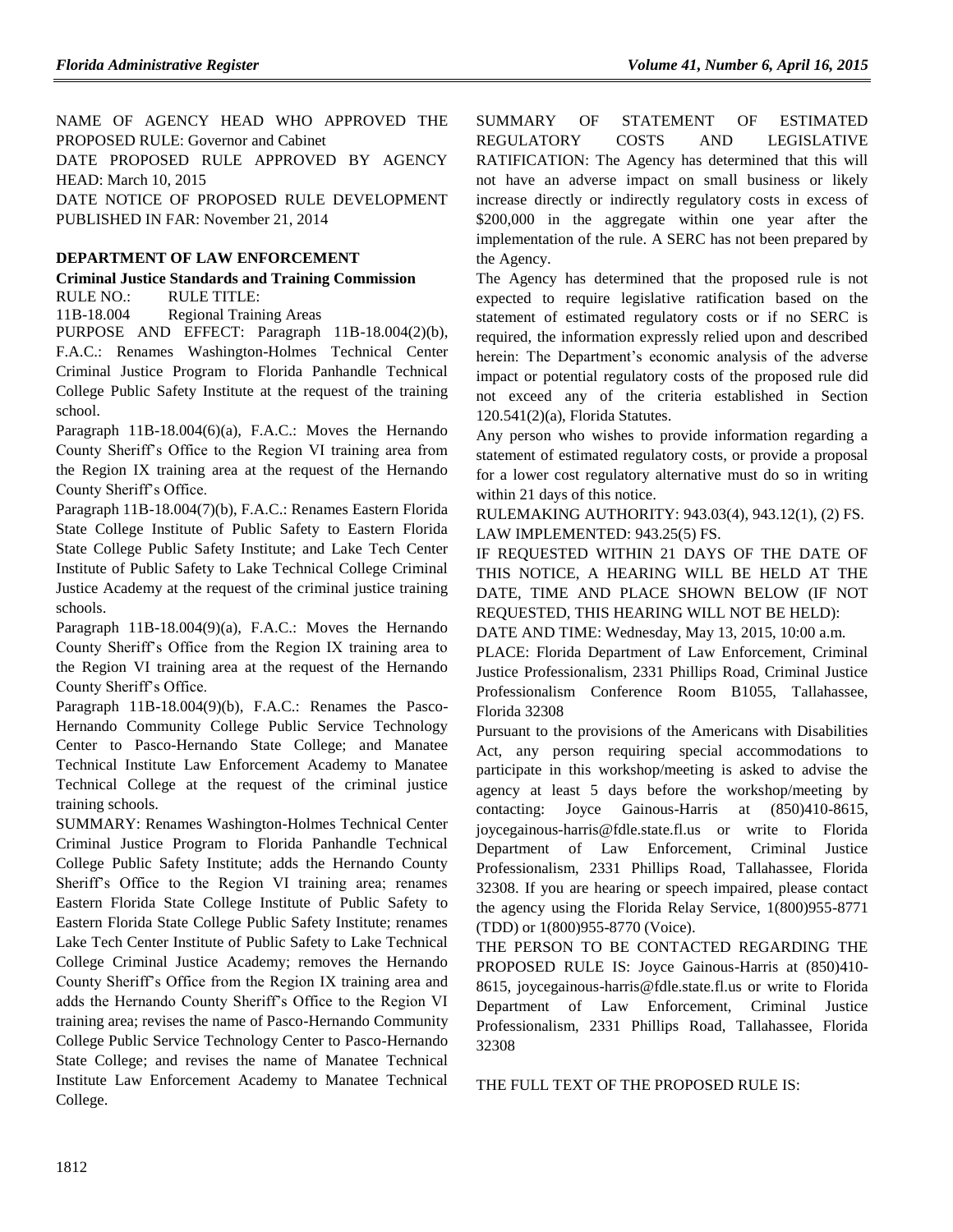NAME OF AGENCY HEAD WHO APPROVED THE PROPOSED RULE: Governor and Cabinet DATE PROPOSED RULE APPROVED BY AGENCY HEAD: March 10, 2015 DATE NOTICE OF PROPOSED RULE DEVELOPMENT PUBLISHED IN FAR: November 21, 2014

### **[DEPARTMENT OF LAW ENFORCEMENT](https://www.flrules.org/gateway/department.asp?id=11)**

**[Criminal Justice Standards and Training Commission](https://www.flrules.org/gateway/organization.asp?id=20)** RULE NO.: RULE TITLE:

[11B-18.004](https://www.flrules.org/gateway/ruleNo.asp?id=11B-18.004) Regional Training Areas

PURPOSE AND EFFECT: Paragraph 11B-18.004(2)(b), F.A.C.: Renames Washington-Holmes Technical Center Criminal Justice Program to Florida Panhandle Technical College Public Safety Institute at the request of the training school.

Paragraph 11B-18.004(6)(a), F.A.C.: Moves the Hernando County Sheriff's Office to the Region VI training area from the Region IX training area at the request of the Hernando County Sheriff's Office.

Paragraph 11B-18.004(7)(b), F.A.C.: Renames Eastern Florida State College Institute of Public Safety to Eastern Florida State College Public Safety Institute; and Lake Tech Center Institute of Public Safety to Lake Technical College Criminal Justice Academy at the request of the criminal justice training schools.

Paragraph 11B-18.004(9)(a), F.A.C.: Moves the Hernando County Sheriff's Office from the Region IX training area to the Region VI training area at the request of the Hernando County Sheriff's Office.

Paragraph 11B-18.004(9)(b), F.A.C.: Renames the Pasco-Hernando Community College Public Service Technology Center to Pasco-Hernando State College; and Manatee Technical Institute Law Enforcement Academy to Manatee Technical College at the request of the criminal justice training schools.

SUMMARY: Renames Washington-Holmes Technical Center Criminal Justice Program to Florida Panhandle Technical College Public Safety Institute; adds the Hernando County Sheriff's Office to the Region VI training area; renames Eastern Florida State College Institute of Public Safety to Eastern Florida State College Public Safety Institute; renames Lake Tech Center Institute of Public Safety to Lake Technical College Criminal Justice Academy; removes the Hernando County Sheriff's Office from the Region IX training area and adds the Hernando County Sheriff's Office to the Region VI training area; revises the name of Pasco-Hernando Community College Public Service Technology Center to Pasco-Hernando State College; and revises the name of Manatee Technical Institute Law Enforcement Academy to Manatee Technical College.

SUMMARY OF STATEMENT OF ESTIMATED REGULATORY COSTS AND LEGISLATIVE RATIFICATION: The Agency has determined that this will not have an adverse impact on small business or likely increase directly or indirectly regulatory costs in excess of \$200,000 in the aggregate within one year after the implementation of the rule. A SERC has not been prepared by the Agency.

The Agency has determined that the proposed rule is not expected to require legislative ratification based on the statement of estimated regulatory costs or if no SERC is required, the information expressly relied upon and described herein: The Department's economic analysis of the adverse impact or potential regulatory costs of the proposed rule did not exceed any of the criteria established in Section 120.541(2)(a), Florida Statutes.

Any person who wishes to provide information regarding a statement of estimated regulatory costs, or provide a proposal for a lower cost regulatory alternative must do so in writing within 21 days of this notice.

RULEMAKING AUTHORITY: [943.03\(4\),](https://www.flrules.org/gateway/statute.asp?id=943.03(4)) [943.12\(1\),](https://www.flrules.org/gateway/statute.asp?id=%20943.12(1)) (2) FS. LAW IMPLEMENTED: [943.25\(5\) FS.](https://www.flrules.org/gateway/statute.asp?id=943.25(5)%20FS.)

IF REQUESTED WITHIN 21 DAYS OF THE DATE OF THIS NOTICE, A HEARING WILL BE HELD AT THE DATE, TIME AND PLACE SHOWN BELOW (IF NOT REQUESTED, THIS HEARING WILL NOT BE HELD):

DATE AND TIME: Wednesday, May 13, 2015, 10:00 a.m.

PLACE: Florida Department of Law Enforcement, Criminal Justice Professionalism, 2331 Phillips Road, Criminal Justice Professionalism Conference Room B1055, Tallahassee, Florida 32308

Pursuant to the provisions of the Americans with Disabilities Act, any person requiring special accommodations to participate in this workshop/meeting is asked to advise the agency at least 5 days before the workshop/meeting by contacting: Joyce Gainous-Harris at (850)410-8615, joycegainous-harris@fdle.state.fl.us or write to Florida Department of Law Enforcement, Criminal Justice Professionalism, 2331 Phillips Road, Tallahassee, Florida 32308. If you are hearing or speech impaired, please contact the agency using the Florida Relay Service, 1(800)955-8771 (TDD) or 1(800)955-8770 (Voice).

THE PERSON TO BE CONTACTED REGARDING THE PROPOSED RULE IS: Joyce Gainous-Harris at (850)410- 8615, joycegainous-harris@fdle.state.fl.us or write to Florida Department of Law Enforcement, Criminal Justice Professionalism, 2331 Phillips Road, Tallahassee, Florida 32308

THE FULL TEXT OF THE PROPOSED RULE IS: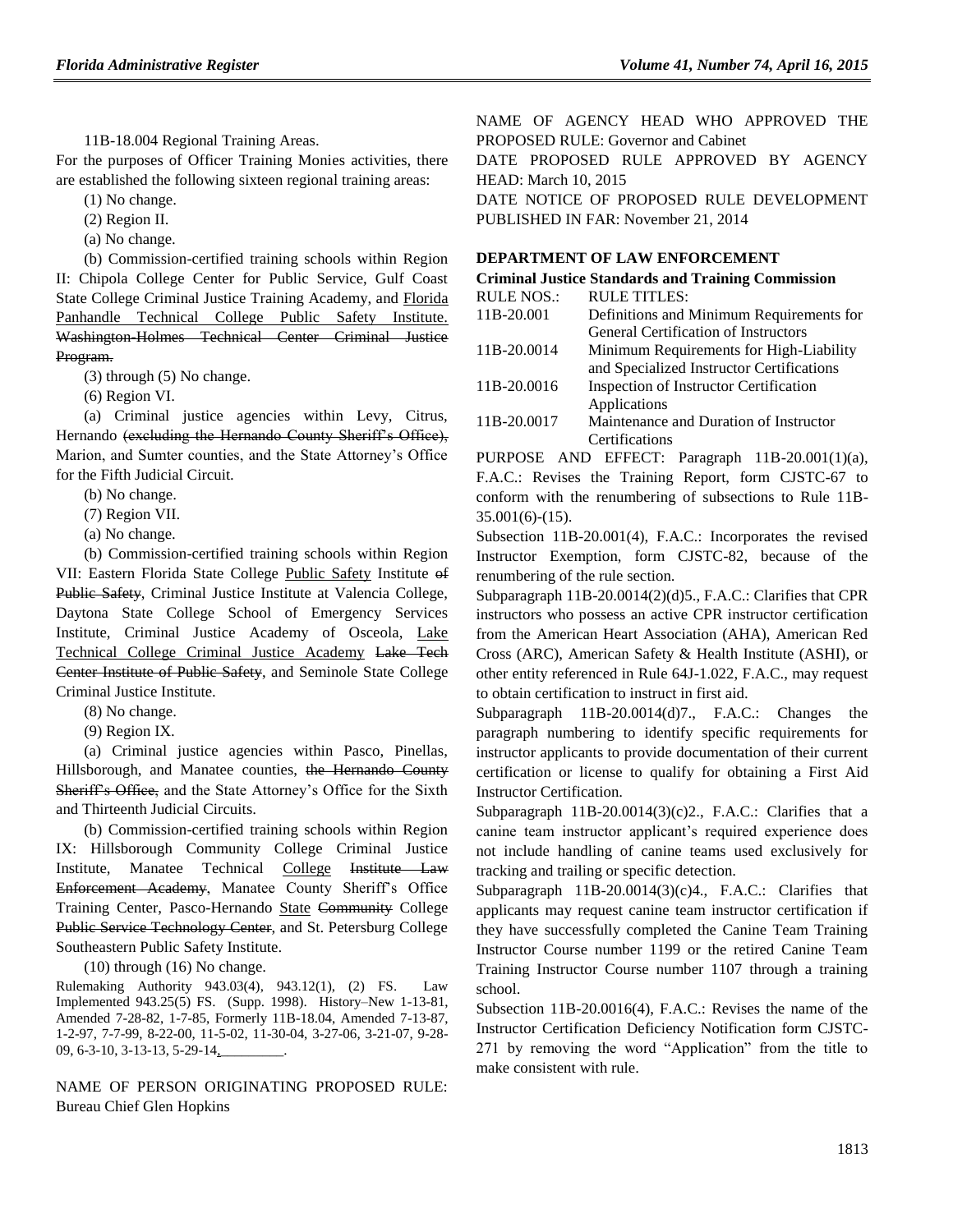11B-18.004 Regional Training Areas.

For the purposes of Officer Training Monies activities, there are established the following sixteen regional training areas:

(1) No change.

(2) Region II.

(a) No change.

(b) Commission-certified training schools within Region II: Chipola College Center for Public Service, Gulf Coast State College Criminal Justice Training Academy, and Florida Panhandle Technical College Public Safety Institute. Washington-Holmes Technical Center Criminal Justice Program.

(3) through (5) No change.

(6) Region VI.

(a) Criminal justice agencies within Levy, Citrus, Hernando (excluding the Hernando County Sheriff's Office), Marion, and Sumter counties, and the State Attorney's Office for the Fifth Judicial Circuit.

(b) No change.

(7) Region VII.

(a) No change.

(b) Commission-certified training schools within Region VII: Eastern Florida State College Public Safety Institute of Public Safety, Criminal Justice Institute at Valencia College, Daytona State College School of Emergency Services Institute, Criminal Justice Academy of Osceola, Lake Technical College Criminal Justice Academy Lake Tech Center Institute of Public Safety, and Seminole State College Criminal Justice Institute.

(8) No change.

(9) Region IX.

(a) Criminal justice agencies within Pasco, Pinellas, Hillsborough, and Manatee counties, the Hernando County Sheriff's Office, and the State Attorney's Office for the Sixth and Thirteenth Judicial Circuits.

(b) Commission-certified training schools within Region IX: Hillsborough Community College Criminal Justice Institute, Manatee Technical College Institute Law Enforcement Academy, Manatee County Sheriff's Office Training Center, Pasco-Hernando State Community College Public Service Technology Center, and St. Petersburg College Southeastern Public Safety Institute.

(10) through (16) No change.

Rulemaking Authority 943.03(4), 943.12(1), (2) FS. Law Implemented 943.25(5) FS. (Supp. 1998). History–New 1-13-81, Amended 7-28-82, 1-7-85, Formerly 11B-18.04, Amended 7-13-87, 1-2-97, 7-7-99, 8-22-00, 11-5-02, 11-30-04, 3-27-06, 3-21-07, 9-28- 09, 6-3-10, 3-13-13, 5-29-14,

NAME OF PERSON ORIGINATING PROPOSED RULE: Bureau Chief Glen Hopkins

NAME OF AGENCY HEAD WHO APPROVED THE PROPOSED RULE: Governor and Cabinet DATE PROPOSED RULE APPROVED BY AGENCY HEAD: March 10, 2015 DATE NOTICE OF PROPOSED RULE DEVELOPMENT PUBLISHED IN FAR: November 21, 2014

### **[DEPARTMENT OF LAW ENFORCEMENT](https://www.flrules.org/gateway/department.asp?id=11)**

#### **[Criminal Justice Standards and Training Commission](https://www.flrules.org/gateway/organization.asp?id=20)**  $RU$ RULE NOS.: RULE TITLES

| KULE NUS.:  | KULE IIILES:                                |
|-------------|---------------------------------------------|
| 11B-20.001  | Definitions and Minimum Requirements for    |
|             | <b>General Certification of Instructors</b> |
| 11B-20.0014 | Minimum Requirements for High-Liability     |
|             | and Specialized Instructor Certifications   |
| 11B-20.0016 | Inspection of Instructor Certification      |
|             | Applications                                |
| 11B-20.0017 | Maintenance and Duration of Instructor      |
|             | Certifications                              |
|             |                                             |

PURPOSE AND EFFECT: Paragraph 11B-20.001(1)(a), F.A.C.: Revises the Training Report, form CJSTC-67 to conform with the renumbering of subsections to Rule 11B-35.001(6)-(15).

Subsection 11B-20.001(4), F.A.C.: Incorporates the revised Instructor Exemption, form CJSTC-82, because of the renumbering of the rule section.

Subparagraph 11B-20.0014(2)(d)5., F.A.C.: Clarifies that CPR instructors who possess an active CPR instructor certification from the American Heart Association (AHA), American Red Cross (ARC), American Safety & Health Institute (ASHI), or other entity referenced in Rule 64J-1.022, F.A.C., may request to obtain certification to instruct in first aid.

Subparagraph 11B-20.0014(d)7., F.A.C.: Changes the paragraph numbering to identify specific requirements for instructor applicants to provide documentation of their current certification or license to qualify for obtaining a First Aid Instructor Certification.

Subparagraph  $11B-20.0014(3)(c)2$ ., F.A.C.: Clarifies that a canine team instructor applicant's required experience does not include handling of canine teams used exclusively for tracking and trailing or specific detection.

Subparagraph 11B-20.0014(3)(c)4., F.A.C.: Clarifies that applicants may request canine team instructor certification if they have successfully completed the Canine Team Training Instructor Course number 1199 or the retired Canine Team Training Instructor Course number 1107 through a training school.

Subsection 11B-20.0016(4), F.A.C.: Revises the name of the Instructor Certification Deficiency Notification form CJSTC-271 by removing the word "Application" from the title to make consistent with rule.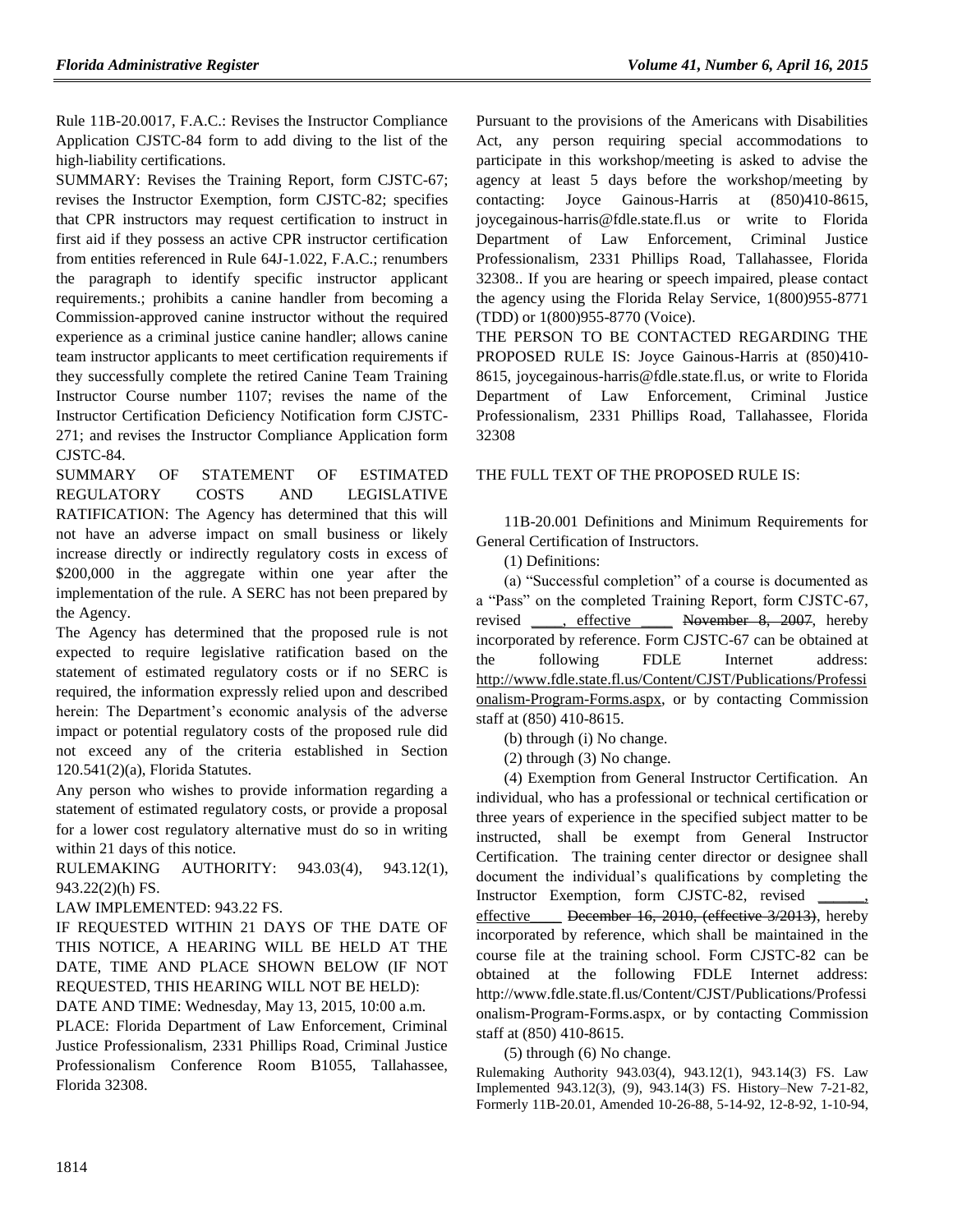Rule 11B-20.0017, F.A.C.: Revises the Instructor Compliance Application CJSTC-84 form to add diving to the list of the high-liability certifications.

SUMMARY: Revises the Training Report, form CJSTC-67; revises the Instructor Exemption, form CJSTC-82; specifies that CPR instructors may request certification to instruct in first aid if they possess an active CPR instructor certification from entities referenced in Rule 64J-1.022, F.A.C.; renumbers the paragraph to identify specific instructor applicant requirements.; prohibits a canine handler from becoming a Commission-approved canine instructor without the required experience as a criminal justice canine handler; allows canine team instructor applicants to meet certification requirements if they successfully complete the retired Canine Team Training Instructor Course number 1107; revises the name of the Instructor Certification Deficiency Notification form CJSTC-271; and revises the Instructor Compliance Application form CJSTC-84.

SUMMARY OF STATEMENT OF ESTIMATED REGULATORY COSTS AND LEGISLATIVE RATIFICATION: The Agency has determined that this will not have an adverse impact on small business or likely increase directly or indirectly regulatory costs in excess of \$200,000 in the aggregate within one year after the implementation of the rule. A SERC has not been prepared by the Agency.

The Agency has determined that the proposed rule is not expected to require legislative ratification based on the statement of estimated regulatory costs or if no SERC is required, the information expressly relied upon and described herein: The Department's economic analysis of the adverse impact or potential regulatory costs of the proposed rule did not exceed any of the criteria established in Section 120.541(2)(a), Florida Statutes.

Any person who wishes to provide information regarding a statement of estimated regulatory costs, or provide a proposal for a lower cost regulatory alternative must do so in writing within 21 days of this notice.

RULEMAKING AUTHORITY: [943.03\(4\),](https://www.flrules.org/gateway/statute.asp?id=943.03(4)) [943.12\(1\),](https://www.flrules.org/gateway/statute.asp?id=%20943.12(1)) [943.22\(2\)\(h\) FS.](https://www.flrules.org/gateway/statute.asp?id=%20943.22(2)(h)%20FS.)

LAW IMPLEMENTED: [943.22 FS.](https://www.flrules.org/gateway/statute.asp?id=943.22%20FS.)

IF REQUESTED WITHIN 21 DAYS OF THE DATE OF THIS NOTICE, A HEARING WILL BE HELD AT THE DATE, TIME AND PLACE SHOWN BELOW (IF NOT REQUESTED, THIS HEARING WILL NOT BE HELD):

DATE AND TIME: Wednesday, May 13, 2015, 10:00 a.m.

PLACE: Florida Department of Law Enforcement, Criminal Justice Professionalism, 2331 Phillips Road, Criminal Justice Professionalism Conference Room B1055, Tallahassee, Florida 32308.

Pursuant to the provisions of the Americans with Disabilities Act, any person requiring special accommodations to participate in this workshop/meeting is asked to advise the agency at least 5 days before the workshop/meeting by contacting: Joyce Gainous-Harris at (850)410-8615, joycegainous-harris@fdle.state.fl.us or write to Florida Department of Law Enforcement, Criminal Justice Professionalism, 2331 Phillips Road, Tallahassee, Florida 32308.. If you are hearing or speech impaired, please contact the agency using the Florida Relay Service, 1(800)955-8771 (TDD) or 1(800)955-8770 (Voice).

THE PERSON TO BE CONTACTED REGARDING THE PROPOSED RULE IS: Joyce Gainous-Harris at (850)410- 8615, joycegainous-harris@fdle.state.fl.us, or write to Florida Department of Law Enforcement, Criminal Justice Professionalism, 2331 Phillips Road, Tallahassee, Florida 32308

### THE FULL TEXT OF THE PROPOSED RULE IS:

11B-20.001 Definitions and Minimum Requirements for General Certification of Instructors.

(1) Definitions:

(a) "Successful completion" of a course is documented as a "Pass" on the completed Training Report, form CJSTC-67, revised , effective November 8, 2007, hereby incorporated by reference. Form CJSTC-67 can be obtained at the following FDLE Internet address: [http://www.fdle.state.fl.us/Content/CJST/Publications/Professi](http://www.fdle.state.fl.us/Content/CJST/Publications/Professionalism-Program-Forms.aspx) [onalism-Program-Forms.aspx,](http://www.fdle.state.fl.us/Content/CJST/Publications/Professionalism-Program-Forms.aspx) or by contacting Commission staff at (850) 410-8615.

(b) through (i) No change.

(2) through (3) No change.

(4) Exemption from General Instructor Certification. An individual, who has a professional or technical certification or three years of experience in the specified subject matter to be instructed, shall be exempt from General Instructor Certification. The training center director or designee shall document the individual's qualifications by completing the Instructor Exemption, form CJSTC-82, revised effective\_\_\_\_ December 16, 2010, (effective 3/2013), hereby incorporated by reference, which shall be maintained in the course file at the training school. Form CJSTC-82 can be obtained at the following FDLE Internet address: http://www.fdle.state.fl.us/Content/CJST/Publications/Professi onalism-Program-Forms.aspx, or by contacting Commission staff at (850) 410-8615.

(5) through (6) No change.

Rulemaking Authority 943.03(4), 943.12(1), 943.14(3) FS. Law Implemented 943.12(3), (9), 943.14(3) FS. History–New 7-21-82, Formerly 11B-20.01, Amended 10-26-88, 5-14-92, 12-8-92, 1-10-94,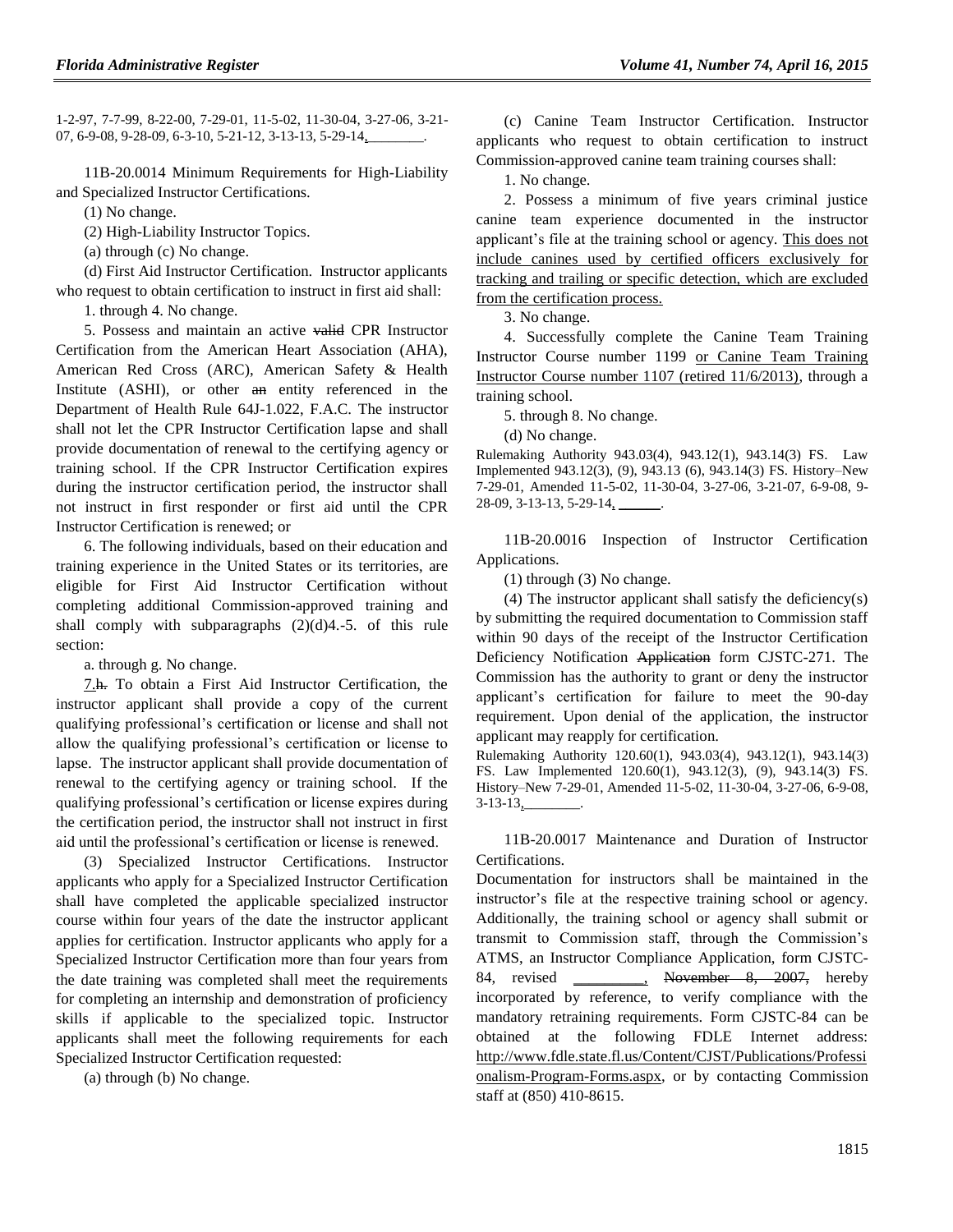1-2-97, 7-7-99, 8-22-00, 7-29-01, 11-5-02, 11-30-04, 3-27-06, 3-21- 07, 6-9-08, 9-28-09, 6-3-10, 5-21-12, 3-13-13, 5-29-14,

11B-20.0014 Minimum Requirements for High-Liability and Specialized Instructor Certifications.

(1) No change.

(2) High-Liability Instructor Topics.

(a) through (c) No change.

(d) First Aid Instructor Certification. Instructor applicants who request to obtain certification to instruct in first aid shall:

1. through 4. No change.

5. Possess and maintain an active valid CPR Instructor Certification from the American Heart Association (AHA), American Red Cross (ARC), American Safety & Health Institute (ASHI), or other an entity referenced in the Department of Health Rule 64J-1.022, F.A.C. The instructor shall not let the CPR Instructor Certification lapse and shall provide documentation of renewal to the certifying agency or training school. If the CPR Instructor Certification expires during the instructor certification period, the instructor shall not instruct in first responder or first aid until the CPR Instructor Certification is renewed; or

6. The following individuals, based on their education and training experience in the United States or its territories, are eligible for First Aid Instructor Certification without completing additional Commission-approved training and shall comply with subparagraphs  $(2)(d)4.-5$ . of this rule section:

a. through g. No change.

7.h. To obtain a First Aid Instructor Certification, the instructor applicant shall provide a copy of the current qualifying professional's certification or license and shall not allow the qualifying professional's certification or license to lapse. The instructor applicant shall provide documentation of renewal to the certifying agency or training school. If the qualifying professional's certification or license expires during the certification period, the instructor shall not instruct in first aid until the professional's certification or license is renewed.

(3) Specialized Instructor Certifications. Instructor applicants who apply for a Specialized Instructor Certification shall have completed the applicable specialized instructor course within four years of the date the instructor applicant applies for certification. Instructor applicants who apply for a Specialized Instructor Certification more than four years from the date training was completed shall meet the requirements for completing an internship and demonstration of proficiency skills if applicable to the specialized topic. Instructor applicants shall meet the following requirements for each Specialized Instructor Certification requested:

(a) through (b) No change.

(c) Canine Team Instructor Certification. Instructor applicants who request to obtain certification to instruct Commission-approved canine team training courses shall:

1. No change.

2. Possess a minimum of five years criminal justice canine team experience documented in the instructor applicant's file at the training school or agency. This does not include canines used by certified officers exclusively for tracking and trailing or specific detection, which are excluded from the certification process.

3. No change.

4. Successfully complete the Canine Team Training Instructor Course number 1199 or Canine Team Training Instructor Course number 1107 (retired 11/6/2013), through a training school.

5. through 8. No change.

(d) No change.

Rulemaking Authority 943.03(4), 943.12(1), 943.14(3) FS. Law Implemented 943.12(3), (9), 943.13 (6), 943.14(3) FS. History–New 7-29-01, Amended 11-5-02, 11-30-04, 3-27-06, 3-21-07, 6-9-08, 9- 28-09, 3-13-13, 5-29-14, \_\_\_\_

11B-20.0016 Inspection of Instructor Certification Applications.

(1) through (3) No change.

(4) The instructor applicant shall satisfy the deficiency(s) by submitting the required documentation to Commission staff within 90 days of the receipt of the Instructor Certification Deficiency Notification Application form CJSTC-271. The Commission has the authority to grant or deny the instructor applicant's certification for failure to meet the 90-day requirement. Upon denial of the application, the instructor applicant may reapply for certification.

Rulemaking Authority 120.60(1), 943.03(4), 943.12(1), 943.14(3) FS. Law Implemented 120.60(1), 943.12(3), (9), 943.14(3) FS. History–New 7-29-01, Amended 11-5-02, 11-30-04, 3-27-06, 6-9-08,  $3-13-13$ ,

11B-20.0017 Maintenance and Duration of Instructor **Certifications** 

Documentation for instructors shall be maintained in the instructor's file at the respective training school or agency. Additionally, the training school or agency shall submit or transmit to Commission staff, through the Commission's ATMS, an Instructor Compliance Application, form CJSTC-84, revised \_\_\_\_\_\_\_\_, November 8, 2007, hereby incorporated by reference, to verify compliance with the mandatory retraining requirements. Form CJSTC-84 can be obtained at the following FDLE Internet address: [http://www.fdle.state.fl.us/Content/CJST/Publications/Professi](http://www.fdle.state.fl.us/Content/CJST/Publications/Professionalism-Program-Forms.aspx) [onalism-Program-Forms.aspx,](http://www.fdle.state.fl.us/Content/CJST/Publications/Professionalism-Program-Forms.aspx) or by contacting Commission staff at (850) 410-8615.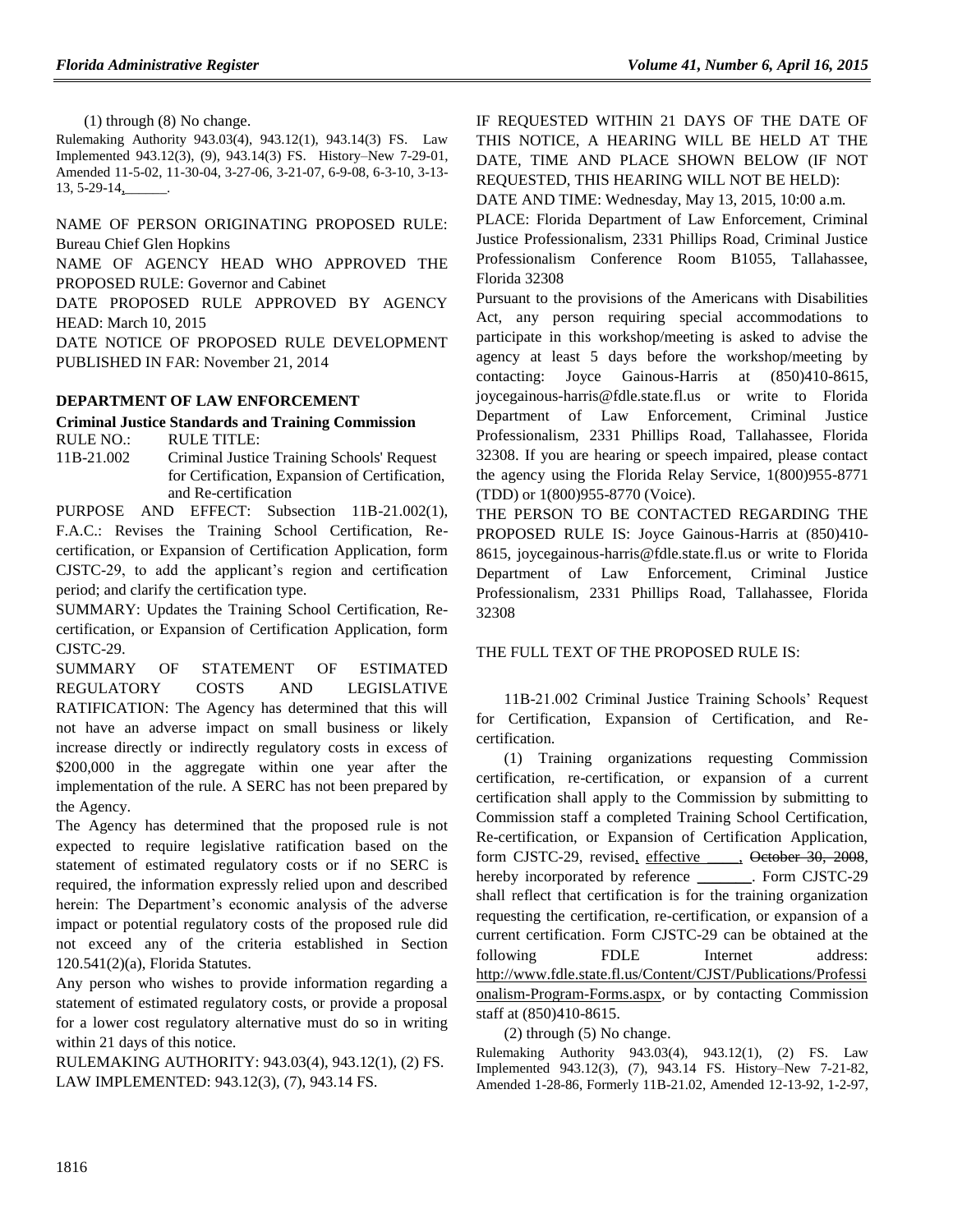(1) through (8) No change.

Rulemaking Authority 943.03(4), 943.12(1), 943.14(3) FS. Law Implemented 943.12(3), (9), 943.14(3) FS. History–New 7-29-01, Amended 11-5-02, 11-30-04, 3-27-06, 3-21-07, 6-9-08, 6-3-10, 3-13- 13, 5-29-14,

NAME OF PERSON ORIGINATING PROPOSED RULE: Bureau Chief Glen Hopkins

NAME OF AGENCY HEAD WHO APPROVED THE PROPOSED RULE: Governor and Cabinet

DATE PROPOSED RULE APPROVED BY AGENCY HEAD: March 10, 2015

DATE NOTICE OF PROPOSED RULE DEVELOPMENT PUBLISHED IN FAR: November 21, 2014

### **[DEPARTMENT OF LAW ENFORCEMENT](https://www.flrules.org/gateway/department.asp?id=11)**

### **[Criminal Justice Standards and Training Commission](https://www.flrules.org/gateway/organization.asp?id=20)**

RULE NO.: RULE TITLE: [11B-21.002](https://www.flrules.org/gateway/ruleNo.asp?id=11B-21.002) Criminal Justice Training Schools' Request for Certification, Expansion of Certification, and Re-certification

PURPOSE AND EFFECT: Subsection 11B-21.002(1), F.A.C.: Revises the Training School Certification, Recertification, or Expansion of Certification Application, form CJSTC-29, to add the applicant's region and certification period; and clarify the certification type.

SUMMARY: Updates the Training School Certification, Recertification, or Expansion of Certification Application, form CJSTC-29.

SUMMARY OF STATEMENT OF ESTIMATED REGULATORY COSTS AND LEGISLATIVE RATIFICATION: The Agency has determined that this will not have an adverse impact on small business or likely increase directly or indirectly regulatory costs in excess of \$200,000 in the aggregate within one year after the implementation of the rule. A SERC has not been prepared by the Agency.

The Agency has determined that the proposed rule is not expected to require legislative ratification based on the statement of estimated regulatory costs or if no SERC is required, the information expressly relied upon and described herein: The Department's economic analysis of the adverse impact or potential regulatory costs of the proposed rule did not exceed any of the criteria established in Section 120.541(2)(a), Florida Statutes.

Any person who wishes to provide information regarding a statement of estimated regulatory costs, or provide a proposal for a lower cost regulatory alternative must do so in writing within 21 days of this notice.

RULEMAKING AUTHORITY: [943.03\(4\),](https://www.flrules.org/gateway/statute.asp?id=943.03(4)) [943.12\(1\),](https://www.flrules.org/gateway/statute.asp?id=%20943.12(1)) (2) FS. LAW IMPLEMENTED: [943.12\(3\),](https://www.flrules.org/gateway/statute.asp?id=943.12(3)) (7), [943.14 FS.](https://www.flrules.org/gateway/statute.asp?id=%20943.14%20FS.)

IF REQUESTED WITHIN 21 DAYS OF THE DATE OF THIS NOTICE, A HEARING WILL BE HELD AT THE DATE, TIME AND PLACE SHOWN BELOW (IF NOT REQUESTED, THIS HEARING WILL NOT BE HELD):

DATE AND TIME: Wednesday, May 13, 2015, 10:00 a.m. PLACE: Florida Department of Law Enforcement, Criminal Justice Professionalism, 2331 Phillips Road, Criminal Justice Professionalism Conference Room B1055, Tallahassee, Florida 32308

Pursuant to the provisions of the Americans with Disabilities Act, any person requiring special accommodations to participate in this workshop/meeting is asked to advise the agency at least 5 days before the workshop/meeting by contacting: Joyce Gainous-Harris at (850)410-8615, joycegainous-harris@fdle.state.fl.us or write to Florida Department of Law Enforcement, Criminal Justice Professionalism, 2331 Phillips Road, Tallahassee, Florida 32308. If you are hearing or speech impaired, please contact the agency using the Florida Relay Service, 1(800)955-8771 (TDD) or 1(800)955-8770 (Voice).

THE PERSON TO BE CONTACTED REGARDING THE PROPOSED RULE IS: Joyce Gainous-Harris at (850)410- 8615, joycegainous-harris@fdle.state.fl.us or write to Florida Department of Law Enforcement, Criminal Justice Professionalism, 2331 Phillips Road, Tallahassee, Florida 32308

THE FULL TEXT OF THE PROPOSED RULE IS:

11B-21.002 Criminal Justice Training Schools' Request for Certification, Expansion of Certification, and Recertification.

(1) Training organizations requesting Commission certification, re-certification, or expansion of a current certification shall apply to the Commission by submitting to Commission staff a completed Training School Certification, Re-certification, or Expansion of Certification Application, form CJSTC-29, revised, effective \_\_\_\_, October 30, 2008, hereby incorporated by reference \_\_\_\_\_\_\_. Form CJSTC-29 shall reflect that certification is for the training organization requesting the certification, re-certification, or expansion of a current certification. Form CJSTC-29 can be obtained at the following FDLE Internet address: [http://www.fdle.state.fl.us/Content/CJST/Publications/Professi](http://www.fdle.state.fl.us/Content/CJST/Publications/Professionalism-Program-Forms.aspx) [onalism-Program-Forms.aspx,](http://www.fdle.state.fl.us/Content/CJST/Publications/Professionalism-Program-Forms.aspx) or by contacting Commission staff at (850)410-8615.

(2) through (5) No change.

Rulemaking Authority 943.03(4), 943.12(1), (2) FS. Law Implemented 943.12(3), (7), 943.14 FS. History–New 7-21-82, Amended 1-28-86, Formerly 11B-21.02, Amended 12-13-92, 1-2-97,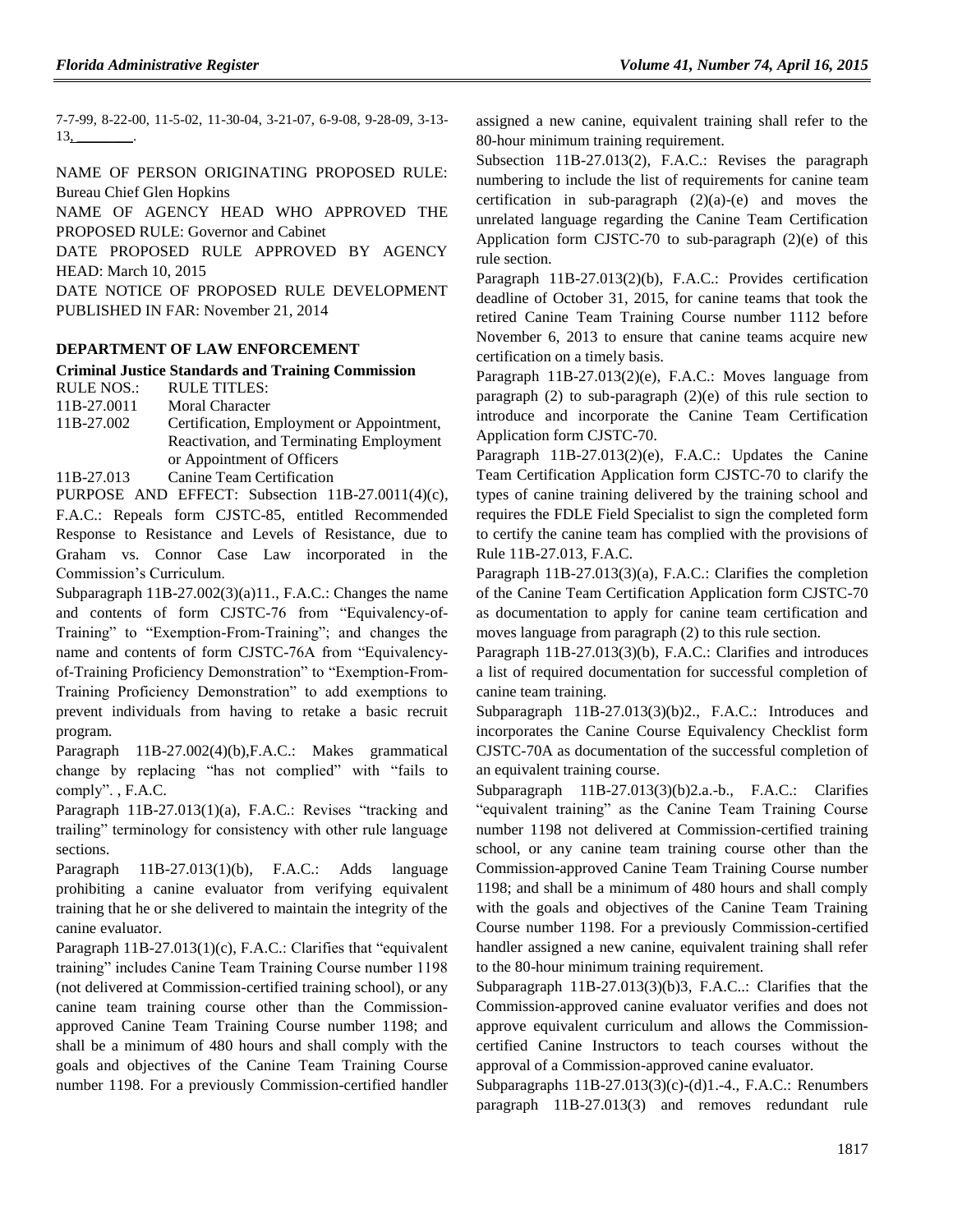7-7-99, 8-22-00, 11-5-02, 11-30-04, 3-21-07, 6-9-08, 9-28-09, 3-13-  $13,$  \_\_\_\_\_\_\_\_\_.

NAME OF PERSON ORIGINATING PROPOSED RULE: Bureau Chief Glen Hopkins

NAME OF AGENCY HEAD WHO APPROVED THE PROPOSED RULE: Governor and Cabinet DATE PROPOSED RULE APPROVED BY AGENCY

HEAD: March 10, 2015

DATE NOTICE OF PROPOSED RULE DEVELOPMENT PUBLISHED IN FAR: November 21, 2014

#### **[DEPARTMENT OF LAW ENFORCEMENT](https://www.flrules.org/gateway/department.asp?id=11)**

#### **[Criminal Justice Standards and Training Commission](https://www.flrules.org/gateway/organization.asp?id=20)**

RULE NOS.: RULE TITLES:

[11B-27.0011](https://www.flrules.org/gateway/ruleNo.asp?id=11B-27.0011) Moral Character

[11B-27.002](https://www.flrules.org/gateway/ruleNo.asp?id=11B-27.002) Certification, Employment or Appointment, Reactivation, and Terminating Employment or Appointment of Officers

[11B-27.013](https://www.flrules.org/gateway/ruleNo.asp?id=11B-27.013) Canine Team Certification

PURPOSE AND EFFECT: Subsection 11B-27.0011(4)(c), F.A.C.: Repeals form CJSTC-85, entitled Recommended Response to Resistance and Levels of Resistance, due to Graham vs. Connor Case Law incorporated in the Commission's Curriculum.

Subparagraph 11B-27.002(3)(a)11., F.A.C.: Changes the name and contents of form CJSTC-76 from "Equivalency-of-Training" to "Exemption-From-Training"; and changes the name and contents of form CJSTC-76A from "Equivalencyof-Training Proficiency Demonstration" to "Exemption-From-Training Proficiency Demonstration" to add exemptions to prevent individuals from having to retake a basic recruit program.

Paragraph 11B-27.002(4)(b),F.A.C.: Makes grammatical change by replacing "has not complied" with "fails to comply". , F.A.C.

Paragraph 11B-27.013(1)(a), F.A.C.: Revises "tracking and trailing" terminology for consistency with other rule language sections.

Paragraph 11B-27.013(1)(b), F.A.C.: Adds language prohibiting a canine evaluator from verifying equivalent training that he or she delivered to maintain the integrity of the canine evaluator.

Paragraph 11B-27.013(1)(c), F.A.C.: Clarifies that "equivalent training" includes Canine Team Training Course number 1198 (not delivered at Commission-certified training school), or any canine team training course other than the Commissionapproved Canine Team Training Course number 1198; and shall be a minimum of 480 hours and shall comply with the goals and objectives of the Canine Team Training Course number 1198. For a previously Commission-certified handler assigned a new canine, equivalent training shall refer to the 80-hour minimum training requirement.

Subsection 11B-27.013(2), F.A.C.: Revises the paragraph numbering to include the list of requirements for canine team certification in sub-paragraph  $(2)(a)-(e)$  and moves the unrelated language regarding the Canine Team Certification Application form CJSTC-70 to sub-paragraph (2)(e) of this rule section.

Paragraph 11B-27.013(2)(b), F.A.C.: Provides certification deadline of October 31, 2015, for canine teams that took the retired Canine Team Training Course number 1112 before November 6, 2013 to ensure that canine teams acquire new certification on a timely basis.

Paragraph 11B-27.013(2)(e), F.A.C.: Moves language from paragraph  $(2)$  to sub-paragraph  $(2)(e)$  of this rule section to introduce and incorporate the Canine Team Certification Application form CJSTC-70.

Paragraph 11B-27.013(2)(e), F.A.C.: Updates the Canine Team Certification Application form CJSTC-70 to clarify the types of canine training delivered by the training school and requires the FDLE Field Specialist to sign the completed form to certify the canine team has complied with the provisions of Rule 11B-27.013, F.A.C.

Paragraph 11B-27.013(3)(a), F.A.C.: Clarifies the completion of the Canine Team Certification Application form CJSTC-70 as documentation to apply for canine team certification and moves language from paragraph (2) to this rule section.

Paragraph 11B-27.013(3)(b), F.A.C.: Clarifies and introduces a list of required documentation for successful completion of canine team training.

Subparagraph 11B-27.013(3)(b)2., F.A.C.: Introduces and incorporates the Canine Course Equivalency Checklist form CJSTC-70A as documentation of the successful completion of an equivalent training course.

Subparagraph 11B-27.013(3)(b)2.a.-b., F.A.C.: Clarifies "equivalent training" as the Canine Team Training Course number 1198 not delivered at Commission-certified training school, or any canine team training course other than the Commission-approved Canine Team Training Course number 1198; and shall be a minimum of 480 hours and shall comply with the goals and objectives of the Canine Team Training Course number 1198. For a previously Commission-certified handler assigned a new canine, equivalent training shall refer to the 80-hour minimum training requirement.

Subparagraph 11B-27.013(3)(b)3, F.A.C..: Clarifies that the Commission-approved canine evaluator verifies and does not approve equivalent curriculum and allows the Commissioncertified Canine Instructors to teach courses without the approval of a Commission-approved canine evaluator.

Subparagraphs 11B-27.013(3)(c)-(d)1.-4., F.A.C.: Renumbers paragraph 11B-27.013(3) and removes redundant rule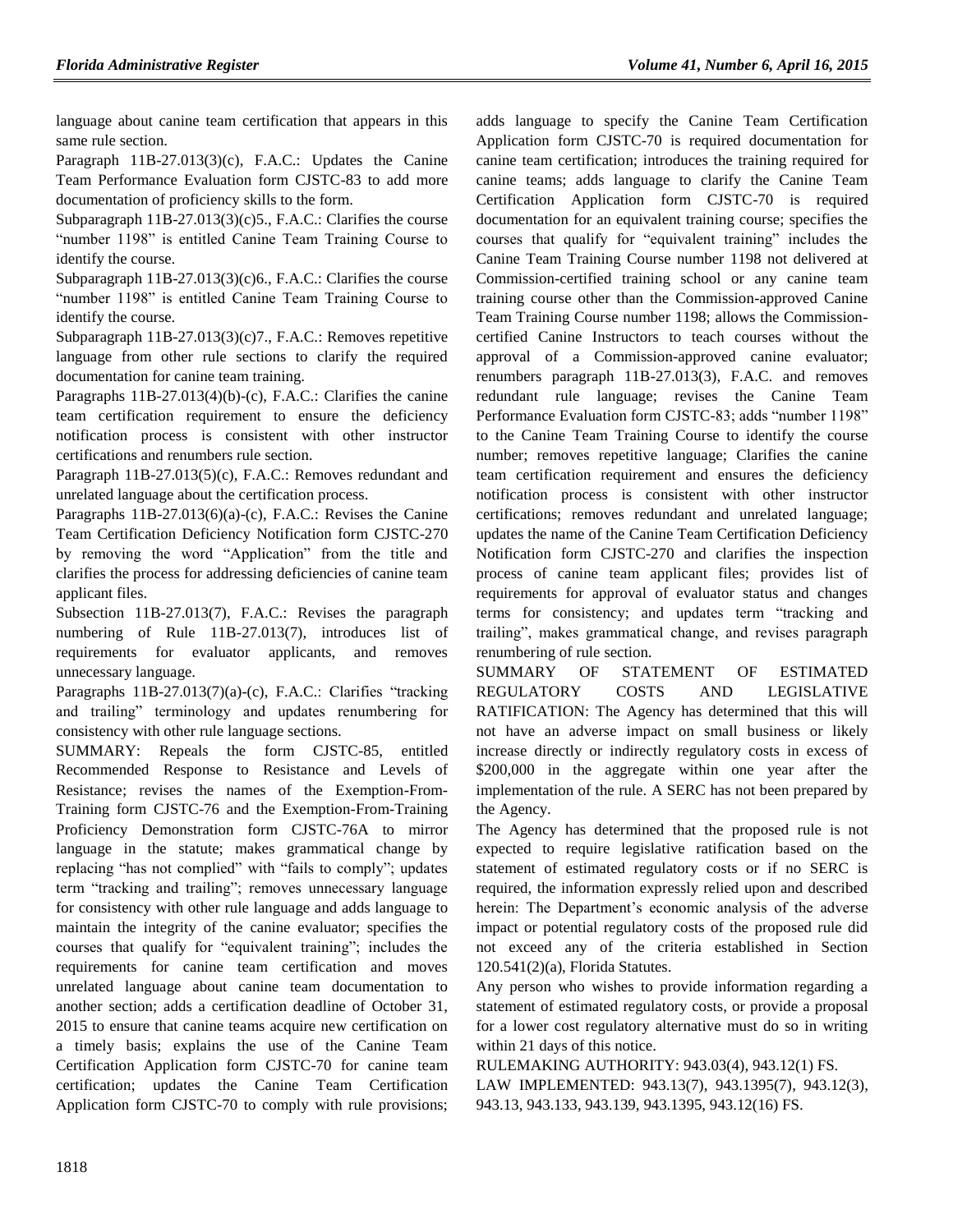language about canine team certification that appears in this same rule section.

Paragraph 11B-27.013(3)(c), F.A.C.: Updates the Canine Team Performance Evaluation form CJSTC-83 to add more documentation of proficiency skills to the form.

Subparagraph 11B-27.013(3)(c)5., F.A.C.: Clarifies the course "number 1198" is entitled Canine Team Training Course to identify the course.

Subparagraph 11B-27.013(3)(c)6., F.A.C.: Clarifies the course "number 1198" is entitled Canine Team Training Course to identify the course.

Subparagraph 11B-27.013(3)(c)7., F.A.C.: Removes repetitive language from other rule sections to clarify the required documentation for canine team training.

Paragraphs 11B-27.013(4)(b)-(c), F.A.C.: Clarifies the canine team certification requirement to ensure the deficiency notification process is consistent with other instructor certifications and renumbers rule section.

Paragraph 11B-27.013(5)(c), F.A.C.: Removes redundant and unrelated language about the certification process.

Paragraphs 11B-27.013(6)(a)-(c), F.A.C.: Revises the Canine Team Certification Deficiency Notification form CJSTC-270 by removing the word "Application" from the title and clarifies the process for addressing deficiencies of canine team applicant files.

Subsection 11B-27.013(7), F.A.C.: Revises the paragraph numbering of Rule 11B-27.013(7), introduces list of requirements for evaluator applicants, and removes unnecessary language.

Paragraphs 11B-27.013(7)(a)-(c), F.A.C.: Clarifies "tracking and trailing" terminology and updates renumbering for consistency with other rule language sections.

SUMMARY: Repeals the form CJSTC-85, entitled Recommended Response to Resistance and Levels of Resistance; revises the names of the Exemption-From-Training form CJSTC-76 and the Exemption-From-Training Proficiency Demonstration form CJSTC-76A to mirror language in the statute; makes grammatical change by replacing "has not complied" with "fails to comply"; updates term "tracking and trailing"; removes unnecessary language for consistency with other rule language and adds language to maintain the integrity of the canine evaluator; specifies the courses that qualify for "equivalent training"; includes the requirements for canine team certification and moves unrelated language about canine team documentation to another section; adds a certification deadline of October 31, 2015 to ensure that canine teams acquire new certification on a timely basis; explains the use of the Canine Team Certification Application form CJSTC-70 for canine team certification; updates the Canine Team Certification Application form CJSTC-70 to comply with rule provisions; adds language to specify the Canine Team Certification Application form CJSTC-70 is required documentation for canine team certification; introduces the training required for canine teams; adds language to clarify the Canine Team Certification Application form CJSTC-70 is required documentation for an equivalent training course; specifies the courses that qualify for "equivalent training" includes the Canine Team Training Course number 1198 not delivered at Commission-certified training school or any canine team training course other than the Commission-approved Canine Team Training Course number 1198; allows the Commissioncertified Canine Instructors to teach courses without the approval of a Commission-approved canine evaluator; renumbers paragraph 11B-27.013(3), F.A.C. and removes redundant rule language; revises the Canine Team Performance Evaluation form CJSTC-83; adds "number 1198" to the Canine Team Training Course to identify the course number; removes repetitive language; Clarifies the canine team certification requirement and ensures the deficiency notification process is consistent with other instructor certifications; removes redundant and unrelated language; updates the name of the Canine Team Certification Deficiency Notification form CJSTC-270 and clarifies the inspection process of canine team applicant files; provides list of requirements for approval of evaluator status and changes terms for consistency; and updates term "tracking and trailing", makes grammatical change, and revises paragraph renumbering of rule section.

SUMMARY OF STATEMENT OF ESTIMATED REGULATORY COSTS AND LEGISLATIVE RATIFICATION: The Agency has determined that this will not have an adverse impact on small business or likely increase directly or indirectly regulatory costs in excess of \$200,000 in the aggregate within one year after the implementation of the rule. A SERC has not been prepared by the Agency.

The Agency has determined that the proposed rule is not expected to require legislative ratification based on the statement of estimated regulatory costs or if no SERC is required, the information expressly relied upon and described herein: The Department's economic analysis of the adverse impact or potential regulatory costs of the proposed rule did not exceed any of the criteria established in Section 120.541(2)(a), Florida Statutes.

Any person who wishes to provide information regarding a statement of estimated regulatory costs, or provide a proposal for a lower cost regulatory alternative must do so in writing within 21 days of this notice.

RULEMAKING AUTHORITY: [943.03\(4\),](https://www.flrules.org/gateway/statute.asp?id=943.03(4)) [943.12\(1\) FS.](https://www.flrules.org/gateway/statute.asp?id=%20943.12(1)%20FS.) LAW IMPLEMENTED: [943.13\(7\),](https://www.flrules.org/gateway/statute.asp?id=943.13(7)) [943.1395\(7\),](https://www.flrules.org/gateway/statute.asp?id=%20943.1395(7)) [943.12\(3\),](https://www.flrules.org/gateway/statute.asp?id=%20943.12(3)) [943.13,](https://www.flrules.org/gateway/statute.asp?id=%20943.13) [943.133,](https://www.flrules.org/gateway/statute.asp?id=%20943.133) [943.139,](https://www.flrules.org/gateway/statute.asp?id=%20943.139) [943.1395,](https://www.flrules.org/gateway/statute.asp?id=%20943.1395) [943.12\(16\) FS.](https://www.flrules.org/gateway/statute.asp?id=%20943.12(16)%20FS.)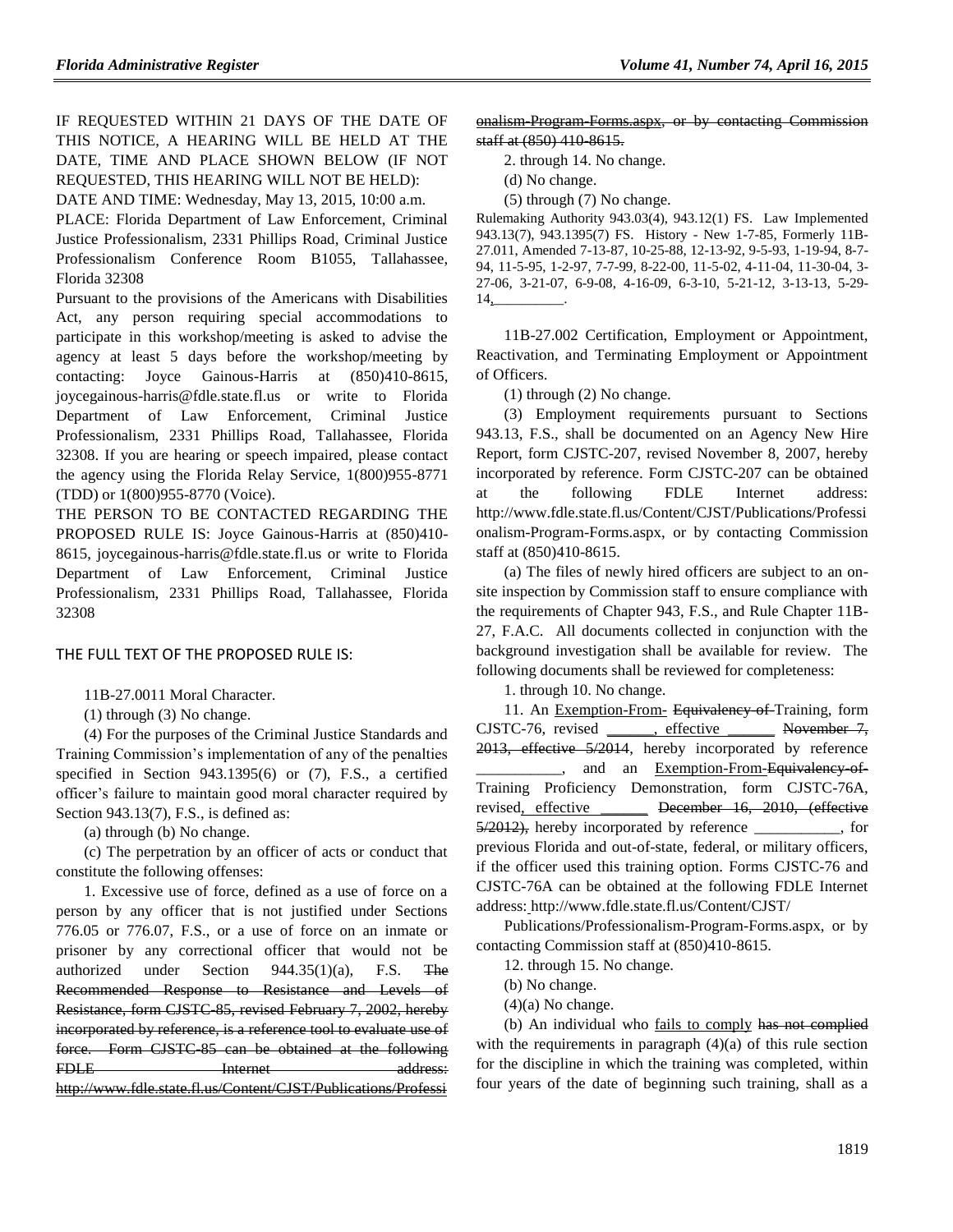IF REQUESTED WITHIN 21 DAYS OF THE DATE OF THIS NOTICE, A HEARING WILL BE HELD AT THE DATE, TIME AND PLACE SHOWN BELOW (IF NOT REQUESTED, THIS HEARING WILL NOT BE HELD):

DATE AND TIME: Wednesday, May 13, 2015, 10:00 a.m. PLACE: Florida Department of Law Enforcement, Criminal Justice Professionalism, 2331 Phillips Road, Criminal Justice Professionalism Conference Room B1055, Tallahassee, Florida 32308

Pursuant to the provisions of the Americans with Disabilities Act, any person requiring special accommodations to participate in this workshop/meeting is asked to advise the agency at least 5 days before the workshop/meeting by contacting: Joyce Gainous-Harris at (850)410-8615, joycegainous-harris@fdle.state.fl.us or write to Florida Department of Law Enforcement, Criminal Justice Professionalism, 2331 Phillips Road, Tallahassee, Florida 32308. If you are hearing or speech impaired, please contact the agency using the Florida Relay Service, 1(800)955-8771 (TDD) or 1(800)955-8770 (Voice).

THE PERSON TO BE CONTACTED REGARDING THE PROPOSED RULE IS: Joyce Gainous-Harris at (850)410- 8615, joycegainous-harris@fdle.state.fl.us or write to Florida Department of Law Enforcement, Criminal Justice Professionalism, 2331 Phillips Road, Tallahassee, Florida 32308

THE FULL TEXT OF THE PROPOSED RULE IS:

11B-27.0011 Moral Character.

(1) through (3) No change.

(4) For the purposes of the Criminal Justice Standards and Training Commission's implementation of any of the penalties specified in Section 943.1395(6) or (7), F.S., a certified officer's failure to maintain good moral character required by Section 943.13(7), F.S., is defined as:

(a) through (b) No change.

(c) The perpetration by an officer of acts or conduct that constitute the following offenses:

1. Excessive use of force, defined as a use of force on a person by any officer that is not justified under Sections 776.05 or 776.07, F.S., or a use of force on an inmate or prisoner by any correctional officer that would not be authorized under Section 944.35(1)(a), F.S. The Recommended Response to Resistance and Levels of Resistance, form CJSTC-85, revised February 7, 2002, hereby incorporated by reference, is a reference tool to evaluate use of force. Form CJSTC-85 can be obtained at the following FDLE Internet address: [http://www.fdle.state.fl.us/Content/CJST/Publications/Professi](http://www.fdle.state.fl.us/Content/CJST/Publications/Professionalism-Program-Forms.aspx)

onalism\_Program-Forms.aspx, or by contacting Commission staff at (850) 410-8615.

2. through 14. No change.

(d) No change.

(5) through (7) No change.

Rulemaking Authority 943.03(4), 943.12(1) FS. Law Implemented 943.13(7), 943.1395(7) FS. History - New 1-7-85, Formerly 11B-27.011, Amended 7-13-87, 10-25-88, 12-13-92, 9-5-93, 1-19-94, 8-7- 94, 11-5-95, 1-2-97, 7-7-99, 8-22-00, 11-5-02, 4-11-04, 11-30-04, 3- 27-06, 3-21-07, 6-9-08, 4-16-09, 6-3-10, 5-21-12, 3-13-13, 5-29-  $14_{2}$ 

11B-27.002 Certification, Employment or Appointment, Reactivation, and Terminating Employment or Appointment of Officers.

(1) through (2) No change.

(3) Employment requirements pursuant to Sections 943.13, F.S., shall be documented on an Agency New Hire Report, form CJSTC-207, revised November 8, 2007, hereby incorporated by reference. Form CJSTC-207 can be obtained at the following FDLE Internet address: http://www.fdle.state.fl.us/Content/CJST/Publications/Professi onalism-Program-Forms.aspx, or by contacting Commission staff at (850)410-8615.

(a) The files of newly hired officers are subject to an onsite inspection by Commission staff to ensure compliance with the requirements of Chapter 943, F.S., and Rule Chapter 11B-27, F.A.C. All documents collected in conjunction with the background investigation shall be available for review. The following documents shall be reviewed for completeness:

1. through 10. No change.

11. An Exemption-From- Equivalency of Training, form  $CISTC-76$ , revised , effective November 7, 2013, effective 5/2014, hereby incorporated by reference \_, and an Exemption-From-Equivalency-of-Training Proficiency Demonstration, form CJSTC-76A, revised, effective **December 16, 2010, (effective** 5/2012), hereby incorporated by reference \_\_\_\_\_\_\_\_\_\_\_, for previous Florida and out-of-state, federal, or military officers, if the officer used this training option. Forms CJSTC-76 and CJSTC-76A can be obtained at the following FDLE Internet address: http://www.fdle.state.fl.us/Content/CJST/

Publications/Professionalism-Program-Forms.aspx, or by contacting Commission staff at (850)410-8615.

12. through 15. No change.

(b) No change.

 $(4)(a)$  No change.

(b) An individual who fails to comply has not complied with the requirements in paragraph  $(4)(a)$  of this rule section for the discipline in which the training was completed, within four years of the date of beginning such training, shall as a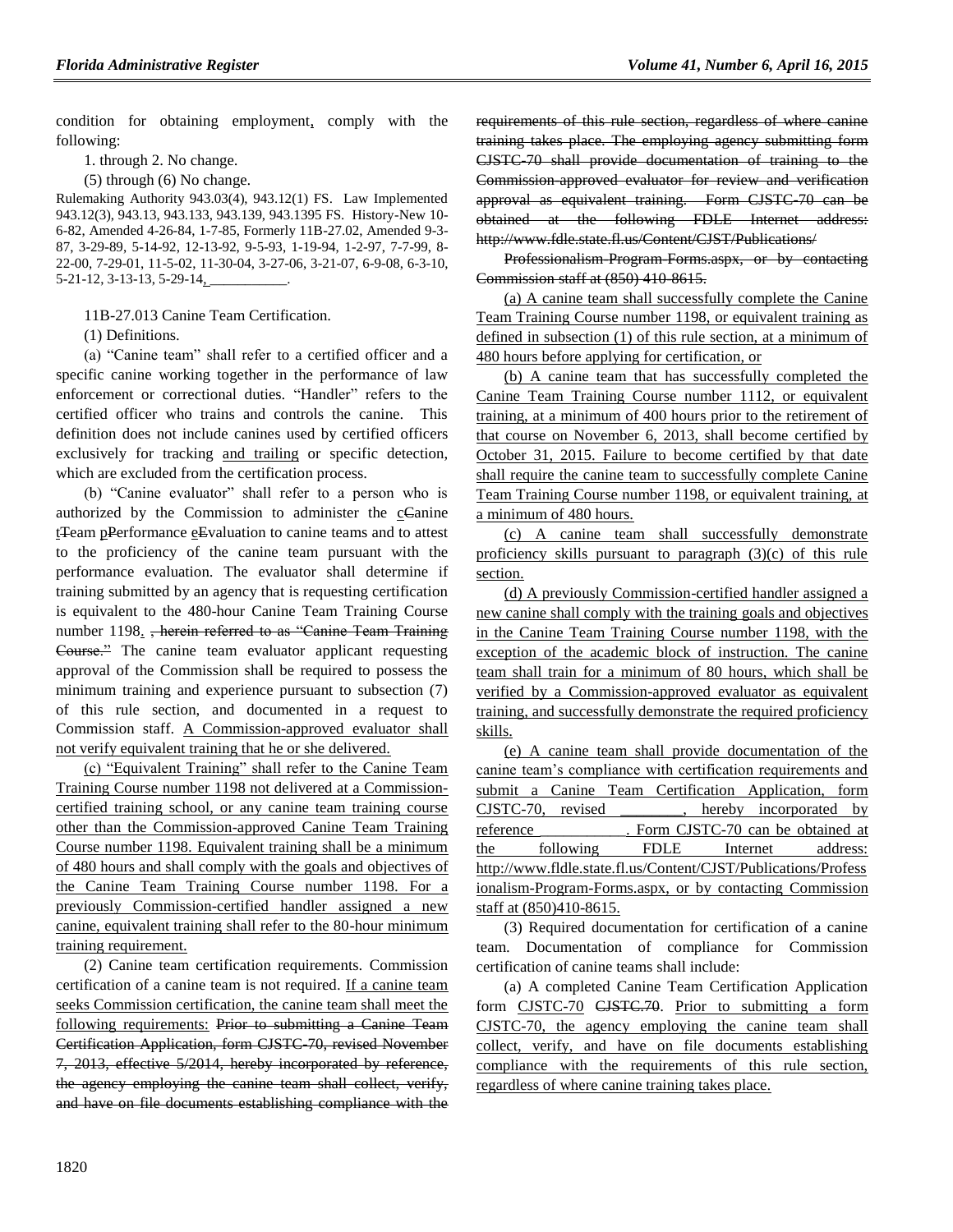condition for obtaining employment, comply with the following:

1. through 2. No change.

(5) through (6) No change.

Rulemaking Authority 943.03(4), 943.12(1) FS. Law Implemented 943.12(3), 943.13, 943.133, 943.139, 943.1395 FS. History-New 10- 6-82, Amended 4-26-84, 1-7-85, Formerly 11B-27.02, Amended 9-3- 87, 3-29-89, 5-14-92, 12-13-92, 9-5-93, 1-19-94, 1-2-97, 7-7-99, 8- 22-00, 7-29-01, 11-5-02, 11-30-04, 3-27-06, 3-21-07, 6-9-08, 6-3-10, 5-21-12, 3-13-13, 5-29-14, \_\_\_\_\_\_\_\_\_\_\_.

11B-27.013 Canine Team Certification.

(1) Definitions.

(a) "Canine team" shall refer to a certified officer and a specific canine working together in the performance of law enforcement or correctional duties. "Handler" refers to the certified officer who trains and controls the canine. This definition does not include canines used by certified officers exclusively for tracking and trailing or specific detection, which are excluded from the certification process.

(b) "Canine evaluator" shall refer to a person who is authorized by the Commission to administer the cCanine tTeam pPerformance eEvaluation to canine teams and to attest to the proficiency of the canine team pursuant with the performance evaluation. The evaluator shall determine if training submitted by an agency that is requesting certification is equivalent to the 480-hour Canine Team Training Course number 1198. <del>, herein referred to as "Canine Team Training</del> Course." The canine team evaluator applicant requesting approval of the Commission shall be required to possess the minimum training and experience pursuant to subsection (7) of this rule section, and documented in a request to Commission staff. A Commission-approved evaluator shall not verify equivalent training that he or she delivered.

(c) "Equivalent Training" shall refer to the Canine Team Training Course number 1198 not delivered at a Commissioncertified training school, or any canine team training course other than the Commission-approved Canine Team Training Course number 1198. Equivalent training shall be a minimum of 480 hours and shall comply with the goals and objectives of the Canine Team Training Course number 1198. For a previously Commission-certified handler assigned a new canine, equivalent training shall refer to the 80-hour minimum training requirement.

(2) Canine team certification requirements. Commission certification of a canine team is not required. If a canine team seeks Commission certification, the canine team shall meet the following requirements: Prior to submitting a Canine Team Certification Application, form CJSTC-70, revised November 7, 2013, effective 5/2014, hereby incorporated by reference, the agency employing the canine team shall collect, verify, and have on file documents establishing compliance with the requirements of this rule section, regardless of where canine training takes place. The employing agency submitting form CJSTC-70 shall provide documentation of training to the Commission-approved evaluator for review and verification approval as equivalent training. Form CJSTC-70 can be obtained at the following FDLE Internet address: http://www.fdle.state.fl.us/Content/CJST/Publications/

Professionalism-Program-Forms.aspx, or by contacting Commission staff at (850) 410-8615.

(a) A canine team shall successfully complete the Canine Team Training Course number 1198, or equivalent training as defined in subsection (1) of this rule section, at a minimum of 480 hours before applying for certification, or

(b) A canine team that has successfully completed the Canine Team Training Course number 1112, or equivalent training, at a minimum of 400 hours prior to the retirement of that course on November 6, 2013, shall become certified by October 31, 2015. Failure to become certified by that date shall require the canine team to successfully complete Canine Team Training Course number 1198, or equivalent training, at a minimum of 480 hours.

(c) A canine team shall successfully demonstrate proficiency skills pursuant to paragraph (3)(c) of this rule section.

(d) A previously Commission-certified handler assigned a new canine shall comply with the training goals and objectives in the Canine Team Training Course number 1198, with the exception of the academic block of instruction. The canine team shall train for a minimum of 80 hours, which shall be verified by a Commission-approved evaluator as equivalent training, and successfully demonstrate the required proficiency skills.

(e) A canine team shall provide documentation of the canine team's compliance with certification requirements and submit a Canine Team Certification Application, form CJSTC-70, revised \_\_\_\_\_\_\_\_, hereby incorporated by reference Form CJSTC-70 can be obtained at the following FDLE Internet address: http://www.fldle.state.fl.us/Content/CJST/Publications/Profess ionalism-Program-Forms.aspx, or by contacting Commission staff at (850)410-8615.

(3) Required documentation for certification of a canine team. Documentation of compliance for Commission certification of canine teams shall include:

(a) A completed Canine Team Certification Application form CJSTC-70 CJSTC.70. Prior to submitting a form CJSTC-70, the agency employing the canine team shall collect, verify, and have on file documents establishing compliance with the requirements of this rule section, regardless of where canine training takes place.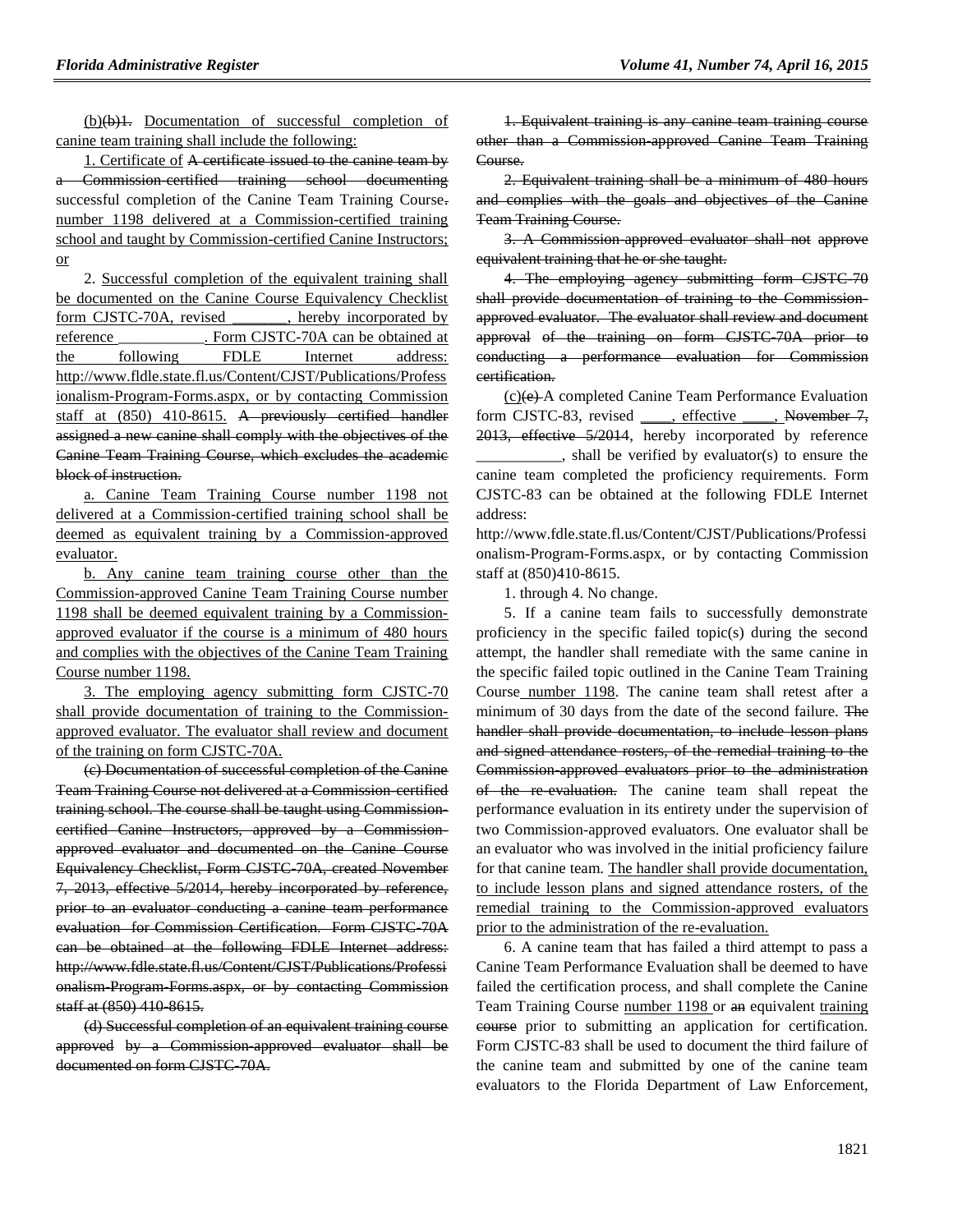(b)(b)1. Documentation of successful completion of canine team training shall include the following:

1. Certificate of A certificate issued to the canine team by a Commission-certified training school documenting successful completion of the Canine Team Training Course. number 1198 delivered at a Commission-certified training school and taught by Commission-certified Canine Instructors; or

2. Successful completion of the equivalent training shall be documented on the Canine Course Equivalency Checklist form CJSTC-70A, revised \_\_\_\_\_\_\_, hereby incorporated by reference Form CJSTC-70A can be obtained at the following FDLE Internet address: http://www.fldle.state.fl.us/Content/CJST/Publications/Profess ionalism-Program-Forms.aspx, or by contacting Commission staff at (850) 410-8615. A previously certified handler assigned a new canine shall comply with the objectives of the Canine Team Training Course, which excludes the academic block of instruction.

a. Canine Team Training Course number 1198 not delivered at a Commission-certified training school shall be deemed as equivalent training by a Commission-approved evaluator.

b. Any canine team training course other than the Commission-approved Canine Team Training Course number 1198 shall be deemed equivalent training by a Commissionapproved evaluator if the course is a minimum of 480 hours and complies with the objectives of the Canine Team Training Course number 1198.

3. The employing agency submitting form CJSTC-70 shall provide documentation of training to the Commissionapproved evaluator. The evaluator shall review and document of the training on form CJSTC-70A.

(c) Documentation of successful completion of the Canine Team Training Course not delivered at a Commission-certified training school. The course shall be taught using Commissioncertified Canine Instructors, approved by a Commissionapproved evaluator and documented on the Canine Course Equivalency Checklist, Form CJSTC-70A, created November 7, 2013, effective 5/2014, hereby incorporated by reference, prior to an evaluator conducting a canine team performance evaluation for Commission Certification. Form CJSTC-70A can be obtained at the following FDLE Internet address: http://www.fdle.state.fl.us/Content/CJST/Publications/Professi onalism-Program-Forms.aspx, or by contacting Commission staff at (850) 410 8615.

(d) Successful completion of an equivalent training course approved by a Commission-approved evaluator shall be documented on form CJSTC-70A.

1. Equivalent training is any canine team training course other than a Commission-approved Canine Team Training Course.

2. Equivalent training shall be a minimum of 480 hours and complies with the goals and objectives of the Canine Team Training Course.

3. A Commission-approved evaluator shall not approve equivalent training that he or she taught.

4. The employing agency submitting form CJSTC-70 shall provide documentation of training to the Commissionapproved evaluator. The evaluator shall review and document approval of the training on form CJSTC-70A prior to conducting a performance evaluation for Commission certification.

(c)(e) A completed Canine Team Performance Evaluation form CJSTC-83, revised \_\_\_\_, effective \_\_\_\_, November 7, 2013, effective 5/2014, hereby incorporated by reference

\_\_\_\_\_\_\_\_\_\_\_, shall be verified by evaluator(s) to ensure the canine team completed the proficiency requirements. Form CJSTC-83 can be obtained at the following FDLE Internet address:

http://www.fdle.state.fl.us/Content/CJST/Publications/Professi onalism-Program-Forms.aspx, or by contacting Commission staff at (850)410-8615.

1. through 4. No change.

5. If a canine team fails to successfully demonstrate proficiency in the specific failed topic(s) during the second attempt, the handler shall remediate with the same canine in the specific failed topic outlined in the Canine Team Training Course number 1198. The canine team shall retest after a minimum of 30 days from the date of the second failure. The handler shall provide documentation, to include lesson plans and signed attendance rosters, of the remedial training to the Commission-approved evaluators prior to the administration of the re-evaluation. The canine team shall repeat the performance evaluation in its entirety under the supervision of two Commission-approved evaluators. One evaluator shall be an evaluator who was involved in the initial proficiency failure for that canine team. The handler shall provide documentation, to include lesson plans and signed attendance rosters, of the remedial training to the Commission-approved evaluators prior to the administration of the re-evaluation.

6. A canine team that has failed a third attempt to pass a Canine Team Performance Evaluation shall be deemed to have failed the certification process, and shall complete the Canine Team Training Course number 1198 or an equivalent training course prior to submitting an application for certification. Form CJSTC-83 shall be used to document the third failure of the canine team and submitted by one of the canine team evaluators to the Florida Department of Law Enforcement,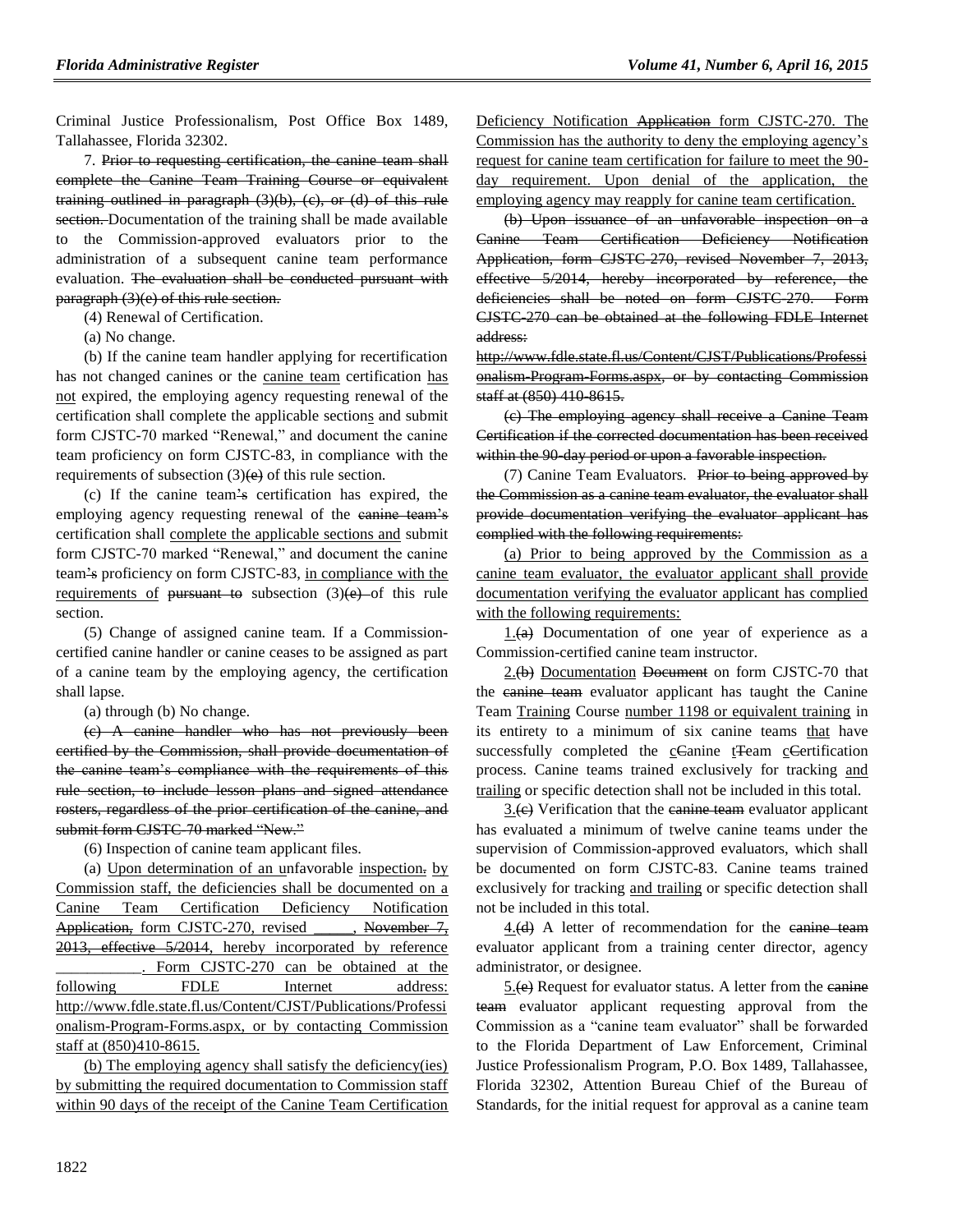Criminal Justice Professionalism, Post Office Box 1489, Tallahassee, Florida 32302.

7. Prior to requesting certification, the canine team shall complete the Canine Team Training Course or equivalent training outlined in paragraph (3)(b), (c), or (d) of this rule section. Documentation of the training shall be made available to the Commission-approved evaluators prior to the administration of a subsequent canine team performance evaluation. The evaluation shall be conducted pursuant with paragraph (3)(e) of this rule section.

(4) Renewal of Certification.

(a) No change.

(b) If the canine team handler applying for recertification has not changed canines or the canine team certification has not expired, the employing agency requesting renewal of the certification shall complete the applicable sections and submit form CJSTC-70 marked "Renewal," and document the canine team proficiency on form CJSTC-83, in compliance with the requirements of subsection  $(3)(e)$  of this rule section.

(c) If the canine team's certification has expired, the employing agency requesting renewal of the canine team's certification shall complete the applicable sections and submit form CJSTC-70 marked "Renewal," and document the canine team's proficiency on form CJSTC-83, in compliance with the requirements of <del>pursuant to</del> subsection  $(3)(e)$  of this rule section.

(5) Change of assigned canine team. If a Commissioncertified canine handler or canine ceases to be assigned as part of a canine team by the employing agency, the certification shall lapse.

(a) through (b) No change.

(c) A canine handler who has not previously been certified by the Commission, shall provide documentation of the canine team's compliance with the requirements of this rule section, to include lesson plans and signed attendance rosters, regardless of the prior certification of the canine, and submit form CJSTC 70 marked "New."

(6) Inspection of canine team applicant files.

(a) Upon determination of an unfavorable inspection. by Commission staff, the deficiencies shall be documented on a Canine Team Certification Deficiency Notification Application, form CJSTC-270, revised \_\_\_\_, November 7, 2013, effective 5/2014, hereby incorporated by reference Form CJSTC-270 can be obtained at the following FDLE Internet address: [http://www.fdle.state.fl.us/Content/CJST/Publications/Professi](http://www.fdle.state.fl.us/Content/CJST/Publications/Professionalism-Program-Forms.aspx) [onalism-Program-Forms.aspx,](http://www.fdle.state.fl.us/Content/CJST/Publications/Professionalism-Program-Forms.aspx) or by contacting Commission staff at (850)410-8615.

(b) The employing agency shall satisfy the deficiency(ies) by submitting the required documentation to Commission staff within 90 days of the receipt of the Canine Team Certification Deficiency Notification Application form CJSTC-270. The Commission has the authority to deny the employing agency's request for canine team certification for failure to meet the 90 day requirement. Upon denial of the application, the employing agency may reapply for canine team certification.

(b) Upon issuance of an unfavorable inspection on a Canine Team Certification Deficiency Notification Application, form CJSTC-270, revised November 7, 2013, effective 5/2014, hereby incorporated by reference, the deficiencies shall be noted on form CJSTC-270. Form CJSTC-270 can be obtained at the following FDLE Internet address:

[http://www.fdle.state.fl.us/Content/CJST/Publications/Professi](http://www.fdle.state.fl.us/Content/CJST/Publications/Professionalism-Program-Forms.aspx) onalism Program Forms.aspx, or by contacting Commission staff at (850) 410-8615.

(c) The employing agency shall receive a Canine Team Certification if the corrected documentation has been received within the 90-day period or upon a favorable inspection.

(7) Canine Team Evaluators. Prior to being approved by the Commission as a canine team evaluator, the evaluator shall provide documentation verifying the evaluator applicant has complied with the following requirements:

(a) Prior to being approved by the Commission as a canine team evaluator, the evaluator applicant shall provide documentation verifying the evaluator applicant has complied with the following requirements:

 $1.$ (a) Documentation of one year of experience as a Commission-certified canine team instructor.

 $2.(\theta)$  Documentation Document on form CJSTC-70 that the eanine team evaluator applicant has taught the Canine Team Training Course number 1198 or equivalent training in its entirety to a minimum of six canine teams that have successfully completed the cCanine t<sub>T</sub>eam cCertification process. Canine teams trained exclusively for tracking and trailing or specific detection shall not be included in this total.

3.(e) Verification that the eanine team evaluator applicant has evaluated a minimum of twelve canine teams under the supervision of Commission-approved evaluators, which shall be documented on form CJSTC-83. Canine teams trained exclusively for tracking and trailing or specific detection shall not be included in this total.

4.(d) A letter of recommendation for the canine team evaluator applicant from a training center director, agency administrator, or designee.

5.(e) Request for evaluator status. A letter from the eanine team evaluator applicant requesting approval from the Commission as a "canine team evaluator" shall be forwarded to the Florida Department of Law Enforcement, Criminal Justice Professionalism Program, P.O. Box 1489, Tallahassee, Florida 32302, Attention Bureau Chief of the Bureau of Standards, for the initial request for approval as a canine team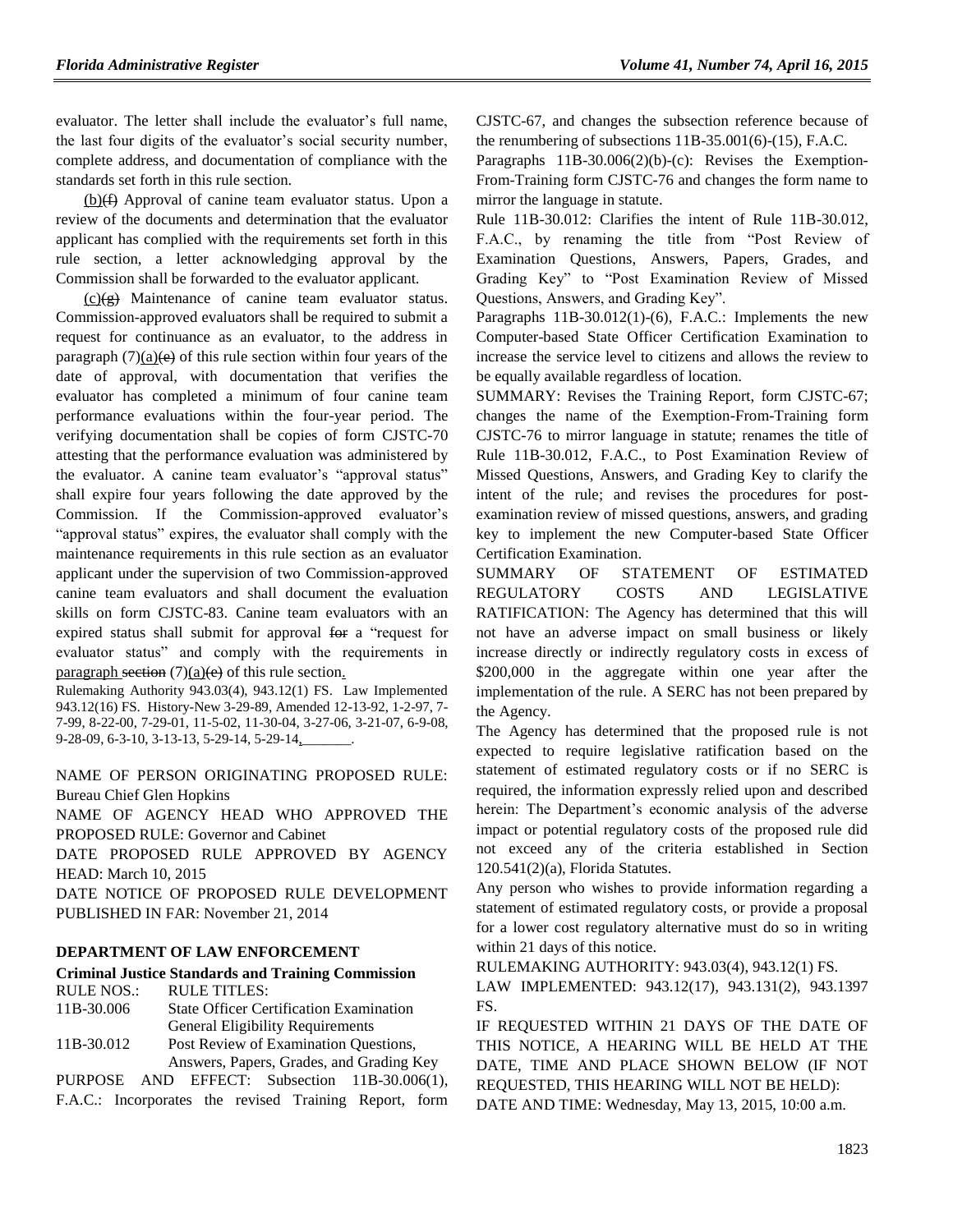evaluator. The letter shall include the evaluator's full name, the last four digits of the evaluator's social security number, complete address, and documentation of compliance with the standards set forth in this rule section.

 $(b)(f)$  Approval of canine team evaluator status. Upon a review of the documents and determination that the evaluator applicant has complied with the requirements set forth in this rule section, a letter acknowledging approval by the Commission shall be forwarded to the evaluator applicant.

 $(c)(g)$  Maintenance of canine team evaluator status. Commission-approved evaluators shall be required to submit a request for continuance as an evaluator, to the address in paragraph  $(7)(a)$ (e) of this rule section within four years of the date of approval, with documentation that verifies the evaluator has completed a minimum of four canine team performance evaluations within the four-year period. The verifying documentation shall be copies of form CJSTC-70 attesting that the performance evaluation was administered by the evaluator. A canine team evaluator's "approval status" shall expire four years following the date approved by the Commission. If the Commission-approved evaluator's "approval status" expires, the evaluator shall comply with the maintenance requirements in this rule section as an evaluator applicant under the supervision of two Commission-approved canine team evaluators and shall document the evaluation skills on form CJSTC-83. Canine team evaluators with an expired status shall submit for approval for a "request for evaluator status" and comply with the requirements in paragraph section  $(7)(a)(e)$  of this rule section.

Rulemaking Authority 943.03(4), 943.12(1) FS. Law Implemented 943.12(16) FS. History-New 3-29-89, Amended 12-13-92, 1-2-97, 7- 7-99, 8-22-00, 7-29-01, 11-5-02, 11-30-04, 3-27-06, 3-21-07, 6-9-08, 9-28-09, 6-3-10, 3-13-13, 5-29-14, 5-29-14,

NAME OF PERSON ORIGINATING PROPOSED RULE: Bureau Chief Glen Hopkins

NAME OF AGENCY HEAD WHO APPROVED THE PROPOSED RULE: Governor and Cabinet

DATE PROPOSED RULE APPROVED BY AGENCY HEAD: March 10, 2015

DATE NOTICE OF PROPOSED RULE DEVELOPMENT PUBLISHED IN FAR: November 21, 2014

### **[DEPARTMENT OF LAW ENFORCEMENT](https://www.flrules.org/gateway/department.asp?id=11)**

### **[Criminal Justice Standards and Training Commission](https://www.flrules.org/gateway/organization.asp?id=20)** RULE NOS.: RULE TITLES:

[11B-30.006](https://www.flrules.org/gateway/ruleNo.asp?id=11B-30.006) State Officer Certification Examination General Eligibility Requirements [11B-30.012](https://www.flrules.org/gateway/ruleNo.asp?id=11B-30.012) Post Review of Examination Questions,

Answers, Papers, Grades, and Grading Key PURPOSE AND EFFECT: Subsection 11B-30.006(1), F.A.C.: Incorporates the revised Training Report, form CJSTC-67, and changes the subsection reference because of the renumbering of subsections 11B-35.001(6)-(15), F.A.C.

Paragraphs 11B-30.006(2)(b)-(c): Revises the Exemption-From-Training form CJSTC-76 and changes the form name to mirror the language in statute.

Rule 11B-30.012: Clarifies the intent of Rule 11B-30.012, F.A.C., by renaming the title from "Post Review of Examination Questions, Answers, Papers, Grades, and Grading Key" to "Post Examination Review of Missed Questions, Answers, and Grading Key".

Paragraphs 11B-30.012(1)-(6), F.A.C.: Implements the new Computer-based State Officer Certification Examination to increase the service level to citizens and allows the review to be equally available regardless of location.

SUMMARY: Revises the Training Report, form CJSTC-67; changes the name of the Exemption-From-Training form CJSTC-76 to mirror language in statute; renames the title of Rule 11B-30.012, F.A.C., to Post Examination Review of Missed Questions, Answers, and Grading Key to clarify the intent of the rule; and revises the procedures for postexamination review of missed questions, answers, and grading key to implement the new Computer-based State Officer Certification Examination.

SUMMARY OF STATEMENT OF ESTIMATED REGULATORY COSTS AND LEGISLATIVE RATIFICATION: The Agency has determined that this will not have an adverse impact on small business or likely increase directly or indirectly regulatory costs in excess of \$200,000 in the aggregate within one year after the implementation of the rule. A SERC has not been prepared by the Agency.

The Agency has determined that the proposed rule is not expected to require legislative ratification based on the statement of estimated regulatory costs or if no SERC is required, the information expressly relied upon and described herein: The Department's economic analysis of the adverse impact or potential regulatory costs of the proposed rule did not exceed any of the criteria established in Section 120.541(2)(a), Florida Statutes.

Any person who wishes to provide information regarding a statement of estimated regulatory costs, or provide a proposal for a lower cost regulatory alternative must do so in writing within 21 days of this notice.

RULEMAKING AUTHORITY: [943.03\(4\),](https://www.flrules.org/gateway/statute.asp?id=943.03(4)) [943.12\(1\) FS.](https://www.flrules.org/gateway/statute.asp?id=%20943.12(1)%20FS.)

LAW IMPLEMENTED: [943.12\(17\),](https://www.flrules.org/gateway/statute.asp?id=943.12(17)) [943.131\(2\),](https://www.flrules.org/gateway/statute.asp?id=%20943.131(2)) [943.1397](https://www.flrules.org/gateway/statute.asp?id=%20943.1397%20FS.)  [FS.](https://www.flrules.org/gateway/statute.asp?id=%20943.1397%20FS.)

IF REQUESTED WITHIN 21 DAYS OF THE DATE OF THIS NOTICE, A HEARING WILL BE HELD AT THE DATE, TIME AND PLACE SHOWN BELOW (IF NOT REQUESTED, THIS HEARING WILL NOT BE HELD): DATE AND TIME: Wednesday, May 13, 2015, 10:00 a.m.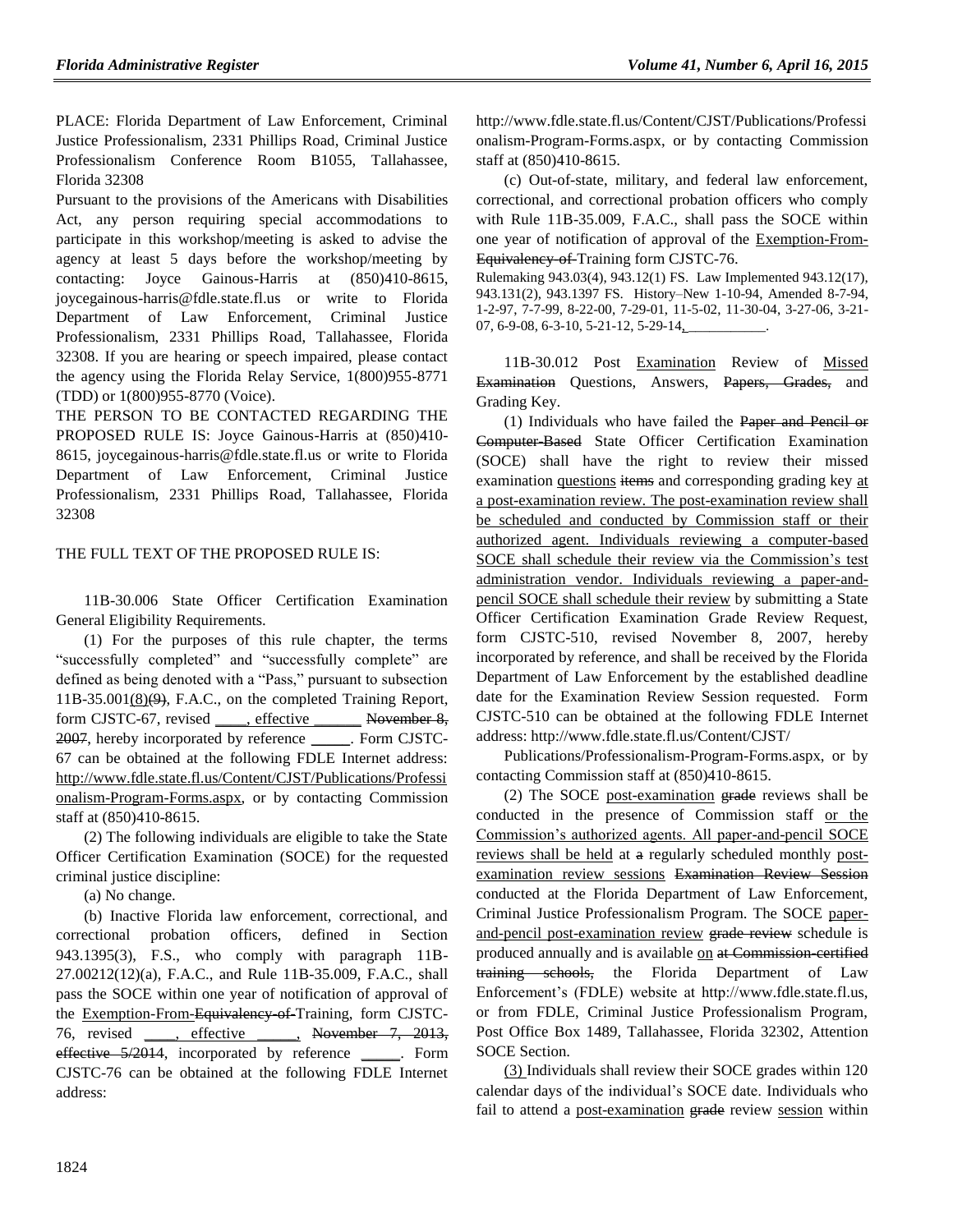PLACE: Florida Department of Law Enforcement, Criminal Justice Professionalism, 2331 Phillips Road, Criminal Justice Professionalism Conference Room B1055, Tallahassee, Florida 32308

Pursuant to the provisions of the Americans with Disabilities Act, any person requiring special accommodations to participate in this workshop/meeting is asked to advise the agency at least 5 days before the workshop/meeting by contacting: Joyce Gainous-Harris at (850)410-8615, joycegainous-harris@fdle.state.fl.us or write to Florida Department of Law Enforcement, Criminal Justice Professionalism, 2331 Phillips Road, Tallahassee, Florida 32308. If you are hearing or speech impaired, please contact the agency using the Florida Relay Service, 1(800)955-8771 (TDD) or 1(800)955-8770 (Voice).

THE PERSON TO BE CONTACTED REGARDING THE PROPOSED RULE IS: Joyce Gainous-Harris at  $(850)410$ -8615, joycegainous-harris@fdle.state.fl.us or write to Florida Department of Law Enforcement, Criminal Justice Professionalism, 2331 Phillips Road, Tallahassee, Florida 32308

### THE FULL TEXT OF THE PROPOSED RULE IS:

11B-30.006 State Officer Certification Examination General Eligibility Requirements.

(1) For the purposes of this rule chapter, the terms "successfully completed" and "successfully complete" are defined as being denoted with a "Pass," pursuant to subsection  $11B-35.001(8)(9)$ , F.A.C., on the completed Training Report, form CJSTC-67, revised \_\_\_\_, effective \_\_\_\_\_\_ November 8, 2007, hereby incorporated by reference Form CJSTC-67 can be obtained at the following FDLE Internet address: [http://www.fdle.state.fl.us/Content/CJST/Publications/Professi](http://www.fdle.state.fl.us/Content/CJST/Publications/Professionalism-Program-Forms.aspx) [onalism-Program-Forms.aspx,](http://www.fdle.state.fl.us/Content/CJST/Publications/Professionalism-Program-Forms.aspx) or by contacting Commission staff at (850)410-8615.

(2) The following individuals are eligible to take the State Officer Certification Examination (SOCE) for the requested criminal justice discipline:

(a) No change.

(b) Inactive Florida law enforcement, correctional, and correctional probation officers, defined in Section 943.1395(3), F.S., who comply with paragraph 11B-27.00212(12)(a), F.A.C., and Rule 11B-35.009, F.A.C., shall pass the SOCE within one year of notification of approval of the Exemption-From-Equivalency-of-Training, form CJSTC-76, revised \_\_\_\_, effective \_\_\_\_\_, November 7, 2013, effective 5/2014, incorporated by reference \_\_\_\_\_. Form CJSTC-76 can be obtained at the following FDLE Internet address:

http://www.fdle.state.fl.us/Content/CJST/Publications/Professi onalism-Program-Forms.aspx, or by contacting Commission staff at (850)410-8615.

(c) Out-of-state, military, and federal law enforcement, correctional, and correctional probation officers who comply with Rule 11B-35.009, F.A.C., shall pass the SOCE within one year of notification of approval of the Exemption-From-Equivalency of Training form CJSTC-76.

Rulemaking 943.03(4), 943.12(1) FS. Law Implemented 943.12(17), 943.131(2), 943.1397 FS. History–New 1-10-94, Amended 8-7-94, 1-2-97, 7-7-99, 8-22-00, 7-29-01, 11-5-02, 11-30-04, 3-27-06, 3-21- 07, 6-9-08, 6-3-10, 5-21-12, 5-29-14,

11B-30.012 Post Examination Review of Missed Examination Questions, Answers, Papers, Grades, and Grading Key.

(1) Individuals who have failed the Paper and Pencil or Computer-Based State Officer Certification Examination (SOCE) shall have the right to review their missed examination questions items and corresponding grading key at a post-examination review. The post-examination review shall be scheduled and conducted by Commission staff or their authorized agent. Individuals reviewing a computer-based SOCE shall schedule their review via the Commission's test administration vendor. Individuals reviewing a paper-andpencil SOCE shall schedule their review by submitting a State Officer Certification Examination Grade Review Request, form CJSTC-510, revised November 8, 2007, hereby incorporated by reference, and shall be received by the Florida Department of Law Enforcement by the established deadline date for the Examination Review Session requested. Form CJSTC-510 can be obtained at the following FDLE Internet address: http://www.fdle.state.fl.us/Content/CJST/

Publications/Professionalism-Program-Forms.aspx, or by contacting Commission staff at (850)410-8615.

(2) The SOCE post-examination grade reviews shall be conducted in the presence of Commission staff or the Commission's authorized agents. All paper-and-pencil SOCE reviews shall be held at a regularly scheduled monthly postexamination review sessions Examination Review Session conducted at the Florida Department of Law Enforcement, Criminal Justice Professionalism Program. The SOCE paperand-pencil post-examination review grade review schedule is produced annually and is available on at Commission-certified training schools, the Florida Department of Law Enforcement's (FDLE) website at http://www.fdle.state.fl.us, or from FDLE, Criminal Justice Professionalism Program, Post Office Box 1489, Tallahassee, Florida 32302, Attention SOCE Section.

(3) Individuals shall review their SOCE grades within 120 calendar days of the individual's SOCE date. Individuals who fail to attend a post-examination grade review session within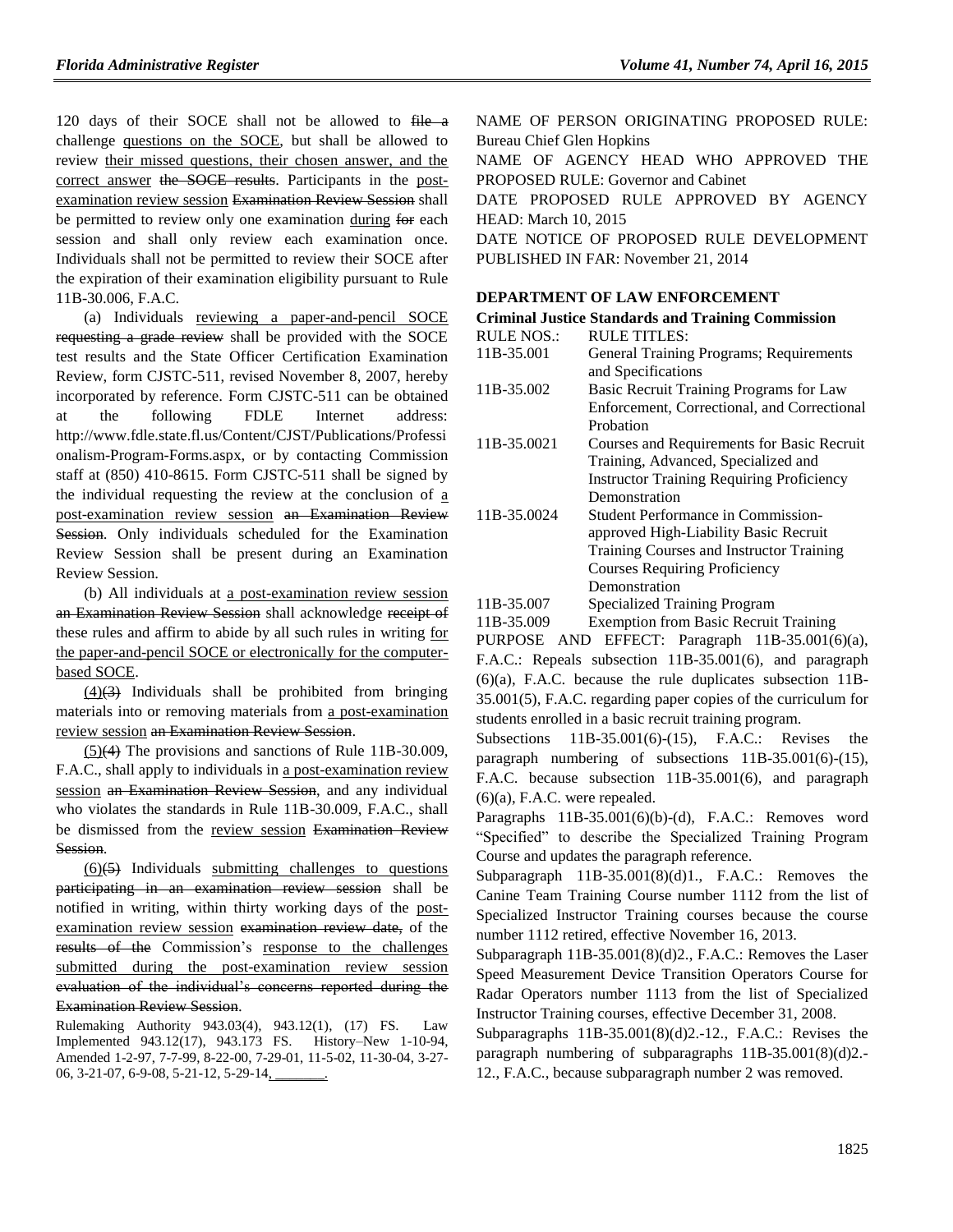120 days of their SOCE shall not be allowed to file a challenge questions on the SOCE, but shall be allowed to review their missed questions, their chosen answer, and the correct answer the SOCE results. Participants in the postexamination review session Examination Review Session shall be permitted to review only one examination during for each session and shall only review each examination once. Individuals shall not be permitted to review their SOCE after the expiration of their examination eligibility pursuant to Rule 11B-30.006, F.A.C.

(a) Individuals reviewing a paper-and-pencil SOCE requesting a grade review shall be provided with the SOCE test results and the State Officer Certification Examination Review, form CJSTC-511, revised November 8, 2007, hereby incorporated by reference. Form CJSTC-511 can be obtained at the following FDLE Internet address: http://www.fdle.state.fl.us/Content/CJST/Publications/Professi onalism-Program-Forms.aspx, or by contacting Commission staff at (850) 410-8615. Form CJSTC-511 shall be signed by the individual requesting the review at the conclusion of a post-examination review session an Examination Review Session. Only individuals scheduled for the Examination Review Session shall be present during an Examination Review Session.

(b) All individuals at a post-examination review session an Examination Review Session shall acknowledge receipt of these rules and affirm to abide by all such rules in writing for the paper-and-pencil SOCE or electronically for the computerbased SOCE.

 $(4)(3)$  Individuals shall be prohibited from bringing materials into or removing materials from a post-examination review session an Examination Review Session.

(5)(4) The provisions and sanctions of Rule 11B-30.009, F.A.C., shall apply to individuals in a post-examination review session an Examination Review Session, and any individual who violates the standards in Rule 11B-30.009, F.A.C., shall be dismissed from the review session Examination Review Session.

 $(6)(5)$  Individuals submitting challenges to questions participating in an examination review session shall be notified in writing, within thirty working days of the postexamination review session examination review date, of the results of the Commission's response to the challenges submitted during the post-examination review session evaluation of the individual's concerns reported during the

#### Examination Review Session.

Rulemaking Authority 943.03(4), 943.12(1), (17) FS. Law Implemented 943.12(17), 943.173 FS. History–New 1-10-94, Amended 1-2-97, 7-7-99, 8-22-00, 7-29-01, 11-5-02, 11-30-04, 3-27- 06, 3-21-07, 6-9-08, 5-21-12, 5-29-14,

NAME OF PERSON ORIGINATING PROPOSED RULE: Bureau Chief Glen Hopkins NAME OF AGENCY HEAD WHO APPROVED THE PROPOSED RULE: Governor and Cabinet DATE PROPOSED RULE APPROVED BY AGENCY HEAD: March 10, 2015 DATE NOTICE OF PROPOSED RULE DEVELOPMENT PUBLISHED IN FAR: November 21, 2014

#### **[DEPARTMENT OF LAW ENFORCEMENT](https://www.flrules.org/gateway/department.asp?id=11)**

| <b>RULE NOS.:</b> | <b>RULE TITLES:</b>                                                                                                                 |
|-------------------|-------------------------------------------------------------------------------------------------------------------------------------|
| 11B-35.001        | General Training Programs; Requirements                                                                                             |
|                   | and Specifications                                                                                                                  |
| 11B-35.002        | Basic Recruit Training Programs for Law                                                                                             |
|                   | Enforcement, Correctional, and Correctional                                                                                         |
|                   | Probation                                                                                                                           |
| 11B-35.0021       | Courses and Requirements for Basic Recruit                                                                                          |
|                   | Training, Advanced, Specialized and                                                                                                 |
|                   | <b>Instructor Training Requiring Proficiency</b>                                                                                    |
|                   | Demonstration                                                                                                                       |
| 11B-35.0024       | Student Performance in Commission-                                                                                                  |
|                   | approved High-Liability Basic Recruit                                                                                               |
|                   | Training Courses and Instructor Training                                                                                            |
|                   | <b>Courses Requiring Proficiency</b>                                                                                                |
|                   | Demonstration                                                                                                                       |
| 11B-35.007        | Specialized Training Program                                                                                                        |
| 11 D $25.000$     | $\mathbf{P}$ and $\mathbf{P}$ and $\mathbf{P}$ and $\mathbf{P}$ and $\mathbf{P}$ and $\mathbf{P}$ and $\mathbf{P}$ and $\mathbf{P}$ |

[11B-35.009](https://www.flrules.org/gateway/ruleNo.asp?id=11B-35.009) Exemption from Basic Recruit Training

PURPOSE AND EFFECT: Paragraph 11B-35.001(6)(a), F.A.C.: Repeals subsection 11B-35.001(6), and paragraph (6)(a), F.A.C. because the rule duplicates subsection 11B-35.001(5), F.A.C. regarding paper copies of the curriculum for students enrolled in a basic recruit training program.

Subsections 11B-35.001(6)-(15), F.A.C.: Revises the paragraph numbering of subsections 11B-35.001(6)-(15), F.A.C. because subsection 11B-35.001(6), and paragraph  $(6)(a)$ , F.A.C. were repealed.

Paragraphs 11B-35.001(6)(b)-(d), F.A.C.: Removes word "Specified" to describe the Specialized Training Program Course and updates the paragraph reference.

Subparagraph 11B-35.001(8)(d)1., F.A.C.: Removes the Canine Team Training Course number 1112 from the list of Specialized Instructor Training courses because the course number 1112 retired, effective November 16, 2013.

Subparagraph 11B-35.001(8)(d)2., F.A.C.: Removes the Laser Speed Measurement Device Transition Operators Course for Radar Operators number 1113 from the list of Specialized Instructor Training courses, effective December 31, 2008.

Subparagraphs 11B-35.001(8)(d)2.-12., F.A.C.: Revises the paragraph numbering of subparagraphs 11B-35.001(8)(d)2.- 12., F.A.C., because subparagraph number 2 was removed.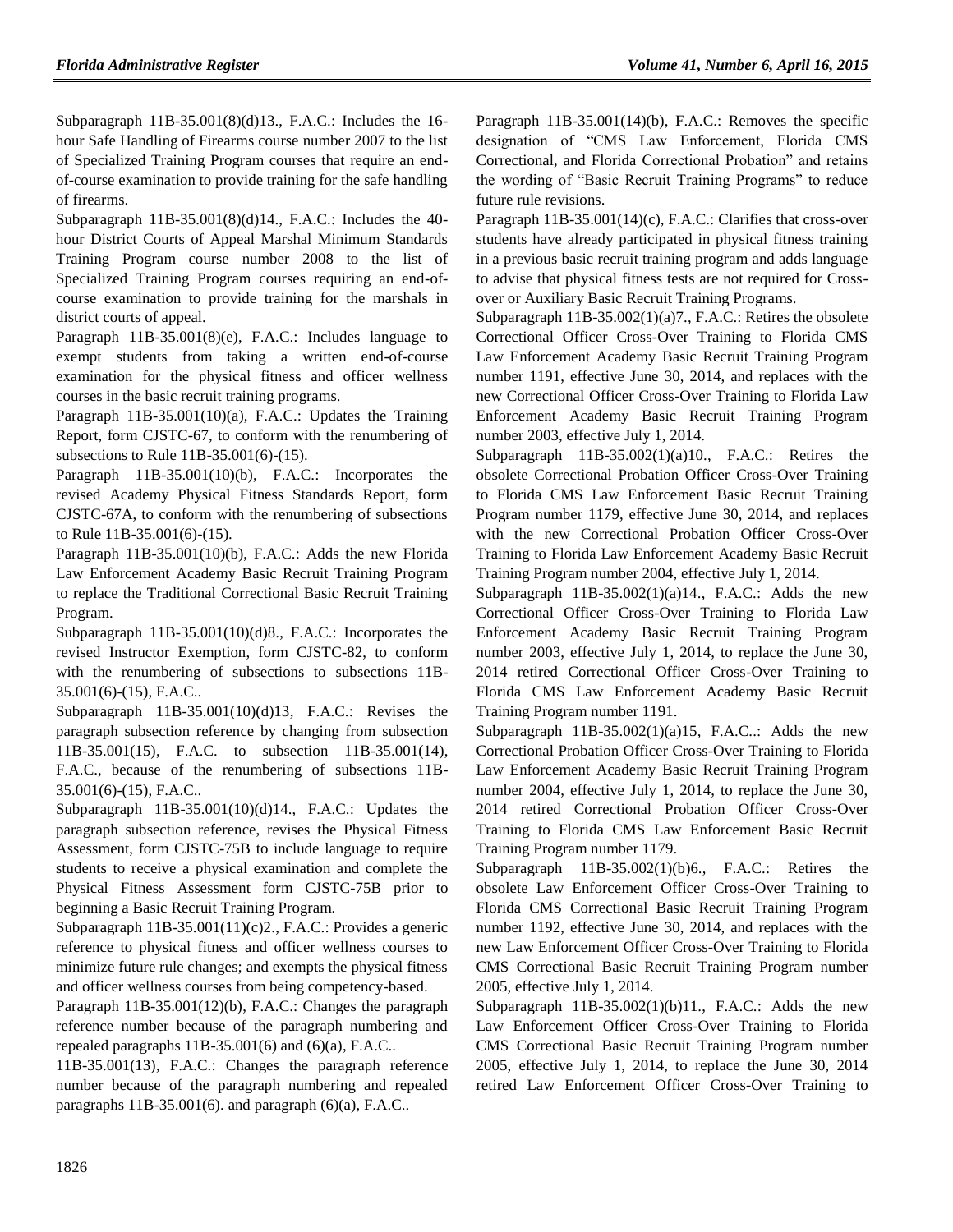Subparagraph 11B-35.001(8)(d)13., F.A.C.: Includes the 16 hour Safe Handling of Firearms course number 2007 to the list of Specialized Training Program courses that require an endof-course examination to provide training for the safe handling of firearms.

Subparagraph 11B-35.001(8)(d)14., F.A.C.: Includes the 40 hour District Courts of Appeal Marshal Minimum Standards Training Program course number 2008 to the list of Specialized Training Program courses requiring an end-ofcourse examination to provide training for the marshals in district courts of appeal.

Paragraph 11B-35.001(8)(e), F.A.C.: Includes language to exempt students from taking a written end-of-course examination for the physical fitness and officer wellness courses in the basic recruit training programs.

Paragraph 11B-35.001(10)(a), F.A.C.: Updates the Training Report, form CJSTC-67, to conform with the renumbering of subsections to Rule 11B-35.001(6)-(15).

Paragraph 11B-35.001(10)(b), F.A.C.: Incorporates the revised Academy Physical Fitness Standards Report, form CJSTC-67A, to conform with the renumbering of subsections to Rule 11B-35.001(6)-(15).

Paragraph 11B-35.001(10)(b), F.A.C.: Adds the new Florida Law Enforcement Academy Basic Recruit Training Program to replace the Traditional Correctional Basic Recruit Training Program.

Subparagraph 11B-35.001(10)(d)8., F.A.C.: Incorporates the revised Instructor Exemption, form CJSTC-82, to conform with the renumbering of subsections to subsections 11B-35.001(6)-(15), F.A.C..

Subparagraph 11B-35.001(10)(d)13, F.A.C.: Revises the paragraph subsection reference by changing from subsection 11B-35.001(15), F.A.C. to subsection 11B-35.001(14), F.A.C., because of the renumbering of subsections 11B-35.001(6)-(15), F.A.C..

Subparagraph 11B-35.001(10)(d)14., F.A.C.: Updates the paragraph subsection reference, revises the Physical Fitness Assessment, form CJSTC-75B to include language to require students to receive a physical examination and complete the Physical Fitness Assessment form CJSTC-75B prior to beginning a Basic Recruit Training Program.

Subparagraph 11B-35.001(11)(c)2., F.A.C.: Provides a generic reference to physical fitness and officer wellness courses to minimize future rule changes; and exempts the physical fitness and officer wellness courses from being competency-based.

Paragraph 11B-35.001(12)(b), F.A.C.: Changes the paragraph reference number because of the paragraph numbering and repealed paragraphs  $11B-35.001(6)$  and  $(6)(a)$ , F.A.C..

11B-35.001(13), F.A.C.: Changes the paragraph reference number because of the paragraph numbering and repealed paragraphs  $11B-35.001(6)$ . and paragraph  $(6)(a)$ , F.A.C..

Paragraph 11B-35.001(14)(b), F.A.C.: Removes the specific designation of "CMS Law Enforcement, Florida CMS Correctional, and Florida Correctional Probation" and retains the wording of "Basic Recruit Training Programs" to reduce future rule revisions.

Paragraph 11B-35.001(14)(c), F.A.C.: Clarifies that cross-over students have already participated in physical fitness training in a previous basic recruit training program and adds language to advise that physical fitness tests are not required for Crossover or Auxiliary Basic Recruit Training Programs.

Subparagraph 11B-35.002(1)(a)7., F.A.C.: Retires the obsolete Correctional Officer Cross-Over Training to Florida CMS Law Enforcement Academy Basic Recruit Training Program number 1191, effective June 30, 2014, and replaces with the new Correctional Officer Cross-Over Training to Florida Law Enforcement Academy Basic Recruit Training Program number 2003, effective July 1, 2014.

Subparagraph  $11B-35.002(1)(a)10$ ., F.A.C.: Retires the obsolete Correctional Probation Officer Cross-Over Training to Florida CMS Law Enforcement Basic Recruit Training Program number 1179, effective June 30, 2014, and replaces with the new Correctional Probation Officer Cross-Over Training to Florida Law Enforcement Academy Basic Recruit Training Program number 2004, effective July 1, 2014.

Subparagraph  $11B-35.002(1)(a)14$ ., F.A.C.: Adds the new Correctional Officer Cross-Over Training to Florida Law Enforcement Academy Basic Recruit Training Program number 2003, effective July 1, 2014, to replace the June 30, 2014 retired Correctional Officer Cross-Over Training to Florida CMS Law Enforcement Academy Basic Recruit Training Program number 1191.

Subparagraph  $11B-35.002(1)(a)15$ , F.A.C..: Adds the new Correctional Probation Officer Cross-Over Training to Florida Law Enforcement Academy Basic Recruit Training Program number 2004, effective July 1, 2014, to replace the June 30, 2014 retired Correctional Probation Officer Cross-Over Training to Florida CMS Law Enforcement Basic Recruit Training Program number 1179.

Subparagraph 11B-35.002(1)(b)6., F.A.C.: Retires the obsolete Law Enforcement Officer Cross-Over Training to Florida CMS Correctional Basic Recruit Training Program number 1192, effective June 30, 2014, and replaces with the new Law Enforcement Officer Cross-Over Training to Florida CMS Correctional Basic Recruit Training Program number 2005, effective July 1, 2014.

Subparagraph  $11B-35.002(1)(b)11$ ., F.A.C.: Adds the new Law Enforcement Officer Cross-Over Training to Florida CMS Correctional Basic Recruit Training Program number 2005, effective July 1, 2014, to replace the June 30, 2014 retired Law Enforcement Officer Cross-Over Training to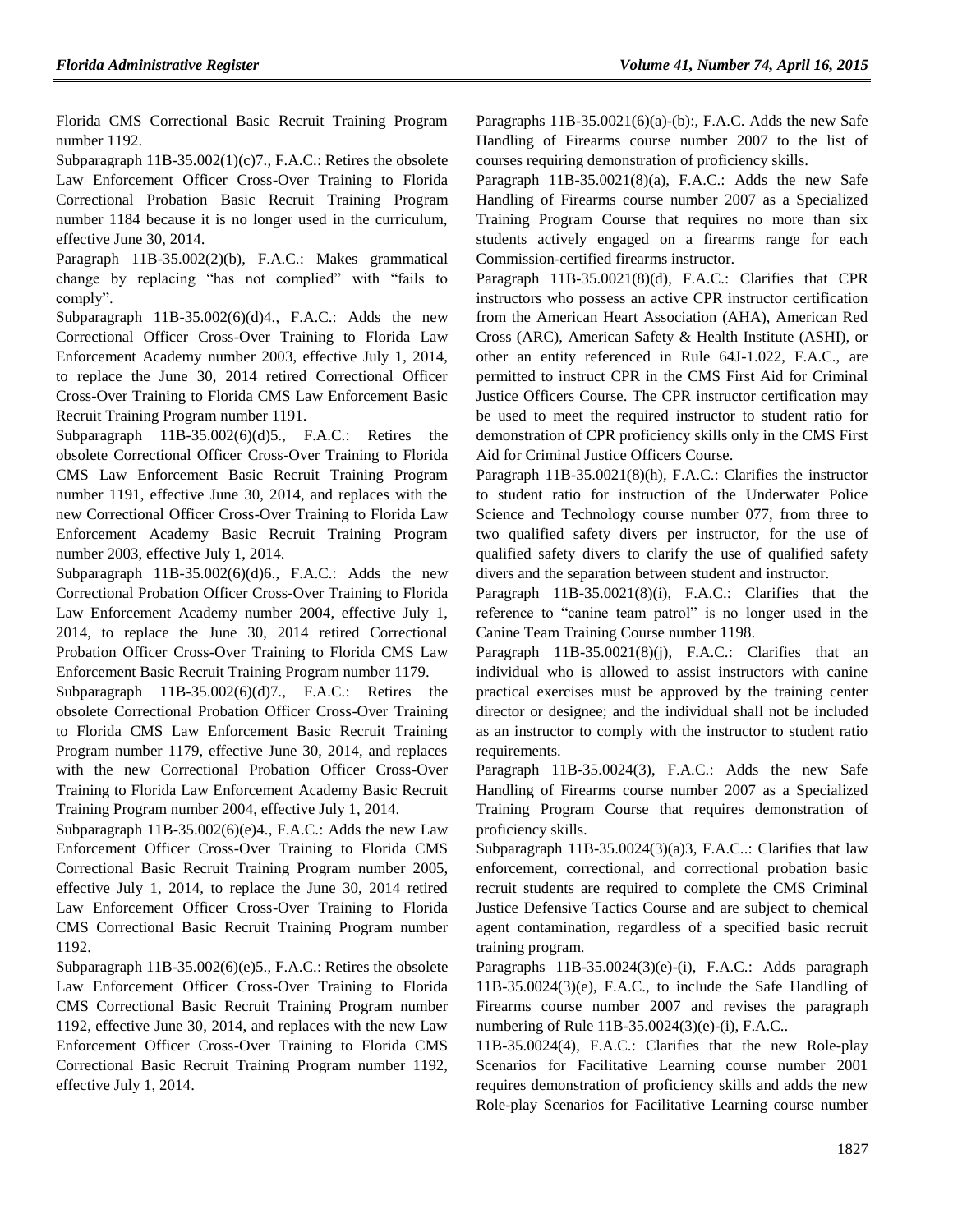Florida CMS Correctional Basic Recruit Training Program number 1192.

Subparagraph 11B-35.002(1)(c)7., F.A.C.: Retires the obsolete Law Enforcement Officer Cross-Over Training to Florida Correctional Probation Basic Recruit Training Program number 1184 because it is no longer used in the curriculum, effective June 30, 2014.

Paragraph 11B-35.002(2)(b), F.A.C.: Makes grammatical change by replacing "has not complied" with "fails to comply".

Subparagraph  $11B-35.002(6)(d)4$ ., F.A.C.: Adds the new Correctional Officer Cross-Over Training to Florida Law Enforcement Academy number 2003, effective July 1, 2014, to replace the June 30, 2014 retired Correctional Officer Cross-Over Training to Florida CMS Law Enforcement Basic Recruit Training Program number 1191.

Subparagraph 11B-35.002(6)(d)5., F.A.C.: Retires the obsolete Correctional Officer Cross-Over Training to Florida CMS Law Enforcement Basic Recruit Training Program number 1191, effective June 30, 2014, and replaces with the new Correctional Officer Cross-Over Training to Florida Law Enforcement Academy Basic Recruit Training Program number 2003, effective July 1, 2014.

Subparagraph 11B-35.002(6)(d)6., F.A.C.: Adds the new Correctional Probation Officer Cross-Over Training to Florida Law Enforcement Academy number 2004, effective July 1, 2014, to replace the June 30, 2014 retired Correctional Probation Officer Cross-Over Training to Florida CMS Law Enforcement Basic Recruit Training Program number 1179.

Subparagraph 11B-35.002(6)(d)7., F.A.C.: Retires the obsolete Correctional Probation Officer Cross-Over Training to Florida CMS Law Enforcement Basic Recruit Training Program number 1179, effective June 30, 2014, and replaces with the new Correctional Probation Officer Cross-Over Training to Florida Law Enforcement Academy Basic Recruit Training Program number 2004, effective July 1, 2014.

Subparagraph  $11B-35.002(6)(e)4$ ., F.A.C.: Adds the new Law Enforcement Officer Cross-Over Training to Florida CMS Correctional Basic Recruit Training Program number 2005, effective July 1, 2014, to replace the June 30, 2014 retired Law Enforcement Officer Cross-Over Training to Florida CMS Correctional Basic Recruit Training Program number 1192.

Subparagraph 11B-35.002(6)(e)5., F.A.C.: Retires the obsolete Law Enforcement Officer Cross-Over Training to Florida CMS Correctional Basic Recruit Training Program number 1192, effective June 30, 2014, and replaces with the new Law Enforcement Officer Cross-Over Training to Florida CMS Correctional Basic Recruit Training Program number 1192, effective July 1, 2014.

Paragraphs  $11B-35.0021(6)(a)-(b)$ :, F.A.C. Adds the new Safe Handling of Firearms course number 2007 to the list of courses requiring demonstration of proficiency skills.

Paragraph  $11B-35.0021(8)(a)$ , F.A.C.: Adds the new Safe Handling of Firearms course number 2007 as a Specialized Training Program Course that requires no more than six students actively engaged on a firearms range for each Commission-certified firearms instructor.

Paragraph 11B-35.0021(8)(d), F.A.C.: Clarifies that CPR instructors who possess an active CPR instructor certification from the American Heart Association (AHA), American Red Cross (ARC), American Safety & Health Institute (ASHI), or other an entity referenced in Rule 64J-1.022, F.A.C., are permitted to instruct CPR in the CMS First Aid for Criminal Justice Officers Course. The CPR instructor certification may be used to meet the required instructor to student ratio for demonstration of CPR proficiency skills only in the CMS First Aid for Criminal Justice Officers Course.

Paragraph 11B-35.0021(8)(h), F.A.C.: Clarifies the instructor to student ratio for instruction of the Underwater Police Science and Technology course number 077, from three to two qualified safety divers per instructor, for the use of qualified safety divers to clarify the use of qualified safety divers and the separation between student and instructor.

Paragraph 11B-35.0021(8)(i), F.A.C.: Clarifies that the reference to "canine team patrol" is no longer used in the Canine Team Training Course number 1198.

Paragraph 11B-35.0021(8)(j), F.A.C.: Clarifies that an individual who is allowed to assist instructors with canine practical exercises must be approved by the training center director or designee; and the individual shall not be included as an instructor to comply with the instructor to student ratio requirements.

Paragraph 11B-35.0024(3), F.A.C.: Adds the new Safe Handling of Firearms course number 2007 as a Specialized Training Program Course that requires demonstration of proficiency skills.

Subparagraph  $11B-35.0024(3)(a)3$ , F.A.C..: Clarifies that law enforcement, correctional, and correctional probation basic recruit students are required to complete the CMS Criminal Justice Defensive Tactics Course and are subject to chemical agent contamination, regardless of a specified basic recruit training program.

Paragraphs 11B-35.0024(3)(e)-(i), F.A.C.: Adds paragraph 11B-35.0024(3)(e), F.A.C., to include the Safe Handling of Firearms course number 2007 and revises the paragraph numbering of Rule 11B-35.0024(3)(e)-(i), F.A.C..

11B-35.0024(4), F.A.C.: Clarifies that the new Role-play Scenarios for Facilitative Learning course number 2001 requires demonstration of proficiency skills and adds the new Role-play Scenarios for Facilitative Learning course number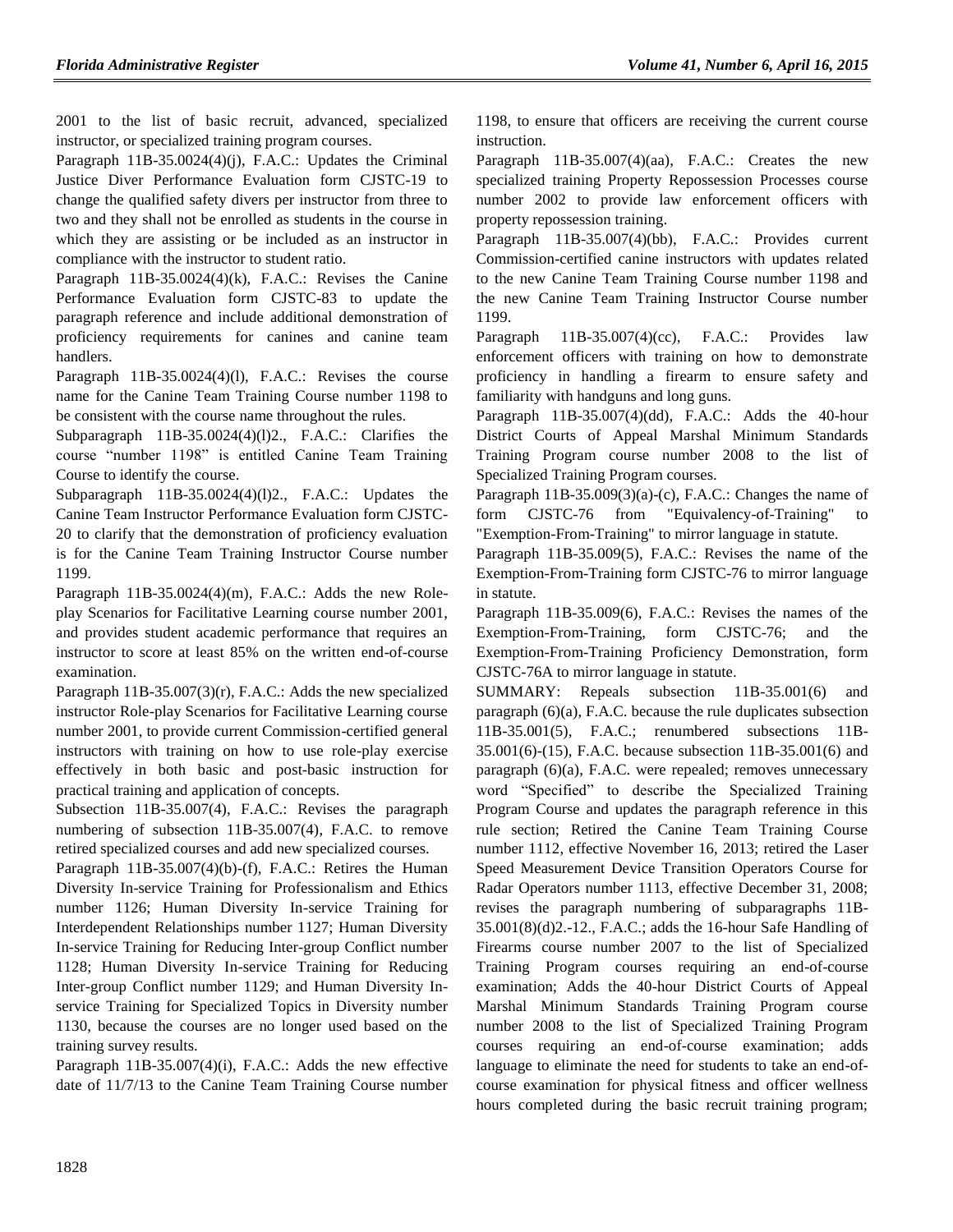2001 to the list of basic recruit, advanced, specialized instructor, or specialized training program courses.

Paragraph 11B-35.0024(4)(j), F.A.C.: Updates the Criminal Justice Diver Performance Evaluation form CJSTC-19 to change the qualified safety divers per instructor from three to two and they shall not be enrolled as students in the course in which they are assisting or be included as an instructor in compliance with the instructor to student ratio.

Paragraph 11B-35.0024(4)(k), F.A.C.: Revises the Canine Performance Evaluation form CJSTC-83 to update the paragraph reference and include additional demonstration of proficiency requirements for canines and canine team handlers.

Paragraph 11B-35.0024(4)(l), F.A.C.: Revises the course name for the Canine Team Training Course number 1198 to be consistent with the course name throughout the rules.

Subparagraph 11B-35.0024(4)(l)2., F.A.C.: Clarifies the course "number 1198" is entitled Canine Team Training Course to identify the course.

Subparagraph 11B-35.0024(4)(l)2., F.A.C.: Updates the Canine Team Instructor Performance Evaluation form CJSTC-20 to clarify that the demonstration of proficiency evaluation is for the Canine Team Training Instructor Course number 1199.

Paragraph  $11B-35.0024(4)(m)$ , F.A.C.: Adds the new Roleplay Scenarios for Facilitative Learning course number 2001, and provides student academic performance that requires an instructor to score at least 85% on the written end-of-course examination.

Paragraph 11B-35.007(3)(r), F.A.C.: Adds the new specialized instructor Role-play Scenarios for Facilitative Learning course number 2001, to provide current Commission-certified general instructors with training on how to use role-play exercise effectively in both basic and post-basic instruction for practical training and application of concepts.

Subsection 11B-35.007(4), F.A.C.: Revises the paragraph numbering of subsection 11B-35.007(4), F.A.C. to remove retired specialized courses and add new specialized courses.

Paragraph 11B-35.007(4)(b)-(f), F.A.C.: Retires the Human Diversity In-service Training for Professionalism and Ethics number 1126; Human Diversity In-service Training for Interdependent Relationships number 1127; Human Diversity In-service Training for Reducing Inter-group Conflict number 1128; Human Diversity In-service Training for Reducing Inter-group Conflict number 1129; and Human Diversity Inservice Training for Specialized Topics in Diversity number 1130, because the courses are no longer used based on the training survey results.

Paragraph 11B-35.007(4)(i), F.A.C.: Adds the new effective date of 11/7/13 to the Canine Team Training Course number 1198, to ensure that officers are receiving the current course instruction.

Paragraph 11B-35.007(4)(aa), F.A.C.: Creates the new specialized training Property Repossession Processes course number 2002 to provide law enforcement officers with property repossession training.

Paragraph 11B-35.007(4)(bb), F.A.C.: Provides current Commission-certified canine instructors with updates related to the new Canine Team Training Course number 1198 and the new Canine Team Training Instructor Course number 1199.

Paragraph 11B-35.007(4)(cc), F.A.C.: Provides law enforcement officers with training on how to demonstrate proficiency in handling a firearm to ensure safety and familiarity with handguns and long guns.

Paragraph 11B-35.007(4)(dd), F.A.C.: Adds the 40-hour District Courts of Appeal Marshal Minimum Standards Training Program course number 2008 to the list of Specialized Training Program courses.

Paragraph 11B-35.009(3)(a)-(c), F.A.C.: Changes the name of form CJSTC-76 from "Equivalency-of-Training" to "Exemption-From-Training" to mirror language in statute.

Paragraph 11B-35.009(5), F.A.C.: Revises the name of the Exemption-From-Training form CJSTC-76 to mirror language in statute.

Paragraph 11B-35.009(6), F.A.C.: Revises the names of the Exemption-From-Training, form CJSTC-76; and the Exemption-From-Training Proficiency Demonstration, form CJSTC-76A to mirror language in statute.

SUMMARY: Repeals subsection 11B-35.001(6) and paragraph (6)(a), F.A.C. because the rule duplicates subsection 11B-35.001(5), F.A.C.; renumbered subsections 11B-35.001(6)-(15), F.A.C. because subsection 11B-35.001(6) and paragraph (6)(a), F.A.C. were repealed; removes unnecessary word "Specified" to describe the Specialized Training Program Course and updates the paragraph reference in this rule section; Retired the Canine Team Training Course number 1112, effective November 16, 2013; retired the Laser Speed Measurement Device Transition Operators Course for Radar Operators number 1113, effective December 31, 2008; revises the paragraph numbering of subparagraphs 11B-35.001(8)(d)2.-12., F.A.C.; adds the 16-hour Safe Handling of Firearms course number 2007 to the list of Specialized Training Program courses requiring an end-of-course examination; Adds the 40-hour District Courts of Appeal Marshal Minimum Standards Training Program course number 2008 to the list of Specialized Training Program courses requiring an end-of-course examination; adds language to eliminate the need for students to take an end-ofcourse examination for physical fitness and officer wellness hours completed during the basic recruit training program;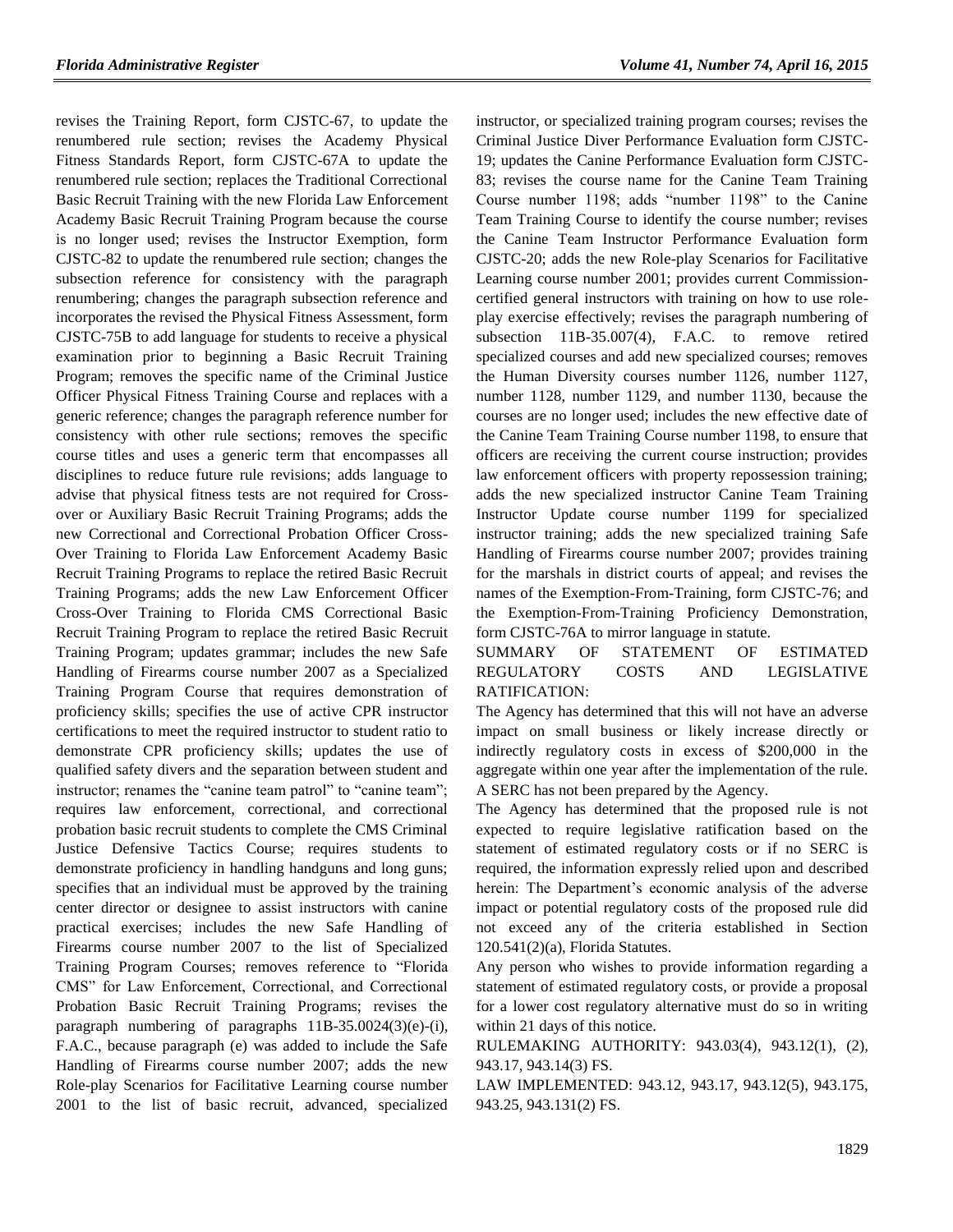revises the Training Report, form CJSTC-67, to update the renumbered rule section; revises the Academy Physical Fitness Standards Report, form CJSTC-67A to update the renumbered rule section; replaces the Traditional Correctional Basic Recruit Training with the new Florida Law Enforcement Academy Basic Recruit Training Program because the course is no longer used; revises the Instructor Exemption, form CJSTC-82 to update the renumbered rule section; changes the subsection reference for consistency with the paragraph renumbering; changes the paragraph subsection reference and incorporates the revised the Physical Fitness Assessment, form CJSTC-75B to add language for students to receive a physical examination prior to beginning a Basic Recruit Training Program; removes the specific name of the Criminal Justice Officer Physical Fitness Training Course and replaces with a generic reference; changes the paragraph reference number for consistency with other rule sections; removes the specific course titles and uses a generic term that encompasses all disciplines to reduce future rule revisions; adds language to advise that physical fitness tests are not required for Crossover or Auxiliary Basic Recruit Training Programs; adds the new Correctional and Correctional Probation Officer Cross-Over Training to Florida Law Enforcement Academy Basic Recruit Training Programs to replace the retired Basic Recruit Training Programs; adds the new Law Enforcement Officer Cross-Over Training to Florida CMS Correctional Basic Recruit Training Program to replace the retired Basic Recruit Training Program; updates grammar; includes the new Safe Handling of Firearms course number 2007 as a Specialized Training Program Course that requires demonstration of proficiency skills; specifies the use of active CPR instructor certifications to meet the required instructor to student ratio to demonstrate CPR proficiency skills; updates the use of qualified safety divers and the separation between student and instructor; renames the "canine team patrol" to "canine team"; requires law enforcement, correctional, and correctional probation basic recruit students to complete the CMS Criminal Justice Defensive Tactics Course; requires students to demonstrate proficiency in handling handguns and long guns; specifies that an individual must be approved by the training center director or designee to assist instructors with canine practical exercises; includes the new Safe Handling of Firearms course number 2007 to the list of Specialized Training Program Courses; removes reference to "Florida CMS" for Law Enforcement, Correctional, and Correctional Probation Basic Recruit Training Programs; revises the paragraph numbering of paragraphs 11B-35.0024(3)(e)-(i), F.A.C., because paragraph (e) was added to include the Safe Handling of Firearms course number 2007; adds the new Role-play Scenarios for Facilitative Learning course number 2001 to the list of basic recruit, advanced, specialized instructor, or specialized training program courses; revises the Criminal Justice Diver Performance Evaluation form CJSTC-19; updates the Canine Performance Evaluation form CJSTC-83; revises the course name for the Canine Team Training Course number 1198; adds "number 1198" to the Canine Team Training Course to identify the course number; revises the Canine Team Instructor Performance Evaluation form CJSTC-20; adds the new Role-play Scenarios for Facilitative Learning course number 2001; provides current Commissioncertified general instructors with training on how to use roleplay exercise effectively; revises the paragraph numbering of subsection 11B-35.007(4), F.A.C. to remove retired specialized courses and add new specialized courses; removes the Human Diversity courses number 1126, number 1127, number 1128, number 1129, and number 1130, because the courses are no longer used; includes the new effective date of the Canine Team Training Course number 1198, to ensure that officers are receiving the current course instruction; provides law enforcement officers with property repossession training; adds the new specialized instructor Canine Team Training Instructor Update course number 1199 for specialized instructor training; adds the new specialized training Safe Handling of Firearms course number 2007; provides training for the marshals in district courts of appeal; and revises the names of the Exemption-From-Training, form CJSTC-76; and the Exemption-From-Training Proficiency Demonstration, form CJSTC-76A to mirror language in statute.

### SUMMARY OF STATEMENT OF ESTIMATED REGULATORY COSTS AND LEGISLATIVE RATIFICATION:

The Agency has determined that this will not have an adverse impact on small business or likely increase directly or indirectly regulatory costs in excess of \$200,000 in the aggregate within one year after the implementation of the rule. A SERC has not been prepared by the Agency.

The Agency has determined that the proposed rule is not expected to require legislative ratification based on the statement of estimated regulatory costs or if no SERC is required, the information expressly relied upon and described herein: The Department's economic analysis of the adverse impact or potential regulatory costs of the proposed rule did not exceed any of the criteria established in Section 120.541(2)(a), Florida Statutes.

Any person who wishes to provide information regarding a statement of estimated regulatory costs, or provide a proposal for a lower cost regulatory alternative must do so in writing within 21 days of this notice.

RULEMAKING AUTHORITY: [943.03\(4\),](https://www.flrules.org/gateway/statute.asp?id=943.03(4)) [943.12\(1\),](https://www.flrules.org/gateway/statute.asp?id=%20943.12(1)) (2), [943.17,](https://www.flrules.org/gateway/statute.asp?id=%20943.17) [943.14\(3\) FS.](https://www.flrules.org/gateway/statute.asp?id=%20943.14(3)%20FS.)

LAW IMPLEMENTED: [943.12,](https://www.flrules.org/gateway/statute.asp?id=943.12) [943.17,](https://www.flrules.org/gateway/statute.asp?id=%20943.17) [943.12\(5\),](https://www.flrules.org/gateway/statute.asp?id=%20943.12(5)) [943.175,](https://www.flrules.org/gateway/statute.asp?id=%20943.175) [943.25,](https://www.flrules.org/gateway/statute.asp?id=%20943.25) [943.131\(2\) FS.](https://www.flrules.org/gateway/statute.asp?id=%20943.131(2)%20FS.)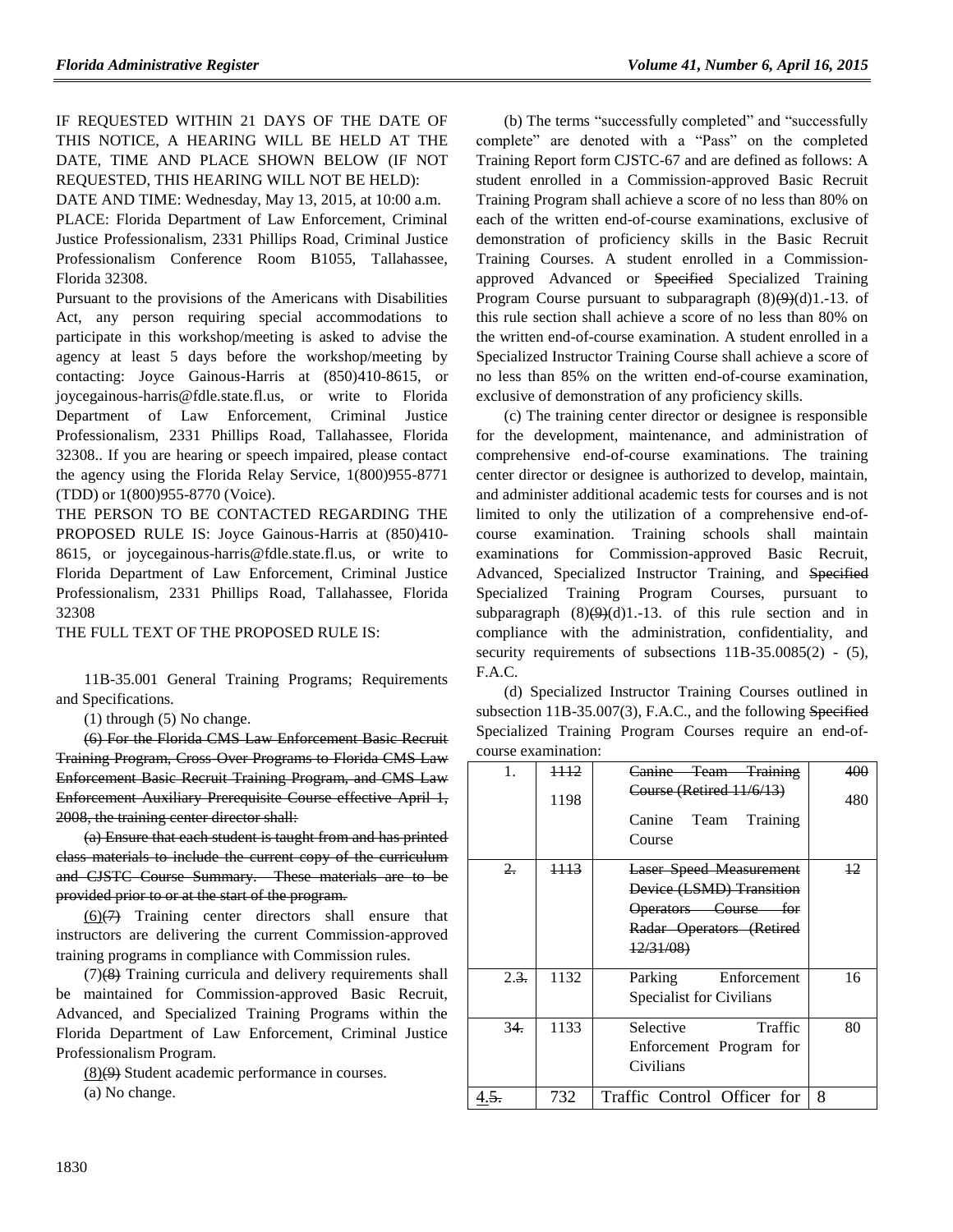IF REQUESTED WITHIN 21 DAYS OF THE DATE OF THIS NOTICE, A HEARING WILL BE HELD AT THE DATE, TIME AND PLACE SHOWN BELOW (IF NOT REQUESTED, THIS HEARING WILL NOT BE HELD):

DATE AND TIME: Wednesday, May 13, 2015, at 10:00 a.m. PLACE: Florida Department of Law Enforcement, Criminal Justice Professionalism, 2331 Phillips Road, Criminal Justice Professionalism Conference Room B1055, Tallahassee, Florida 32308.

Pursuant to the provisions of the Americans with Disabilities Act, any person requiring special accommodations to participate in this workshop/meeting is asked to advise the agency at least 5 days before the workshop/meeting by contacting: Joyce Gainous-Harris at (850)410-8615, or joycegainous-harris@fdle.state.fl.us, or write to Florida Department of Law Enforcement, Criminal Justice Professionalism, 2331 Phillips Road, Tallahassee, Florida 32308.. If you are hearing or speech impaired, please contact the agency using the Florida Relay Service, 1(800)955-8771 (TDD) or 1(800)955-8770 (Voice).

THE PERSON TO BE CONTACTED REGARDING THE PROPOSED RULE IS: Joyce Gainous-Harris at (850)410- 8615, or joycegainous-harris@fdle.state.fl.us, or write to Florida Department of Law Enforcement, Criminal Justice Professionalism, 2331 Phillips Road, Tallahassee, Florida 32308

THE FULL TEXT OF THE PROPOSED RULE IS:

11B-35.001 General Training Programs; Requirements and Specifications.

(1) through (5) No change.

(6) For the Florida CMS Law Enforcement Basic Recruit Training Program, Cross-Over Programs to Florida CMS Law Enforcement Basic Recruit Training Program, and CMS Law Enforcement Auxiliary Prerequisite Course effective April 1, 2008, the training center director shall:

(a) Ensure that each student is taught from and has printed class materials to include the current copy of the curriculum and CJSTC Course Summary. These materials are to be provided prior to or at the start of the program.

 $(6)(7)$  Training center directors shall ensure that instructors are delivering the current Commission-approved training programs in compliance with Commission rules.

(7)(8) Training curricula and delivery requirements shall be maintained for Commission-approved Basic Recruit, Advanced, and Specialized Training Programs within the Florida Department of Law Enforcement, Criminal Justice Professionalism Program.

(8)(9) Student academic performance in courses. (a) No change.

(b) The terms "successfully completed" and "successfully complete" are denoted with a "Pass" on the completed Training Report form CJSTC-67 and are defined as follows: A student enrolled in a Commission-approved Basic Recruit Training Program shall achieve a score of no less than 80% on each of the written end-of-course examinations, exclusive of demonstration of proficiency skills in the Basic Recruit Training Courses. A student enrolled in a Commissionapproved Advanced or Specified Specialized Training Program Course pursuant to subparagraph  $(8)(9)(d)1.-13$ . of this rule section shall achieve a score of no less than 80% on the written end-of-course examination. A student enrolled in a Specialized Instructor Training Course shall achieve a score of no less than 85% on the written end-of-course examination, exclusive of demonstration of any proficiency skills.

(c) The training center director or designee is responsible for the development, maintenance, and administration of comprehensive end-of-course examinations. The training center director or designee is authorized to develop, maintain, and administer additional academic tests for courses and is not limited to only the utilization of a comprehensive end-ofcourse examination. Training schools shall maintain examinations for Commission-approved Basic Recruit, Advanced, Specialized Instructor Training, and Specified Specialized Training Program Courses, pursuant to subparagraph  $(8)(9)(d)1.-13$ . of this rule section and in compliance with the administration, confidentiality, and security requirements of subsections 11B-35.0085(2) - (5), F.A.C.

(d) Specialized Instructor Training Courses outlined in subsection 11B-35.007(3), F.A.C., and the following Specified Specialized Training Program Courses require an end-ofcourse examination:

| 1.                 | <del>1112</del><br>1198 | Canine Team Training<br>Course (Retired 11/6/13)<br>Canine Team<br>Training<br>Course                                          | 400<br>480 |
|--------------------|-------------------------|--------------------------------------------------------------------------------------------------------------------------------|------------|
| $2 -$              | 1113                    | Laser Speed Measurement<br>Device (LSMD) Transition<br>Operators Course for<br>Radar Operators (Retired<br>$\frac{12}{31}{08}$ | $\pm 2$    |
| $2.\overline{3}$ . | 1132                    | Enforcement<br>Parking<br><b>Specialist for Civilians</b>                                                                      | 16         |
| 34.                | 1133                    | Selective<br>Traffic<br>Enforcement Program for<br>Civilians                                                                   | 80         |
| 4.5.               | 732                     | Traffic Control Officer for                                                                                                    | 8          |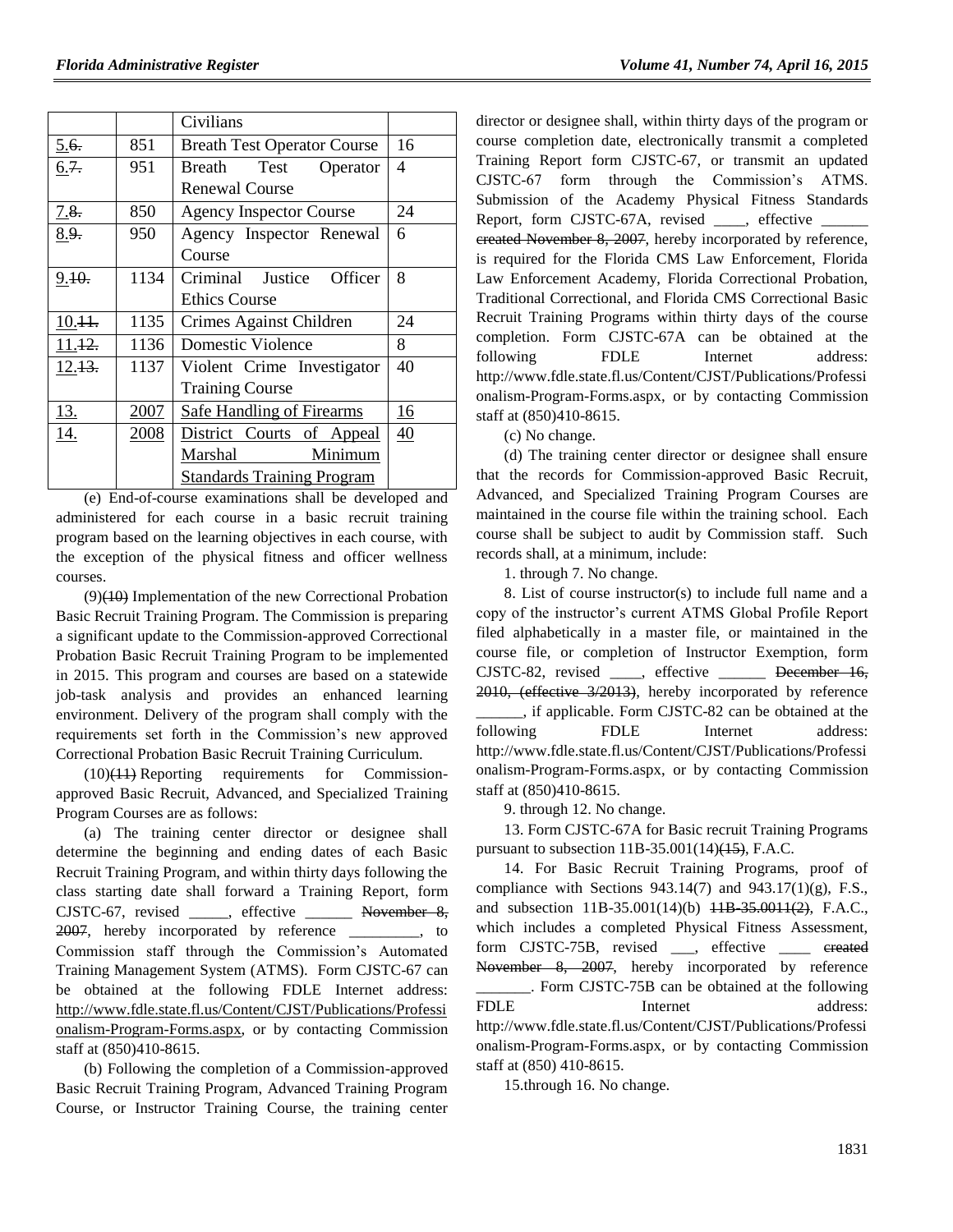|            |      | Civilians                          |    |
|------------|------|------------------------------------|----|
| 5.6.       | 851  | <b>Breath Test Operator Course</b> | 16 |
| 6.7.       | 951  | Test<br>Breath<br>Operator         | 4  |
|            |      | <b>Renewal Course</b>              |    |
| 7.8.       | 850  | <b>Agency Inspector Course</b>     | 24 |
| 8.9.       | 950  | Agency Inspector Renewal           | 6  |
|            |      | Course                             |    |
| 9.10.      | 1134 | Justice Officer<br>Criminal        | 8  |
|            |      | <b>Ethics Course</b>               |    |
| $10.11$ .  | 1135 | Crimes Against Children            | 24 |
| 11.42.     | 1136 | <b>Domestic Violence</b>           | 8  |
| 12.13.     | 1137 | Violent Crime Investigator         | 40 |
|            |      | <b>Training Course</b>             |    |
| <u>13.</u> | 2007 | <b>Safe Handling of Firearms</b>   | 16 |
| 14.        | 2008 | District Courts of Appeal          | 40 |
|            |      | Marshal<br>Minimum                 |    |
|            |      | <b>Standards Training Program</b>  |    |

(e) End-of-course examinations shall be developed and administered for each course in a basic recruit training program based on the learning objectives in each course, with the exception of the physical fitness and officer wellness courses.

(9)(10) Implementation of the new Correctional Probation Basic Recruit Training Program. The Commission is preparing a significant update to the Commission-approved Correctional Probation Basic Recruit Training Program to be implemented in 2015. This program and courses are based on a statewide job-task analysis and provides an enhanced learning environment. Delivery of the program shall comply with the requirements set forth in the Commission's new approved Correctional Probation Basic Recruit Training Curriculum.

(10)(11) Reporting requirements for Commissionapproved Basic Recruit, Advanced, and Specialized Training Program Courses are as follows:

(a) The training center director or designee shall determine the beginning and ending dates of each Basic Recruit Training Program, and within thirty days following the class starting date shall forward a Training Report, form CJSTC-67, revised \_\_\_\_\_, effective \_\_\_\_\_\_ November 8, 2007, hereby incorporated by reference \_\_\_\_\_\_\_\_\_, to Commission staff through the Commission's Automated Training Management System (ATMS). Form CJSTC-67 can be obtained at the following FDLE Internet address: [http://www.fdle.state.fl.us/Content/CJST/Publications/Professi](http://www.fdle.state.fl.us/Content/CJST/Publications/Professionalism-Program-Forms.aspx) [onalism-Program-Forms.aspx,](http://www.fdle.state.fl.us/Content/CJST/Publications/Professionalism-Program-Forms.aspx) or by contacting Commission staff at (850)410-8615.

(b) Following the completion of a Commission-approved Basic Recruit Training Program, Advanced Training Program Course, or Instructor Training Course, the training center director or designee shall, within thirty days of the program or course completion date, electronically transmit a completed Training Report form CJSTC-67, or transmit an updated CJSTC-67 form through the Commission's ATMS. Submission of the Academy Physical Fitness Standards Report, form CJSTC-67A, revised \_\_\_\_, effective \_\_\_\_\_\_ ereated November 8, 2007, hereby incorporated by reference, is required for the Florida CMS Law Enforcement, Florida Law Enforcement Academy, Florida Correctional Probation, Traditional Correctional, and Florida CMS Correctional Basic Recruit Training Programs within thirty days of the course completion. Form CJSTC-67A can be obtained at the following FDLE Internet address: http://www.fdle.state.fl.us/Content/CJST/Publications/Professi onalism-Program-Forms.aspx, or by contacting Commission staff at (850)410-8615.

(c) No change.

(d) The training center director or designee shall ensure that the records for Commission-approved Basic Recruit, Advanced, and Specialized Training Program Courses are maintained in the course file within the training school. Each course shall be subject to audit by Commission staff. Such records shall, at a minimum, include:

1. through 7. No change.

8. List of course instructor(s) to include full name and a copy of the instructor's current ATMS Global Profile Report filed alphabetically in a master file, or maintained in the course file, or completion of Instructor Exemption, form CJSTC-82, revised , effective December 16, 2010, (effective 3/2013), hereby incorporated by reference \_\_\_\_\_\_, if applicable. Form CJSTC-82 can be obtained at the following FDLE Internet address: http://www.fdle.state.fl.us/Content/CJST/Publications/Professi onalism-Program-Forms.aspx, or by contacting Commission staff at (850)410-8615.

9. through 12. No change.

13. Form CJSTC-67A for Basic recruit Training Programs pursuant to subsection  $11B-35.001(14)$ ( $15$ ), F.A.C.

14. For Basic Recruit Training Programs, proof of compliance with Sections  $943.14(7)$  and  $943.17(1)(g)$ , F.S., and subsection 11B-35.001(14)(b) <del>11B 35.0011(2)</del>, F.A.C., which includes a completed Physical Fitness Assessment, form CJSTC-75B, revised \_\_\_, effective \_\_\_\_ ereated November 8, 2007, hereby incorporated by reference \_\_\_\_\_\_\_. Form CJSTC-75B can be obtained at the following FDLE Internet address: http://www.fdle.state.fl.us/Content/CJST/Publications/Professi onalism-Program-Forms.aspx, or by contacting Commission staff at (850) 410-8615.

15.through 16. No change.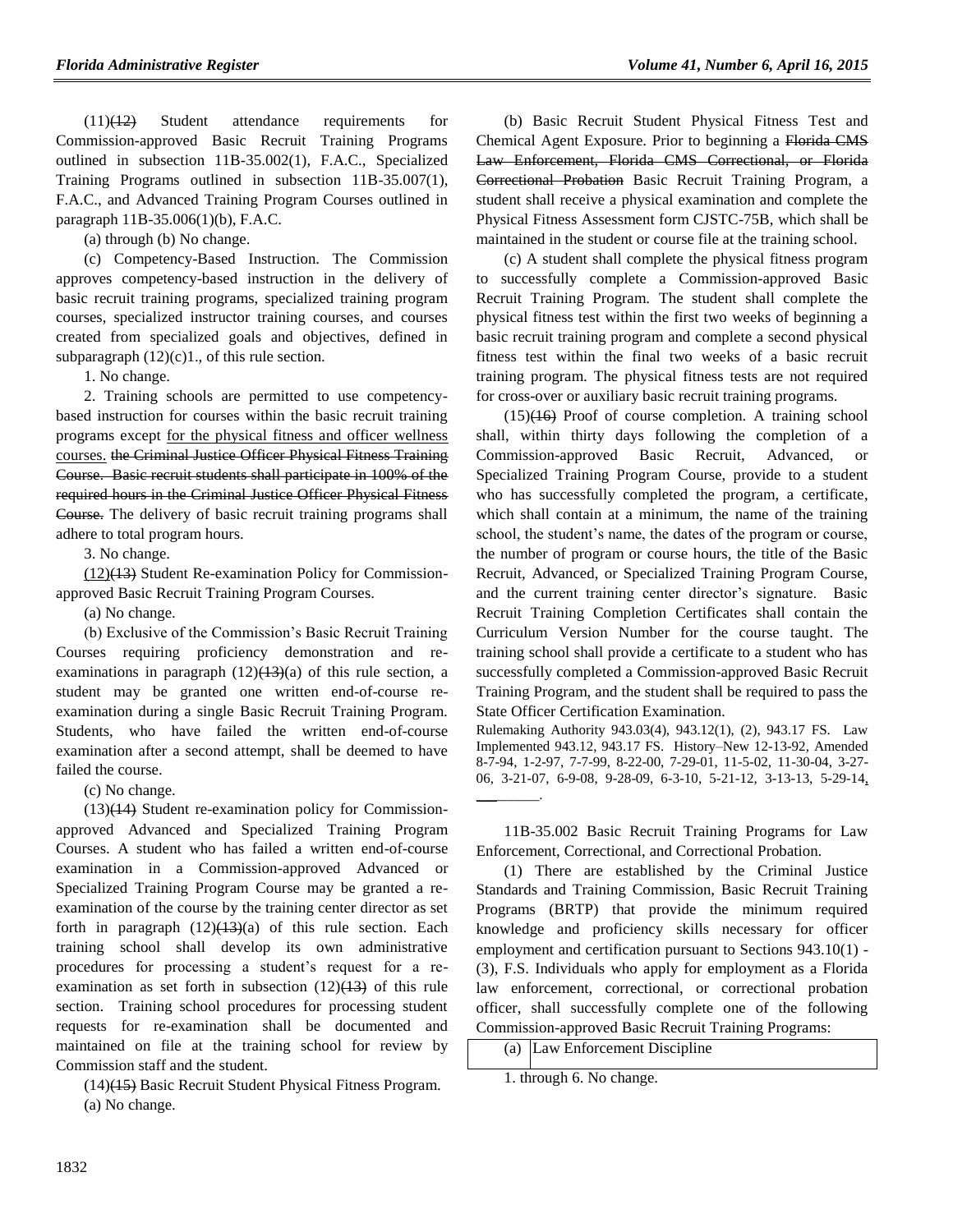(11)(12) Student attendance requirements for Commission-approved Basic Recruit Training Programs outlined in subsection 11B-35.002(1), F.A.C., Specialized Training Programs outlined in subsection 11B-35.007(1), F.A.C., and Advanced Training Program Courses outlined in paragraph 11B-35.006(1)(b), F.A.C.

(a) through (b) No change.

(c) Competency-Based Instruction. The Commission approves competency-based instruction in the delivery of basic recruit training programs, specialized training program courses, specialized instructor training courses, and courses created from specialized goals and objectives, defined in subparagraph  $(12)(c)1$ ., of this rule section.

1. No change.

2. Training schools are permitted to use competencybased instruction for courses within the basic recruit training programs except for the physical fitness and officer wellness courses. the Criminal Justice Officer Physical Fitness Training Course. Basic recruit students shall participate in 100% of the required hours in the Criminal Justice Officer Physical Fitness Course. The delivery of basic recruit training programs shall adhere to total program hours.

3. No change.

(12)(13) Student Re-examination Policy for Commissionapproved Basic Recruit Training Program Courses.

(a) No change.

(b) Exclusive of the Commission's Basic Recruit Training Courses requiring proficiency demonstration and reexaminations in paragraph  $(12)(13)(a)$  of this rule section, a student may be granted one written end-of-course reexamination during a single Basic Recruit Training Program. Students, who have failed the written end-of-course examination after a second attempt, shall be deemed to have failed the course.

(c) No change.

(13)(14) Student re-examination policy for Commissionapproved Advanced and Specialized Training Program Courses. A student who has failed a written end-of-course examination in a Commission-approved Advanced or Specialized Training Program Course may be granted a reexamination of the course by the training center director as set forth in paragraph  $(12)(13)(a)$  of this rule section. Each training school shall develop its own administrative procedures for processing a student's request for a reexamination as set forth in subsection  $(12)(13)$  of this rule section. Training school procedures for processing student requests for re-examination shall be documented and maintained on file at the training school for review by Commission staff and the student.

(14)(15) Basic Recruit Student Physical Fitness Program. (a) No change.

(b) Basic Recruit Student Physical Fitness Test and Chemical Agent Exposure. Prior to beginning a Florida CMS Law Enforcement, Florida CMS Correctional, or Florida Correctional Probation Basic Recruit Training Program, a student shall receive a physical examination and complete the Physical Fitness Assessment form CJSTC-75B, which shall be maintained in the student or course file at the training school.

(c) A student shall complete the physical fitness program to successfully complete a Commission-approved Basic Recruit Training Program. The student shall complete the physical fitness test within the first two weeks of beginning a basic recruit training program and complete a second physical fitness test within the final two weeks of a basic recruit training program. The physical fitness tests are not required for cross-over or auxiliary basic recruit training programs.

 $(15)(16)$  Proof of course completion. A training school shall, within thirty days following the completion of a Commission-approved Basic Recruit, Advanced, or Specialized Training Program Course, provide to a student who has successfully completed the program, a certificate, which shall contain at a minimum, the name of the training school, the student's name, the dates of the program or course, the number of program or course hours, the title of the Basic Recruit, Advanced, or Specialized Training Program Course, and the current training center director's signature. Basic Recruit Training Completion Certificates shall contain the Curriculum Version Number for the course taught. The training school shall provide a certificate to a student who has successfully completed a Commission-approved Basic Recruit Training Program, and the student shall be required to pass the State Officer Certification Examination.

Rulemaking Authority 943.03(4), 943.12(1), (2), 943.17 FS. Law Implemented 943.12, 943.17 FS. History–New 12-13-92, Amended 8-7-94, 1-2-97, 7-7-99, 8-22-00, 7-29-01, 11-5-02, 11-30-04, 3-27- 06, 3-21-07, 6-9-08, 9-28-09, 6-3-10, 5-21-12, 3-13-13, 5-29-14, \_\_\_\_\_\_\_\_\_.

11B-35.002 Basic Recruit Training Programs for Law Enforcement, Correctional, and Correctional Probation.

(1) There are established by the Criminal Justice Standards and Training Commission, Basic Recruit Training Programs (BRTP) that provide the minimum required knowledge and proficiency skills necessary for officer employment and certification pursuant to Sections 943.10(1) - (3), F.S. Individuals who apply for employment as a Florida law enforcement, correctional, or correctional probation officer, shall successfully complete one of the following Commission-approved Basic Recruit Training Programs:

|  | (a) Law Enforcement Discipline |
|--|--------------------------------|
|--|--------------------------------|

1. through 6. No change.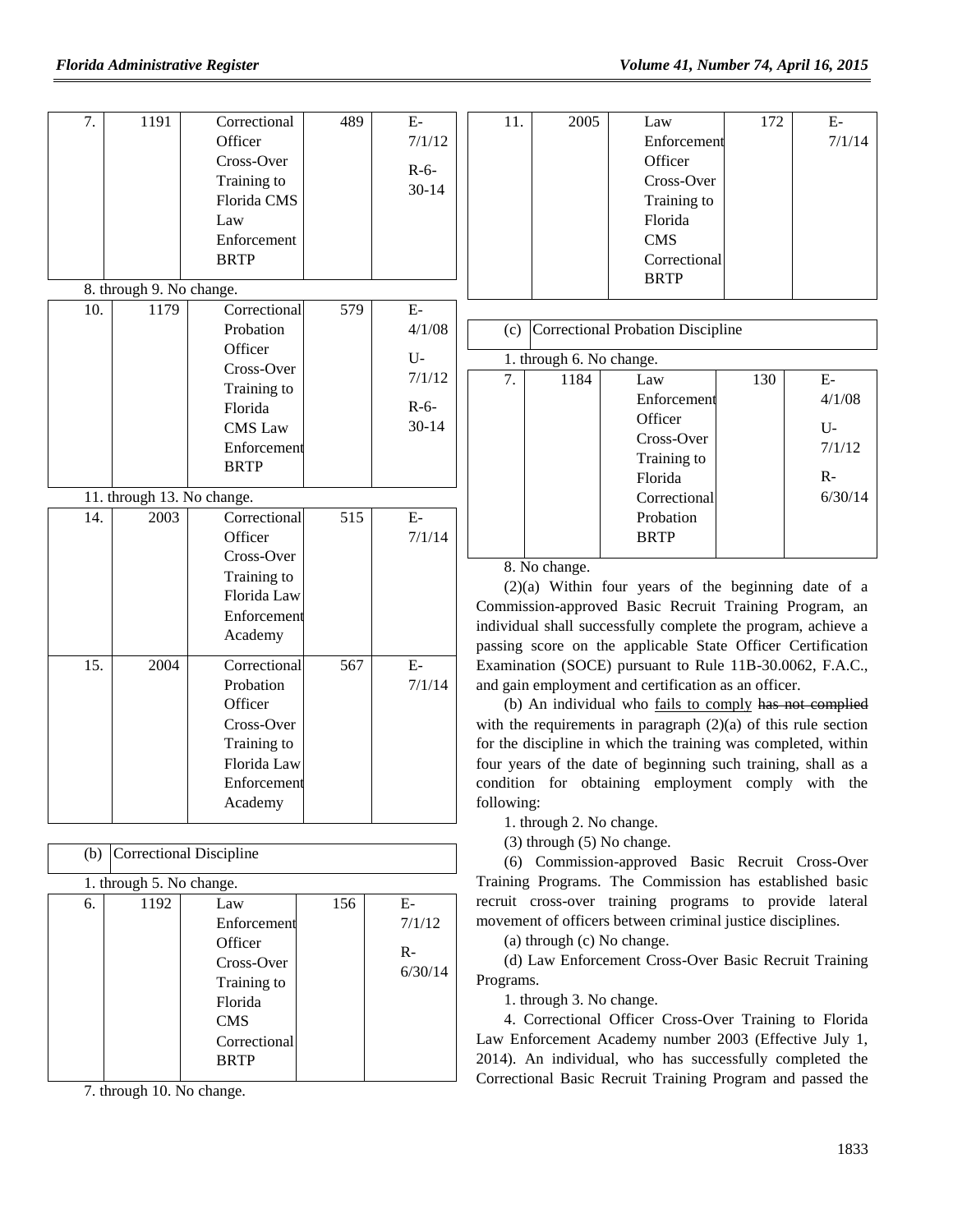| 7.  | 1191                       | Correctional                | 489 | $\mathbf{E}$ | 11.        | 2005                           | Law                                                              | 172 | $\mathbf{E}\text{-}$ |
|-----|----------------------------|-----------------------------|-----|--------------|------------|--------------------------------|------------------------------------------------------------------|-----|----------------------|
|     |                            | Officer                     |     | 7/1/12       |            |                                | Enforcement                                                      |     | 7/1/14               |
|     |                            | Cross-Over                  |     | $R-6-$       |            |                                | Officer                                                          |     |                      |
|     |                            | Training to                 |     | $30 - 14$    |            |                                | Cross-Over                                                       |     |                      |
|     |                            | Florida CMS                 |     |              |            |                                | Training to                                                      |     |                      |
|     |                            | Law                         |     |              |            |                                | Florida                                                          |     |                      |
|     |                            | Enforcement                 |     |              |            |                                | <b>CMS</b>                                                       |     |                      |
|     |                            | <b>BRTP</b>                 |     |              |            |                                | Correctional                                                     |     |                      |
|     |                            |                             |     |              |            |                                | <b>BRTP</b>                                                      |     |                      |
|     | 8. through 9. No change.   |                             |     |              |            |                                |                                                                  |     |                      |
| 10. | 1179                       | Correctional                | 579 | $E-$         |            |                                |                                                                  |     |                      |
|     |                            | Probation                   |     | 4/1/08       |            |                                | (c) Correctional Probation Discipline                            |     |                      |
|     |                            | Officer                     |     | U-           |            | 1. through 6. No change.       |                                                                  |     |                      |
|     |                            | Cross-Over                  |     | 7/1/12       | 7.         | 1184                           | Law                                                              | 130 | ${\bf E}$            |
|     |                            | Training to                 |     |              |            |                                | Enforcement                                                      |     | 4/1/08               |
|     |                            | Florida                     |     | $R-6-$       |            |                                | Officer                                                          |     |                      |
|     |                            | <b>CMS</b> Law              |     | $30 - 14$    |            |                                | Cross-Over                                                       |     | $U$ -                |
|     |                            | Enforcement                 |     |              |            |                                | Training to                                                      |     | 7/1/12               |
|     |                            | <b>BRTP</b>                 |     |              |            |                                | Florida                                                          |     | $R-$                 |
|     | 11. through 13. No change. |                             |     |              |            |                                | Correctional                                                     |     | 6/30/14              |
| 14. | 2003                       | Correctional                | 515 | $\mathbf{E}$ |            |                                | Probation                                                        |     |                      |
|     |                            | Officer                     |     | 7/1/14       |            |                                | <b>BRTP</b>                                                      |     |                      |
|     |                            | Cross-Over                  |     |              |            |                                |                                                                  |     |                      |
|     |                            |                             |     |              |            | 8. No change.                  |                                                                  |     |                      |
|     |                            | Training to                 |     |              |            |                                | $(2)(a)$ Within four years of the beginning date of a            |     |                      |
|     |                            | Florida Law                 |     |              |            |                                | Commission-approved Basic Recruit Training Program, an           |     |                      |
|     |                            | Enforcement                 |     |              |            |                                | individual shall successfully complete the program, achieve a    |     |                      |
|     |                            | Academy                     |     |              |            |                                | passing score on the applicable State Officer Certification      |     |                      |
| 15. | 2004                       | Correctional                | 567 | $E-$         |            |                                | Examination (SOCE) pursuant to Rule 11B-30.0062, F.A.C.,         |     |                      |
|     |                            | Probation                   |     | 7/1/14       |            |                                | and gain employment and certification as an officer.             |     |                      |
|     |                            | Officer                     |     |              |            |                                | (b) An individual who fails to comply has not complied           |     |                      |
|     |                            | Cross-Over                  |     |              |            |                                | with the requirements in paragraph $(2)(a)$ of this rule section |     |                      |
|     |                            | Training to                 |     |              |            |                                | for the discipline in which the training was completed, within   |     |                      |
|     |                            | Florida Law                 |     |              |            |                                | four years of the date of beginning such training, shall as a    |     |                      |
|     |                            | Enforcement                 |     |              |            |                                | condition for obtaining employment comply with the               |     |                      |
|     |                            | Academy                     |     |              | following: |                                |                                                                  |     |                      |
|     |                            |                             |     |              |            | 1. through 2. No change.       |                                                                  |     |                      |
|     |                            |                             |     |              |            | $(3)$ through $(5)$ No change. |                                                                  |     |                      |
|     |                            | (b) Correctional Discipline |     |              |            |                                | (6) Commission-approved Basic Recruit Cross-Over                 |     |                      |
|     | 1. through 5. No change.   |                             |     |              |            |                                | Training Programs. The Commission has established basic          |     |                      |
| 6.  | 1192                       | Law                         | 156 | ${\bf E}$    |            |                                | recruit cross-over training programs to provide lateral          |     |                      |
|     |                            | Enforcement                 |     | 7/1/12       |            |                                | movement of officers between criminal justice disciplines.       |     |                      |
|     |                            | Officer                     |     |              |            | (a) through (c) No change.     |                                                                  |     |                      |
|     |                            | Cross-Over                  |     | $R -$        |            |                                | (d) Law Enforcement Cross-Over Basic Recruit Training            |     |                      |
|     |                            | Training to                 |     | 6/30/14      | Programs.  |                                |                                                                  |     |                      |
|     |                            | Florida                     |     |              |            | 1. through 3. No change.       |                                                                  |     |                      |
|     |                            |                             |     |              |            |                                |                                                                  |     |                      |
|     |                            | <b>CMS</b>                  |     |              |            |                                | 4. Correctional Officer Cross-Over Training to Florida           |     |                      |

7. through 10. No change.

Correctional BRTP

1833

Law Enforcement Academy number 2003 (Effective July 1, 2014). An individual, who has successfully completed the Correctional Basic Recruit Training Program and passed the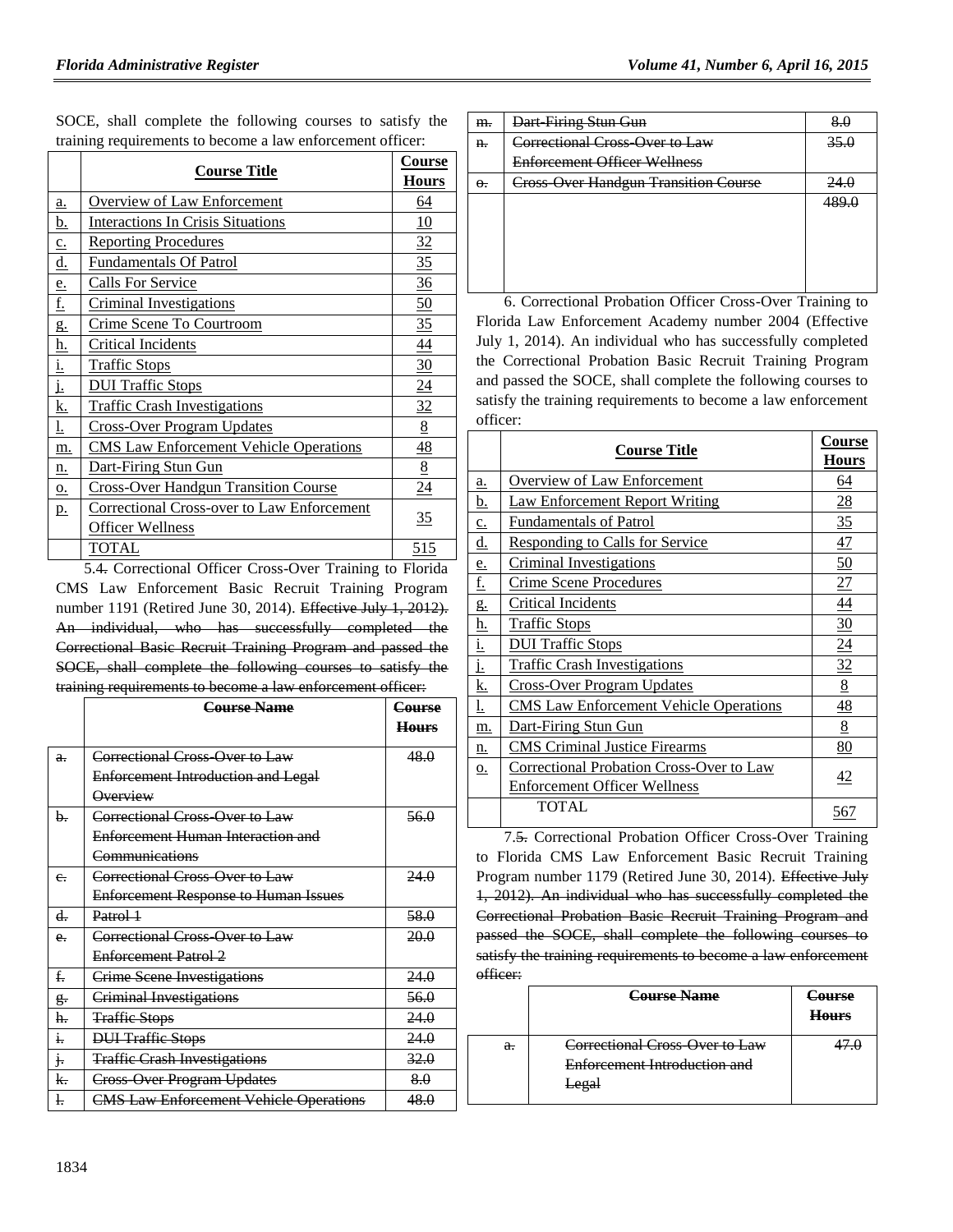|                |                                                   | Course           |
|----------------|---------------------------------------------------|------------------|
|                | <b>Course Title</b>                               | <b>Hours</b>     |
| a.             | <b>Overview of Law Enforcement</b>                | 64               |
| <u>b.</u>      | <b>Interactions In Crisis Situations</b>          | 10               |
| $c_{\cdot}$    | <b>Reporting Procedures</b>                       | 32               |
| <u>d.</u>      | <b>Fundamentals Of Patrol</b>                     | 35               |
| e.             | <b>Calls For Service</b>                          | 36               |
| <u>f.</u>      | <b>Criminal Investigations</b>                    | $\underline{50}$ |
| g.             | Crime Scene To Courtroom                          | 35               |
| <u>h.</u>      | Critical Incidents                                | $\overline{44}$  |
| i.             | <b>Traffic Stops</b>                              | 30               |
| <u>j.</u>      | <b>DUI Traffic Stops</b>                          | $\overline{24}$  |
| <u>k.</u>      | <b>Traffic Crash Investigations</b>               | 32               |
| <u>l.</u>      | Cross-Over Program Updates                        | $\underline{8}$  |
| m.             | <b>CMS</b> Law Enforcement Vehicle Operations     | 48               |
| n.             | Dart-Firing Stun Gun                              | 8                |
| Q <sub>1</sub> | <b>Cross-Over Handgun Transition Course</b>       | $\overline{24}$  |
| p.             | <b>Correctional Cross-over to Law Enforcement</b> |                  |
|                | Officer Wellness                                  | 35               |
|                | TOTAL                                             | <u>515</u>       |

SOCE, shall complete the following courses to satisfy the training requirements to become a law enforcement officer:

5.4. Correctional Officer Cross-Over Training to Florida CMS Law Enforcement Basic Recruit Training Program number 1191 (Retired June 30, 2014). Effective July 1, 2012). An individual, who has successfully completed the Correctional Basic Recruit Training Program and passed the SOCE, shall complete the following courses to satisfy the training requirements to become a law enforcement officer:

|                 | <b>Course Name</b>                            | Course          |
|-----------------|-----------------------------------------------|-----------------|
|                 |                                               | <b>Hours</b>    |
| $a$ .           | Correctional Cross Over to Law                | 48.0            |
|                 | <b>Enforcement Introduction and Legal</b>     |                 |
|                 | Overview                                      |                 |
| b.              | Correctional Cross-Over to Law                | <del>56.0</del> |
|                 | <b>Enforcement Human Interaction and</b>      |                 |
|                 | Communications                                |                 |
| $e_{\tau}$      | Correctional Cross Over to Law                | 24.0            |
|                 | <b>Enforcement Response to Human Issues</b>   |                 |
| d.              | Patrol 1                                      | 58.0            |
| $e_{r}$         | Correctional Cross Over to Law                | 20.0            |
|                 | <b>Enforcement Patrol 2</b>                   |                 |
| f.              | <b>Crime Scene Investigations</b>             | 24.0            |
| g.              | <b>Criminal Investigations</b>                | 56.0            |
| h.              | <b>Traffic Stops</b>                          | 24.0            |
| i.              | <b>DUI Traffic Stops</b>                      | 24.0            |
| $\mathfrak{j}.$ | <b>Traffic Crash Investigations</b>           | 32.0            |
| k.              | <b>Cross Over Program Updates</b>             | 8.0             |
| l.              | <b>CMS Law Enforcement Vehicle Operations</b> | 48.0            |

| m.         | Dart Firing Stun Gun                                    |             |
|------------|---------------------------------------------------------|-------------|
| $ff$       | <del>Correctional Cross-Over to Law</del>               | 35.0        |
|            | <b>Enforcement Officer Wellness</b>                     |             |
| $\Theta$ . | <b>Fross Over Handgun Transition Course</b><br>- درب رب | 24 $\alpha$ |
|            |                                                         | 100 U       |
|            |                                                         |             |
|            |                                                         |             |
|            |                                                         |             |
|            |                                                         |             |

6. Correctional Probation Officer Cross-Over Training to Florida Law Enforcement Academy number 2004 (Effective July 1, 2014). An individual who has successfully completed the Correctional Probation Basic Recruit Training Program and passed the SOCE, shall complete the following courses to satisfy the training requirements to become a law enforcement officer:

|             | <b>Course Title</b>                           | Course<br><b>Hours</b> |
|-------------|-----------------------------------------------|------------------------|
| a.          | <b>Overview of Law Enforcement</b>            | 64                     |
| b.          | <b>Law Enforcement Report Writing</b>         | $\overline{28}$        |
| $c_{\cdot}$ | <b>Fundamentals of Patrol</b>                 | 35                     |
| <u>d.</u>   | <b>Responding to Calls for Service</b>        | 47                     |
| e.          | <b>Criminal Investigations</b>                | 50                     |
| f.          | <b>Crime Scene Procedures</b>                 | 27                     |
| g.          | Critical Incidents                            | 44                     |
| <u>h.</u>   | <b>Traffic Stops</b>                          | $\frac{30}{2}$         |
| <u>i.</u>   | <b>DUI Traffic Stops</b>                      | $\underline{24}$       |
| j.          | <b>Traffic Crash Investigations</b>           | 32                     |
| <u>k.</u>   | Cross-Over Program Updates                    | $\underline{8}$        |
| <u>l.</u>   | <b>CMS</b> Law Enforcement Vehicle Operations | $\frac{48}{1}$         |
| m.          | Dart-Firing Stun Gun                          | $8\overline{8}$        |
| n.          | <b>CMS</b> Criminal Justice Firearms          | 80                     |
| о.          | Correctional Probation Cross-Over to Law      | 42                     |
|             | <b>Enforcement Officer Wellness</b>           |                        |
|             | <b>TOTAL</b>                                  | 567                    |

7.5. Correctional Probation Officer Cross-Over Training to Florida CMS Law Enforcement Basic Recruit Training Program number 1179 (Retired June 30, 2014). Effective July 1, 2012). An individual who has successfully completed the Correctional Probation Basic Recruit Training Program and passed the SOCE, shall complete the following courses to satisfy the training requirements to become a law enforcement officer:

|       | <b>Course Name</b>                  | <del>Course</del><br><b>Hours</b> |
|-------|-------------------------------------|-----------------------------------|
| $a$ . | Correctional Cross Over to Law      |                                   |
|       | <b>Enforcement Introduction and</b> |                                   |
|       | <b>Legal</b>                        |                                   |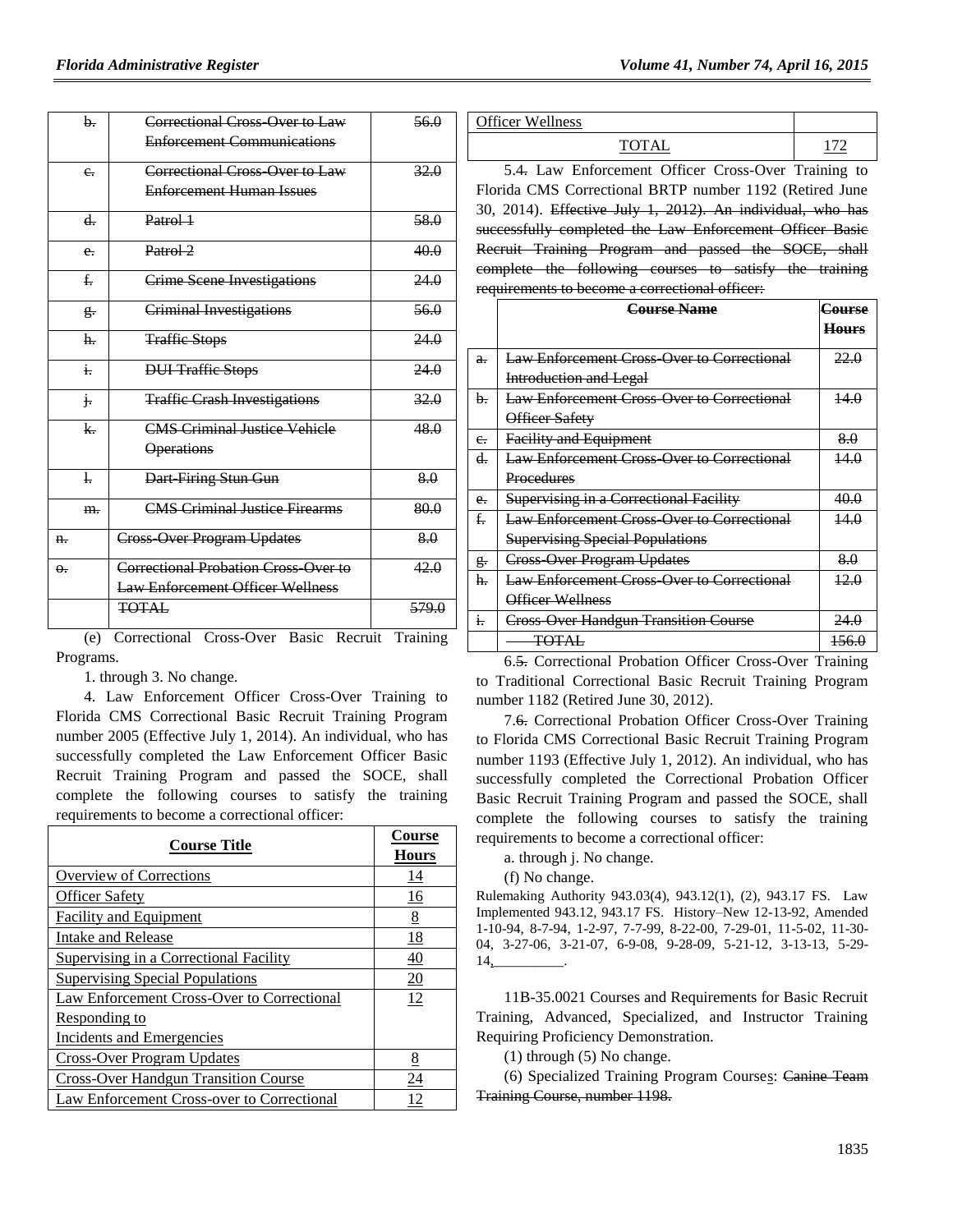|            | b.                 | Correctional Cross Over to Law                                                                                               | 56.0               |
|------------|--------------------|------------------------------------------------------------------------------------------------------------------------------|--------------------|
|            |                    | <b>Enforcement Communications</b>                                                                                            |                    |
|            |                    |                                                                                                                              |                    |
|            | e <sub>r</sub>     | Correctional Cross Over to Law                                                                                               | 32.0               |
|            |                    | <b>Enforcement Human Issues</b>                                                                                              |                    |
|            | $d_{-}$            | Patrol 1                                                                                                                     | 58.0               |
|            | e <sub>r</sub>     | Patrol 2                                                                                                                     | 40.0               |
|            | $f_{\rm r}$        | <b>Crime Scene Investigations</b>                                                                                            | 24.0               |
|            | $g_{\overline{z}}$ | <b>Criminal Investigations</b>                                                                                               | 56.0               |
|            | h.                 | <b>Traffic Stops</b>                                                                                                         | 24.0               |
|            | $\overline{1}$     | <b>DUI</b> Traffic Stops                                                                                                     | 24.0               |
|            | j.                 | <b>Traffie Crash Investigations</b>                                                                                          | 32.0               |
|            | $\mathsf{k}$       | <b>CMS Criminal Justice Vehicle</b>                                                                                          | 48.0               |
|            |                    | <b>Operations</b>                                                                                                            |                    |
|            | $\frac{1}{2}$      | Dart Firing Stun Gun                                                                                                         | 8.0                |
|            | m.                 | <b>CMS Criminal Justice Firearms</b>                                                                                         | 80.0               |
| n.         |                    | <b>Cross Over Program Updates</b>                                                                                            | 8.0                |
| $\theta$ . |                    | Correctional Probation Cross-Over to                                                                                         | 42.0               |
|            |                    | <b>Law Enforcement Officer Wellness</b>                                                                                      |                    |
|            |                    | <b>TOTAL</b>                                                                                                                 | 579.0              |
|            | $\sqrt{2}$         | $\sim$ $\sim$ $\sim$ $\sim$ $\sim$ $\sim$ $\sim$ $\sim$<br>$\mathbf{D}$ . $\mathbf{L}$<br>$\sim$<br>$\mathbf{n}$ .<br>$\sim$ | tu.<br>mass to the |

(e) Correctional Cross-Over Basic Recruit Training Programs.

1. through 3. No change.

4. Law Enforcement Officer Cross-Over Training to Florida CMS Correctional Basic Recruit Training Program number 2005 (Effective July 1, 2014). An individual, who has successfully completed the Law Enforcement Officer Basic Recruit Training Program and passed the SOCE, shall complete the following courses to satisfy the training requirements to become a correctional officer:

| <b>Course Title</b>                         | <b>Course</b><br><b>Hours</b> |
|---------------------------------------------|-------------------------------|
| Overview of Corrections                     | 14                            |
| <b>Officer Safety</b>                       | 16                            |
| <b>Facility and Equipment</b>               | 8                             |
| Intake and Release                          | 18                            |
| Supervising in a Correctional Facility      | <u>40</u>                     |
| <b>Supervising Special Populations</b>      | 20                            |
| Law Enforcement Cross-Over to Correctional  | 12                            |
| <u>Responding to</u>                        |                               |
| Incidents and Emergencies                   |                               |
| <b>Cross-Over Program Updates</b>           | 8                             |
| <b>Cross-Over Handgun Transition Course</b> | 24                            |
| Law Enforcement Cross-over to Correctional  | 12                            |

| $\gamma$ fficer<br>11<br>lness<br>$W_{\mathbf{P}}$ |            |
|----------------------------------------------------|------------|
|                                                    | - -<br>___ |

5.4. Law Enforcement Officer Cross-Over Training to Florida CMS Correctional BRTP number 1192 (Retired June 30, 2014). Effective July 1, 2012). An individual, who has successfully completed the Law Enforcement Officer Basic Recruit Training Program and passed the SOCE, shall complete the following courses to satisfy the training requirements to become a correctional officer:

|              | <b>Course Name</b>                                | Course<br><b>Hours</b> |
|--------------|---------------------------------------------------|------------------------|
|              |                                                   |                        |
| $a$ .        | <b>Law Enforcement Cross Over to Correctional</b> | 22.0                   |
|              | <b>Introduction and Legal</b>                     |                        |
| h.           | <b>Law Enforcement Cross Over to Correctional</b> | 14.0                   |
|              | Officer Safety                                    |                        |
| $e_{\tau}$   | <b>Facility and Equipment</b>                     | 8.0                    |
| d.           | <b>Law Enforcement Cross Over to Correctional</b> | 14.0                   |
|              | Procedures                                        |                        |
| $e_{i}$      | Supervising in a Correctional Facility            | 40.0                   |
| $f_{\rm r}$  | <b>Law Enforcement Cross Over to Correctional</b> | 14.0                   |
|              | <b>Supervising Special Populations</b>            |                        |
| g.           | <b>Cross Over Program Updates</b>                 | 8.0                    |
| h.           | <b>Law Enforcement Cross Over to Correctional</b> | 12.0                   |
|              | Officer Wellness                                  |                        |
| $\mathbf{i}$ | <b>Cross Over Handgun Transition Course</b>       | 24.0                   |
|              | <b>TOTAL</b>                                      | 156.0                  |

6.5. Correctional Probation Officer Cross-Over Training to Traditional Correctional Basic Recruit Training Program number 1182 (Retired June 30, 2012).

7.6. Correctional Probation Officer Cross-Over Training to Florida CMS Correctional Basic Recruit Training Program number 1193 (Effective July 1, 2012). An individual, who has successfully completed the Correctional Probation Officer Basic Recruit Training Program and passed the SOCE, shall complete the following courses to satisfy the training requirements to become a correctional officer:

a. through j. No change.

(f) No change.

Rulemaking Authority 943.03(4), 943.12(1), (2), 943.17 FS. Law Implemented 943.12, 943.17 FS. History–New 12-13-92, Amended 1-10-94, 8-7-94, 1-2-97, 7-7-99, 8-22-00, 7-29-01, 11-5-02, 11-30- 04, 3-27-06, 3-21-07, 6-9-08, 9-28-09, 5-21-12, 3-13-13, 5-29- 14,\_\_\_\_\_\_\_\_\_\_.

11B-35.0021 Courses and Requirements for Basic Recruit Training, Advanced, Specialized, and Instructor Training Requiring Proficiency Demonstration.

(1) through (5) No change.

(6) Specialized Training Program Courses: Canine Team Training Course, number 1198.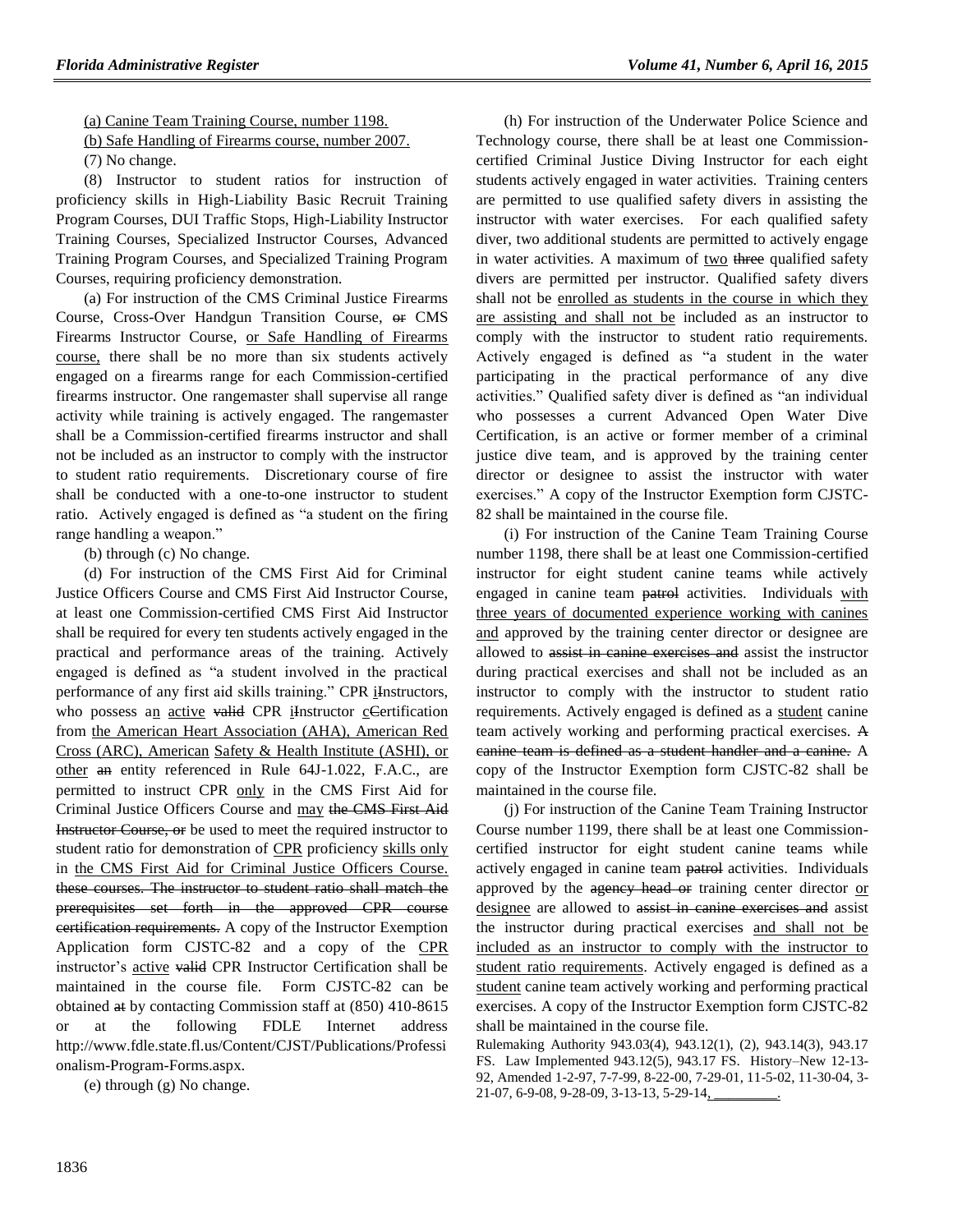(a) Canine Team Training Course, number 1198.

(b) Safe Handling of Firearms course, number 2007.

(7) No change.

(8) Instructor to student ratios for instruction of proficiency skills in High-Liability Basic Recruit Training Program Courses, DUI Traffic Stops, High-Liability Instructor Training Courses, Specialized Instructor Courses, Advanced Training Program Courses, and Specialized Training Program Courses, requiring proficiency demonstration.

(a) For instruction of the CMS Criminal Justice Firearms Course, Cross-Over Handgun Transition Course, or CMS Firearms Instructor Course, or Safe Handling of Firearms course, there shall be no more than six students actively engaged on a firearms range for each Commission-certified firearms instructor. One rangemaster shall supervise all range activity while training is actively engaged. The rangemaster shall be a Commission-certified firearms instructor and shall not be included as an instructor to comply with the instructor to student ratio requirements. Discretionary course of fire shall be conducted with a one-to-one instructor to student ratio. Actively engaged is defined as "a student on the firing range handling a weapon."

(b) through (c) No change.

(d) For instruction of the CMS First Aid for Criminal Justice Officers Course and CMS First Aid Instructor Course, at least one Commission-certified CMS First Aid Instructor shall be required for every ten students actively engaged in the practical and performance areas of the training. Actively engaged is defined as "a student involved in the practical performance of any first aid skills training." CPR iInstructors, who possess an active valid CPR iInstructor cCertification from the American Heart Association (AHA), American Red Cross (ARC), American Safety & Health Institute (ASHI), or other an entity referenced in Rule 64J-1.022, F.A.C., are permitted to instruct CPR only in the CMS First Aid for Criminal Justice Officers Course and may the CMS First Aid Instructor Course, or be used to meet the required instructor to student ratio for demonstration of CPR proficiency skills only in the CMS First Aid for Criminal Justice Officers Course. these courses. The instructor to student ratio shall match the prerequisites set forth in the approved CPR course certification requirements. A copy of the Instructor Exemption Application form CJSTC-82 and a copy of the CPR instructor's active valid CPR Instructor Certification shall be maintained in the course file. Form CJSTC-82 can be obtained at by contacting Commission staff at (850) 410-8615 or at the following FDLE Internet address http://www.fdle.state.fl.us/Content/CJST/Publications/Professi onalism-Program-Forms.aspx.

(e) through (g) No change.

(h) For instruction of the Underwater Police Science and Technology course, there shall be at least one Commissioncertified Criminal Justice Diving Instructor for each eight students actively engaged in water activities. Training centers are permitted to use qualified safety divers in assisting the instructor with water exercises. For each qualified safety diver, two additional students are permitted to actively engage in water activities. A maximum of two three qualified safety divers are permitted per instructor. Qualified safety divers shall not be enrolled as students in the course in which they are assisting and shall not be included as an instructor to comply with the instructor to student ratio requirements. Actively engaged is defined as "a student in the water participating in the practical performance of any dive activities." Qualified safety diver is defined as "an individual who possesses a current Advanced Open Water Dive Certification, is an active or former member of a criminal justice dive team, and is approved by the training center director or designee to assist the instructor with water exercises." A copy of the Instructor Exemption form CJSTC-82 shall be maintained in the course file.

(i) For instruction of the Canine Team Training Course number 1198, there shall be at least one Commission-certified instructor for eight student canine teams while actively engaged in canine team patrol activities. Individuals with three years of documented experience working with canines and approved by the training center director or designee are allowed to assist in canine exercises and assist the instructor during practical exercises and shall not be included as an instructor to comply with the instructor to student ratio requirements. Actively engaged is defined as a student canine team actively working and performing practical exercises. A canine team is defined as a student handler and a canine. A copy of the Instructor Exemption form CJSTC-82 shall be maintained in the course file.

(j) For instruction of the Canine Team Training Instructor Course number 1199, there shall be at least one Commissioncertified instructor for eight student canine teams while actively engaged in canine team patrol activities. Individuals approved by the agency head or training center director or designee are allowed to assist in canine exercises and assist the instructor during practical exercises and shall not be included as an instructor to comply with the instructor to student ratio requirements. Actively engaged is defined as a student canine team actively working and performing practical exercises. A copy of the Instructor Exemption form CJSTC-82 shall be maintained in the course file.

Rulemaking Authority 943.03(4), 943.12(1), (2), 943.14(3), 943.17 FS. Law Implemented 943.12(5), 943.17 FS. History–New 12-13- 92, Amended 1-2-97, 7-7-99, 8-22-00, 7-29-01, 11-5-02, 11-30-04, 3- 21-07, 6-9-08, 9-28-09, 3-13-13, 5-29-14,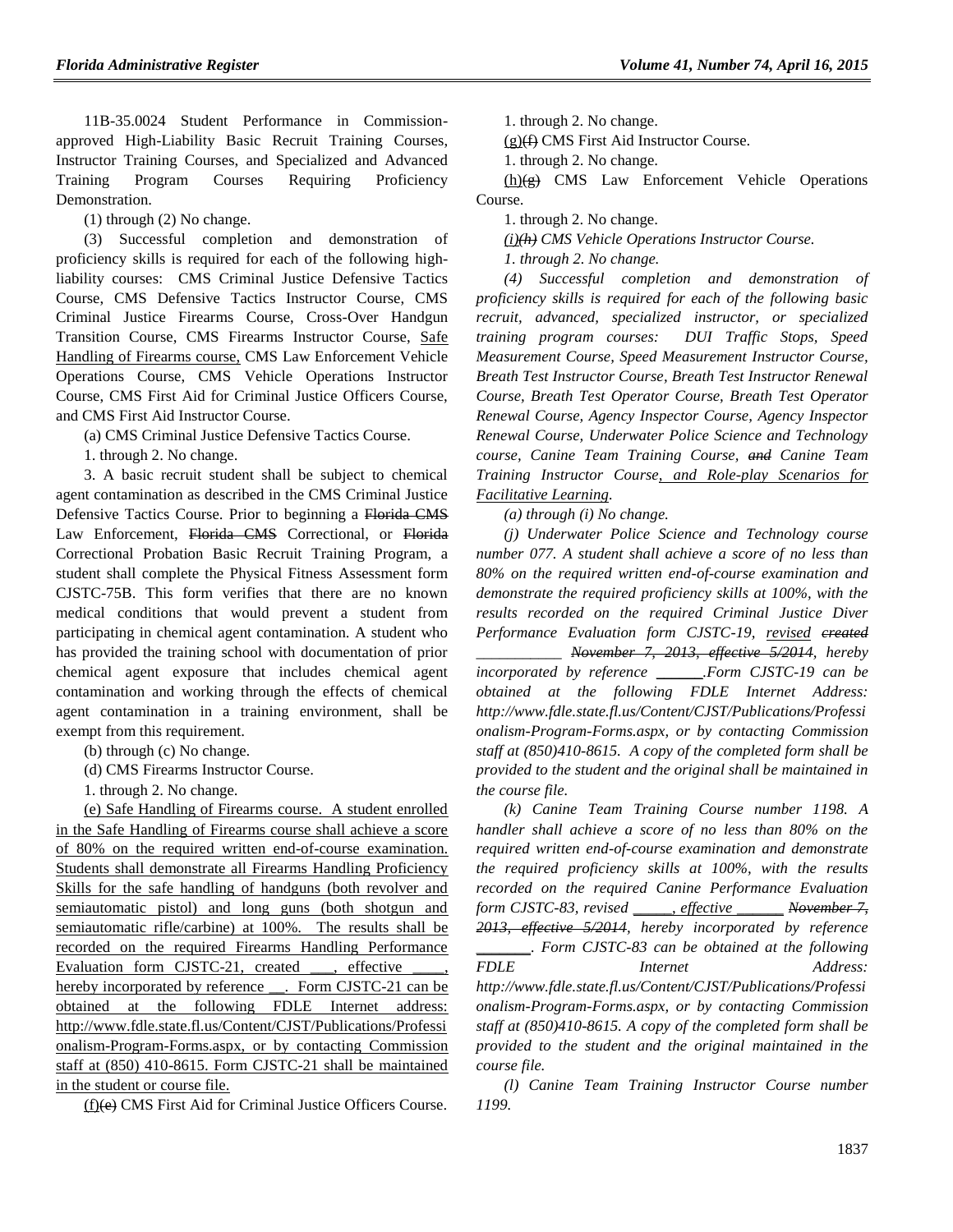11B-35.0024 Student Performance in Commissionapproved High-Liability Basic Recruit Training Courses, Instructor Training Courses, and Specialized and Advanced Training Program Courses Requiring Proficiency Demonstration.

(1) through (2) No change.

(3) Successful completion and demonstration of proficiency skills is required for each of the following highliability courses: CMS Criminal Justice Defensive Tactics Course, CMS Defensive Tactics Instructor Course, CMS Criminal Justice Firearms Course, Cross-Over Handgun Transition Course, CMS Firearms Instructor Course, Safe Handling of Firearms course, CMS Law Enforcement Vehicle Operations Course, CMS Vehicle Operations Instructor Course, CMS First Aid for Criminal Justice Officers Course, and CMS First Aid Instructor Course.

(a) CMS Criminal Justice Defensive Tactics Course.

1. through 2. No change.

3. A basic recruit student shall be subject to chemical agent contamination as described in the CMS Criminal Justice Defensive Tactics Course. Prior to beginning a Florida CMS Law Enforcement, Florida CMS Correctional, or Florida Correctional Probation Basic Recruit Training Program, a student shall complete the Physical Fitness Assessment form CJSTC-75B. This form verifies that there are no known medical conditions that would prevent a student from participating in chemical agent contamination. A student who has provided the training school with documentation of prior chemical agent exposure that includes chemical agent contamination and working through the effects of chemical agent contamination in a training environment, shall be exempt from this requirement.

(b) through (c) No change.

(d) CMS Firearms Instructor Course.

1. through 2. No change.

(e) Safe Handling of Firearms course. A student enrolled in the Safe Handling of Firearms course shall achieve a score of 80% on the required written end-of-course examination. Students shall demonstrate all Firearms Handling Proficiency Skills for the safe handling of handguns (both revolver and semiautomatic pistol) and long guns (both shotgun and semiautomatic rifle/carbine) at 100%. The results shall be recorded on the required Firearms Handling Performance Evaluation form CJSTC-21, created , effective hereby incorporated by reference \_\_\_. Form CJSTC-21 can be obtained at the following FDLE Internet address: http://www.fdle.state.fl.us/Content/CJST/Publications/Professi onalism-Program-Forms.aspx, or by contacting Commission staff at (850) 410-8615. Form CJSTC-21 shall be maintained in the student or course file.

(f)(e) CMS First Aid for Criminal Justice Officers Course.

1. through 2. No change.

 $(g)$ (f) CMS First Aid Instructor Course.

1. through 2. No change.

 $(h)(g)$  CMS Law Enforcement Vehicle Operations Course.

1. through 2. No change.

*(i)(h) CMS Vehicle Operations Instructor Course.*

*1. through 2. No change.*

*(4) Successful completion and demonstration of proficiency skills is required for each of the following basic recruit, advanced, specialized instructor, or specialized training program courses: DUI Traffic Stops, Speed Measurement Course, Speed Measurement Instructor Course, Breath Test Instructor Course, Breath Test Instructor Renewal Course, Breath Test Operator Course, Breath Test Operator Renewal Course, Agency Inspector Course, Agency Inspector Renewal Course, Underwater Police Science and Technology course, Canine Team Training Course, and Canine Team Training Instructor Course, and Role-play Scenarios for Facilitative Learning.*

*(a) through (i) No change.*

*(j) Underwater Police Science and Technology course number 077. A student shall achieve a score of no less than 80% on the required written end-of-course examination and demonstrate the required proficiency skills at 100%, with the results recorded on the required Criminal Justice Diver Performance Evaluation form CJSTC-19, revised created \_\_\_\_\_\_\_\_\_\_\_ November 7, 2013, effective 5/2014, hereby incorporated by reference* \_\_\_\_\_\_*.Form CJSTC-19 can be obtained at the following FDLE Internet Address: http://www.fdle.state.fl.us/Content/CJST/Publications/Professi onalism-Program-Forms.aspx, or by contacting Commission staff at (850)410-8615. A copy of the completed form shall be provided to the student and the original shall be maintained in the course file.*

*(k) Canine Team Training Course number 1198. A handler shall achieve a score of no less than 80% on the required written end-of-course examination and demonstrate the required proficiency skills at 100%, with the results recorded on the required Canine Performance Evaluation form CJSTC-83, revised* \_\_\_\_\_*, effective* \_\_\_\_\_\_ *November 7, 2013, effective 5/2014, hereby incorporated by reference* \_\_\_\_\_\_\_*. Form CJSTC-83 can be obtained at the following FDLE Internet Address: http://www.fdle.state.fl.us/Content/CJST/Publications/Professi onalism-Program-Forms.aspx, or by contacting Commission staff at (850)410-8615. A copy of the completed form shall be provided to the student and the original maintained in the course file.*

*(l) Canine Team Training Instructor Course number 1199.*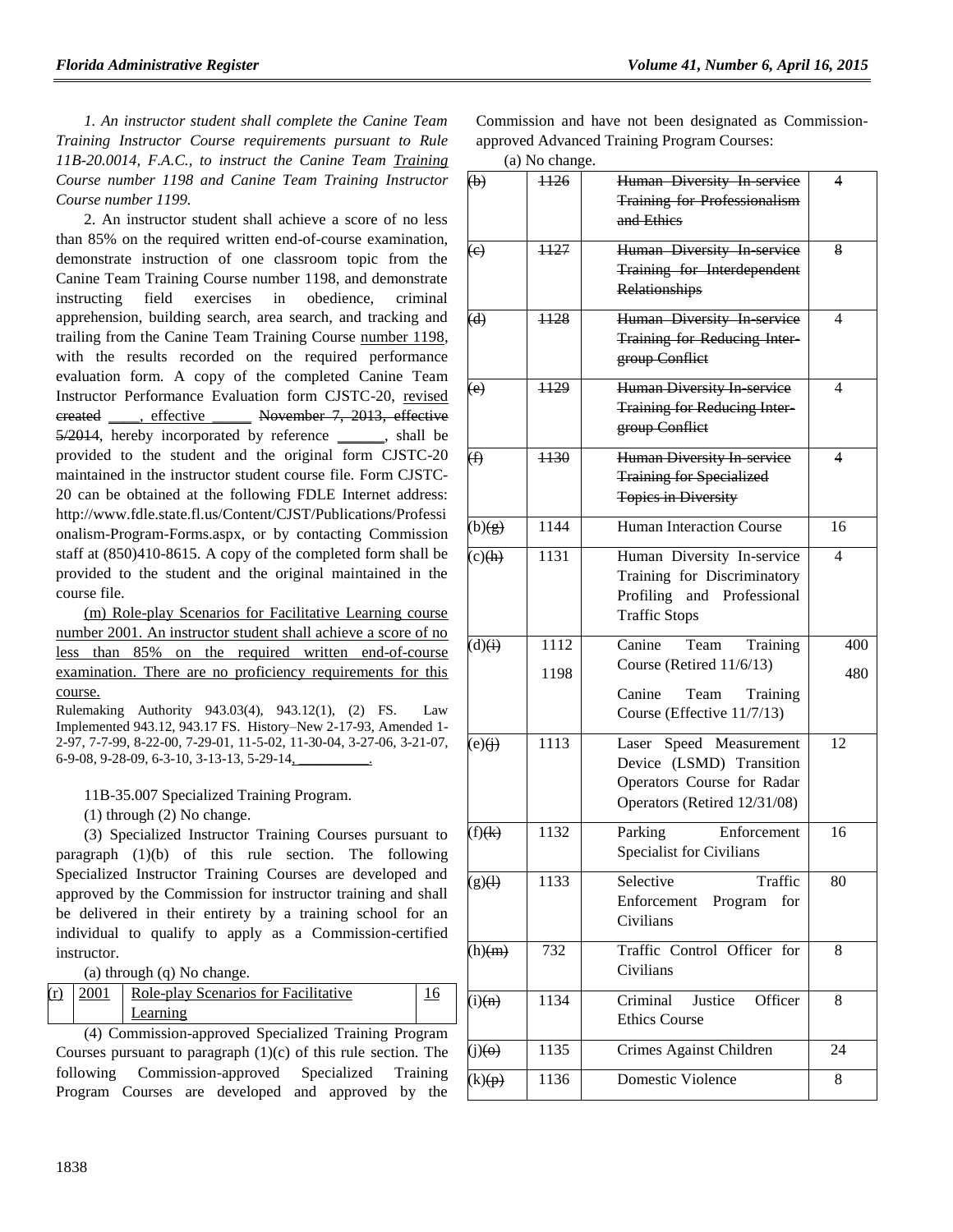*1. An instructor student shall complete the Canine Team Training Instructor Course requirements pursuant to Rule 11B-20.0014, F.A.C., to instruct the Canine Team Training Course number 1198 and Canine Team Training Instructor Course number 1199.*

2. An instructor student shall achieve a score of no less than 85% on the required written end-of-course examination, demonstrate instruction of one classroom topic from the Canine Team Training Course number 1198, and demonstrate instructing field exercises in obedience, criminal apprehension, building search, area search, and tracking and trailing from the Canine Team Training Course number 1198, with the results recorded on the required performance evaluation form. A copy of the completed Canine Team Instructor Performance Evaluation form CJSTC-20, revised created \_\_\_\_, effective \_\_\_\_\_ November 7, 2013, effective 5/2014, hereby incorporated by reference \_\_\_\_\_\_, shall be provided to the student and the original form CJSTC-20 maintained in the instructor student course file. Form CJSTC-20 can be obtained at the following FDLE Internet address: http://www.fdle.state.fl.us/Content/CJST/Publications/Professi onalism-Program-Forms.aspx, or by contacting Commission staff at (850)410-8615. A copy of the completed form shall be provided to the student and the original maintained in the course file.

(m) Role-play Scenarios for Facilitative Learning course number 2001. An instructor student shall achieve a score of no less than 85% on the required written end-of-course examination. There are no proficiency requirements for this course.

Rulemaking Authority 943.03(4), 943.12(1), (2) FS. Law Implemented 943.12, 943.17 FS. History–New 2-17-93, Amended 1- 2-97, 7-7-99, 8-22-00, 7-29-01, 11-5-02, 11-30-04, 3-27-06, 3-21-07, 6-9-08, 9-28-09, 6-3-10, 3-13-13, 5-29-14,

11B-35.007 Specialized Training Program.

(1) through (2) No change.

(3) Specialized Instructor Training Courses pursuant to paragraph (1)(b) of this rule section. The following Specialized Instructor Training Courses are developed and approved by the Commission for instructor training and shall be delivered in their entirety by a training school for an individual to qualify to apply as a Commission-certified instructor.

(a) through (q) No change.

| (r) | 2001 | Role-play Scenarios for Facilitative |  |
|-----|------|--------------------------------------|--|
|     |      | Learning                             |  |

(4) Commission-approved Specialized Training Program Courses pursuant to paragraph (1)(c) of this rule section. The following Commission-approved Specialized Training Program Courses are developed and approved by the

Commission and have not been designated as Commissionapproved Advanced Training Program Courses:

|  | (a) No change. |
|--|----------------|
|--|----------------|

| $\left(\mathbf{b}\right)$ | $-1126$      | Human Diversity In service<br><b>Training for Professionalism</b><br>and Ethics                                    | 4          |
|---------------------------|--------------|--------------------------------------------------------------------------------------------------------------------|------------|
| (e)                       | 1127         | Human Diversity In service<br>Training for Interdependent<br>Relationships                                         | 8          |
| (d)                       | ++28         | Human Diversity In-service<br>Training for Reducing Inter-<br>group Conflict                                       | 4          |
| (e)                       | 1129         | <b>Human Diversity In service</b><br><b>Training for Reducing Inter-</b><br>group Conflict                         | 4          |
| $\circledf$               | 4430         | Human Diversity In service<br><b>Training for Specialized</b><br><b>Topics in Diversity</b>                        | 4          |
| (b)(g)                    | 1144         | <b>Human Interaction Course</b>                                                                                    | 16         |
| $(c)$ (h)                 | 1131         | Human Diversity In-service<br>Training for Discriminatory<br>Profiling<br>and Professional<br><b>Traffic Stops</b> | 4          |
| (d)(i)                    | 1112<br>1198 | Canine<br>Team<br>Training<br>Course (Retired 11/6/13)<br>Canine<br>Team<br>Training<br>Course (Effective 11/7/13) | 400<br>480 |
| (e)(i)                    | 1113         | Laser Speed Measurement<br>Device (LSMD) Transition<br>Operators Course for Radar<br>Operators (Retired 12/31/08)  | 12         |
| (f)(k)                    | 1132         | Enforcement<br>Parking<br>Specialist for Civilians                                                                 | 16         |
| $(g)(\n)$                 | 1133         | Selective<br>Traffic<br>Enforcement Program<br>for<br>Civilians                                                    | 80         |
| $(h)$ (m)                 | 732          | Traffic Control Officer for<br>Civilians                                                                           | 8          |
| (i)(n)                    | 1134         | Criminal<br>Justice<br>Officer<br><b>Ethics Course</b>                                                             | 8          |
| $(j)(\Theta)$             | 1135         | Crimes Against Children                                                                                            | 24         |
| (k)(p)                    | 1136         | <b>Domestic Violence</b>                                                                                           | 8          |
|                           |              |                                                                                                                    |            |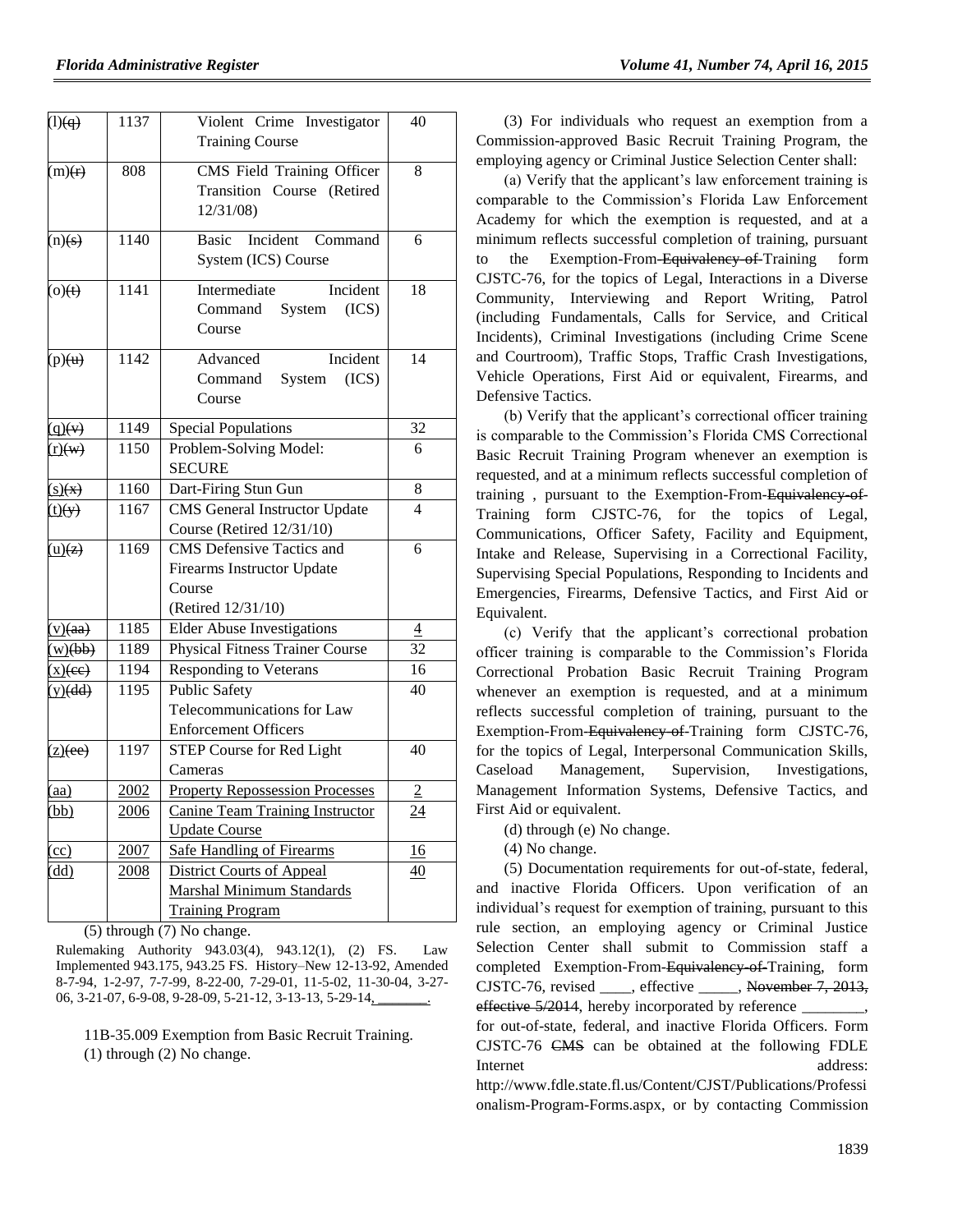| (1)(q)                        | 1137             | Violent Crime Investigator<br><b>Training Course</b>                                            | 40                       |
|-------------------------------|------------------|-------------------------------------------------------------------------------------------------|--------------------------|
| (m)(r)                        | 808              | CMS Field Training Officer<br>Transition Course (Retired<br>12/31/08)                           | 8                        |
| (n)(s)                        | 1140             | Incident Command<br>Basic<br>System (ICS) Course                                                | 6                        |
| $\Theta$ (o)                  | 1141             | Incident<br>Intermediate<br>Command System<br>(ICS)<br>Course                                   | 18                       |
| (p)(u)                        | 1142             | Incident<br>Advanced<br>System<br>(ICS)<br>Command<br>Course                                    | 14                       |
| $\mathbf{q}(\mathbf{v})$      | 1149             | <b>Special Populations</b>                                                                      | $\overline{32}$          |
| $r)$ (w)                      | 1150             | Problem-Solving Model:<br><b>SECURE</b>                                                         | 6                        |
| $\mathbf{s}(\mathbf{x})$      | $\frac{1}{1160}$ | Dart-Firing Stun Gun                                                                            | 8                        |
| $\overline{t}$ $\overline{y}$ | 1167             | <b>CMS</b> General Instructor Update<br>Course (Retired 12/31/10)                               | $\overline{\mathcal{A}}$ |
| (u)(z)                        | 1169             | <b>CMS</b> Defensive Tactics and<br>Firearms Instructor Update<br>Course<br>(Retired 12/31/10)  | 6                        |
| (y)(aa)                       | 1185             | <b>Elder Abuse Investigations</b>                                                               | $\overline{4}$           |
| w)(bb)                        | 1189             | <b>Physical Fitness Trainer Course</b>                                                          | 32                       |
| $\underline{x}$ )(ee)         | 1194             | Responding to Veterans                                                                          | 16                       |
| (y)(dd)                       | 1195             | <b>Public Safety</b><br>Telecommunications for Law<br><b>Enforcement Officers</b>               | 40                       |
| $\overline{(z)(ee)}$          | 1197             | STEP Course for Red Light<br>Cameras                                                            | 40                       |
| (aa)                          | 2002             | <b>Property Repossession Processes</b>                                                          | $\sqrt{2}$               |
| (bb)                          | 2006             | <b>Canine Team Training Instructor</b><br><b>Update Course</b>                                  | 24                       |
| $\overline{c}$                | 2007             | <b>Safe Handling of Firearms</b>                                                                | 16                       |
| (dd)                          | 2008             | <b>District Courts of Appeal</b><br><b>Marshal Minimum Standards</b><br><b>Training Program</b> | 40                       |

(5) through (7) No change.

Rulemaking Authority 943.03(4), 943.12(1), (2) FS. Law Implemented 943.175, 943.25 FS. History–New 12-13-92, Amended 8-7-94, 1-2-97, 7-7-99, 8-22-00, 7-29-01, 11-5-02, 11-30-04, 3-27- 06, 3-21-07, 6-9-08, 9-28-09, 5-21-12, 3-13-13, 5-29-14,

11B-35.009 Exemption from Basic Recruit Training. (1) through (2) No change.

(3) For individuals who request an exemption from a Commission-approved Basic Recruit Training Program, the employing agency or Criminal Justice Selection Center shall:

(a) Verify that the applicant's law enforcement training is comparable to the Commission's Florida Law Enforcement Academy for which the exemption is requested, and at a minimum reflects successful completion of training, pursuant to the Exemption-From-Equivalency-of-Training form CJSTC-76, for the topics of Legal, Interactions in a Diverse Community, Interviewing and Report Writing, Patrol (including Fundamentals, Calls for Service, and Critical Incidents), Criminal Investigations (including Crime Scene and Courtroom), Traffic Stops, Traffic Crash Investigations, Vehicle Operations, First Aid or equivalent, Firearms, and Defensive Tactics.

(b) Verify that the applicant's correctional officer training is comparable to the Commission's Florida CMS Correctional Basic Recruit Training Program whenever an exemption is requested, and at a minimum reflects successful completion of training, pursuant to the Exemption-From-Equivalency of-Training form CJSTC-76, for the topics of Legal, Communications, Officer Safety, Facility and Equipment, Intake and Release, Supervising in a Correctional Facility, Supervising Special Populations, Responding to Incidents and Emergencies, Firearms, Defensive Tactics, and First Aid or Equivalent.

(c) Verify that the applicant's correctional probation officer training is comparable to the Commission's Florida Correctional Probation Basic Recruit Training Program whenever an exemption is requested, and at a minimum reflects successful completion of training, pursuant to the Exemption-From-Equivalency of-Training form CJSTC-76, for the topics of Legal, Interpersonal Communication Skills, Caseload Management, Supervision, Investigations, Management Information Systems, Defensive Tactics, and First Aid or equivalent.

(d) through (e) No change.

(4) No change.

(5) Documentation requirements for out-of-state, federal, and inactive Florida Officers. Upon verification of an individual's request for exemption of training, pursuant to this rule section, an employing agency or Criminal Justice Selection Center shall submit to Commission staff a completed Exemption-From-Equivalency of-Training, form CJSTC-76, revised \_\_\_\_, effective \_\_\_\_\_, November 7, 2013, effective 5/2014, hereby incorporated by reference for out-of-state, federal, and inactive Florida Officers. Form CJSTC-76 CMS can be obtained at the following FDLE Internet address: http://www.fdle.state.fl.us/Content/CJST/Publications/Professi onalism-Program-Forms.aspx, or by contacting Commission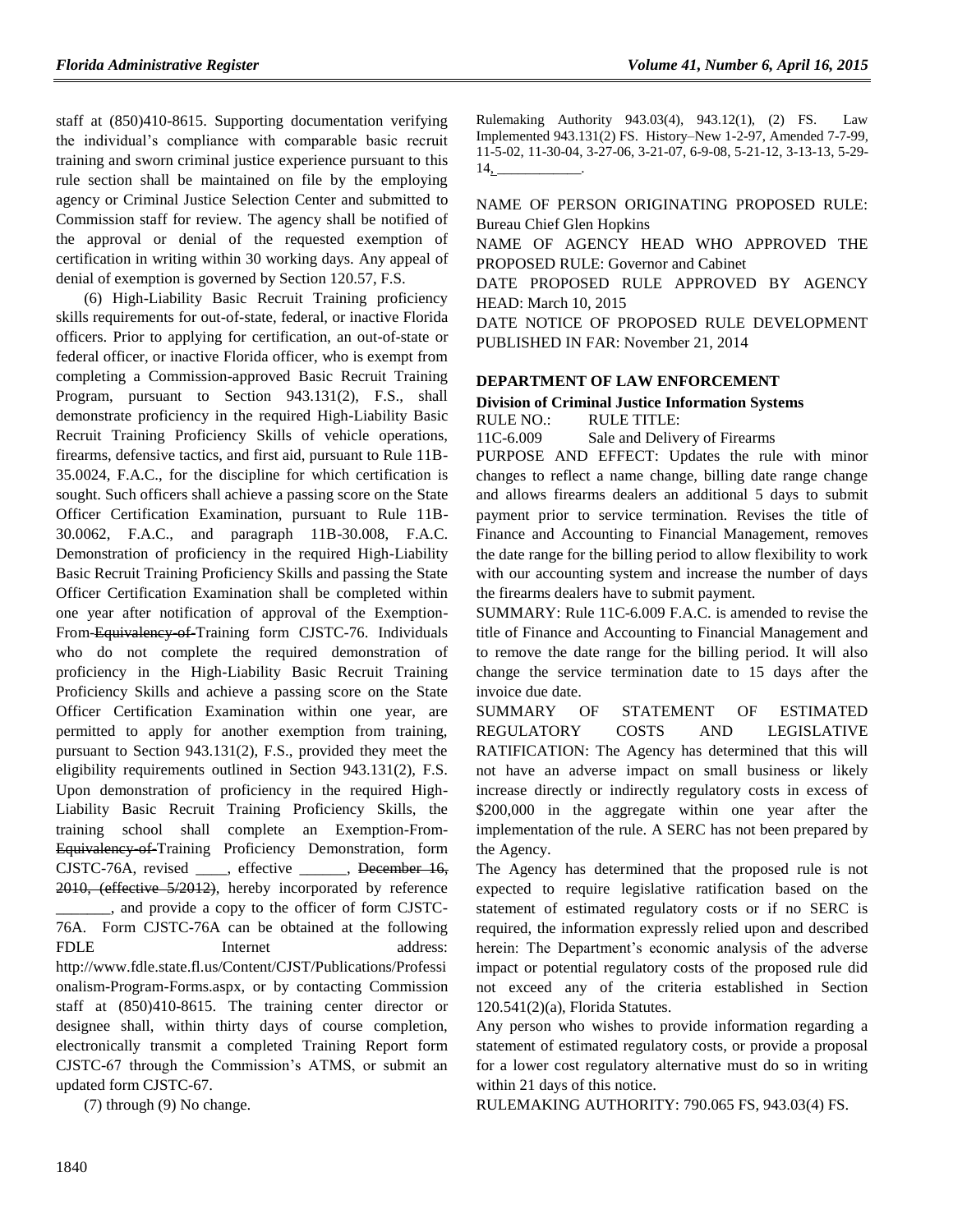staff at (850)410-8615. Supporting documentation verifying the individual's compliance with comparable basic recruit training and sworn criminal justice experience pursuant to this rule section shall be maintained on file by the employing agency or Criminal Justice Selection Center and submitted to Commission staff for review. The agency shall be notified of the approval or denial of the requested exemption of certification in writing within 30 working days. Any appeal of denial of exemption is governed by Section 120.57, F.S.

(6) High-Liability Basic Recruit Training proficiency skills requirements for out-of-state, federal, or inactive Florida officers. Prior to applying for certification, an out-of-state or federal officer, or inactive Florida officer, who is exempt from completing a Commission-approved Basic Recruit Training Program, pursuant to Section 943.131(2), F.S., shall demonstrate proficiency in the required High-Liability Basic Recruit Training Proficiency Skills of vehicle operations, firearms, defensive tactics, and first aid, pursuant to Rule 11B-35.0024, F.A.C., for the discipline for which certification is sought. Such officers shall achieve a passing score on the State Officer Certification Examination, pursuant to Rule 11B-30.0062, F.A.C., and paragraph 11B-30.008, F.A.C. Demonstration of proficiency in the required High-Liability Basic Recruit Training Proficiency Skills and passing the State Officer Certification Examination shall be completed within one year after notification of approval of the Exemption-From-Equivalency-of-Training form CJSTC-76. Individuals who do not complete the required demonstration of proficiency in the High-Liability Basic Recruit Training Proficiency Skills and achieve a passing score on the State Officer Certification Examination within one year, are permitted to apply for another exemption from training, pursuant to Section 943.131(2), F.S., provided they meet the eligibility requirements outlined in Section 943.131(2), F.S. Upon demonstration of proficiency in the required High-Liability Basic Recruit Training Proficiency Skills, the training school shall complete an Exemption-From-Equivalency-of-Training Proficiency Demonstration, form CJSTC-76A, revised , effective , December 16, 2010, (effective 5/2012), hereby incorporated by reference \_\_\_\_\_\_\_, and provide a copy to the officer of form CJSTC-76A. Form CJSTC-76A can be obtained at the following FDLE Internet address: http://www.fdle.state.fl.us/Content/CJST/Publications/Professi onalism-Program-Forms.aspx, or by contacting Commission staff at (850)410-8615. The training center director or designee shall, within thirty days of course completion, electronically transmit a completed Training Report form CJSTC-67 through the Commission's ATMS, or submit an updated form CJSTC-67.

(7) through (9) No change.

Rulemaking Authority 943.03(4), 943.12(1), (2) FS. Law Implemented 943.131(2) FS. History–New 1-2-97, Amended 7-7-99, 11-5-02, 11-30-04, 3-27-06, 3-21-07, 6-9-08, 5-21-12, 3-13-13, 5-29-  $14$ 

NAME OF PERSON ORIGINATING PROPOSED RULE: Bureau Chief Glen Hopkins

NAME OF AGENCY HEAD WHO APPROVED THE PROPOSED RULE: Governor and Cabinet

DATE PROPOSED RULE APPROVED BY AGENCY HEAD: March 10, 2015

DATE NOTICE OF PROPOSED RULE DEVELOPMENT PUBLISHED IN FAR: November 21, 2014

### **[DEPARTMENT OF LAW ENFORCEMENT](https://www.flrules.org/gateway/department.asp?id=11)**

#### **[Division of Criminal Justice Information Systems](https://www.flrules.org/gateway/organization.asp?id=21)** RULE NO.: RULE TITLE:

[11C-6.009](https://www.flrules.org/gateway/ruleNo.asp?id=11C-6.009) Sale and Delivery of Firearms

PURPOSE AND EFFECT: Updates the rule with minor changes to reflect a name change, billing date range change and allows firearms dealers an additional 5 days to submit payment prior to service termination. Revises the title of Finance and Accounting to Financial Management, removes the date range for the billing period to allow flexibility to work with our accounting system and increase the number of days the firearms dealers have to submit payment.

SUMMARY: Rule 11C-6.009 F.A.C. is amended to revise the title of Finance and Accounting to Financial Management and to remove the date range for the billing period. It will also change the service termination date to 15 days after the invoice due date.

SUMMARY OF STATEMENT OF ESTIMATED REGULATORY COSTS AND LEGISLATIVE RATIFICATION: The Agency has determined that this will not have an adverse impact on small business or likely increase directly or indirectly regulatory costs in excess of \$200,000 in the aggregate within one year after the implementation of the rule. A SERC has not been prepared by the Agency.

The Agency has determined that the proposed rule is not expected to require legislative ratification based on the statement of estimated regulatory costs or if no SERC is required, the information expressly relied upon and described herein: The Department's economic analysis of the adverse impact or potential regulatory costs of the proposed rule did not exceed any of the criteria established in Section 120.541(2)(a), Florida Statutes.

Any person who wishes to provide information regarding a statement of estimated regulatory costs, or provide a proposal for a lower cost regulatory alternative must do so in writing within 21 days of this notice.

RULEMAKING AUTHORITY: [790.065 FS, 943.03\(4\) FS.](https://www.flrules.org/gateway/cfr.asp?id=790.065%20FS,%20943.03(4)%20FS)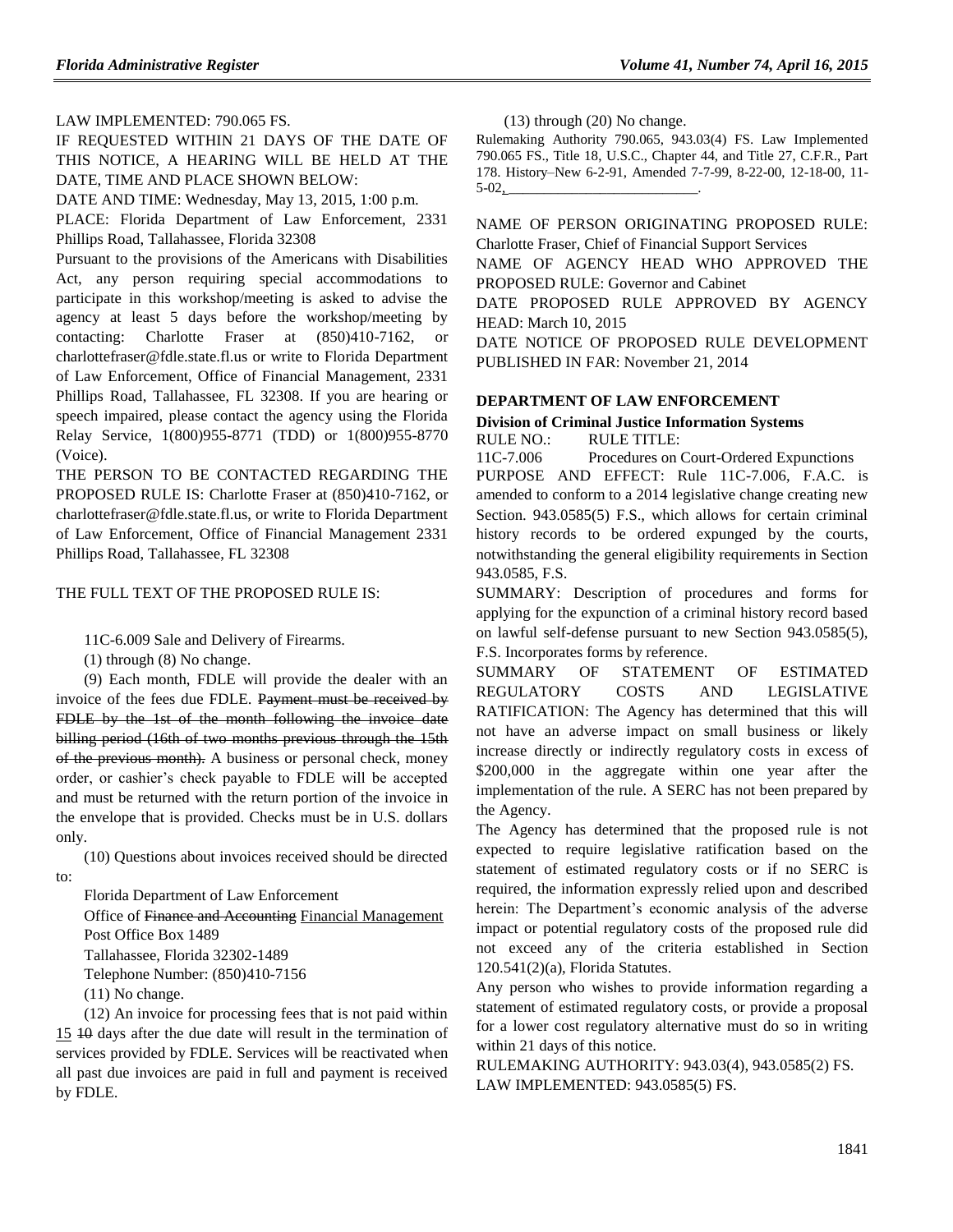### LAW IMPLEMENTED: [790.065 FS.](https://www.flrules.org/gateway/cfr.asp?id=790.065%20FS)

IF REQUESTED WITHIN 21 DAYS OF THE DATE OF THIS NOTICE, A HEARING WILL BE HELD AT THE DATE, TIME AND PLACE SHOWN BELOW:

DATE AND TIME: Wednesday, May 13, 2015, 1:00 p.m.

PLACE: Florida Department of Law Enforcement, 2331 Phillips Road, Tallahassee, Florida 32308

Pursuant to the provisions of the Americans with Disabilities Act, any person requiring special accommodations to participate in this workshop/meeting is asked to advise the agency at least 5 days before the workshop/meeting by contacting: Charlotte Fraser at (850)410-7162, or charlottefraser@fdle.state.fl.us or write to Florida Department of Law Enforcement, Office of Financial Management, 2331 Phillips Road, Tallahassee, FL 32308. If you are hearing or speech impaired, please contact the agency using the Florida Relay Service, 1(800)955-8771 (TDD) or 1(800)955-8770 (Voice).

THE PERSON TO BE CONTACTED REGARDING THE PROPOSED RULE IS: Charlotte Fraser at (850)410-7162, or charlottefraser@fdle.state.fl.us, or write to Florida Department of Law Enforcement, Office of Financial Management 2331 Phillips Road, Tallahassee, FL 32308

THE FULL TEXT OF THE PROPOSED RULE IS:

11C-6.009 Sale and Delivery of Firearms.

(1) through (8) No change.

(9) Each month, FDLE will provide the dealer with an invoice of the fees due FDLE. Payment must be received by FDLE by the 1st of the month following the invoice date billing period (16th of two months previous through the 15th of the previous month). A business or personal check, money order, or cashier's check payable to FDLE will be accepted and must be returned with the return portion of the invoice in the envelope that is provided. Checks must be in U.S. dollars only.

(10) Questions about invoices received should be directed to:

Florida Department of Law Enforcement

Office of Finance and Accounting Financial Management Post Office Box 1489

Tallahassee, Florida 32302-1489

Telephone Number: (850)410-7156

(11) No change.

(12) An invoice for processing fees that is not paid within 15 10 days after the due date will result in the termination of services provided by FDLE. Services will be reactivated when all past due invoices are paid in full and payment is received by FDLE.

(13) through (20) No change.

Rulemaking Authority 790.065, 943.03(4) FS. Law Implemented 790.065 FS., Title 18, U.S.C., Chapter 44, and Title 27, C.F.R., Part 178. History–New 6-2-91, Amended 7-7-99, 8-22-00, 12-18-00, 11-  $5-02,$ 

NAME OF PERSON ORIGINATING PROPOSED RULE: Charlotte Fraser, Chief of Financial Support Services

NAME OF AGENCY HEAD WHO APPROVED THE PROPOSED RULE: Governor and Cabinet

DATE PROPOSED RULE APPROVED BY AGENCY HEAD: March 10, 2015

DATE NOTICE OF PROPOSED RULE DEVELOPMENT PUBLISHED IN FAR: November 21, 2014

### **[DEPARTMENT OF LAW ENFORCEMENT](https://www.flrules.org/gateway/department.asp?id=11)**

#### **[Division of Criminal Justice Information Systems](https://www.flrules.org/gateway/organization.asp?id=21)** RULE NO.: RULE TITLE:

[11C-7.006](https://www.flrules.org/gateway/ruleNo.asp?id=11C-7.006) Procedures on Court-Ordered Expunctions PURPOSE AND EFFECT: Rule 11C-7.006, F.A.C. is amended to conform to a 2014 legislative change creating new Section. 943.0585(5) F.S., which allows for certain criminal history records to be ordered expunged by the courts, notwithstanding the general eligibility requirements in Section 943.0585, F.S.

SUMMARY: Description of procedures and forms for applying for the expunction of a criminal history record based on lawful self-defense pursuant to new Section 943.0585(5), F.S. Incorporates forms by reference.

SUMMARY OF STATEMENT OF ESTIMATED REGULATORY COSTS AND LEGISLATIVE RATIFICATION: The Agency has determined that this will not have an adverse impact on small business or likely increase directly or indirectly regulatory costs in excess of \$200,000 in the aggregate within one year after the implementation of the rule. A SERC has not been prepared by the Agency.

The Agency has determined that the proposed rule is not expected to require legislative ratification based on the statement of estimated regulatory costs or if no SERC is required, the information expressly relied upon and described herein: The Department's economic analysis of the adverse impact or potential regulatory costs of the proposed rule did not exceed any of the criteria established in Section 120.541(2)(a), Florida Statutes.

Any person who wishes to provide information regarding a statement of estimated regulatory costs, or provide a proposal for a lower cost regulatory alternative must do so in writing within 21 days of this notice.

RULEMAKING AUTHORITY: [943.03\(4\),](https://www.flrules.org/gateway/statute.asp?id=943.03(4)) [943.0585\(2\) FS.](https://www.flrules.org/gateway/statute.asp?id=%20943.0585(2)%20FS.) LAW IMPLEMENTED: [943.0585\(5\) FS.](https://www.flrules.org/gateway/statute.asp?id=943.0585(5)%20FS.)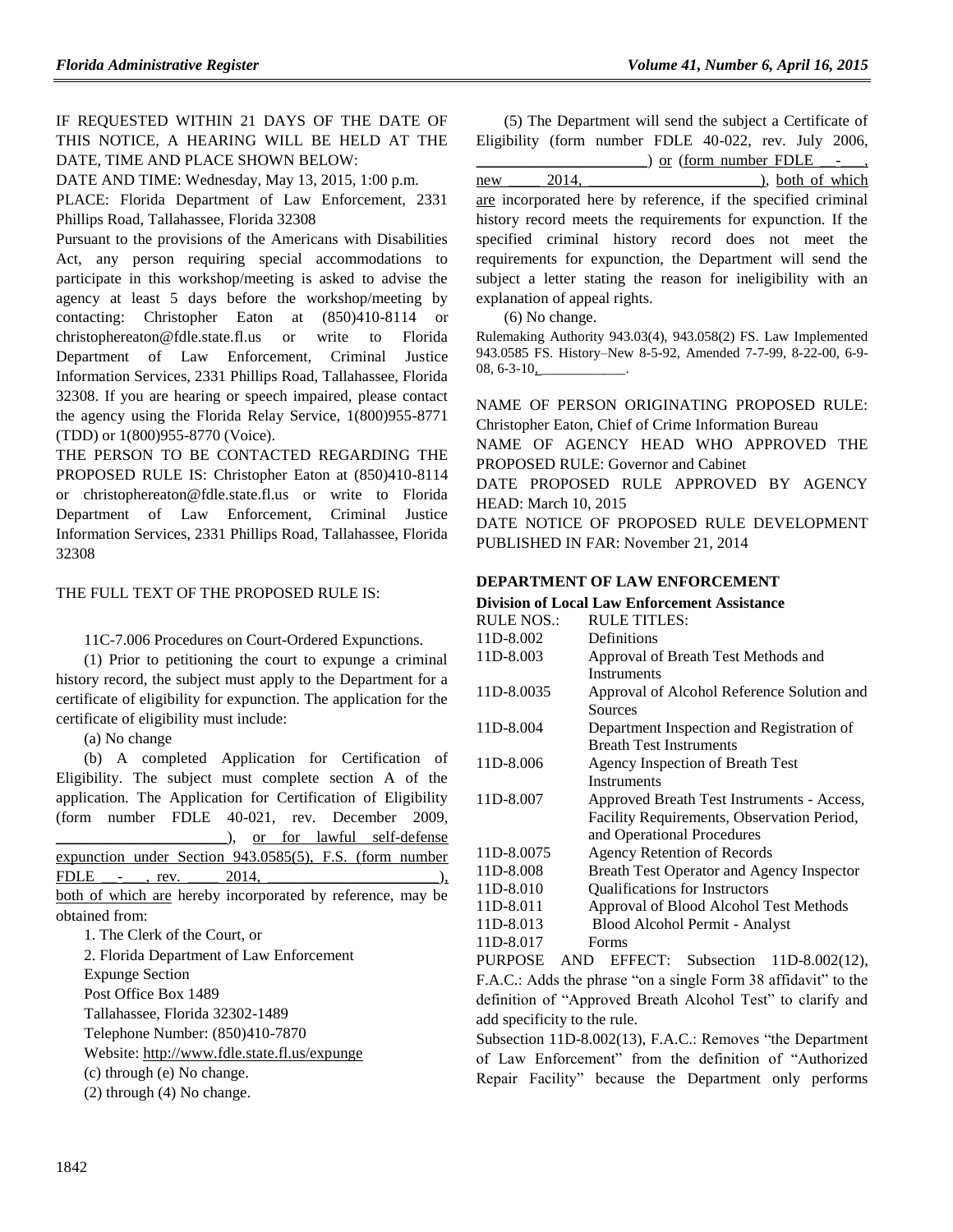IF REQUESTED WITHIN 21 DAYS OF THE DATE OF THIS NOTICE, A HEARING WILL BE HELD AT THE DATE, TIME AND PLACE SHOWN BELOW:

DATE AND TIME: Wednesday, May 13, 2015, 1:00 p.m.

PLACE: Florida Department of Law Enforcement, 2331 Phillips Road, Tallahassee, Florida 32308

Pursuant to the provisions of the Americans with Disabilities Act, any person requiring special accommodations to participate in this workshop/meeting is asked to advise the agency at least 5 days before the workshop/meeting by contacting: Christopher Eaton at (850)410-8114 or christophereaton@fdle.state.fl.us or write to Florida Department of Law Enforcement, Criminal Justice Information Services, 2331 Phillips Road, Tallahassee, Florida 32308. If you are hearing or speech impaired, please contact the agency using the Florida Relay Service, 1(800)955-8771 (TDD) or 1(800)955-8770 (Voice).

THE PERSON TO BE CONTACTED REGARDING THE PROPOSED RULE IS: Christopher Eaton at (850)410-8114 or christophereaton@fdle.state.fl.us or write to Florida Department of Law Enforcement, Criminal Justice Information Services, 2331 Phillips Road, Tallahassee, Florida 32308

THE FULL TEXT OF THE PROPOSED RULE IS:

11C-7.006 Procedures on Court-Ordered Expunctions.

(1) Prior to petitioning the court to expunge a criminal history record, the subject must apply to the Department for a certificate of eligibility for expunction. The application for the certificate of eligibility must include:

(a) No change

(b) A completed Application for Certification of Eligibility. The subject must complete section A of the application. The Application for Certification of Eligibility (form number FDLE 40-021, rev. December 2009, \_\_\_\_\_\_\_\_\_\_\_\_\_\_\_\_\_\_\_\_\_\_), or for lawful self-defense

| expunction under Section $943.0585(5)$ , F.S. (form number |  |  |  |
|------------------------------------------------------------|--|--|--|
| FDLE $-$ rev. 2014.                                        |  |  |  |
|                                                            |  |  |  |

both of which are hereby incorporated by reference, may be obtained from:

1. The Clerk of the Court, or 2. Florida Department of Law Enforcement Expunge Section Post Office Box 1489 Tallahassee, Florida 32302-1489 Telephone Number: (850)410-7870 Website:<http://www.fdle.state.fl.us/expunge> (c) through (e) No change. (2) through (4) No change.

(5) The Department will send the subject a Certificate of Eligibility (form number FDLE 40-022, rev. July 2006,

|                                                               | $\Box$ ) or (form number FDLE - |                         |
|---------------------------------------------------------------|---------------------------------|-------------------------|
| 2014.<br>new                                                  |                                 | $\Box$ ), both of which |
| are incorporated here by reference, if the specified criminal |                                 |                         |
| history record meets the requirements for expunction. If the  |                                 |                         |
| specified criminal history record does not meet the           |                                 |                         |
| requirements for expunction, the Department will send the     |                                 |                         |
| subject a letter stating the reason for ineligibility with an |                                 |                         |
| explanation of appeal rights.                                 |                                 |                         |

(6) No change.

Rulemaking Authority 943.03(4), 943.058(2) FS. Law Implemented 943.0585 FS. History–New 8-5-92, Amended 7-7-99, 8-22-00, 6-9-  $08, 6 - 3 - 10, \_$ 

NAME OF PERSON ORIGINATING PROPOSED RULE: Christopher Eaton, Chief of Crime Information Bureau NAME OF AGENCY HEAD WHO APPROVED THE PROPOSED RULE: Governor and Cabinet

DATE PROPOSED RULE APPROVED BY AGENCY HEAD: March 10, 2015

DATE NOTICE OF PROPOSED RULE DEVELOPMENT PUBLISHED IN FAR: November 21, 2014

### **[DEPARTMENT OF LAW ENFORCEMENT](https://www.flrules.org/gateway/department.asp?id=11)**

### **[Division of Local Law Enforcement Assistance](https://www.flrules.org/gateway/organization.asp?id=22)**

| <b>RULE NOS.:</b> | <b>RULE TITLES:</b>                        |
|-------------------|--------------------------------------------|
| 11D-8.002         | Definitions                                |
| 11D-8.003         | Approval of Breath Test Methods and        |
|                   | Instruments                                |
| 11D-8.0035        | Approval of Alcohol Reference Solution and |
|                   | Sources                                    |
| 11D-8.004         | Department Inspection and Registration of  |
|                   | <b>Breath Test Instruments</b>             |
| 11D-8.006         | Agency Inspection of Breath Test           |
|                   | Instruments                                |
| 11D-8.007         | Approved Breath Test Instruments - Access, |
|                   | Facility Requirements, Observation Period, |
|                   | and Operational Procedures                 |
| 11D-8.0075        | Agency Retention of Records                |
| 11D-8.008         | Breath Test Operator and Agency Inspector  |
| 11D-8.010         | <b>Qualifications for Instructors</b>      |
| 11D-8.011         | Approval of Blood Alcohol Test Methods     |
| 11D-8.013         | Blood Alcohol Permit - Analyst             |
| 11D-8.017         | Forms                                      |

PURPOSE AND EFFECT: Subsection 11D-8.002(12), F.A.C.: Adds the phrase "on a single Form 38 affidavit" to the definition of "Approved Breath Alcohol Test" to clarify and add specificity to the rule.

Subsection 11D-8.002(13), F.A.C.: Removes "the Department of Law Enforcement" from the definition of "Authorized Repair Facility" because the Department only performs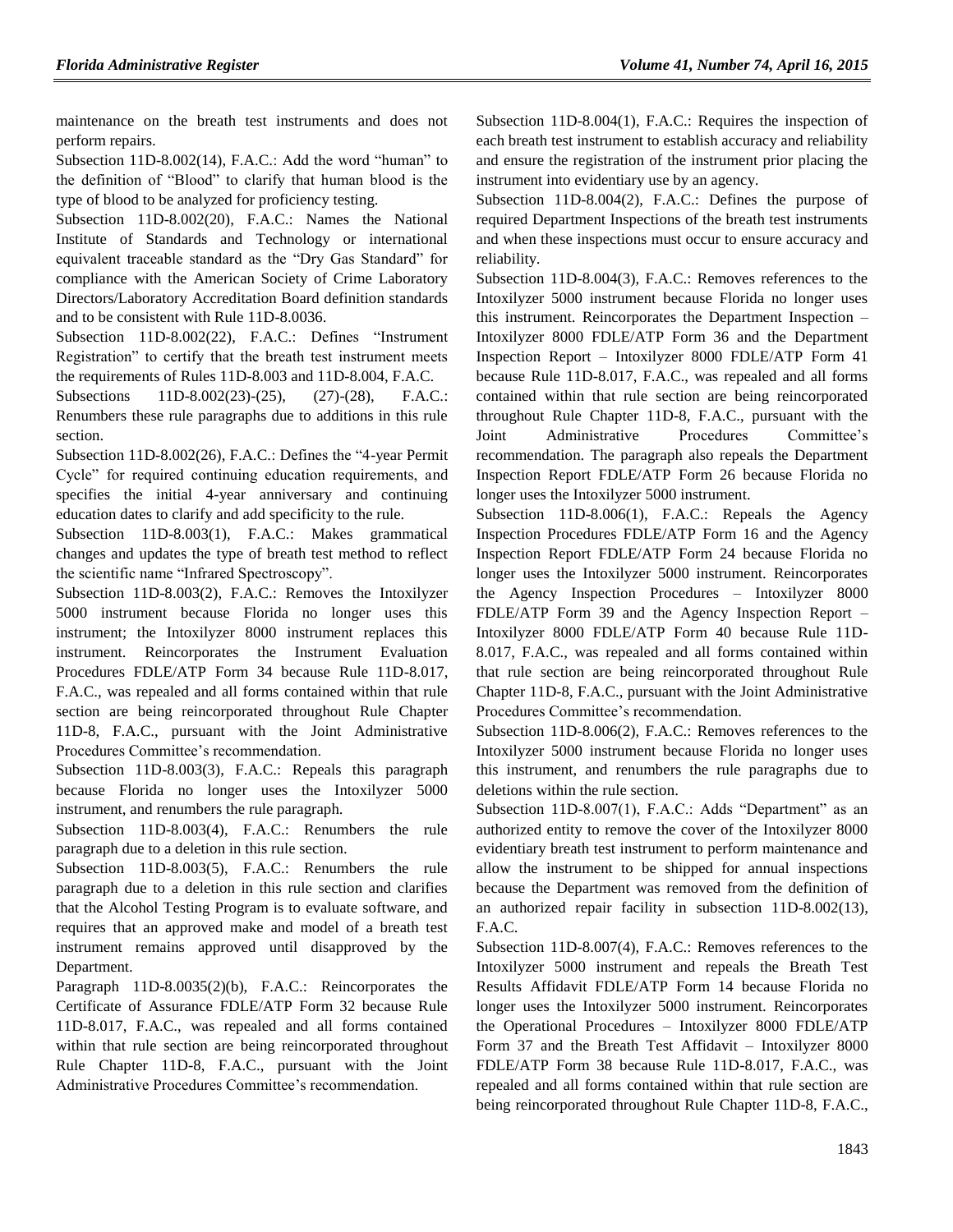maintenance on the breath test instruments and does not perform repairs.

Subsection 11D-8.002(14), F.A.C.: Add the word "human" to the definition of "Blood" to clarify that human blood is the type of blood to be analyzed for proficiency testing.

Subsection 11D-8.002(20), F.A.C.: Names the National Institute of Standards and Technology or international equivalent traceable standard as the "Dry Gas Standard" for compliance with the American Society of Crime Laboratory Directors/Laboratory Accreditation Board definition standards and to be consistent with Rule 11D-8.0036.

Subsection 11D-8.002(22), F.A.C.: Defines "Instrument Registration" to certify that the breath test instrument meets the requirements of Rules 11D-8.003 and 11D-8.004, F.A.C.

Subsections 11D-8.002(23)-(25), (27)-(28), F.A.C.: Renumbers these rule paragraphs due to additions in this rule section.

Subsection 11D-8.002(26), F.A.C.: Defines the "4-year Permit Cycle" for required continuing education requirements, and specifies the initial 4-year anniversary and continuing education dates to clarify and add specificity to the rule.

Subsection 11D-8.003(1), F.A.C.: Makes grammatical changes and updates the type of breath test method to reflect the scientific name "Infrared Spectroscopy".

Subsection 11D-8.003(2), F.A.C.: Removes the Intoxilyzer 5000 instrument because Florida no longer uses this instrument; the Intoxilyzer 8000 instrument replaces this instrument. Reincorporates the Instrument Evaluation Procedures FDLE/ATP Form 34 because Rule 11D-8.017, F.A.C., was repealed and all forms contained within that rule section are being reincorporated throughout Rule Chapter 11D-8, F.A.C., pursuant with the Joint Administrative Procedures Committee's recommendation.

Subsection 11D-8.003(3), F.A.C.: Repeals this paragraph because Florida no longer uses the Intoxilyzer 5000 instrument, and renumbers the rule paragraph.

Subsection 11D-8.003(4), F.A.C.: Renumbers the rule paragraph due to a deletion in this rule section.

Subsection 11D-8.003(5), F.A.C.: Renumbers the rule paragraph due to a deletion in this rule section and clarifies that the Alcohol Testing Program is to evaluate software, and requires that an approved make and model of a breath test instrument remains approved until disapproved by the Department.

Paragraph 11D-8.0035(2)(b), F.A.C.: Reincorporates the Certificate of Assurance FDLE/ATP Form 32 because Rule 11D-8.017, F.A.C., was repealed and all forms contained within that rule section are being reincorporated throughout Rule Chapter 11D-8, F.A.C., pursuant with the Joint Administrative Procedures Committee's recommendation.

Subsection 11D-8.004(1), F.A.C.: Requires the inspection of each breath test instrument to establish accuracy and reliability and ensure the registration of the instrument prior placing the instrument into evidentiary use by an agency.

Subsection 11D-8.004(2), F.A.C.: Defines the purpose of required Department Inspections of the breath test instruments and when these inspections must occur to ensure accuracy and reliability.

Subsection 11D-8.004(3), F.A.C.: Removes references to the Intoxilyzer 5000 instrument because Florida no longer uses this instrument. Reincorporates the Department Inspection – Intoxilyzer 8000 FDLE/ATP Form 36 and the Department Inspection Report – Intoxilyzer 8000 FDLE/ATP Form 41 because Rule 11D-8.017, F.A.C., was repealed and all forms contained within that rule section are being reincorporated throughout Rule Chapter 11D-8, F.A.C., pursuant with the Joint Administrative Procedures Committee's recommendation. The paragraph also repeals the Department Inspection Report FDLE/ATP Form 26 because Florida no longer uses the Intoxilyzer 5000 instrument.

Subsection 11D-8.006(1), F.A.C.: Repeals the Agency Inspection Procedures FDLE/ATP Form 16 and the Agency Inspection Report FDLE/ATP Form 24 because Florida no longer uses the Intoxilyzer 5000 instrument. Reincorporates the Agency Inspection Procedures – Intoxilyzer 8000 FDLE/ATP Form 39 and the Agency Inspection Report – Intoxilyzer 8000 FDLE/ATP Form 40 because Rule 11D-8.017, F.A.C., was repealed and all forms contained within that rule section are being reincorporated throughout Rule Chapter 11D-8, F.A.C., pursuant with the Joint Administrative Procedures Committee's recommendation.

Subsection 11D-8.006(2), F.A.C.: Removes references to the Intoxilyzer 5000 instrument because Florida no longer uses this instrument, and renumbers the rule paragraphs due to deletions within the rule section.

Subsection 11D-8.007(1), F.A.C.: Adds "Department" as an authorized entity to remove the cover of the Intoxilyzer 8000 evidentiary breath test instrument to perform maintenance and allow the instrument to be shipped for annual inspections because the Department was removed from the definition of an authorized repair facility in subsection 11D-8.002(13), F.A.C.

Subsection 11D-8.007(4), F.A.C.: Removes references to the Intoxilyzer 5000 instrument and repeals the Breath Test Results Affidavit FDLE/ATP Form 14 because Florida no longer uses the Intoxilyzer 5000 instrument. Reincorporates the Operational Procedures – Intoxilyzer 8000 FDLE/ATP Form 37 and the Breath Test Affidavit – Intoxilyzer 8000 FDLE/ATP Form 38 because Rule 11D-8.017, F.A.C., was repealed and all forms contained within that rule section are being reincorporated throughout Rule Chapter 11D-8, F.A.C.,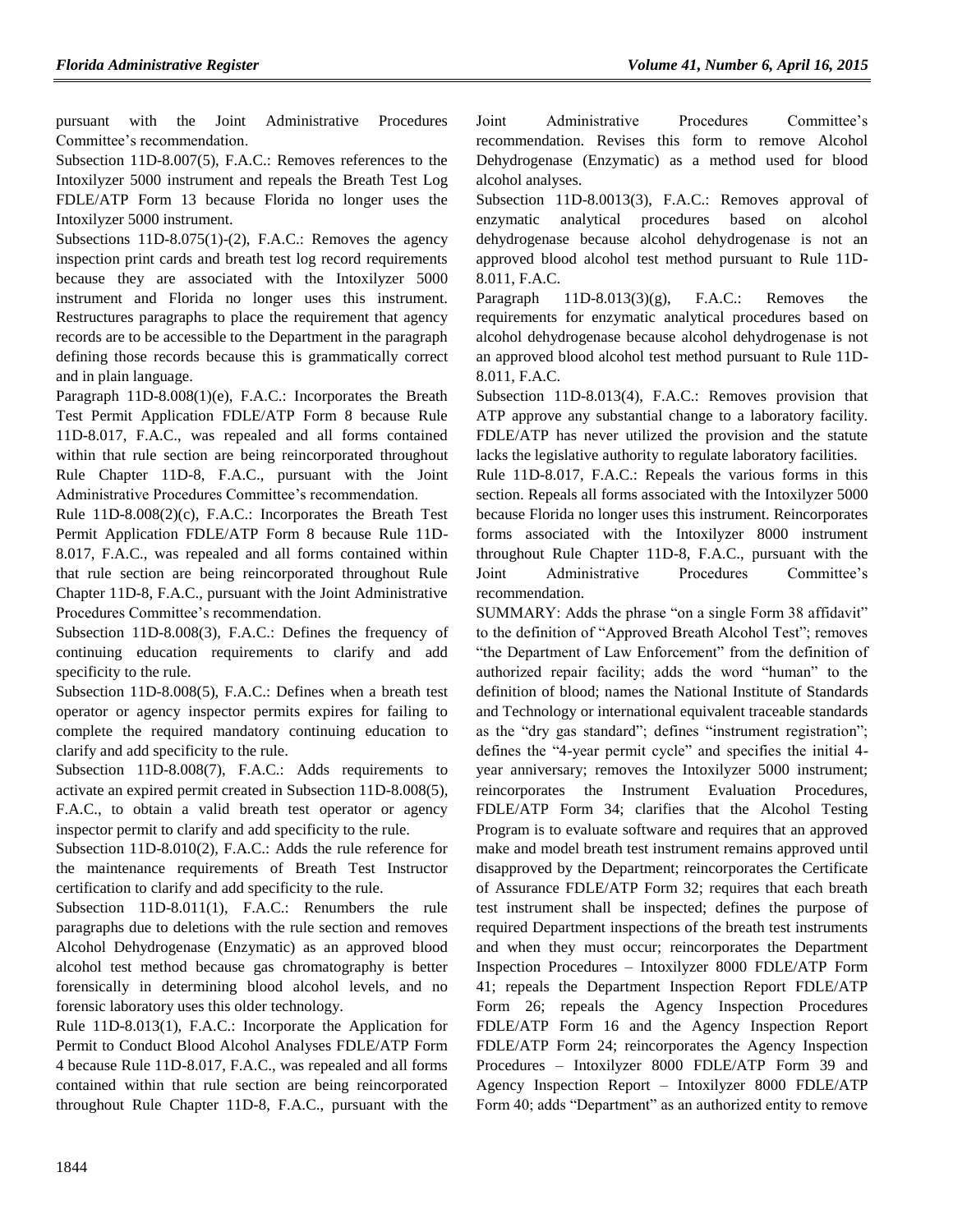pursuant with the Joint Administrative Procedures Committee's recommendation.

Subsection 11D-8.007(5), F.A.C.: Removes references to the Intoxilyzer 5000 instrument and repeals the Breath Test Log FDLE/ATP Form 13 because Florida no longer uses the Intoxilyzer 5000 instrument.

Subsections 11D-8.075(1)-(2), F.A.C.: Removes the agency inspection print cards and breath test log record requirements because they are associated with the Intoxilyzer 5000 instrument and Florida no longer uses this instrument. Restructures paragraphs to place the requirement that agency records are to be accessible to the Department in the paragraph defining those records because this is grammatically correct and in plain language.

Paragraph 11D-8.008(1)(e), F.A.C.: Incorporates the Breath Test Permit Application FDLE/ATP Form 8 because Rule 11D-8.017, F.A.C., was repealed and all forms contained within that rule section are being reincorporated throughout Rule Chapter 11D-8, F.A.C., pursuant with the Joint Administrative Procedures Committee's recommendation.

Rule 11D-8.008(2)(c), F.A.C.: Incorporates the Breath Test Permit Application FDLE/ATP Form 8 because Rule 11D-8.017, F.A.C., was repealed and all forms contained within that rule section are being reincorporated throughout Rule Chapter 11D-8, F.A.C., pursuant with the Joint Administrative Procedures Committee's recommendation.

Subsection 11D-8.008(3), F.A.C.: Defines the frequency of continuing education requirements to clarify and add specificity to the rule.

Subsection 11D-8.008(5), F.A.C.: Defines when a breath test operator or agency inspector permits expires for failing to complete the required mandatory continuing education to clarify and add specificity to the rule.

Subsection 11D-8.008(7), F.A.C.: Adds requirements to activate an expired permit created in Subsection 11D-8.008(5), F.A.C., to obtain a valid breath test operator or agency inspector permit to clarify and add specificity to the rule.

Subsection 11D-8.010(2), F.A.C.: Adds the rule reference for the maintenance requirements of Breath Test Instructor certification to clarify and add specificity to the rule.

Subsection 11D-8.011(1), F.A.C.: Renumbers the rule paragraphs due to deletions with the rule section and removes Alcohol Dehydrogenase (Enzymatic) as an approved blood alcohol test method because gas chromatography is better forensically in determining blood alcohol levels, and no forensic laboratory uses this older technology.

Rule 11D-8.013(1), F.A.C.: Incorporate the Application for Permit to Conduct Blood Alcohol Analyses FDLE/ATP Form 4 because Rule 11D-8.017, F.A.C., was repealed and all forms contained within that rule section are being reincorporated throughout Rule Chapter 11D-8, F.A.C., pursuant with the Joint Administrative Procedures Committee's recommendation. Revises this form to remove Alcohol Dehydrogenase (Enzymatic) as a method used for blood alcohol analyses.

Subsection 11D-8.0013(3), F.A.C.: Removes approval of enzymatic analytical procedures based on alcohol dehydrogenase because alcohol dehydrogenase is not an approved blood alcohol test method pursuant to Rule 11D-8.011, F.A.C.

Paragraph  $11D-8.013(3)(g)$ , F.A.C.: Removes the requirements for enzymatic analytical procedures based on alcohol dehydrogenase because alcohol dehydrogenase is not an approved blood alcohol test method pursuant to Rule 11D-8.011, F.A.C.

Subsection 11D-8.013(4), F.A.C.: Removes provision that ATP approve any substantial change to a laboratory facility. FDLE/ATP has never utilized the provision and the statute lacks the legislative authority to regulate laboratory facilities.

Rule 11D-8.017, F.A.C.: Repeals the various forms in this section. Repeals all forms associated with the Intoxilyzer 5000 because Florida no longer uses this instrument. Reincorporates forms associated with the Intoxilyzer 8000 instrument throughout Rule Chapter 11D-8, F.A.C., pursuant with the Joint Administrative Procedures Committee's recommendation.

SUMMARY: Adds the phrase "on a single Form 38 affidavit" to the definition of "Approved Breath Alcohol Test"; removes "the Department of Law Enforcement" from the definition of authorized repair facility; adds the word "human" to the definition of blood; names the National Institute of Standards and Technology or international equivalent traceable standards as the "dry gas standard"; defines "instrument registration"; defines the "4-year permit cycle" and specifies the initial 4 year anniversary; removes the Intoxilyzer 5000 instrument; reincorporates the Instrument Evaluation Procedures, FDLE/ATP Form 34; clarifies that the Alcohol Testing Program is to evaluate software and requires that an approved make and model breath test instrument remains approved until disapproved by the Department; reincorporates the Certificate of Assurance FDLE/ATP Form 32; requires that each breath test instrument shall be inspected; defines the purpose of required Department inspections of the breath test instruments and when they must occur; reincorporates the Department Inspection Procedures – Intoxilyzer 8000 FDLE/ATP Form 41; repeals the Department Inspection Report FDLE/ATP Form 26; repeals the Agency Inspection Procedures FDLE/ATP Form 16 and the Agency Inspection Report FDLE/ATP Form 24; reincorporates the Agency Inspection Procedures – Intoxilyzer 8000 FDLE/ATP Form 39 and Agency Inspection Report – Intoxilyzer 8000 FDLE/ATP Form 40; adds "Department" as an authorized entity to remove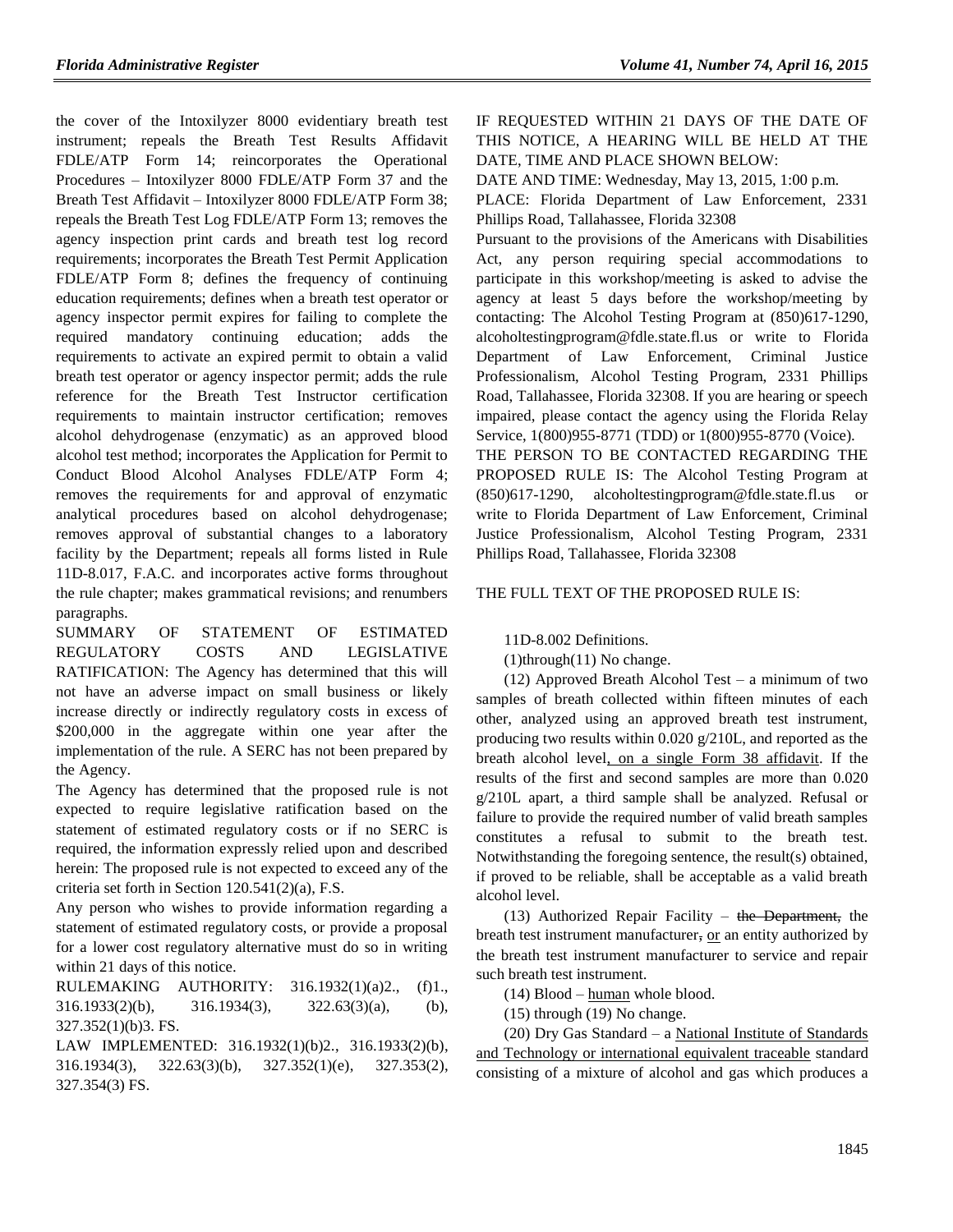the cover of the Intoxilyzer 8000 evidentiary breath test instrument; repeals the Breath Test Results Affidavit FDLE/ATP Form 14; reincorporates the Operational Procedures – Intoxilyzer 8000 FDLE/ATP Form 37 and the Breath Test Affidavit – Intoxilyzer 8000 FDLE/ATP Form 38; repeals the Breath Test Log FDLE/ATP Form 13; removes the agency inspection print cards and breath test log record requirements; incorporates the Breath Test Permit Application FDLE/ATP Form 8; defines the frequency of continuing education requirements; defines when a breath test operator or agency inspector permit expires for failing to complete the required mandatory continuing education; adds the requirements to activate an expired permit to obtain a valid breath test operator or agency inspector permit; adds the rule reference for the Breath Test Instructor certification requirements to maintain instructor certification; removes alcohol dehydrogenase (enzymatic) as an approved blood alcohol test method; incorporates the Application for Permit to Conduct Blood Alcohol Analyses FDLE/ATP Form 4; removes the requirements for and approval of enzymatic analytical procedures based on alcohol dehydrogenase; removes approval of substantial changes to a laboratory facility by the Department; repeals all forms listed in Rule 11D-8.017, F.A.C. and incorporates active forms throughout the rule chapter; makes grammatical revisions; and renumbers paragraphs.

SUMMARY OF STATEMENT OF ESTIMATED REGULATORY COSTS AND LEGISLATIVE RATIFICATION: The Agency has determined that this will not have an adverse impact on small business or likely increase directly or indirectly regulatory costs in excess of \$200,000 in the aggregate within one year after the implementation of the rule. A SERC has not been prepared by the Agency.

The Agency has determined that the proposed rule is not expected to require legislative ratification based on the statement of estimated regulatory costs or if no SERC is required, the information expressly relied upon and described herein: The proposed rule is not expected to exceed any of the criteria set forth in Section 120.541(2)(a), F.S.

Any person who wishes to provide information regarding a statement of estimated regulatory costs, or provide a proposal for a lower cost regulatory alternative must do so in writing within 21 days of this notice.

RULEMAKING AUTHORITY: [316.1932\(1\)\(a\)2.,](https://www.flrules.org/gateway/statute.asp?id=316.1932(1)(a)2.) (f)1., [316.1933\(2\)\(b\),](https://www.flrules.org/gateway/statute.asp?id=%20316.1933(2)(b)) [316.1934\(3\),](https://www.flrules.org/gateway/statute.asp?id=%20316.1934(3)) [322.63\(3\)\(a\),](https://www.flrules.org/gateway/statute.asp?id=%20322.63(3)(a)) (b), [327.352\(1\)\(b\)3. FS.](https://www.flrules.org/gateway/statute.asp?id=%20327.352(1)(b)3.%20FS.)

LAW IMPLEMENTED: [316.1932\(1\)\(b\)2.,](https://www.flrules.org/gateway/statute.asp?id=316.1932(1)(b)2.) [316.1933\(2\)\(b\),](https://www.flrules.org/gateway/statute.asp?id=%20316.1933(2)(b)) [316.1934\(3\),](https://www.flrules.org/gateway/statute.asp?id=%20316.1934(3)) [322.63\(3\)\(b\),](https://www.flrules.org/gateway/statute.asp?id=%20322.63(3)(b)) [327.352\(1\)\(e\),](https://www.flrules.org/gateway/statute.asp?id=%20327.352(1)(e)) [327.353\(2\),](https://www.flrules.org/gateway/statute.asp?id=%20327.353(2)) [327.354\(3\) FS.](https://www.flrules.org/gateway/statute.asp?id=%20327.354(3)%20FS.)

IF REQUESTED WITHIN 21 DAYS OF THE DATE OF THIS NOTICE, A HEARING WILL BE HELD AT THE DATE, TIME AND PLACE SHOWN BELOW:

DATE AND TIME: Wednesday, May 13, 2015, 1:00 p.m.

PLACE: Florida Department of Law Enforcement, 2331 Phillips Road, Tallahassee, Florida 32308

Pursuant to the provisions of the Americans with Disabilities Act, any person requiring special accommodations to participate in this workshop/meeting is asked to advise the agency at least 5 days before the workshop/meeting by contacting: The Alcohol Testing Program at (850)617-1290, alcoholtestingprogram@fdle.state.fl.us or write to Florida Department of Law Enforcement, Criminal Justice Professionalism, Alcohol Testing Program, 2331 Phillips Road, Tallahassee, Florida 32308. If you are hearing or speech impaired, please contact the agency using the Florida Relay Service, 1(800)955-8771 (TDD) or 1(800)955-8770 (Voice).

THE PERSON TO BE CONTACTED REGARDING THE PROPOSED RULE IS: The Alcohol Testing Program at (850)617-1290, alcoholtestingprogram@fdle.state.fl.us or write to Florida Department of Law Enforcement, Criminal Justice Professionalism, Alcohol Testing Program, 2331 Phillips Road, Tallahassee, Florida 32308

THE FULL TEXT OF THE PROPOSED RULE IS:

11D-8.002 Definitions.

(1)through(11) No change.

(12) Approved Breath Alcohol Test – a minimum of two samples of breath collected within fifteen minutes of each other, analyzed using an approved breath test instrument, producing two results within 0.020 g/210L, and reported as the breath alcohol level, on a single Form 38 affidavit. If the results of the first and second samples are more than 0.020 g/210L apart, a third sample shall be analyzed. Refusal or failure to provide the required number of valid breath samples constitutes a refusal to submit to the breath test. Notwithstanding the foregoing sentence, the result(s) obtained, if proved to be reliable, shall be acceptable as a valid breath alcohol level.

(13) Authorized Repair Facility – the Department, the breath test instrument manufacturer, or an entity authorized by the breath test instrument manufacturer to service and repair such breath test instrument.

(14) Blood – human whole blood.

(15) through (19) No change.

(20) Dry Gas Standard – a National Institute of Standards and Technology or international equivalent traceable standard consisting of a mixture of alcohol and gas which produces a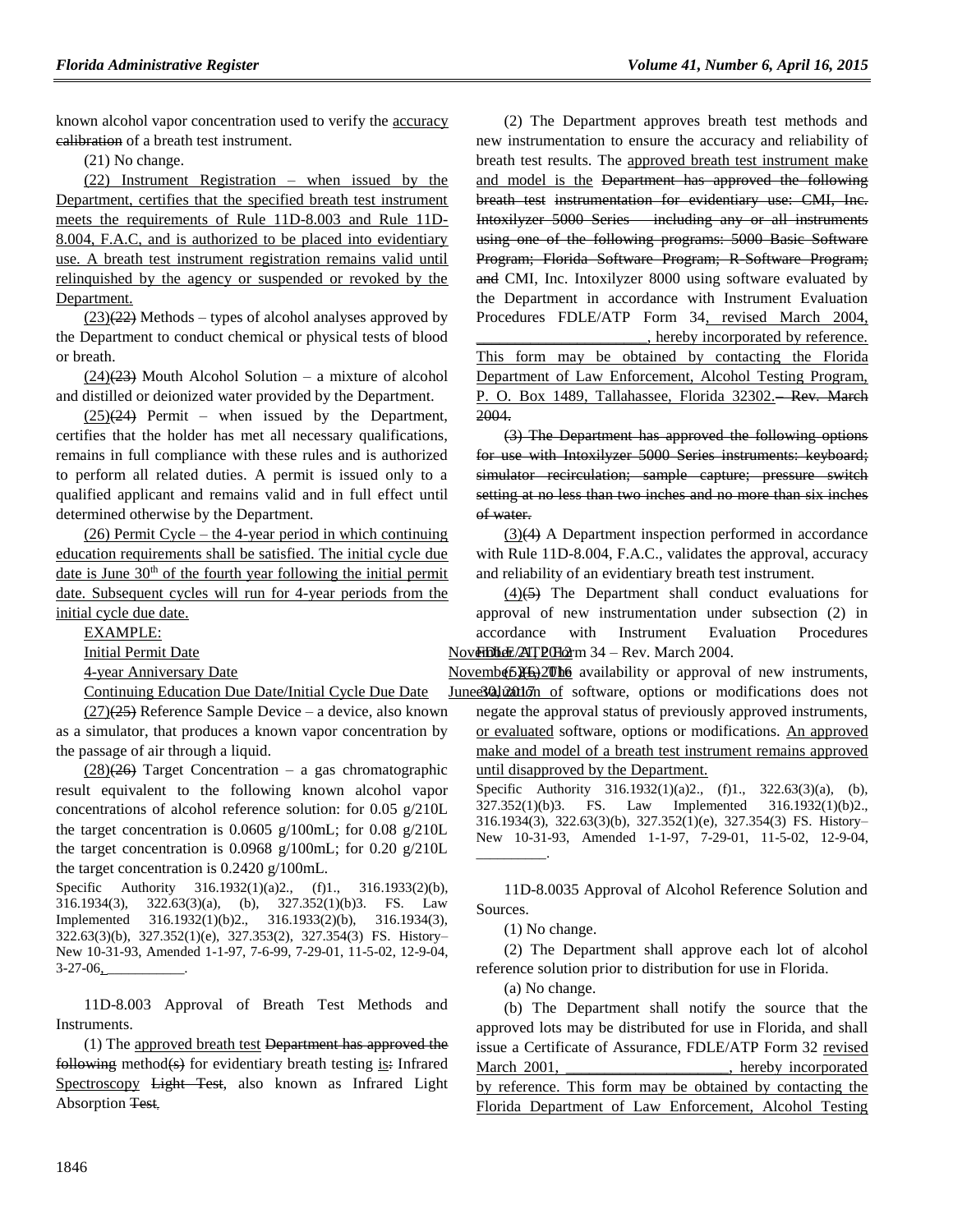known alcohol vapor concentration used to verify the accuracy calibration of a breath test instrument.

(21) No change.

(22) Instrument Registration – when issued by the Department, certifies that the specified breath test instrument meets the requirements of Rule 11D-8.003 and Rule 11D-8.004, F.A.C, and is authorized to be placed into evidentiary use. A breath test instrument registration remains valid until relinquished by the agency or suspended or revoked by the Department.

 $(23)(22)$  Methods – types of alcohol analyses approved by the Department to conduct chemical or physical tests of blood or breath.

 $(24)(23)$  Mouth Alcohol Solution – a mixture of alcohol and distilled or deionized water provided by the Department.

 $(25)(24)$  Permit – when issued by the Department, certifies that the holder has met all necessary qualifications, remains in full compliance with these rules and is authorized to perform all related duties. A permit is issued only to a qualified applicant and remains valid and in full effect until determined otherwise by the Department.

(26) Permit Cycle – the 4-year period in which continuing education requirements shall be satisfied. The initial cycle due date is June  $30<sup>th</sup>$  of the fourth year following the initial permit date. Subsequent cycles will run for 4-year periods from the initial cycle due date.

EXAMPLE:

4-year Anniversary Date

Continuing Education Due Date/Initial Cycle Due Date

 $(27)(25)$  Reference Sample Device – a device, also known as a simulator, that produces a known vapor concentration by the passage of air through a liquid.

 $(28)(26)$  Target Concentration – a gas chromatographic result equivalent to the following known alcohol vapor concentrations of alcohol reference solution: for 0.05 g/210L the target concentration is 0.0605 g/100mL; for 0.08 g/210L the target concentration is 0.0968 g/100mL; for 0.20 g/210L the target concentration is 0.2420 g/100mL.

Specific Authority 316.1932(1)(a)2., (f)1., 316.1933(2)(b), 316.1934(3), 322.63(3)(a), (b), 327.352(1)(b)3. FS. Law Implemented 316.1932(1)(b)2., 316.1933(2)(b), 316.1934(3), 322.63(3)(b), 327.352(1)(e), 327.353(2), 327.354(3) FS. History– New 10-31-93, Amended 1-1-97, 7-6-99, 7-29-01, 11-5-02, 12-9-04,  $3-27-06$ ,

11D-8.003 Approval of Breath Test Methods and Instruments.

(1) The approved breath test Department has approved the following method(s) for evidentiary breath testing is: Infrared Spectroscopy Light Test, also known as Infrared Light Absorption Test.

(2) The Department approves breath test methods and new instrumentation to ensure the accuracy and reliability of breath test results. The approved breath test instrument make and model is the Department has approved the following breath test instrumentation for evidentiary use: CMI, Inc. Intoxilyzer 5000 Series – including any or all instruments using one of the following programs: 5000 Basic Software Program; Florida Software Program; R Software Program; and CMI, Inc. Intoxilyzer 8000 using software evaluated by the Department in accordance with Instrument Evaluation Procedures FDLE/ATP Form 34, revised March 2004, \_\_\_\_\_\_\_\_\_\_\_\_\_\_\_\_\_\_\_\_\_\_, hereby incorporated by reference.

This form may be obtained by contacting the Florida Department of Law Enforcement, Alcohol Testing Program, P. O. Box 1489, Tallahassee, Florida 32302.-Rev. March 2004.

(3) The Department has approved the following options for use with Intoxilyzer 5000 Series instruments: keyboard; simulator recirculation; sample capture; pressure switch setting at no less than two inches and no more than six inches of water.

(3)(4) A Department inspection performed in accordance with Rule 11D-8.004, F.A.C., validates the approval, accuracy and reliability of an evidentiary breath test instrument.

Initial Permit Date **November 21, 2008** November 2004. November 21, 2012 12, 2014.  $(4)(\overline{5})$  The Department shall conduct evaluations for approval of new instrumentation under subsection (2) in accordance with Instrument Evaluation Procedures

> Novemb $(5)$  $\frac{4}{5}$  $\frac{3}{5}$  $\frac{2}{0}$  the availability or approval of new instruments, Junee30102011dn of software, options or modifications does not

negate the approval status of previously approved instruments, or evaluated software, options or modifications. An approved make and model of a breath test instrument remains approved until disapproved by the Department.

Specific Authority 316.1932(1)(a)2., (f)1., 322.63(3)(a), (b), 327.352(1)(b)3. FS. Law Implemented 316.1932(1)(b)2., 316.1934(3), 322.63(3)(b), 327.352(1)(e), 327.354(3) FS. History– New 10-31-93, Amended 1-1-97, 7-29-01, 11-5-02, 12-9-04, \_\_\_\_\_\_\_\_\_\_.

11D-8.0035 Approval of Alcohol Reference Solution and Sources.

(1) No change.

(2) The Department shall approve each lot of alcohol reference solution prior to distribution for use in Florida.

(a) No change.

(b) The Department shall notify the source that the approved lots may be distributed for use in Florida, and shall issue a Certificate of Assurance, FDLE/ATP Form 32 revised March 2001, hereby incorporated by reference. This form may be obtained by contacting the Florida Department of Law Enforcement, Alcohol Testing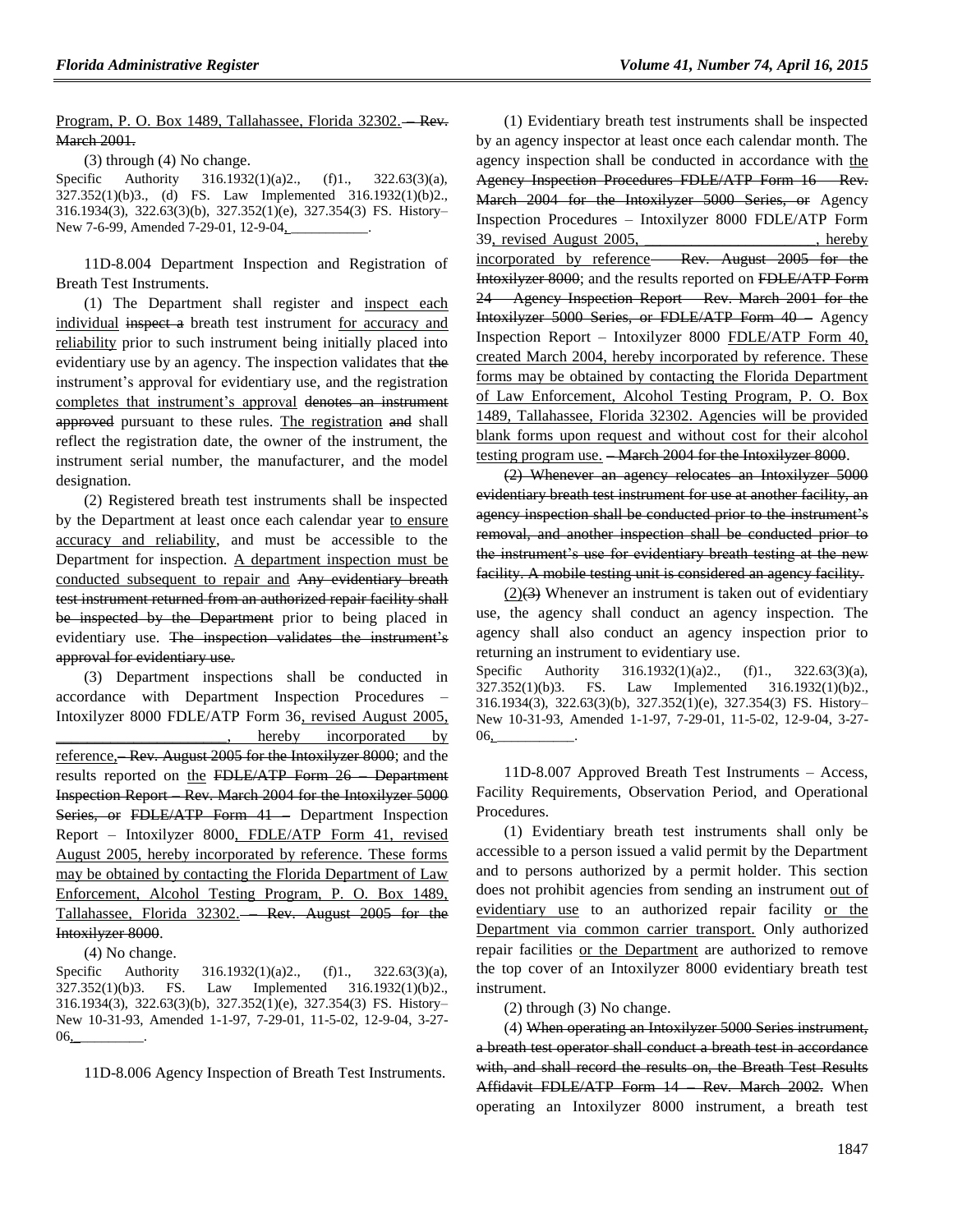Program, P. O. Box 1489, Tallahassee, Florida 32302.---- Rev. March 2001.

(3) through (4) No change.

Specific Authority 316.1932(1)(a)2., (f)1., 322.63(3)(a), 327.352(1)(b)3., (d) FS. Law Implemented 316.1932(1)(b)2., 316.1934(3), 322.63(3)(b), 327.352(1)(e), 327.354(3) FS. History– New 7-6-99, Amended 7-29-01, 12-9-04,

11D-8.004 Department Inspection and Registration of Breath Test Instruments.

(1) The Department shall register and inspect each individual inspect a breath test instrument for accuracy and reliability prior to such instrument being initially placed into evidentiary use by an agency. The inspection validates that the instrument's approval for evidentiary use, and the registration completes that instrument's approval denotes an instrument approved pursuant to these rules. The registration and shall reflect the registration date, the owner of the instrument, the instrument serial number, the manufacturer, and the model designation.

(2) Registered breath test instruments shall be inspected by the Department at least once each calendar year to ensure accuracy and reliability, and must be accessible to the Department for inspection. A department inspection must be conducted subsequent to repair and Any evidentiary breath test instrument returned from an authorized repair facility shall be inspected by the Department prior to being placed in evidentiary use. The inspection validates the instrument's approval for evidentiary use.

(3) Department inspections shall be conducted in accordance with Department Inspection Procedures – Intoxilyzer 8000 FDLE/ATP Form 36, revised August 2005, hereby incorporated by reference,—Rev. August 2005 for the Intoxilyzer 8000; and the results reported on the FDLE/ATP Form 26 – Department Inspection Report – Rev. March 2004 for the Intoxilyzer 5000 Series, or FDLE/ATP Form 41 – Department Inspection Report – Intoxilyzer 8000, FDLE/ATP Form 41, revised August 2005, hereby incorporated by reference. These forms may be obtained by contacting the Florida Department of Law Enforcement, Alcohol Testing Program, P. O. Box 1489, Tallahassee, Florida 32302. – Rev. August 2005 for the Intoxilyzer 8000.

(4) No change.

Specific Authority 316.1932(1)(a)2., (f)1., 322.63(3)(a), 327.352(1)(b)3. FS. Law Implemented 316.1932(1)(b)2., 316.1934(3), 322.63(3)(b), 327.352(1)(e), 327.354(3) FS. History– New 10-31-93, Amended 1-1-97, 7-29-01, 11-5-02, 12-9-04, 3-27-  $06_{\rm L}$ 

11D-8.006 Agency Inspection of Breath Test Instruments.

(1) Evidentiary breath test instruments shall be inspected by an agency inspector at least once each calendar month. The agency inspection shall be conducted in accordance with the Agency Inspection Procedures FDLE/ATP Form 16 – Rev. March 2004 for the Intoxilyzer 5000 Series, or Agency Inspection Procedures – Intoxilyzer 8000 FDLE/ATP Form 39, revised August 2005, \_\_\_\_\_\_\_\_\_\_\_\_\_\_\_\_\_\_\_\_\_\_, hereby incorporated by reference—Rev. August 2005 for the Intoxilyzer 8000; and the results reported on FDLE/ATP Form 24 – Agency Inspection Report – Rev. March 2001 for the Intoxilyzer 5000 Series, or FDLE/ATP Form 40 – Agency Inspection Report – Intoxilyzer 8000 FDLE/ATP Form 40, created March 2004, hereby incorporated by reference. These forms may be obtained by contacting the Florida Department of Law Enforcement, Alcohol Testing Program, P. O. Box 1489, Tallahassee, Florida 32302. Agencies will be provided blank forms upon request and without cost for their alcohol testing program use. <del>- March 2004 for the Intoxilyzer 8000</del>.

(2) Whenever an agency relocates an Intoxilyzer 5000 evidentiary breath test instrument for use at another facility, an agency inspection shall be conducted prior to the instrument's removal, and another inspection shall be conducted prior to the instrument's use for evidentiary breath testing at the new facility. A mobile testing unit is considered an agency facility.

 $(2)(3)$  Whenever an instrument is taken out of evidentiary use, the agency shall conduct an agency inspection. The agency shall also conduct an agency inspection prior to returning an instrument to evidentiary use.

Specific Authority 316.1932(1)(a)2., (f)1., 322.63(3)(a), 327.352(1)(b)3. FS. Law Implemented 316.1932(1)(b)2., 316.1934(3), 322.63(3)(b), 327.352(1)(e), 327.354(3) FS. History– New 10-31-93, Amended 1-1-97, 7-29-01, 11-5-02, 12-9-04, 3-27-  $06.$ 

11D-8.007 Approved Breath Test Instruments – Access, Facility Requirements, Observation Period, and Operational Procedures.

(1) Evidentiary breath test instruments shall only be accessible to a person issued a valid permit by the Department and to persons authorized by a permit holder. This section does not prohibit agencies from sending an instrument out of evidentiary use to an authorized repair facility or the Department via common carrier transport. Only authorized repair facilities or the Department are authorized to remove the top cover of an Intoxilyzer 8000 evidentiary breath test instrument.

(2) through (3) No change.

(4) When operating an Intoxilyzer 5000 Series instrument, a breath test operator shall conduct a breath test in accordance with, and shall record the results on, the Breath Test Results Affidavit FDLE/ATP Form 14 Rev. March 2002. When operating an Intoxilyzer 8000 instrument, a breath test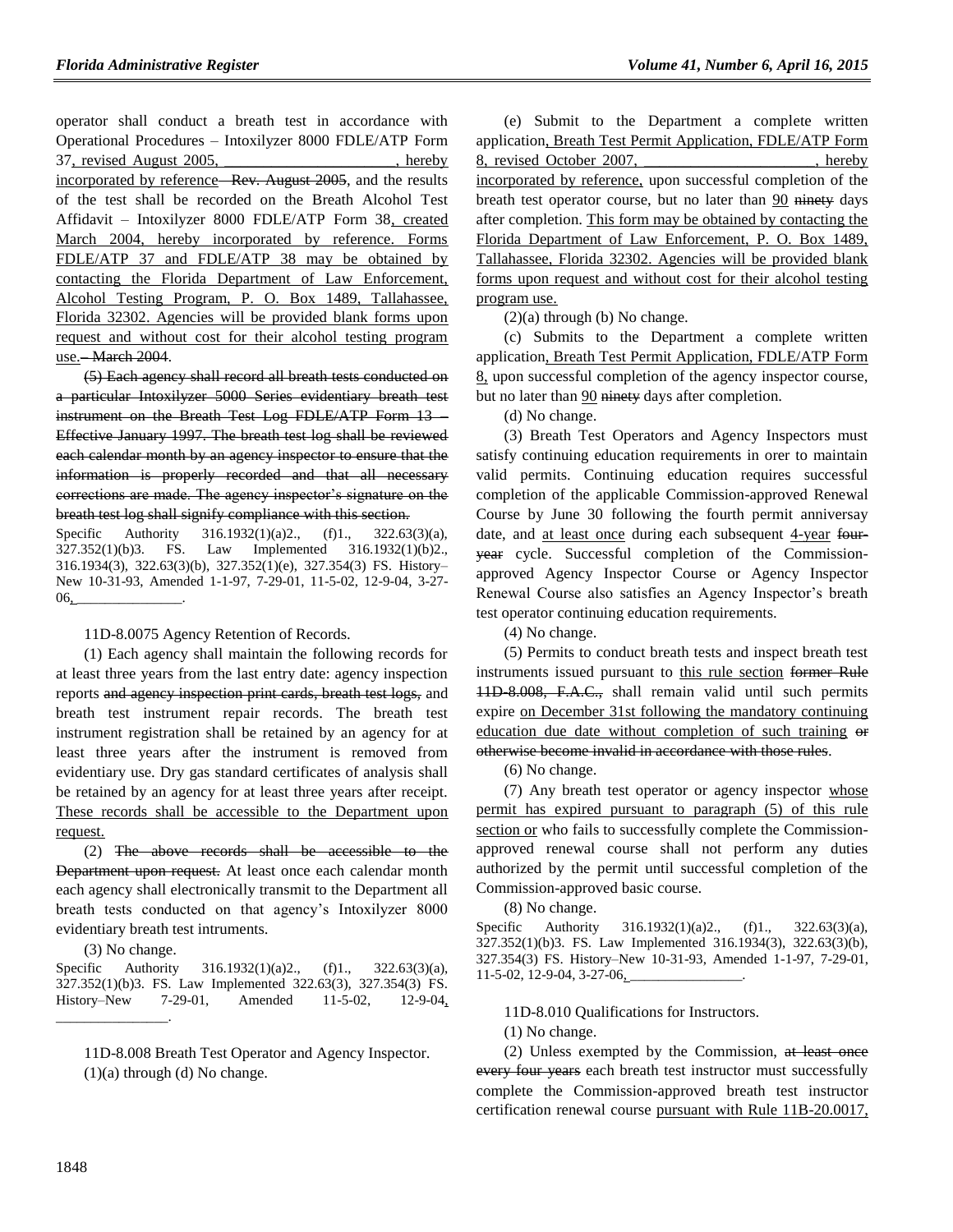operator shall conduct a breath test in accordance with Operational Procedures – Intoxilyzer 8000 FDLE/ATP Form 37, revised August 2005, hereby incorporated by reference– Rev. August 2005, and the results of the test shall be recorded on the Breath Alcohol Test Affidavit – Intoxilyzer 8000 FDLE/ATP Form 38, created March 2004, hereby incorporated by reference. Forms FDLE/ATP 37 and FDLE/ATP 38 may be obtained by contacting the Florida Department of Law Enforcement, Alcohol Testing Program, P. O. Box 1489, Tallahassee, Florida 32302. Agencies will be provided blank forms upon request and without cost for their alcohol testing program use.– March 2004.

(5) Each agency shall record all breath tests conducted on a particular Intoxilyzer 5000 Series evidentiary breath test instrument on the Breath Test Log FDLE/ATP Form 13 – Effective January 1997. The breath test log shall be reviewed each calendar month by an agency inspector to ensure that the information is properly recorded and that all necessary corrections are made. The agency inspector's signature on the breath test log shall signify compliance with this section.

Specific Authority 316.1932(1)(a)2., (f)1., 322.63(3)(a), 327.352(1)(b)3. FS. Law Implemented 316.1932(1)(b)2., 316.1934(3), 322.63(3)(b), 327.352(1)(e), 327.354(3) FS. History– New 10-31-93, Amended 1-1-97, 7-29-01, 11-5-02, 12-9-04, 3-27- 06, \_\_\_\_\_\_\_\_\_\_\_\_\_\_\_.

#### 11D-8.0075 Agency Retention of Records.

(1) Each agency shall maintain the following records for at least three years from the last entry date: agency inspection reports and agency inspection print cards, breath test logs, and breath test instrument repair records. The breath test instrument registration shall be retained by an agency for at least three years after the instrument is removed from evidentiary use. Dry gas standard certificates of analysis shall be retained by an agency for at least three years after receipt. These records shall be accessible to the Department upon request.

(2) The above records shall be accessible to the Department upon request. At least once each calendar month each agency shall electronically transmit to the Department all breath tests conducted on that agency's Intoxilyzer 8000 evidentiary breath test intruments.

(3) No change.

 $\overline{\phantom{a}}$  .

Specific Authority 316.1932(1)(a)2., (f)1., 322.63(3)(a), 327.352(1)(b)3. FS. Law Implemented 322.63(3), 327.354(3) FS. History–New 7-29-01, Amended 11-5-02, 12-9-04,

11D-8.008 Breath Test Operator and Agency Inspector. (1)(a) through (d) No change.

(e) Submit to the Department a complete written application, Breath Test Permit Application, FDLE/ATP Form 8, revised October 2007, hereby incorporated by reference, upon successful completion of the breath test operator course, but no later than 90 ninety days after completion. This form may be obtained by contacting the Florida Department of Law Enforcement, P. O. Box 1489, Tallahassee, Florida 32302. Agencies will be provided blank forms upon request and without cost for their alcohol testing program use.

 $(2)(a)$  through (b) No change.

(c) Submits to the Department a complete written application, Breath Test Permit Application, FDLE/ATP Form 8, upon successful completion of the agency inspector course, but no later than 90 ninety days after completion.

(d) No change.

(3) Breath Test Operators and Agency Inspectors must satisfy continuing education requirements in orer to maintain valid permits. Continuing education requires successful completion of the applicable Commission-approved Renewal Course by June 30 following the fourth permit anniversay date, and at least once during each subsequent 4-year fouryear cycle. Successful completion of the Commissionapproved Agency Inspector Course or Agency Inspector Renewal Course also satisfies an Agency Inspector's breath test operator continuing education requirements.

(4) No change.

(5) Permits to conduct breath tests and inspect breath test instruments issued pursuant to this rule section former Rule 11D-8.008, F.A.C., shall remain valid until such permits expire on December 31st following the mandatory continuing education due date without completion of such training  $\theta$ otherwise become invalid in accordance with those rules.

(6) No change.

(7) Any breath test operator or agency inspector whose permit has expired pursuant to paragraph (5) of this rule section or who fails to successfully complete the Commissionapproved renewal course shall not perform any duties authorized by the permit until successful completion of the Commission-approved basic course.

(8) No change.

Specific Authority 316.1932(1)(a)2., (f)1., 322.63(3)(a), 327.352(1)(b)3. FS. Law Implemented 316.1934(3), 322.63(3)(b), 327.354(3) FS. History–New 10-31-93, Amended 1-1-97, 7-29-01, 11-5-02, 12-9-04, 3-27-06,

11D-8.010 Qualifications for Instructors.

(1) No change.

(2) Unless exempted by the Commission, at least once every four years each breath test instructor must successfully complete the Commission-approved breath test instructor certification renewal course pursuant with Rule 11B-20.0017,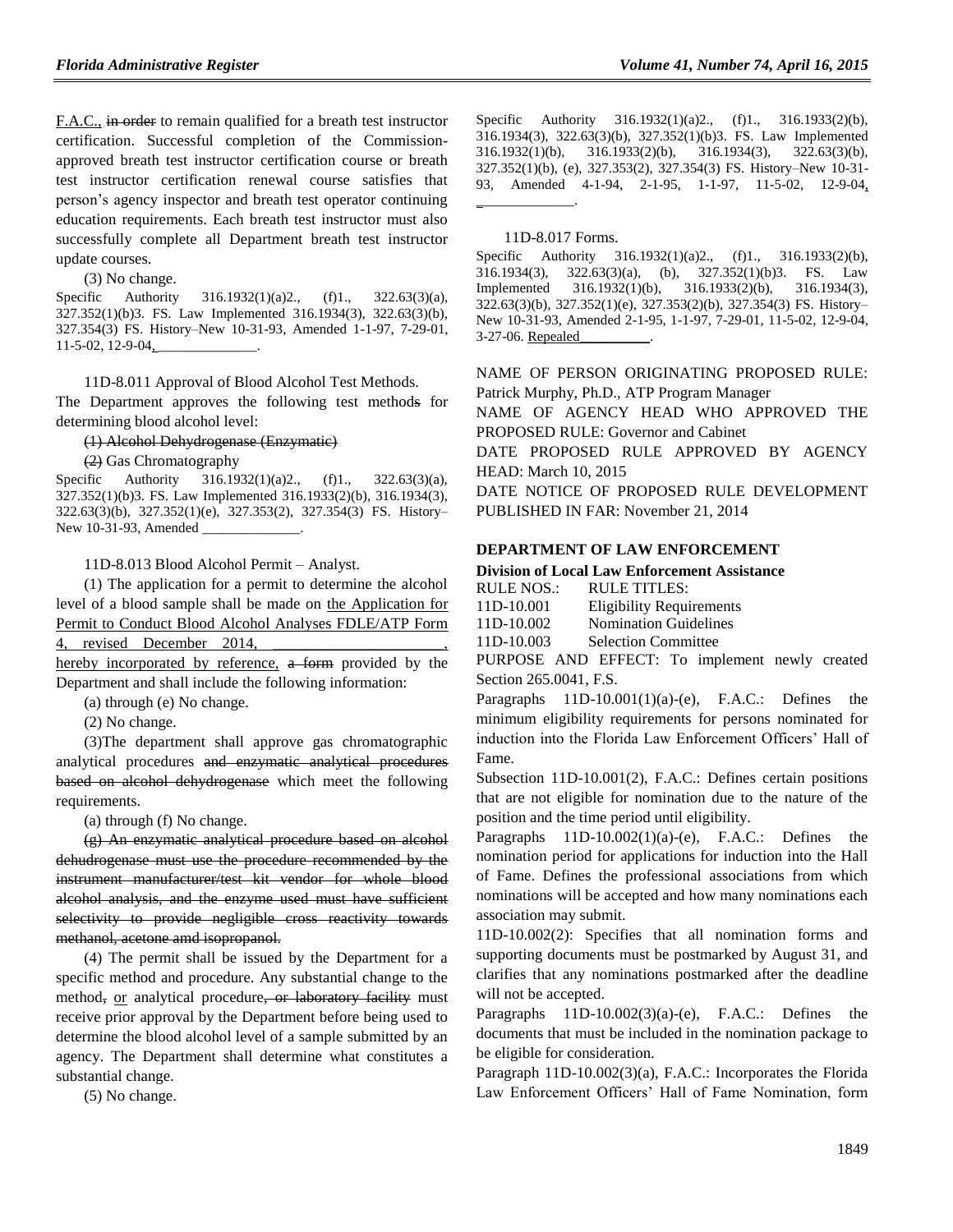F.A.C., in order to remain qualified for a breath test instructor certification. Successful completion of the Commissionapproved breath test instructor certification course or breath test instructor certification renewal course satisfies that person's agency inspector and breath test operator continuing education requirements. Each breath test instructor must also successfully complete all Department breath test instructor update courses.

(3) No change.

Specific Authority 316.1932(1)(a)2., (f)1., 322.63(3)(a), 327.352(1)(b)3. FS. Law Implemented 316.1934(3), 322.63(3)(b), 327.354(3) FS. History–New 10-31-93, Amended 1-1-97, 7-29-01, 11-5-02, 12-9-04,

11D-8.011 Approval of Blood Alcohol Test Methods.

The Department approves the following test methods for determining blood alcohol level:

(1) Alcohol Dehydrogenase (Enzymatic)

(2) Gas Chromatography

Specific Authority 316.1932(1)(a)2., (f)1., 322.63(3)(a), 327.352(1)(b)3. FS. Law Implemented 316.1933(2)(b), 316.1934(3), 322.63(3)(b), 327.352(1)(e), 327.353(2), 327.354(3) FS. History– New 10-31-93, Amended

11D-8.013 Blood Alcohol Permit – Analyst.

(1) The application for a permit to determine the alcohol level of a blood sample shall be made on the Application for Permit to Conduct Blood Alcohol Analyses FDLE/ATP Form 4, revised December 2014,

hereby incorporated by reference, a form provided by the Department and shall include the following information:

(a) through (e) No change.

(2) No change.

(3)The department shall approve gas chromatographic analytical procedures and enzymatic analytical procedures based on alcohol dehydrogenase which meet the following requirements.

(a) through (f) No change.

(g) An enzymatic analytical procedure based on alcohol dehudrogenase must use the procedure recommended by the instrument manufacturer/test kit vendor for whole blood alcohol analysis, and the enzyme used must have sufficient selectivity to provide negligible cross reactivity towards methanol, acetone amd isopropanol.

(4) The permit shall be issued by the Department for a specific method and procedure. Any substantial change to the method, or analytical procedure, or laboratory facility must receive prior approval by the Department before being used to determine the blood alcohol level of a sample submitted by an agency. The Department shall determine what constitutes a substantial change.

(5) No change.

Specific Authority 316.1932(1)(a)2., (f)1., 316.1933(2)(b), 316.1934(3), 322.63(3)(b), 327.352(1)(b)3. FS. Law Implemented 316.1932(1)(b), 316.1933(2)(b), 316.1934(3), 322.63(3)(b), 327.352(1)(b), (e), 327.353(2), 327.354(3) FS. History–New 10-31- 93, Amended 4-1-94, 2-1-95, 1-1-97, 11-5-02, 12-9-04, \_\_\_\_\_\_\_\_\_\_\_\_\_\_.

#### 11D-8.017 Forms.

Specific Authority 316.1932(1)(a)2., (f)1., 316.1933(2)(b), 316.1934(3), 322.63(3)(a), (b), 327.352(1)(b)3. FS. Law Implemented 316.1932(1)(b), 316.1933(2)(b), 316.1934(3), 322.63(3)(b), 327.352(1)(e), 327.353(2)(b), 327.354(3) FS. History– New 10-31-93, Amended 2-1-95, 1-1-97, 7-29-01, 11-5-02, 12-9-04, 3-27-06. Repealed\_\_\_\_\_\_\_\_\_\_.

NAME OF PERSON ORIGINATING PROPOSED RULE: Patrick Murphy, Ph.D., ATP Program Manager NAME OF AGENCY HEAD WHO APPROVED THE PROPOSED RULE: Governor and Cabinet DATE PROPOSED RULE APPROVED BY AGENCY HEAD: March 10, 2015 DATE NOTICE OF PROPOSED RULE DEVELOPMENT PUBLISHED IN FAR: November 21, 2014

#### **[DEPARTMENT OF LAW ENFORCEMENT](https://www.flrules.org/gateway/department.asp?id=11)**

#### **[Division of Local Law Enforcement Assistance](https://www.flrules.org/gateway/organization.asp?id=22)**

| RULE NOS.: | RULE TITLES:                    |
|------------|---------------------------------|
| 11D-10.001 | <b>Eligibility Requirements</b> |
| 11D-10.002 | <b>Nomination Guidelines</b>    |
| 11D-10.003 | <b>Selection Committee</b>      |

PURPOSE AND EFFECT: To implement newly created Section 265.0041, F.S.

Paragraphs  $11D-10.001(1)(a)-(e)$ , F.A.C.: Defines the minimum eligibility requirements for persons nominated for induction into the Florida Law Enforcement Officers' Hall of Fame.

Subsection 11D-10.001(2), F.A.C.: Defines certain positions that are not eligible for nomination due to the nature of the position and the time period until eligibility.

Paragraphs  $11D-10.002(1)(a)-(e)$ , F.A.C.: Defines the nomination period for applications for induction into the Hall of Fame. Defines the professional associations from which nominations will be accepted and how many nominations each association may submit.

11D-10.002(2): Specifies that all nomination forms and supporting documents must be postmarked by August 31, and clarifies that any nominations postmarked after the deadline will not be accepted.

Paragraphs  $11D-10.002(3)(a)-(e)$ , F.A.C.: Defines the documents that must be included in the nomination package to be eligible for consideration.

Paragraph 11D-10.002(3)(a), F.A.C.: Incorporates the Florida Law Enforcement Officers' Hall of Fame Nomination, form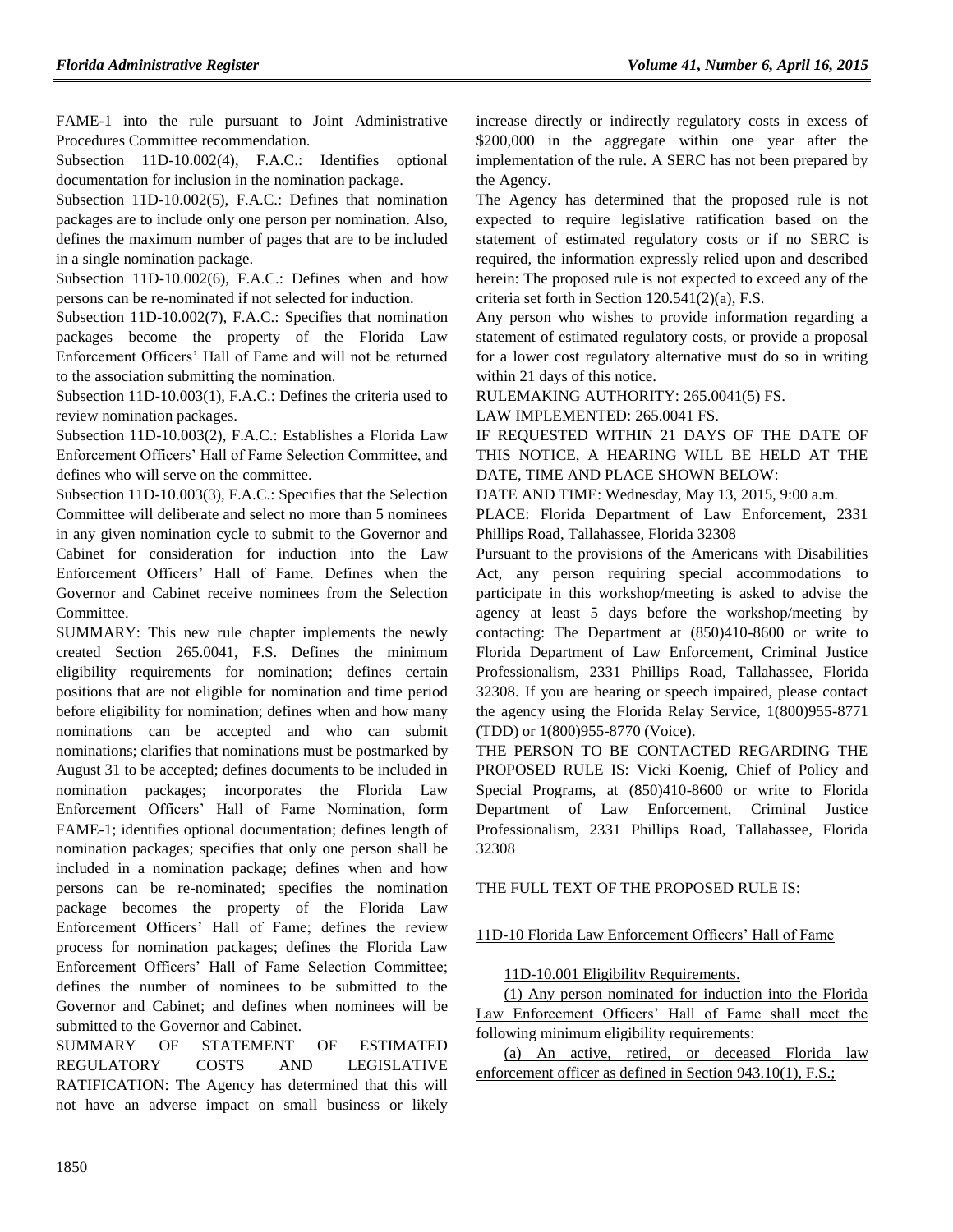FAME-1 into the rule pursuant to Joint Administrative Procedures Committee recommendation.

Subsection 11D-10.002(4), F.A.C.: Identifies optional documentation for inclusion in the nomination package.

Subsection 11D-10.002(5), F.A.C.: Defines that nomination packages are to include only one person per nomination. Also, defines the maximum number of pages that are to be included in a single nomination package.

Subsection 11D-10.002(6), F.A.C.: Defines when and how persons can be re-nominated if not selected for induction.

Subsection 11D-10.002(7), F.A.C.: Specifies that nomination packages become the property of the Florida Law Enforcement Officers' Hall of Fame and will not be returned to the association submitting the nomination.

Subsection 11D-10.003(1), F.A.C.: Defines the criteria used to review nomination packages.

Subsection 11D-10.003(2), F.A.C.: Establishes a Florida Law Enforcement Officers' Hall of Fame Selection Committee, and defines who will serve on the committee.

Subsection 11D-10.003(3), F.A.C.: Specifies that the Selection Committee will deliberate and select no more than 5 nominees in any given nomination cycle to submit to the Governor and Cabinet for consideration for induction into the Law Enforcement Officers' Hall of Fame. Defines when the Governor and Cabinet receive nominees from the Selection Committee.

SUMMARY: This new rule chapter implements the newly created Section 265.0041, F.S. Defines the minimum eligibility requirements for nomination; defines certain positions that are not eligible for nomination and time period before eligibility for nomination; defines when and how many nominations can be accepted and who can submit nominations; clarifies that nominations must be postmarked by August 31 to be accepted; defines documents to be included in nomination packages; incorporates the Florida Law Enforcement Officers' Hall of Fame Nomination, form FAME-1; identifies optional documentation; defines length of nomination packages; specifies that only one person shall be included in a nomination package; defines when and how persons can be re-nominated; specifies the nomination package becomes the property of the Florida Law Enforcement Officers' Hall of Fame; defines the review process for nomination packages; defines the Florida Law Enforcement Officers' Hall of Fame Selection Committee; defines the number of nominees to be submitted to the Governor and Cabinet; and defines when nominees will be submitted to the Governor and Cabinet.

SUMMARY OF STATEMENT OF ESTIMATED REGULATORY COSTS AND LEGISLATIVE RATIFICATION: The Agency has determined that this will not have an adverse impact on small business or likely increase directly or indirectly regulatory costs in excess of \$200,000 in the aggregate within one year after the implementation of the rule. A SERC has not been prepared by the Agency.

The Agency has determined that the proposed rule is not expected to require legislative ratification based on the statement of estimated regulatory costs or if no SERC is required, the information expressly relied upon and described herein: The proposed rule is not expected to exceed any of the criteria set forth in Section 120.541(2)(a), F.S.

Any person who wishes to provide information regarding a statement of estimated regulatory costs, or provide a proposal for a lower cost regulatory alternative must do so in writing within 21 days of this notice.

RULEMAKING AUTHORITY: [265.0041\(5\)](https://www.flrules.org/gateway/statute.asp?id=265.0041(5)) FS.

LAW IMPLEMENTED: [265.0041](https://www.flrules.org/gateway/statute.asp?id=265.0041) FS.

IF REQUESTED WITHIN 21 DAYS OF THE DATE OF THIS NOTICE, A HEARING WILL BE HELD AT THE DATE, TIME AND PLACE SHOWN BELOW:

DATE AND TIME: Wednesday, May 13, 2015, 9:00 a.m.

PLACE: Florida Department of Law Enforcement, 2331 Phillips Road, Tallahassee, Florida 32308

Pursuant to the provisions of the Americans with Disabilities Act, any person requiring special accommodations to participate in this workshop/meeting is asked to advise the agency at least 5 days before the workshop/meeting by contacting: The Department at (850)410-8600 or write to Florida Department of Law Enforcement, Criminal Justice Professionalism, 2331 Phillips Road, Tallahassee, Florida 32308. If you are hearing or speech impaired, please contact the agency using the Florida Relay Service, 1(800)955-8771 (TDD) or 1(800)955-8770 (Voice).

THE PERSON TO BE CONTACTED REGARDING THE PROPOSED RULE IS: Vicki Koenig, Chief of Policy and Special Programs, at (850)410-8600 or write to Florida Department of Law Enforcement, Criminal Justice Professionalism, 2331 Phillips Road, Tallahassee, Florida 32308

THE FULL TEXT OF THE PROPOSED RULE IS:

11D-10 Florida Law Enforcement Officers' Hall of Fame

11D-10.001 Eligibility Requirements.

(1) Any person nominated for induction into the Florida Law Enforcement Officers' Hall of Fame shall meet the following minimum eligibility requirements:

(a) An active, retired, or deceased Florida law enforcement officer as defined in Section 943.10(1), F.S.;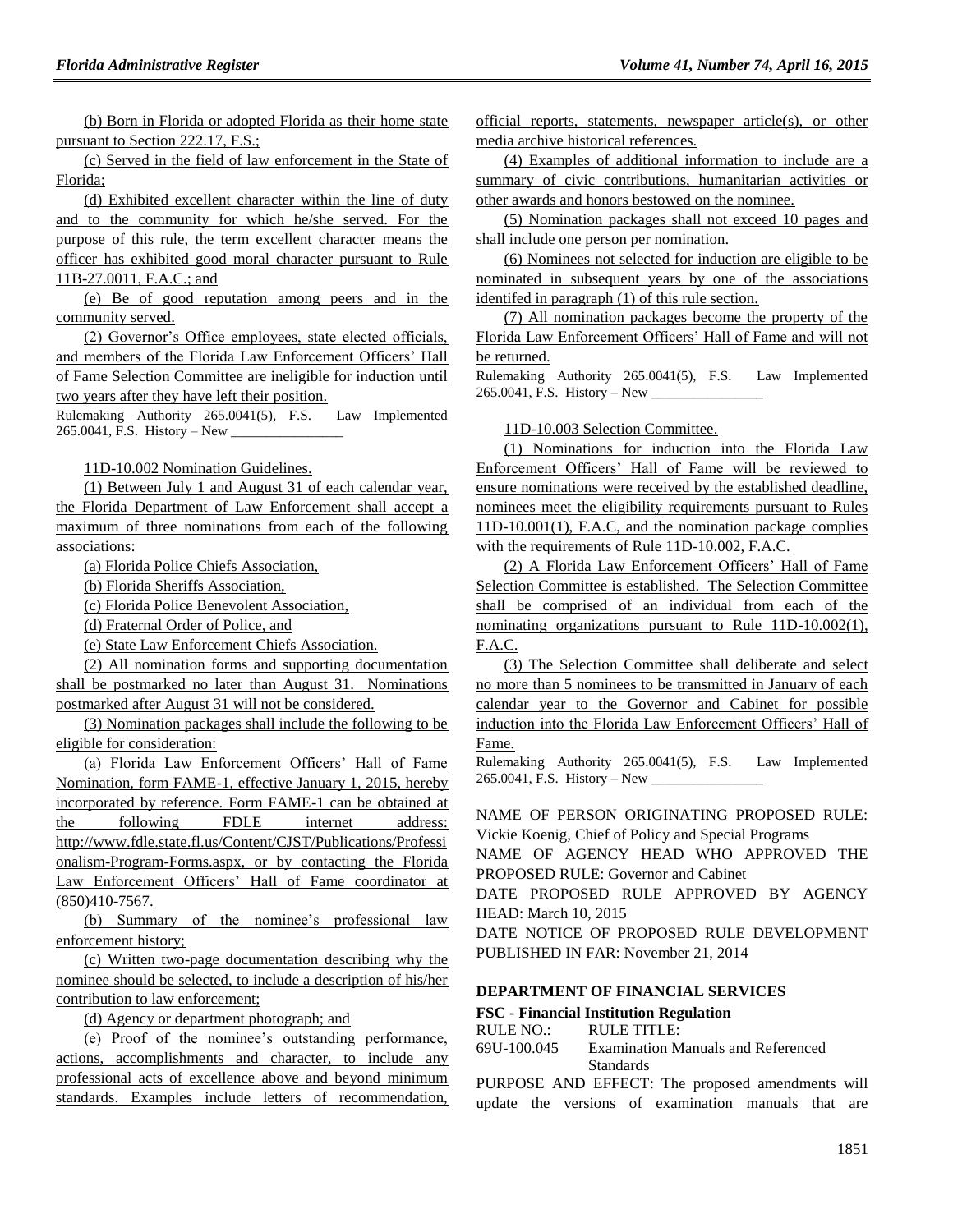(b) Born in Florida or adopted Florida as their home state pursuant to Section 222.17, F.S.;

(c) Served in the field of law enforcement in the State of Florida;

(d) Exhibited excellent character within the line of duty and to the community for which he/she served. For the purpose of this rule, the term excellent character means the officer has exhibited good moral character pursuant to Rule 11B-27.0011, F.A.C.; and

(e) Be of good reputation among peers and in the community served.

(2) Governor's Office employees, state elected officials, and members of the Florida Law Enforcement Officers' Hall of Fame Selection Committee are ineligible for induction until two years after they have left their position.

Rulemaking Authority 265.0041(5), F.S. Law Implemented 265.0041, F.S. History – New \_

11D-10.002 Nomination Guidelines.

(1) Between July 1 and August 31 of each calendar year, the Florida Department of Law Enforcement shall accept a maximum of three nominations from each of the following associations:

(a) Florida Police Chiefs Association,

(b) Florida Sheriffs Association,

(c) Florida Police Benevolent Association,

(d) Fraternal Order of Police, and

(e) State Law Enforcement Chiefs Association.

(2) All nomination forms and supporting documentation shall be postmarked no later than August 31. Nominations postmarked after August 31 will not be considered.

(3) Nomination packages shall include the following to be eligible for consideration:

(a) Florida Law Enforcement Officers' Hall of Fame Nomination, form FAME-1, effective January 1, 2015, hereby incorporated by reference. Form FAME-1 can be obtained at the following FDLE internet address: http://www.fdle.state.fl.us/Content/CJST/Publications/Professi onalism-Program-Forms.aspx, or by contacting the Florida Law Enforcement Officers' Hall of Fame coordinator at (850)410-7567.

(b) Summary of the nominee's professional law enforcement history;

(c) Written two-page documentation describing why the nominee should be selected, to include a description of his/her contribution to law enforcement;

(d) Agency or department photograph; and

(e) Proof of the nominee's outstanding performance, actions, accomplishments and character, to include any professional acts of excellence above and beyond minimum standards. Examples include letters of recommendation, official reports, statements, newspaper article(s), or other media archive historical references.

(4) Examples of additional information to include are a summary of civic contributions, humanitarian activities or other awards and honors bestowed on the nominee.

(5) Nomination packages shall not exceed 10 pages and shall include one person per nomination.

(6) Nominees not selected for induction are eligible to be nominated in subsequent years by one of the associations identifed in paragraph (1) of this rule section.

(7) All nomination packages become the property of the Florida Law Enforcement Officers' Hall of Fame and will not be returned.

Rulemaking Authority 265.0041(5), F.S. Law Implemented 265.0041, F.S. History – New \_\_\_\_\_\_\_\_\_\_\_\_\_\_\_\_

11D-10.003 Selection Committee.

(1) Nominations for induction into the Florida Law Enforcement Officers' Hall of Fame will be reviewed to ensure nominations were received by the established deadline, nominees meet the eligibility requirements pursuant to Rules 11D-10.001(1), F.A.C, and the nomination package complies with the requirements of Rule 11D-10.002, F.A.C.

(2) A Florida Law Enforcement Officers' Hall of Fame Selection Committee is established. The Selection Committee shall be comprised of an individual from each of the nominating organizations pursuant to Rule 11D-10.002(1), F.A.C.

(3) The Selection Committee shall deliberate and select no more than 5 nominees to be transmitted in January of each calendar year to the Governor and Cabinet for possible induction into the Florida Law Enforcement Officers' Hall of Fame.

Rulemaking Authority 265.0041(5), F.S. Law Implemented 265.0041, F.S. History – New \_\_\_\_\_\_\_\_\_\_\_\_\_\_\_\_

NAME OF PERSON ORIGINATING PROPOSED RULE: Vickie Koenig, Chief of Policy and Special Programs

NAME OF AGENCY HEAD WHO APPROVED THE PROPOSED RULE: Governor and Cabinet

DATE PROPOSED RULE APPROVED BY AGENCY HEAD: March 10, 2015

DATE NOTICE OF PROPOSED RULE DEVELOPMENT PUBLISHED IN FAR: November 21, 2014

### **[DEPARTMENT OF FINANCIAL SERVICES](https://www.flrules.org/gateway/department.asp?id=69)**

#### **FSC - [Financial Institution Regulation](https://www.flrules.org/gateway/organization.asp?id=523)**

RULE NO.: RULE TITLE:

[69U-100.045](https://www.flrules.org/gateway/ruleNo.asp?id=69U-100.045) Examination Manuals and Referenced Standards

PURPOSE AND EFFECT: The proposed amendments will update the versions of examination manuals that are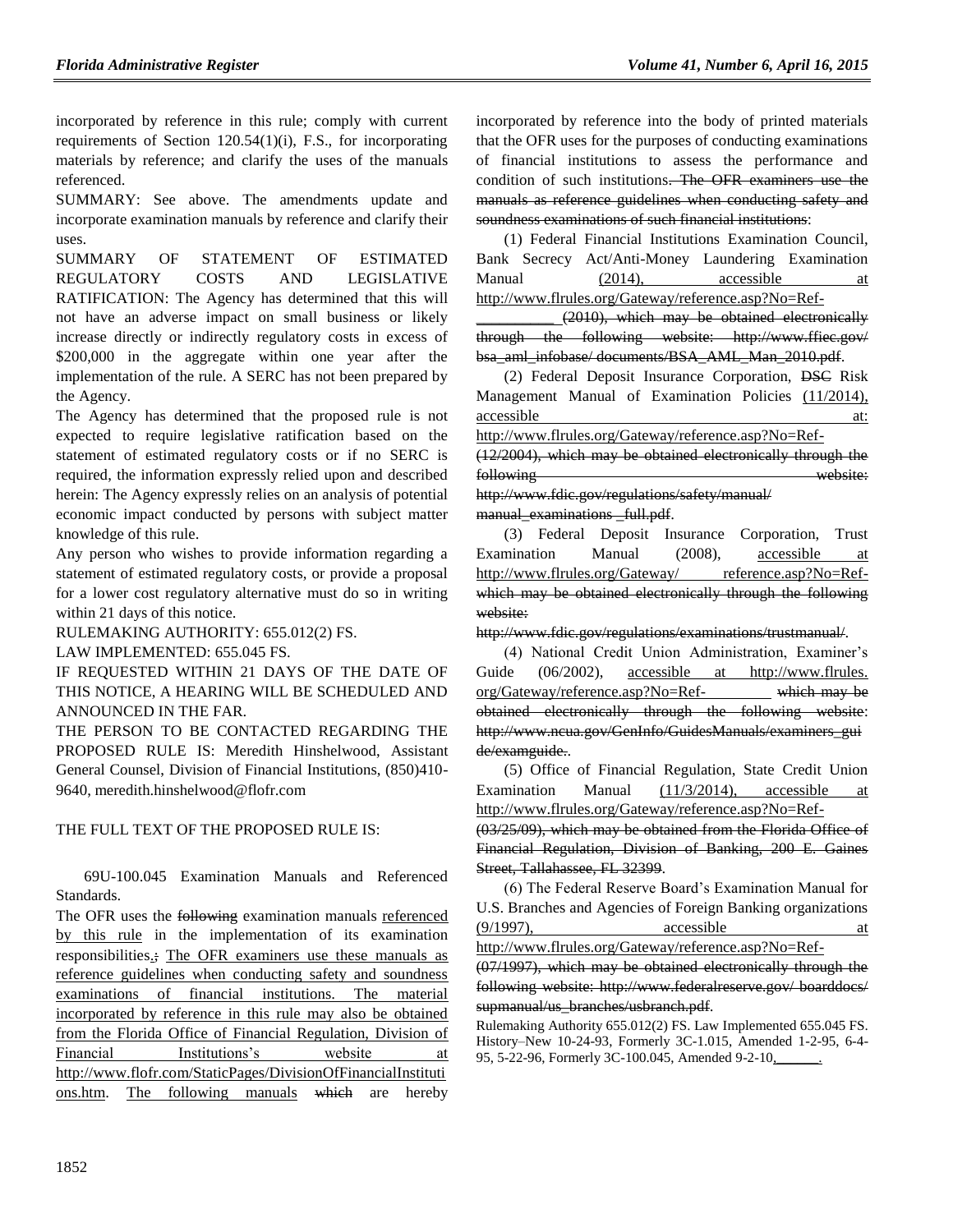incorporated by reference in this rule; comply with current requirements of Section 120.54(1)(i), F.S., for incorporating materials by reference; and clarify the uses of the manuals referenced.

SUMMARY: See above. The amendments update and incorporate examination manuals by reference and clarify their uses.

SUMMARY OF STATEMENT OF ESTIMATED REGULATORY COSTS AND LEGISLATIVE RATIFICATION: The Agency has determined that this will not have an adverse impact on small business or likely increase directly or indirectly regulatory costs in excess of \$200,000 in the aggregate within one year after the implementation of the rule. A SERC has not been prepared by the Agency.

The Agency has determined that the proposed rule is not expected to require legislative ratification based on the statement of estimated regulatory costs or if no SERC is required, the information expressly relied upon and described herein: The Agency expressly relies on an analysis of potential economic impact conducted by persons with subject matter knowledge of this rule.

Any person who wishes to provide information regarding a statement of estimated regulatory costs, or provide a proposal for a lower cost regulatory alternative must do so in writing within 21 days of this notice.

RULEMAKING AUTHORITY: [655.012\(2\) FS.](https://www.flrules.org/gateway/statute.asp?id=655.012(2)%20FS.)

LAW IMPLEMENTED: [655.045 FS.](https://www.flrules.org/gateway/statute.asp?id=655.045%20FS.)

IF REQUESTED WITHIN 21 DAYS OF THE DATE OF THIS NOTICE, A HEARING WILL BE SCHEDULED AND ANNOUNCED IN THE FAR.

THE PERSON TO BE CONTACTED REGARDING THE PROPOSED RULE IS: Meredith Hinshelwood, Assistant General Counsel, Division of Financial Institutions, (850)410- 9640, meredith.hinshelwood@flofr.com

### THE FULL TEXT OF THE PROPOSED RULE IS:

69U-100.045 Examination Manuals and Referenced Standards.

The OFR uses the following examination manuals referenced by this rule in the implementation of its examination responsibilities.; The OFR examiners use these manuals as reference guidelines when conducting safety and soundness examinations of financial institutions. The material incorporated by reference in this rule may also be obtained from the Florida Office of Financial Regulation, Division of Financial Institutions's website at http://www.flofr.com/StaticPages/DivisionOfFinancialInstituti ons.htm. The following manuals which are hereby incorporated by reference into the body of printed materials that the OFR uses for the purposes of conducting examinations of financial institutions to assess the performance and condition of such institutions. The OFR examiners use the manuals as reference guidelines when conducting safety and soundness examinations of such financial institutions:

(1) Federal Financial Institutions Examination Council, Bank Secrecy Act/Anti-Money Laundering Examination Manual (2014), accessible http://www.flrules.org/Gateway/reference.asp?No=Ref-

(2010), which may be obtained electronically through the following website: http://www.ffiec.gov/ bsa\_aml\_infobase/documents/BSA\_AML\_Man\_2010.pdf.

(2) Federal Deposit Insurance Corporation, DSC Risk Management Manual of Examination Policies (11/2014), accessible at:  $\alpha$ :

http://www.flrules.org/Gateway/reference.asp?No=Ref- (12/2004), which may be obtained electronically through the

following website: http://www.fdic.gov/regulations/safety/manual/

manual\_examinations \_full.pdf.

(3) Federal Deposit Insurance Corporation, Trust Examination Manual (2008), accessible at http://www.flrules.org/Gateway/ reference.asp?No=Refwhich may be obtained electronically through the following website:

http://www.fdic.gov/regulations/examinations/trustmanual/.

(4) National Credit Union Administration, Examiner's Guide (06/2002), accessible at http://www.flrules. org/Gateway/reference.asp?No=Ref- which may be obtained electronically through the following website: http://www.ncua.gov/GenInfo/GuidesManuals/examiners\_gui de/examguide..

(5) Office of Financial Regulation, State Credit Union Examination Manual (11/3/2014), accessible at http://www.flrules.org/Gateway/reference.asp?No=Ref-

(03/25/09), which may be obtained from the Florida Office of Financial Regulation, Division of Banking, 200 E. Gaines Street, Tallahassee, FL 32399.

(6) The Federal Reserve Board's Examination Manual for U.S. Branches and Agencies of Foreign Banking organizations  $(9/1997)$ , accessible at

http://www.flrules.org/Gateway/reference.asp?No=Ref- (07/1997), which may be obtained electronically through the

following website: http://www.federalreserve.gov/ boarddocs/ supmanual/us\_branches/usbranch.pdf.

Rulemaking Authority 655.012(2) FS. Law Implemented 655.045 FS. History–New 10-24-93, Formerly 3C-1.015, Amended 1-2-95, 6-4- 95, 5-22-96, Formerly 3C-100.045, Amended 9-2-10,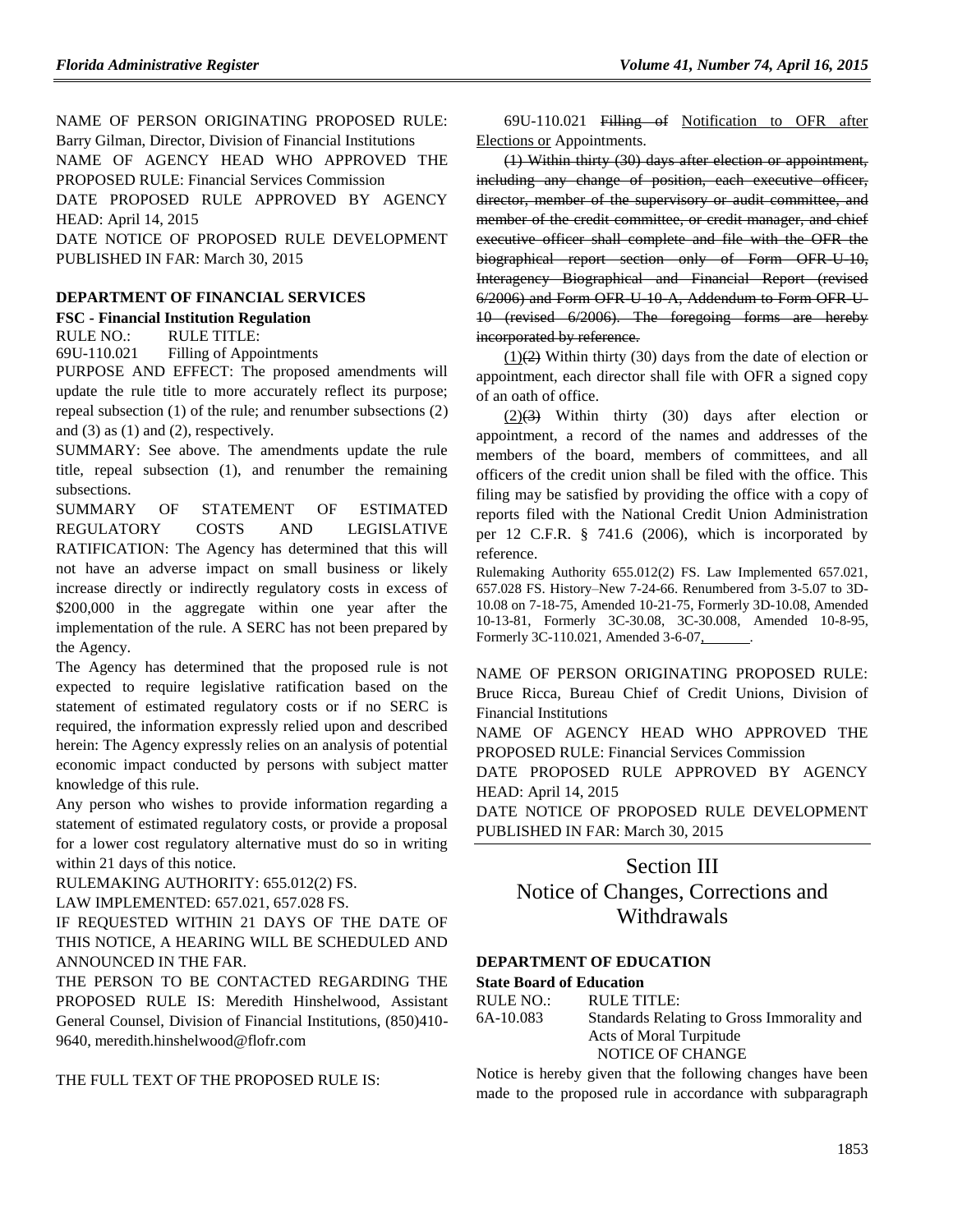NAME OF PERSON ORIGINATING PROPOSED RULE: Barry Gilman, Director, Division of Financial Institutions NAME OF AGENCY HEAD WHO APPROVED THE PROPOSED RULE: Financial Services Commission DATE PROPOSED RULE APPROVED BY AGENCY HEAD: April 14, 2015 DATE NOTICE OF PROPOSED RULE DEVELOPMENT

PUBLISHED IN FAR: March 30, 2015

#### **[DEPARTMENT OF FINANCIAL SERVICES](https://www.flrules.org/gateway/department.asp?id=69)**

**FSC - [Financial Institution Regulation](https://www.flrules.org/gateway/organization.asp?id=523)**

RULE NO.: RULE TITLE:

[69U-110.021](https://www.flrules.org/gateway/ruleNo.asp?id=69U-110.021) Filling of Appointments

PURPOSE AND EFFECT: The proposed amendments will update the rule title to more accurately reflect its purpose; repeal subsection (1) of the rule; and renumber subsections (2) and  $(3)$  as  $(1)$  and  $(2)$ , respectively.

SUMMARY: See above. The amendments update the rule title, repeal subsection (1), and renumber the remaining subsections.

SUMMARY OF STATEMENT OF ESTIMATED REGULATORY COSTS AND LEGISLATIVE RATIFICATION: The Agency has determined that this will not have an adverse impact on small business or likely increase directly or indirectly regulatory costs in excess of \$200,000 in the aggregate within one year after the implementation of the rule. A SERC has not been prepared by the Agency.

The Agency has determined that the proposed rule is not expected to require legislative ratification based on the statement of estimated regulatory costs or if no SERC is required, the information expressly relied upon and described herein: The Agency expressly relies on an analysis of potential economic impact conducted by persons with subject matter knowledge of this rule.

Any person who wishes to provide information regarding a statement of estimated regulatory costs, or provide a proposal for a lower cost regulatory alternative must do so in writing within 21 days of this notice.

RULEMAKING AUTHORITY: [655.012\(2\) FS.](https://www.flrules.org/gateway/statute.asp?id=655.012(2)%20FS.)

LAW IMPLEMENTED: [657.021,](https://www.flrules.org/gateway/statute.asp?id=657.021) [657.028 FS.](https://www.flrules.org/gateway/statute.asp?id=%20657.028%20FS.)

IF REQUESTED WITHIN 21 DAYS OF THE DATE OF THIS NOTICE, A HEARING WILL BE SCHEDULED AND ANNOUNCED IN THE FAR.

THE PERSON TO BE CONTACTED REGARDING THE PROPOSED RULE IS: Meredith Hinshelwood, Assistant General Counsel, Division of Financial Institutions, (850)410- 9640, meredith.hinshelwood@flofr.com

THE FULL TEXT OF THE PROPOSED RULE IS:

69U-110.021 Filling of Notification to OFR after Elections or Appointments.

(1) Within thirty (30) days after election or appointment, including any change of position, each executive officer, director, member of the supervisory or audit committee, and member of the credit committee, or credit manager, and chief executive officer shall complete and file with the OFR the biographical report section only of Form OFR U-10, Interagency Biographical and Financial Report (revised 6/2006) and Form OFR-U-10-A, Addendum to Form OFR-U-10 (revised 6/2006). The foregoing forms are hereby incorporated by reference.

 $(1)(2)$  Within thirty (30) days from the date of election or appointment, each director shall file with OFR a signed copy of an oath of office.

 $(2)(3)$  Within thirty  $(30)$  days after election or appointment, a record of the names and addresses of the members of the board, members of committees, and all officers of the credit union shall be filed with the office. This filing may be satisfied by providing the office with a copy of reports filed with the National Credit Union Administration per 12 C.F.R. § 741.6 (2006), which is incorporated by reference.

Rulemaking Authority 655.012(2) FS. Law Implemented 657.021, 657.028 FS. History–New 7-24-66. Renumbered from 3-5.07 to 3D-10.08 on 7-18-75, Amended 10-21-75, Formerly 3D-10.08, Amended 10-13-81, Formerly 3C-30.08, 3C-30.008, Amended 10-8-95, Formerly 3C-110.021, Amended 3-6-07, .

NAME OF PERSON ORIGINATING PROPOSED RULE: Bruce Ricca, Bureau Chief of Credit Unions, Division of Financial Institutions

NAME OF AGENCY HEAD WHO APPROVED THE PROPOSED RULE: Financial Services Commission

DATE PROPOSED RULE APPROVED BY AGENCY HEAD: April 14, 2015

DATE NOTICE OF PROPOSED RULE DEVELOPMENT PUBLISHED IN FAR: March 30, 2015

## Section III Notice of Changes, Corrections and Withdrawals

#### **[DEPARTMENT OF EDUCATION](https://www.flrules.org/gateway/department.asp?id=6)**

#### **[State Board of Education](https://www.flrules.org/gateway/organization.asp?id=195)**

| RULE NO.: | RULE TITLE:                                |
|-----------|--------------------------------------------|
| 6A-10.083 | Standards Relating to Gross Immorality and |
|           | Acts of Moral Turpitude                    |
|           | NOTICE OF CHANGE                           |
|           |                                            |

Notice is hereby given that the following changes have been made to the proposed rule in accordance with subparagraph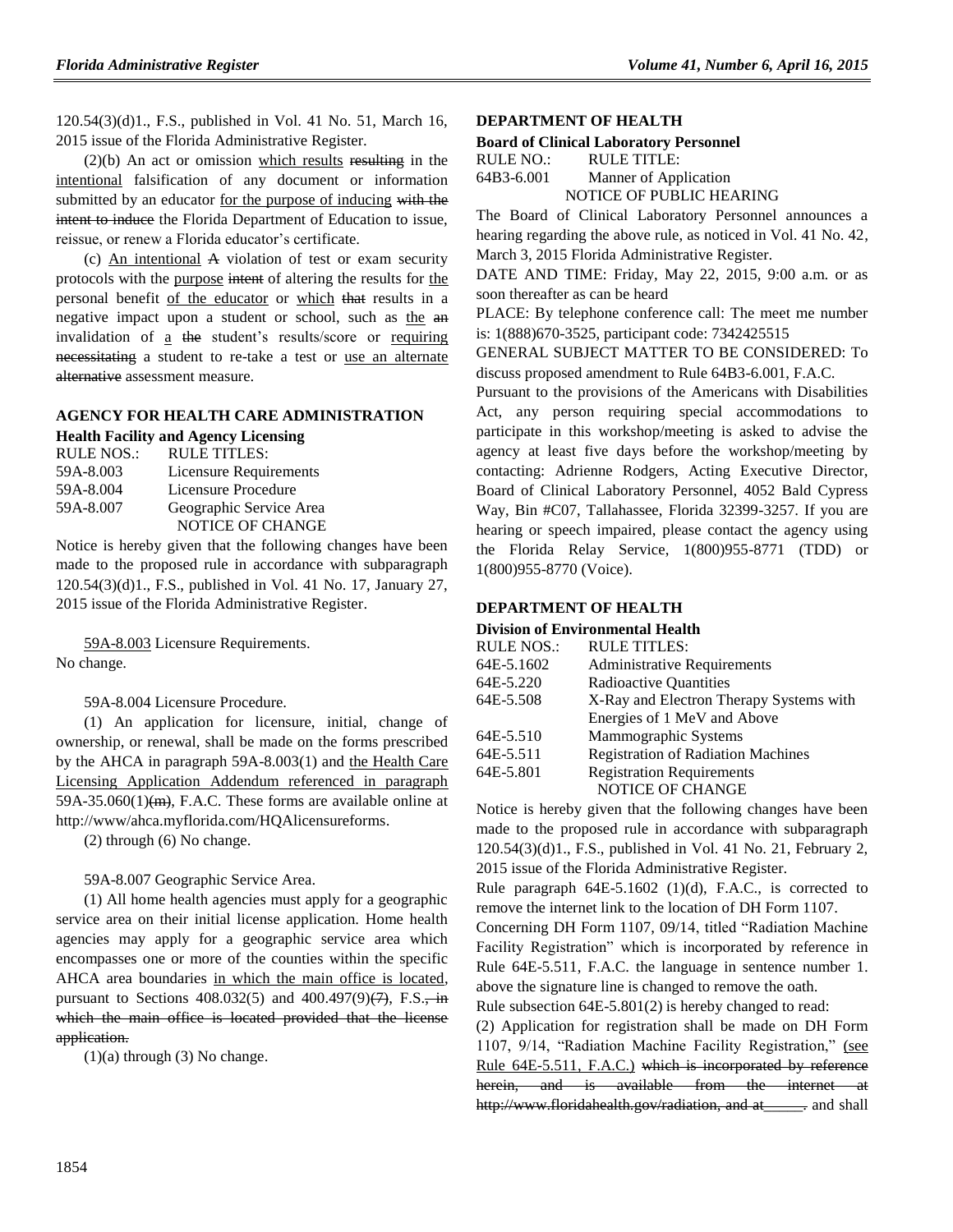120.54(3)(d)1., F.S., published in Vol. 41 No. 51, March 16, 2015 issue of the Florida Administrative Register.

 $(2)(b)$  An act or omission which results resulting in the intentional falsification of any document or information submitted by an educator for the purpose of inducing with the intent to induce the Florida Department of Education to issue, reissue, or renew a Florida educator's certificate.

(c) An intentional A violation of test or exam security protocols with the purpose intent of altering the results for the personal benefit of the educator or which that results in a negative impact upon a student or school, such as the an invalidation of a the student's results/score or requiring necessitating a student to re-take a test or use an alternate alternative assessment measure.

### **AGENCY FOR HEALTH [CARE ADMINISTRATION](https://www.flrules.org/gateway/department.asp?id=59) [Health Facility and Agency Licensing](https://www.flrules.org/gateway/organization.asp?id=186)**

| RULE NOS.: | RULE TITLES:                  |
|------------|-------------------------------|
| 59A-8.003  | <b>Licensure Requirements</b> |
| 59A-8.004  | Licensure Procedure           |
| 59A-8.007  | Geographic Service Area       |
|            | <b>NOTICE OF CHANGE</b>       |

Notice is hereby given that the following changes have been made to the proposed rule in accordance with subparagraph 120.54(3)(d)1., F.S., published in Vol. 41 No. 17, January 27, 2015 issue of the Florida Administrative Register.

[59A-8.003](https://www.flrules.org/gateway/ruleNo.asp?id=59A-8.003) Licensure Requirements. No change.

59A-8.004 Licensure Procedure.

(1) An application for licensure, initial, change of ownership, or renewal, shall be made on the forms prescribed by the AHCA in paragraph 59A-8.003(1) and the Health Care Licensing Application Addendum referenced in paragraph  $59A-35.060(1)$ (m), F.A.C. These forms are available online at http://www/ahca.myflorida.com/HQAlicensureforms.

(2) through (6) No change.

59A-8.007 Geographic Service Area.

(1) All home health agencies must apply for a geographic service area on their initial license application. Home health agencies may apply for a geographic service area which encompasses one or more of the counties within the specific AHCA area boundaries in which the main office is located, pursuant to Sections  $408.032(5)$  and  $400.497(9)(7)$ , F.S., in which the main office is located provided that the license application.

 $(1)(a)$  through  $(3)$  No change.

#### **[DEPARTMENT OF HEALTH](https://www.flrules.org/gateway/department.asp?id=64)**

#### **[Board of Clinical Laboratory Personnel](https://www.flrules.org/gateway/organization.asp?id=322)**

| RULE NO.:  | RULE TITLE:              |
|------------|--------------------------|
| 64B3-6.001 | Manner of Application    |
|            | NOTICE OF PUBLIC HEARING |

The Board of Clinical Laboratory Personnel announces a hearing regarding the above rule, as noticed in Vol. 41 No. 42, March 3, 2015 Florida Administrative Register.

DATE AND TIME: Friday, May 22, 2015, 9:00 a.m. or as soon thereafter as can be heard

PLACE: By telephone conference call: The meet me number is: 1(888)670-3525, participant code: 7342425515

GENERAL SUBJECT MATTER TO BE CONSIDERED: To discuss proposed amendment to Rule 64B3-6.001, F.A.C.

Pursuant to the provisions of the Americans with Disabilities Act, any person requiring special accommodations to participate in this workshop/meeting is asked to advise the agency at least five days before the workshop/meeting by contacting: Adrienne Rodgers, Acting Executive Director, Board of Clinical Laboratory Personnel, 4052 Bald Cypress Way, Bin #C07, Tallahassee, Florida 32399-3257. If you are hearing or speech impaired, please contact the agency using the Florida Relay Service, 1(800)955-8771 (TDD) or 1(800)955-8770 (Voice).

#### **[DEPARTMENT OF HEALTH](https://www.flrules.org/gateway/department.asp?id=64)**

#### **[Division of Environmental Health](https://www.flrules.org/gateway/organization.asp?id=335)**

| <b>RULE NOS.:</b> | <b>RULE TITLES:</b>                       |
|-------------------|-------------------------------------------|
| 64E-5.1602        | <b>Administrative Requirements</b>        |
| 64E-5.220         | <b>Radioactive Quantities</b>             |
| 64E-5.508         | X-Ray and Electron Therapy Systems with   |
|                   | Energies of 1 MeV and Above               |
| 64E-5.510         | Mammographic Systems                      |
| 64E-5.511         | <b>Registration of Radiation Machines</b> |
| 64E-5.801         | <b>Registration Requirements</b>          |
|                   | NOTICE OF CHANGE                          |

Notice is hereby given that the following changes have been made to the proposed rule in accordance with subparagraph 120.54(3)(d)1., F.S., published in Vol. 41 No. 21, February 2, 2015 issue of the Florida Administrative Register.

Rule paragraph 64E-5.1602 (1)(d), F.A.C., is corrected to remove the internet link to the location of DH Form 1107.

Concerning DH Form 1107, 09/14, titled "Radiation Machine Facility Registration" which is incorporated by reference in Rule 64E-5.511, F.A.C. the language in sentence number 1. above the signature line is changed to remove the oath.

Rule subsection 64E-5.801(2) is hereby changed to read:

(2) Application for registration shall be made on DH Form 1107, 9/14, "Radiation Machine Facility Registration," (see Rule 64E-5.511, F.A.C.) which is incorporated by reference herein, and is available from the internet http://www.floridahealth.gov/radiation, and at \_\_\_\_\_. and shall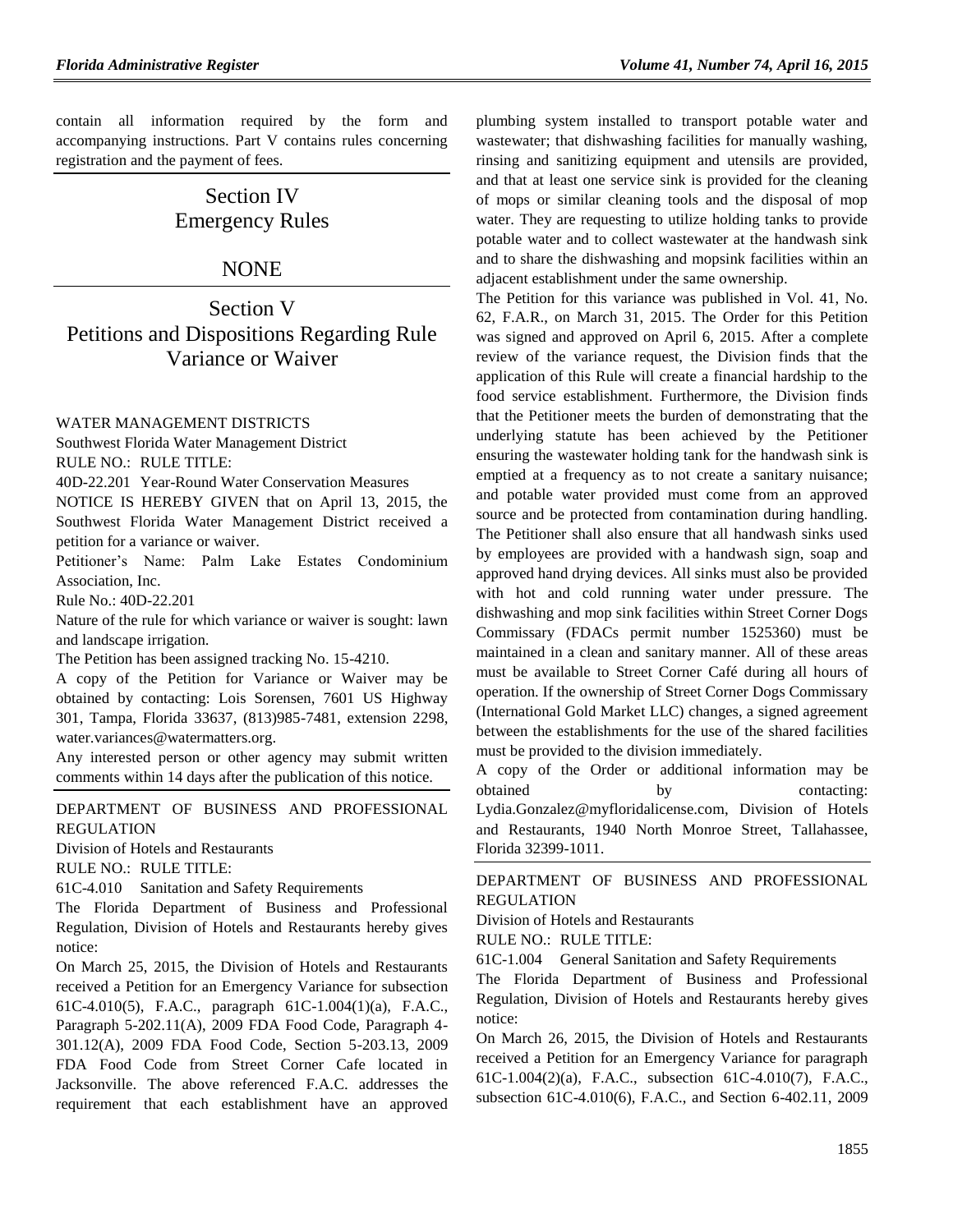contain all information required by the form and accompanying instructions. Part V contains rules concerning registration and the payment of fees.

# Section IV Emergency Rules

### NONE

Section V Petitions and Dispositions Regarding Rule Variance or Waiver

### [WATER MANAGEMENT DISTRICTS](https://www.flrules.org/gateway/department.asp?id=40)

[Southwest Florida Water Management District](https://www.flrules.org/gateway/organization.asp?id=123)

RULE NO.: RULE TITLE:

[40D-22.201](https://www.flrules.org/gateway/ruleNo.asp?id=40D-22.201) Year-Round Water Conservation Measures

NOTICE IS HEREBY GIVEN that on April 13, 2015, the Southwest Florida Water Management District received a petition for a variance or waiver.

Petitioner's Name: Palm Lake Estates Condominium Association, Inc.

Rule No.: 40D-22.201

Nature of the rule for which variance or waiver is sought: lawn and landscape irrigation.

The Petition has been assigned tracking No. 15-4210.

A copy of the Petition for Variance or Waiver may be obtained by contacting: Lois Sorensen, 7601 US Highway 301, Tampa, Florida 33637, (813)985-7481, extension 2298, [water.variances@watermatters.org.](mailto:water.variances@watermatters.org)

Any interested person or other agency may submit written comments within 14 days after the publication of this notice.

[DEPARTMENT OF BUSINESS AND PROFESSIONAL](https://www.flrules.org/gateway/department.asp?id=61)  [REGULATION](https://www.flrules.org/gateway/department.asp?id=61)

[Division of Hotels and Restaurants](https://www.flrules.org/gateway/organization.asp?id=249)

RULE NO.: RULE TITLE:

[61C-4.010](https://www.flrules.org/gateway/ruleNo.asp?id=61C-4.010) Sanitation and Safety Requirements

The Florida Department of Business and Professional Regulation, Division of Hotels and Restaurants hereby gives notice:

On March 25, 2015, the Division of Hotels and Restaurants received a Petition for an Emergency Variance for subsection 61C-4.010(5), F.A.C., paragraph 61C-1.004(1)(a), F.A.C., Paragraph 5-202.11(A), 2009 FDA Food Code, Paragraph 4- 301.12(A), 2009 FDA Food Code, Section 5-203.13, 2009 FDA Food Code from Street Corner Cafe located in Jacksonville. The above referenced F.A.C. addresses the requirement that each establishment have an approved

plumbing system installed to transport potable water and wastewater; that dishwashing facilities for manually washing, rinsing and sanitizing equipment and utensils are provided, and that at least one service sink is provided for the cleaning of mops or similar cleaning tools and the disposal of mop water. They are requesting to utilize holding tanks to provide potable water and to collect wastewater at the handwash sink and to share the dishwashing and mopsink facilities within an adjacent establishment under the same ownership.

The Petition for this variance was published in Vol. 41, No. 62, F.A.R., on March 31, 2015. The Order for this Petition was signed and approved on April 6, 2015. After a complete review of the variance request, the Division finds that the application of this Rule will create a financial hardship to the food service establishment. Furthermore, the Division finds that the Petitioner meets the burden of demonstrating that the underlying statute has been achieved by the Petitioner ensuring the wastewater holding tank for the handwash sink is emptied at a frequency as to not create a sanitary nuisance; and potable water provided must come from an approved source and be protected from contamination during handling. The Petitioner shall also ensure that all handwash sinks used by employees are provided with a handwash sign, soap and approved hand drying devices. All sinks must also be provided with hot and cold running water under pressure. The dishwashing and mop sink facilities within Street Corner Dogs Commissary (FDACs permit number 1525360) must be maintained in a clean and sanitary manner. All of these areas must be available to Street Corner Café during all hours of operation. If the ownership of Street Corner Dogs Commissary (International Gold Market LLC) changes, a signed agreement between the establishments for the use of the shared facilities must be provided to the division immediately.

A copy of the Order or additional information may be obtained by contacting: [Lydia.Gonzalez@myfloridalicense.com,](mailto:Lydia.Gonzalez@myfloridalicense.com) Division of Hotels and Restaurants, 1940 North Monroe Street, Tallahassee, Florida 32399-1011.

[DEPARTMENT OF BUSINESS AND PROFESSIONAL](https://www.flrules.org/gateway/department.asp?id=61)  [REGULATION](https://www.flrules.org/gateway/department.asp?id=61)

[Division of Hotels and Restaurants](https://www.flrules.org/gateway/organization.asp?id=249)

RULE NO.: RULE TITLE:

[61C-1.004](https://www.flrules.org/gateway/ruleNo.asp?id=61C-1.004) General Sanitation and Safety Requirements

The Florida Department of Business and Professional Regulation, Division of Hotels and Restaurants hereby gives notice:

On March 26, 2015, the Division of Hotels and Restaurants received a Petition for an Emergency Variance for paragraph 61C-1.004(2)(a), F.A.C., subsection 61C-4.010(7), F.A.C., subsection 61C-4.010(6), F.A.C., and Section 6-402.11, 2009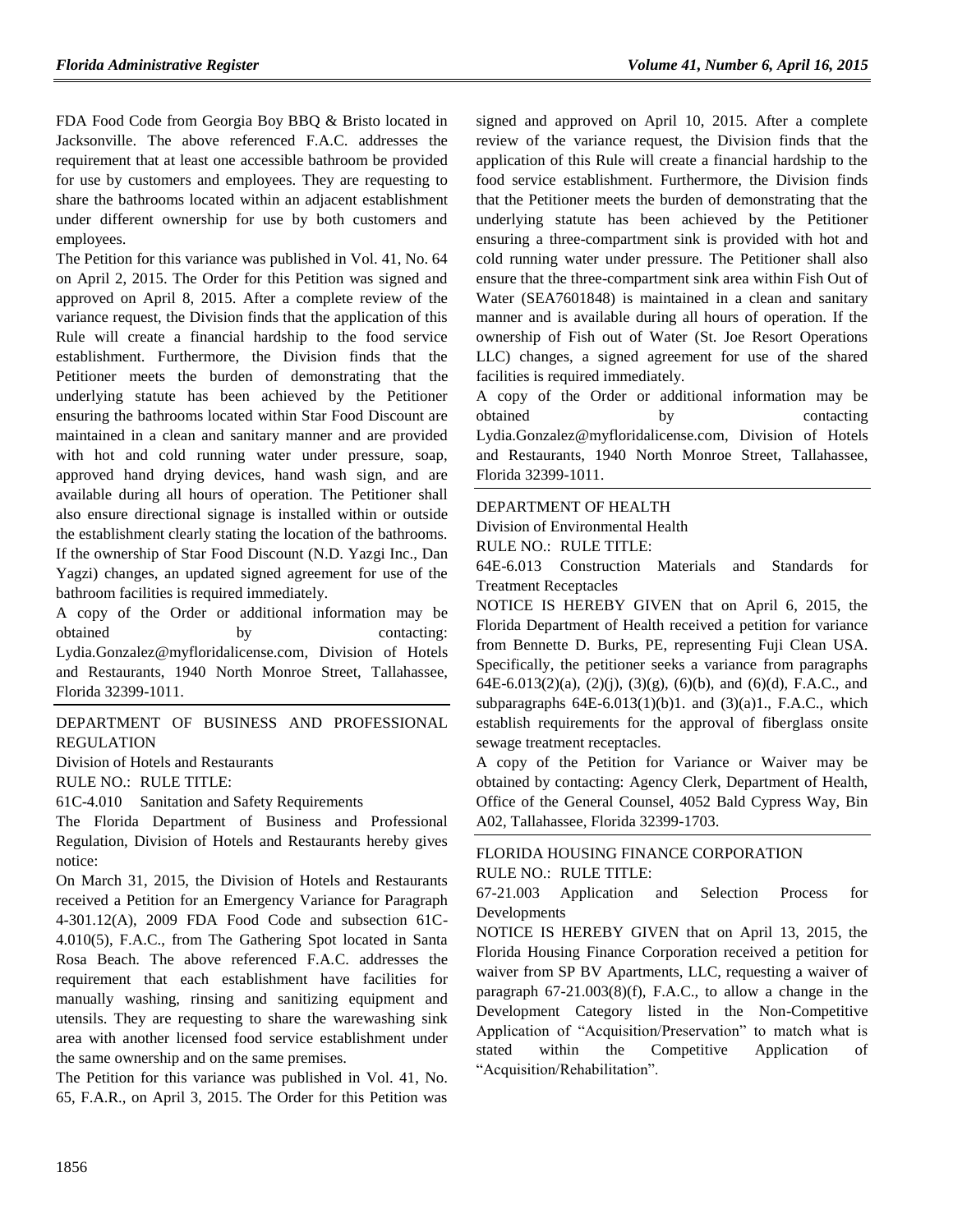FDA Food Code from Georgia Boy BBQ & Bristo located in Jacksonville. The above referenced F.A.C. addresses the requirement that at least one accessible bathroom be provided for use by customers and employees. They are requesting to share the bathrooms located within an adjacent establishment under different ownership for use by both customers and employees.

The Petition for this variance was published in Vol. 41, No. 64 on April 2, 2015. The Order for this Petition was signed and approved on April 8, 2015. After a complete review of the variance request, the Division finds that the application of this Rule will create a financial hardship to the food service establishment. Furthermore, the Division finds that the Petitioner meets the burden of demonstrating that the underlying statute has been achieved by the Petitioner ensuring the bathrooms located within Star Food Discount are maintained in a clean and sanitary manner and are provided with hot and cold running water under pressure, soap, approved hand drying devices, hand wash sign, and are available during all hours of operation. The Petitioner shall also ensure directional signage is installed within or outside the establishment clearly stating the location of the bathrooms. If the ownership of Star Food Discount (N.D. Yazgi Inc., Dan Yagzi) changes, an updated signed agreement for use of the bathroom facilities is required immediately.

A copy of the Order or additional information may be obtained by contacting: [Lydia.Gonzalez@myfloridalicense.com,](mailto:Lydia.Gonzalez@myfloridalicense.com) Division of Hotels and Restaurants, 1940 North Monroe Street, Tallahassee, Florida 32399-1011.

### [DEPARTMENT OF BUSINESS AND PROFESSIONAL](https://www.flrules.org/gateway/department.asp?id=61)  [REGULATION](https://www.flrules.org/gateway/department.asp?id=61)

[Division of Hotels and Restaurants](https://www.flrules.org/gateway/organization.asp?id=249)

RULE NO.: RULE TITLE:

[61C-4.010](https://www.flrules.org/gateway/ruleNo.asp?id=61C-4.010) Sanitation and Safety Requirements

The Florida Department of Business and Professional Regulation, Division of Hotels and Restaurants hereby gives notice:

On March 31, 2015, the Division of Hotels and Restaurants received a Petition for an Emergency Variance for Paragraph 4-301.12(A), 2009 FDA Food Code and subsection 61C-4.010(5), F.A.C., from The Gathering Spot located in Santa Rosa Beach. The above referenced F.A.C. addresses the requirement that each establishment have facilities for manually washing, rinsing and sanitizing equipment and utensils. They are requesting to share the warewashing sink area with another licensed food service establishment under the same ownership and on the same premises.

The Petition for this variance was published in Vol. 41, No. 65, F.A.R., on April 3, 2015. The Order for this Petition was signed and approved on April 10, 2015. After a complete review of the variance request, the Division finds that the application of this Rule will create a financial hardship to the food service establishment. Furthermore, the Division finds that the Petitioner meets the burden of demonstrating that the underlying statute has been achieved by the Petitioner ensuring a three-compartment sink is provided with hot and cold running water under pressure. The Petitioner shall also ensure that the three-compartment sink area within Fish Out of Water (SEA7601848) is maintained in a clean and sanitary manner and is available during all hours of operation. If the ownership of Fish out of Water (St. Joe Resort Operations LLC) changes, a signed agreement for use of the shared facilities is required immediately.

A copy of the Order or additional information may be obtained by contacting [Lydia.Gonzalez@myfloridalicense.com,](mailto:Lydia.Gonzalez@myfloridalicense.com) Division of Hotels and Restaurants, 1940 North Monroe Street, Tallahassee, Florida 32399-1011.

### [DEPARTMENT OF HEALTH](https://www.flrules.org/gateway/department.asp?id=64)

[Division of Environmental Health](https://www.flrules.org/gateway/organization.asp?id=335) RULE NO.: RULE TITLE:

[64E-6.013](https://www.flrules.org/gateway/ruleNo.asp?id=64E-6.013) Construction Materials and Standards for Treatment Receptacles

NOTICE IS HEREBY GIVEN that on April 6, 2015, the Florida Department of Health received a petition for variance from Bennette D. Burks, PE, representing Fuji Clean USA. Specifically, the petitioner seeks a variance from paragraphs 64E-6.013(2)(a), (2)(j), (3)(g), (6)(b), and (6)(d), F.A.C., and subparagraphs  $64E-6.013(1)(b)1$ . and  $(3)(a)1$ ., F.A.C., which establish requirements for the approval of fiberglass onsite sewage treatment receptacles.

A copy of the Petition for Variance or Waiver may be obtained by contacting: Agency Clerk, Department of Health, Office of the General Counsel, 4052 Bald Cypress Way, Bin A02, Tallahassee, Florida 32399-1703.

### [FLORIDA HOUSING FINANCE CORPORATION](https://www.flrules.org/gateway/department.asp?id=67) RULE NO.: RULE TITLE:

[67-21.003](https://www.flrules.org/gateway/ruleNo.asp?id=67-21.003) Application and Selection Process for Developments

NOTICE IS HEREBY GIVEN that on April 13, 2015, the Florida Housing Finance Corporation received a petition for waiver from SP BV Apartments, LLC, requesting a waiver of paragraph 67-21.003(8)(f), F.A.C., to allow a change in the Development Category listed in the Non-Competitive Application of "Acquisition/Preservation" to match what is stated within the Competitive Application of "Acquisition/Rehabilitation".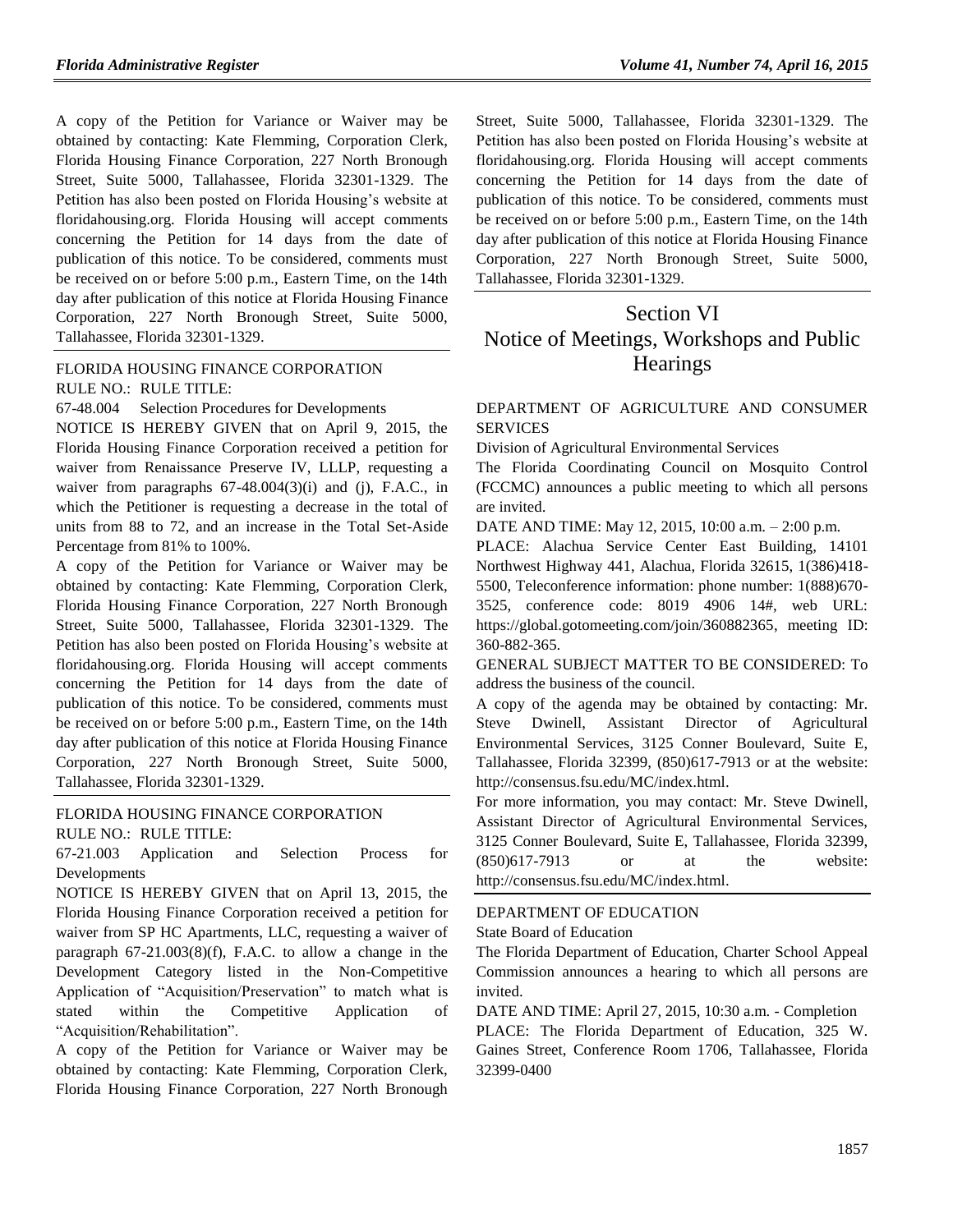A copy of the Petition for Variance or Waiver may be obtained by contacting: Kate Flemming, Corporation Clerk, Florida Housing Finance Corporation, 227 North Bronough Street, Suite 5000, Tallahassee, Florida 32301-1329. The Petition has also been posted on Florida Housing's website at floridahousing.org. Florida Housing will accept comments concerning the Petition for 14 days from the date of publication of this notice. To be considered, comments must be received on or before 5:00 p.m., Eastern Time, on the 14th day after publication of this notice at Florida Housing Finance Corporation, 227 North Bronough Street, Suite 5000, Tallahassee, Florida 32301-1329.

### [FLORIDA HOUSING FINANCE CORPORATION](https://www.flrules.org/gateway/department.asp?id=67) RULE NO.: RULE TITLE:

[67-48.004](https://www.flrules.org/gateway/ruleNo.asp?id=67-48.004) Selection Procedures for Developments

NOTICE IS HEREBY GIVEN that on April 9, 2015, the Florida Housing Finance Corporation received a petition for waiver from Renaissance Preserve IV, LLLP, requesting a waiver from paragraphs  $67-48.004(3)(i)$  and  $(i)$ , F.A.C., in which the Petitioner is requesting a decrease in the total of units from 88 to 72, and an increase in the Total Set-Aside Percentage from 81% to 100%.

A copy of the Petition for Variance or Waiver may be obtained by contacting: Kate Flemming, Corporation Clerk, Florida Housing Finance Corporation, 227 North Bronough Street, Suite 5000, Tallahassee, Florida 32301-1329. The Petition has also been posted on Florida Housing's website at floridahousing.org. Florida Housing will accept comments concerning the Petition for 14 days from the date of publication of this notice. To be considered, comments must be received on or before 5:00 p.m., Eastern Time, on the 14th day after publication of this notice at Florida Housing Finance Corporation, 227 North Bronough Street, Suite 5000, Tallahassee, Florida 32301-1329.

# [FLORIDA HOUSING FINANCE CORPORATION](https://www.flrules.org/gateway/department.asp?id=67)

RULE NO.: RULE TITLE:

[67-21.003](https://www.flrules.org/gateway/ruleNo.asp?id=67-21.003) Application and Selection Process for Developments

NOTICE IS HEREBY GIVEN that on April 13, 2015, the Florida Housing Finance Corporation received a petition for waiver from SP HC Apartments, LLC, requesting a waiver of paragraph 67-21.003(8)(f), F.A.C. to allow a change in the Development Category listed in the Non-Competitive Application of "Acquisition/Preservation" to match what is stated within the Competitive Application of "Acquisition/Rehabilitation".

A copy of the Petition for Variance or Waiver may be obtained by contacting: Kate Flemming, Corporation Clerk, Florida Housing Finance Corporation, 227 North Bronough Street, Suite 5000, Tallahassee, Florida 32301-1329. The Petition has also been posted on Florida Housing's website at floridahousing.org. Florida Housing will accept comments concerning the Petition for 14 days from the date of publication of this notice. To be considered, comments must be received on or before 5:00 p.m., Eastern Time, on the 14th day after publication of this notice at Florida Housing Finance Corporation, 227 North Bronough Street, Suite 5000, Tallahassee, Florida 32301-1329.

# Section VI Notice of Meetings, Workshops and Public **Hearings**

### [DEPARTMENT OF AGRICULTURE AND CONSUMER](https://www.flrules.org/gateway/department.asp?id=5)  **[SERVICES](https://www.flrules.org/gateway/department.asp?id=5)**

[Division of Agricultural Environmental Services](https://www.flrules.org/gateway/organization.asp?id=165)

The Florida Coordinating Council on Mosquito Control (FCCMC) announces a public meeting to which all persons are invited.

DATE AND TIME: May 12, 2015, 10:00 a.m. – 2:00 p.m.

PLACE: Alachua Service Center East Building, 14101 Northwest Highway 441, Alachua, Florida 32615, 1(386)418- 5500, Teleconference information: phone number: 1(888)670- 3525, conference code: 8019 4906 14#, web URL: [https://global.gotomeeting.com/join/360882365,](https://global.gotomeeting.com/join/360882365) meeting ID: 360-882-365.

GENERAL SUBJECT MATTER TO BE CONSIDERED: To address the business of the council.

A copy of the agenda may be obtained by contacting: Mr. Steve Dwinell, Assistant Director of Agricultural Environmental Services, 3125 Conner Boulevard, Suite E, Tallahassee, Florida 32399, (850)617-7913 or at the website: [http://consensus.fsu.edu/MC/index.html.](http://consensus.fsu.edu/MC/index.html)

For more information, you may contact: Mr. Steve Dwinell, Assistant Director of Agricultural Environmental Services, 3125 Conner Boulevard, Suite E, Tallahassee, Florida 32399, (850)617-7913 or at the website: [http://consensus.fsu.edu/MC/index.html.](http://consensus.fsu.edu/MC/index.html)

### [DEPARTMENT OF EDUCATION](https://www.flrules.org/gateway/department.asp?id=6)

[State Board of Education](https://www.flrules.org/gateway/organization.asp?id=195)

The Florida Department of Education, Charter School Appeal Commission announces a hearing to which all persons are invited.

DATE AND TIME: April 27, 2015, 10:30 a.m. - Completion

PLACE: The Florida Department of Education, 325 W. Gaines Street, Conference Room 1706, Tallahassee, Florida 32399-0400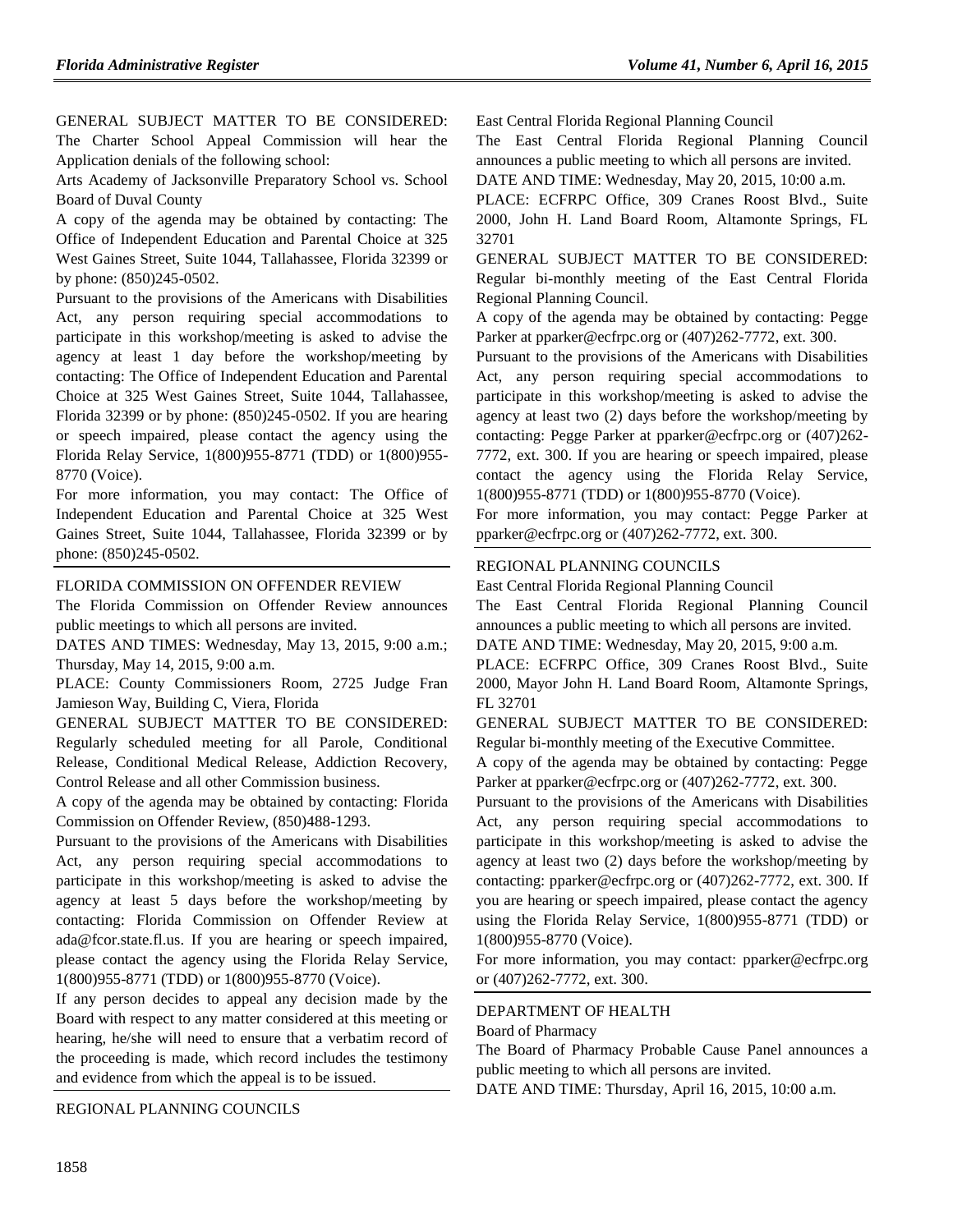GENERAL SUBJECT MATTER TO BE CONSIDERED: The Charter School Appeal Commission will hear the Application denials of the following school:

Arts Academy of Jacksonville Preparatory School vs. School Board of Duval County

A copy of the agenda may be obtained by contacting: The Office of Independent Education and Parental Choice at 325 West Gaines Street, Suite 1044, Tallahassee, Florida 32399 or by phone: (850)245-0502.

Pursuant to the provisions of the Americans with Disabilities Act, any person requiring special accommodations to participate in this workshop/meeting is asked to advise the agency at least 1 day before the workshop/meeting by contacting: The Office of Independent Education and Parental Choice at 325 West Gaines Street, Suite 1044, Tallahassee, Florida 32399 or by phone: (850)245-0502. If you are hearing or speech impaired, please contact the agency using the Florida Relay Service, 1(800)955-8771 (TDD) or 1(800)955- 8770 (Voice).

For more information, you may contact: The Office of Independent Education and Parental Choice at 325 West Gaines Street, Suite 1044, Tallahassee, Florida 32399 or by phone: (850)245-0502.

### [FLORIDA COMMISSION ON OFFENDER REVIEW](https://www.flrules.org/gateway/department.asp?id=23)

The Florida Commission on Offender Review announces public meetings to which all persons are invited.

DATES AND TIMES: Wednesday, May 13, 2015, 9:00 a.m.; Thursday, May 14, 2015, 9:00 a.m.

PLACE: County Commissioners Room, 2725 Judge Fran Jamieson Way, Building C, Viera, Florida

GENERAL SUBJECT MATTER TO BE CONSIDERED: Regularly scheduled meeting for all Parole, Conditional Release, Conditional Medical Release, Addiction Recovery, Control Release and all other Commission business.

A copy of the agenda may be obtained by contacting: Florida Commission on Offender Review, (850)488-1293.

Pursuant to the provisions of the Americans with Disabilities Act, any person requiring special accommodations to participate in this workshop/meeting is asked to advise the agency at least 5 days before the workshop/meeting by contacting: Florida Commission on Offender Review at [ada@fcor.state.fl.us.](mailto:ada@fcor.state.fl.us) If you are hearing or speech impaired, please contact the agency using the Florida Relay Service, 1(800)955-8771 (TDD) or 1(800)955-8770 (Voice).

If any person decides to appeal any decision made by the Board with respect to any matter considered at this meeting or hearing, he/she will need to ensure that a verbatim record of the proceeding is made, which record includes the testimony and evidence from which the appeal is to be issued.

[REGIONAL PLANNING COUNCILS](https://www.flrules.org/gateway/department.asp?id=29)

[East Central Florida Regional Planning Council](https://www.flrules.org/gateway/organization.asp?id=62)

The East Central Florida Regional Planning Council announces a public meeting to which all persons are invited.

DATE AND TIME: Wednesday, May 20, 2015, 10:00 a.m.

PLACE: ECFRPC Office, 309 Cranes Roost Blvd., Suite 2000, John H. Land Board Room, Altamonte Springs, FL 32701

GENERAL SUBJECT MATTER TO BE CONSIDERED: Regular bi-monthly meeting of the East Central Florida Regional Planning Council.

A copy of the agenda may be obtained by contacting: Pegge Parker at [pparker@ecfrpc.org](mailto:pparker@ecfrpc.org) or  $(407)262-7772$ , ext. 300.

Pursuant to the provisions of the Americans with Disabilities Act, any person requiring special accommodations to participate in this workshop/meeting is asked to advise the agency at least two (2) days before the workshop/meeting by contacting: Pegge Parker at [pparker@ecfrpc.org](mailto:pparker@ecfrpc.org) or (407)262- 7772, ext. 300. If you are hearing or speech impaired, please contact the agency using the Florida Relay Service, 1(800)955-8771 (TDD) or 1(800)955-8770 (Voice).

For more information, you may contact: Pegge Parker at [pparker@ecfrpc.org](mailto:pparker@ecfrpc.org) or (407)262-7772, ext. 300.

### [REGIONAL PLANNING COUNCILS](https://www.flrules.org/gateway/department.asp?id=29)

[East Central Florida Regional Planning Council](https://www.flrules.org/gateway/organization.asp?id=62)

The East Central Florida Regional Planning Council announces a public meeting to which all persons are invited.

DATE AND TIME: Wednesday, May 20, 2015, 9:00 a.m.

PLACE: ECFRPC Office, 309 Cranes Roost Blvd., Suite 2000, Mayor John H. Land Board Room, Altamonte Springs, FL 32701

GENERAL SUBJECT MATTER TO BE CONSIDERED: Regular bi-monthly meeting of the Executive Committee.

A copy of the agenda may be obtained by contacting: Pegge Parker at [pparker@ecfrpc.org](mailto:pparker@ecfrpc.org) or (407)262-7772, ext. 300.

Pursuant to the provisions of the Americans with Disabilities Act, any person requiring special accommodations to participate in this workshop/meeting is asked to advise the agency at least two (2) days before the workshop/meeting by contacting: [pparker@ecfrpc.org](mailto:pparker@ecfrpc.org) or (407)262-7772, ext. 300. If you are hearing or speech impaired, please contact the agency using the Florida Relay Service, 1(800)955-8771 (TDD) or 1(800)955-8770 (Voice).

For more information, you may contact: [pparker@ecfrpc.org](mailto:pparker@ecfrpc.org) or (407)262-7772, ext. 300.

### [DEPARTMENT OF HEALTH](https://www.flrules.org/gateway/department.asp?id=64)

[Board of Pharmacy](https://www.flrules.org/gateway/organization.asp?id=307)

The Board of Pharmacy Probable Cause Panel announces a public meeting to which all persons are invited.

DATE AND TIME: Thursday, April 16, 2015, 10:00 a.m.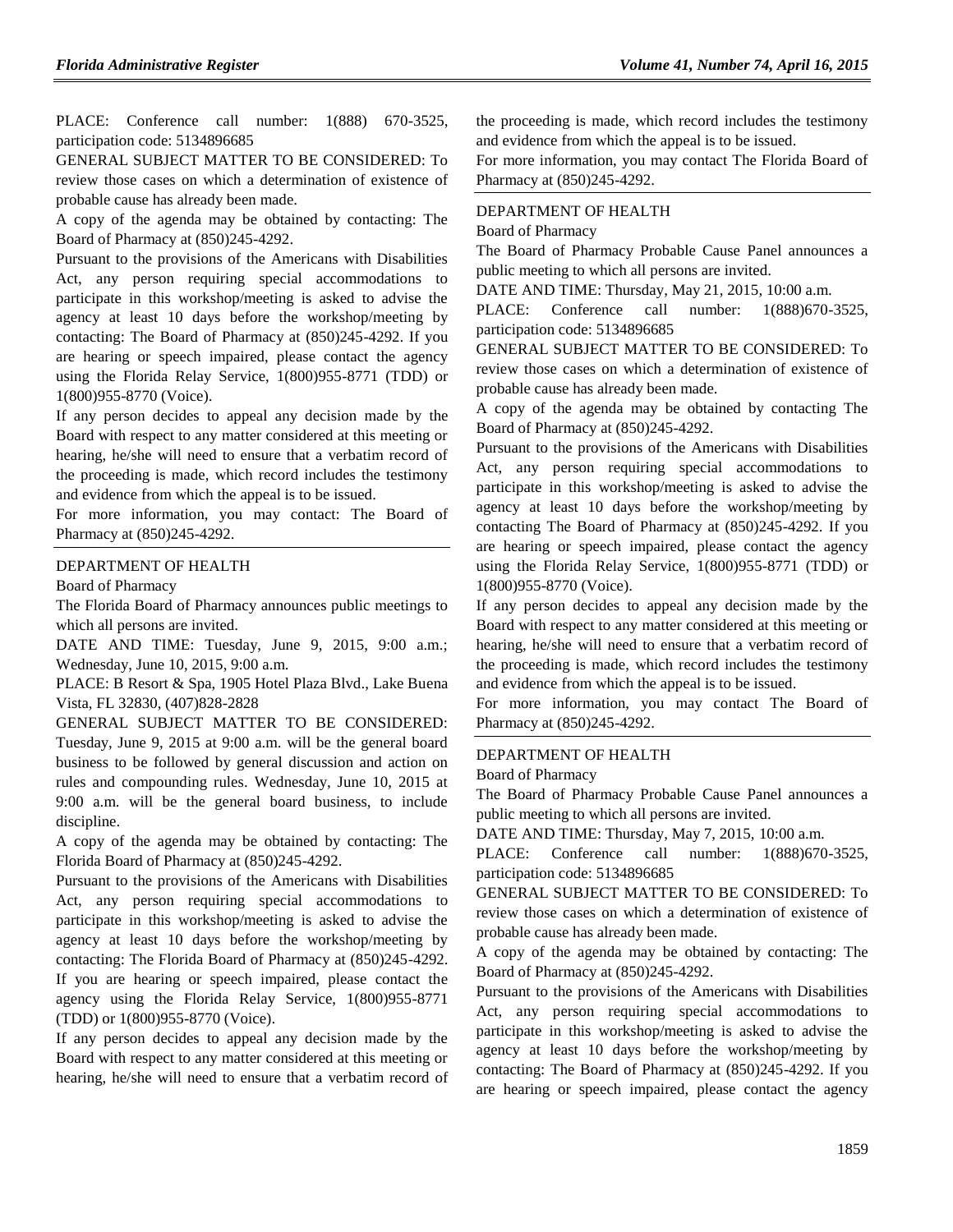PLACE: Conference call number: 1(888) 670-3525, participation code: 5134896685

GENERAL SUBJECT MATTER TO BE CONSIDERED: To review those cases on which a determination of existence of probable cause has already been made.

A copy of the agenda may be obtained by contacting: The Board of Pharmacy at (850)245-4292.

Pursuant to the provisions of the Americans with Disabilities Act, any person requiring special accommodations to participate in this workshop/meeting is asked to advise the agency at least 10 days before the workshop/meeting by contacting: The Board of Pharmacy at (850)245-4292. If you are hearing or speech impaired, please contact the agency using the Florida Relay Service, 1(800)955-8771 (TDD) or 1(800)955-8770 (Voice).

If any person decides to appeal any decision made by the Board with respect to any matter considered at this meeting or hearing, he/she will need to ensure that a verbatim record of the proceeding is made, which record includes the testimony and evidence from which the appeal is to be issued.

For more information, you may contact: The Board of Pharmacy at (850)245-4292.

#### [DEPARTMENT OF HEALTH](https://www.flrules.org/gateway/department.asp?id=64)

[Board of Pharmacy](https://www.flrules.org/gateway/organization.asp?id=307)

The Florida Board of Pharmacy announces public meetings to which all persons are invited.

DATE AND TIME: Tuesday, June 9, 2015, 9:00 a.m.; Wednesday, June 10, 2015, 9:00 a.m.

PLACE: B Resort & Spa, 1905 Hotel Plaza Blvd., Lake Buena Vista, FL 32830, (407)828-2828

GENERAL SUBJECT MATTER TO BE CONSIDERED: Tuesday, June 9, 2015 at 9:00 a.m. will be the general board business to be followed by general discussion and action on rules and compounding rules. Wednesday, June 10, 2015 at 9:00 a.m. will be the general board business, to include discipline.

A copy of the agenda may be obtained by contacting: The Florida Board of Pharmacy at (850)245-4292.

Pursuant to the provisions of the Americans with Disabilities Act, any person requiring special accommodations to participate in this workshop/meeting is asked to advise the agency at least 10 days before the workshop/meeting by contacting: The Florida Board of Pharmacy at (850)245-4292. If you are hearing or speech impaired, please contact the agency using the Florida Relay Service, 1(800)955-8771 (TDD) or 1(800)955-8770 (Voice).

If any person decides to appeal any decision made by the Board with respect to any matter considered at this meeting or hearing, he/she will need to ensure that a verbatim record of the proceeding is made, which record includes the testimony and evidence from which the appeal is to be issued.

For more information, you may contact The Florida Board of Pharmacy at (850)245-4292.

#### [DEPARTMENT OF HEALTH](https://www.flrules.org/gateway/department.asp?id=64)

[Board of Pharmacy](https://www.flrules.org/gateway/organization.asp?id=307)

The Board of Pharmacy Probable Cause Panel announces a public meeting to which all persons are invited.

DATE AND TIME: Thursday, May 21, 2015, 10:00 a.m.

PLACE: Conference call number: 1(888)670-3525, participation code: 5134896685

GENERAL SUBJECT MATTER TO BE CONSIDERED: To review those cases on which a determination of existence of probable cause has already been made.

A copy of the agenda may be obtained by contacting The Board of Pharmacy at (850)245-4292.

Pursuant to the provisions of the Americans with Disabilities Act, any person requiring special accommodations to participate in this workshop/meeting is asked to advise the agency at least 10 days before the workshop/meeting by contacting The Board of Pharmacy at (850)245-4292. If you are hearing or speech impaired, please contact the agency using the Florida Relay Service, 1(800)955-8771 (TDD) or 1(800)955-8770 (Voice).

If any person decides to appeal any decision made by the Board with respect to any matter considered at this meeting or hearing, he/she will need to ensure that a verbatim record of the proceeding is made, which record includes the testimony and evidence from which the appeal is to be issued.

For more information, you may contact The Board of Pharmacy at (850)245-4292.

#### [DEPARTMENT OF HEALTH](https://www.flrules.org/gateway/department.asp?id=64)

[Board of Pharmacy](https://www.flrules.org/gateway/organization.asp?id=307)

The Board of Pharmacy Probable Cause Panel announces a public meeting to which all persons are invited.

DATE AND TIME: Thursday, May 7, 2015, 10:00 a.m.

PLACE: Conference call number: 1(888)670-3525, participation code: 5134896685

GENERAL SUBJECT MATTER TO BE CONSIDERED: To review those cases on which a determination of existence of probable cause has already been made.

A copy of the agenda may be obtained by contacting: The Board of Pharmacy at (850)245-4292.

Pursuant to the provisions of the Americans with Disabilities Act, any person requiring special accommodations to participate in this workshop/meeting is asked to advise the agency at least 10 days before the workshop/meeting by contacting: The Board of Pharmacy at (850)245-4292. If you are hearing or speech impaired, please contact the agency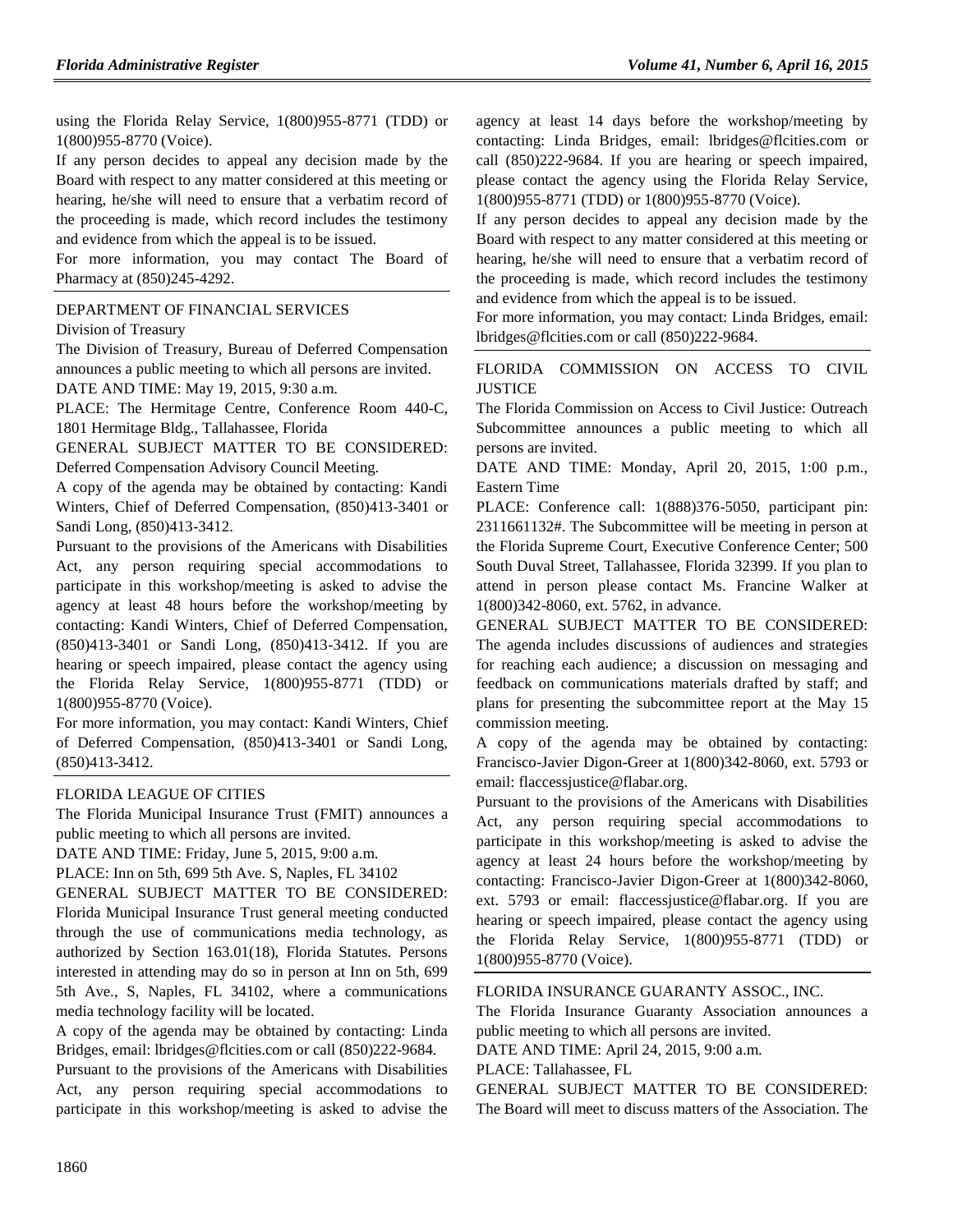using the Florida Relay Service, 1(800)955-8771 (TDD) or 1(800)955-8770 (Voice).

If any person decides to appeal any decision made by the Board with respect to any matter considered at this meeting or hearing, he/she will need to ensure that a verbatim record of the proceeding is made, which record includes the testimony and evidence from which the appeal is to be issued.

For more information, you may contact The Board of Pharmacy at (850)245-4292.

#### [DEPARTMENT OF FINANCIAL SERVICES](https://www.flrules.org/gateway/department.asp?id=69)

[Division of Treasury](https://www.flrules.org/gateway/organization.asp?id=361)

The Division of Treasury, Bureau of Deferred Compensation announces a public meeting to which all persons are invited.

DATE AND TIME: May 19, 2015, 9:30 a.m.

PLACE: The Hermitage Centre, Conference Room 440-C, 1801 Hermitage Bldg., Tallahassee, Florida

GENERAL SUBJECT MATTER TO BE CONSIDERED: Deferred Compensation Advisory Council Meeting.

A copy of the agenda may be obtained by contacting: Kandi Winters, Chief of Deferred Compensation, (850)413-3401 or Sandi Long, (850)413-3412.

Pursuant to the provisions of the Americans with Disabilities Act, any person requiring special accommodations to participate in this workshop/meeting is asked to advise the agency at least 48 hours before the workshop/meeting by contacting: Kandi Winters, Chief of Deferred Compensation, (850)413-3401 or Sandi Long, (850)413-3412. If you are hearing or speech impaired, please contact the agency using the Florida Relay Service, 1(800)955-8771 (TDD) or 1(800)955-8770 (Voice).

For more information, you may contact: Kandi Winters, Chief of Deferred Compensation, (850)413-3401 or Sandi Long, (850)413-3412.

#### [FLORIDA LEAGUE OF CITIES](https://www.flrules.org/gateway/organization.asp?id=670)

The Florida Municipal Insurance Trust (FMIT) announces a public meeting to which all persons are invited.

DATE AND TIME: Friday, June 5, 2015, 9:00 a.m.

PLACE: Inn on 5th, 699 5th Ave. S, Naples, FL 34102

GENERAL SUBJECT MATTER TO BE CONSIDERED: Florida Municipal Insurance Trust general meeting conducted through the use of communications media technology, as authorized by Section 163.01(18), Florida Statutes. Persons interested in attending may do so in person at Inn on 5th, 699 5th Ave., S, Naples, FL 34102, where a communications media technology facility will be located.

A copy of the agenda may be obtained by contacting: Linda Bridges, email: [lbridges@flcities.com](mailto:lbridges@flcities.com) or call (850)222-9684.

Pursuant to the provisions of the Americans with Disabilities Act, any person requiring special accommodations to participate in this workshop/meeting is asked to advise the

agency at least 14 days before the workshop/meeting by contacting: Linda Bridges, email: [lbridges@flcities.com](mailto:lbridges@flcities.com) or call (850)222-9684. If you are hearing or speech impaired, please contact the agency using the Florida Relay Service, 1(800)955-8771 (TDD) or 1(800)955-8770 (Voice).

If any person decides to appeal any decision made by the Board with respect to any matter considered at this meeting or hearing, he/she will need to ensure that a verbatim record of the proceeding is made, which record includes the testimony and evidence from which the appeal is to be issued.

For more information, you may contact: Linda Bridges, email: [lbridges@flcities.com](mailto:lbridges@flcities.com) or call (850)222-9684.

#### [FLORIDA COMMISSION ON ACCESS TO CIVIL](https://www.flrules.org/gateway/organization.asp?id=1196)  **[JUSTICE](https://www.flrules.org/gateway/organization.asp?id=1196)**

The Florida Commission on Access to Civil Justice: Outreach Subcommittee announces a public meeting to which all persons are invited.

DATE AND TIME: Monday, April 20, 2015, 1:00 p.m., Eastern Time

PLACE: Conference call: 1(888)376-5050, participant pin: 2311661132#. The Subcommittee will be meeting in person at the Florida Supreme Court, Executive Conference Center; 500 South Duval Street, Tallahassee, Florida 32399. If you plan to attend in person please contact Ms. Francine Walker at 1(800)342-8060, ext. 5762, in advance.

GENERAL SUBJECT MATTER TO BE CONSIDERED: The agenda includes discussions of audiences and strategies for reaching each audience; a discussion on messaging and feedback on communications materials drafted by staff; and plans for presenting the subcommittee report at the May 15 commission meeting.

A copy of the agenda may be obtained by contacting: Francisco-Javier Digon-Greer at 1(800)342-8060, ext. 5793 or email: [flaccessjustice@flabar.org.](mailto:flaccessjustice@flabar.org)

Pursuant to the provisions of the Americans with Disabilities Act, any person requiring special accommodations to participate in this workshop/meeting is asked to advise the agency at least 24 hours before the workshop/meeting by contacting: Francisco-Javier Digon-Greer at 1(800)342-8060, ext. 5793 or email: [flaccessjustice@flabar.org.](mailto:flaccessjustice@flabar.org) If you are hearing or speech impaired, please contact the agency using the Florida Relay Service, 1(800)955-8771 (TDD) or 1(800)955-8770 (Voice).

### [FLORIDA INSURANCE GUARANTY ASSOC., INC.](https://www.flrules.org/gateway/organization.asp?id=686)

The Florida Insurance Guaranty Association announces a public meeting to which all persons are invited.

DATE AND TIME: April 24, 2015, 9:00 a.m.

### PLACE: Tallahassee, FL

GENERAL SUBJECT MATTER TO BE CONSIDERED: The Board will meet to discuss matters of the Association. The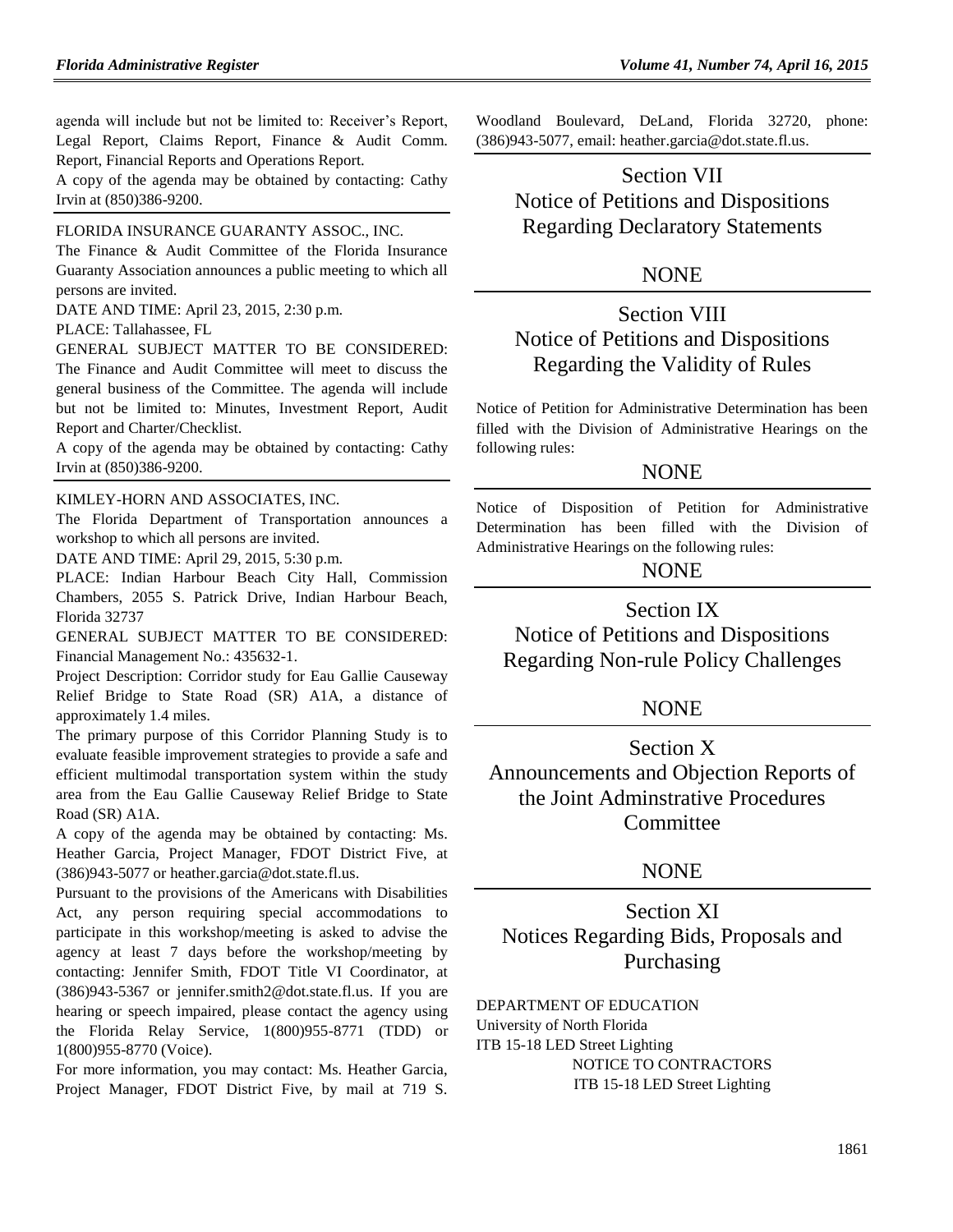agenda will include but not be limited to: Receiver's Report, Legal Report, Claims Report, Finance & Audit Comm. Report, Financial Reports and Operations Report.

A copy of the agenda may be obtained by contacting: Cathy Irvin at (850)386-9200.

#### [FLORIDA INSURANCE GUARANTY ASSOC., INC.](https://www.flrules.org/gateway/organization.asp?id=686)

The Finance & Audit Committee of the Florida Insurance Guaranty Association announces a public meeting to which all persons are invited.

DATE AND TIME: April 23, 2015, 2:30 p.m.

#### PLACE: Tallahassee, FL

GENERAL SUBJECT MATTER TO BE CONSIDERED: The Finance and Audit Committee will meet to discuss the general business of the Committee. The agenda will include but not be limited to: Minutes, Investment Report, Audit Report and Charter/Checklist.

A copy of the agenda may be obtained by contacting: Cathy Irvin at (850)386-9200.

#### [KIMLEY-HORN AND ASSOCIATES, INC.](https://www.flrules.org/gateway/organization.asp?id=996)

The Florida Department of Transportation announces a workshop to which all persons are invited.

DATE AND TIME: April 29, 2015, 5:30 p.m.

PLACE: Indian Harbour Beach City Hall, Commission Chambers, 2055 S. Patrick Drive, Indian Harbour Beach, Florida 32737

GENERAL SUBJECT MATTER TO BE CONSIDERED: Financial Management No.: 435632-1.

Project Description: Corridor study for Eau Gallie Causeway Relief Bridge to State Road (SR) A1A, a distance of approximately 1.4 miles.

The primary purpose of this Corridor Planning Study is to evaluate feasible improvement strategies to provide a safe and efficient multimodal transportation system within the study area from the Eau Gallie Causeway Relief Bridge to State Road (SR) A1A.

A copy of the agenda may be obtained by contacting: Ms. Heather Garcia, Project Manager, FDOT District Five, at (386)943-5077 or [heather.garcia@dot.state.fl.us.](mailto:heather.garcia@dot.state.fl.us)

Pursuant to the provisions of the Americans with Disabilities Act, any person requiring special accommodations to participate in this workshop/meeting is asked to advise the agency at least 7 days before the workshop/meeting by contacting: Jennifer Smith, FDOT Title VI Coordinator, at (386)943-5367 or [jennifer.smith2@dot.state.fl.us.](mailto:jennifer.smith2@dot.state.fl.us) If you are hearing or speech impaired, please contact the agency using the Florida Relay Service, 1(800)955-8771 (TDD) or 1(800)955-8770 (Voice).

For more information, you may contact: Ms. Heather Garcia, Project Manager, FDOT District Five, by mail at 719 S. Woodland Boulevard, DeLand, Florida 32720, phone: (386)943-5077, email: [heather.garcia@dot.state.fl.us.](mailto:heather.garcia@dot.state.fl.us)

# Section VII Notice of Petitions and Dispositions Regarding Declaratory Statements

### **NONE**

# Section VIII Notice of Petitions and Dispositions Regarding the Validity of Rules

Notice of Petition for Administrative Determination has been filled with the Division of Administrative Hearings on the following rules:

### **NONE**

Notice of Disposition of Petition for Administrative Determination has been filled with the Division of Administrative Hearings on the following rules:

### NONE

Section IX

Notice of Petitions and Dispositions Regarding Non-rule Policy Challenges

### NONE

Section X Announcements and Objection Reports of the Joint Adminstrative Procedures Committee

### **NONE**

Section XI Notices Regarding Bids, Proposals and Purchasing

[DEPARTMENT OF EDUCATION](https://www.flrules.org/gateway/department.asp?id=6)

[University of North Florida](https://www.flrules.org/gateway/organization.asp?id=207)

ITB 15-18 LED Street Lighting NOTICE TO CONTRACTORS ITB 15-18 LED Street Lighting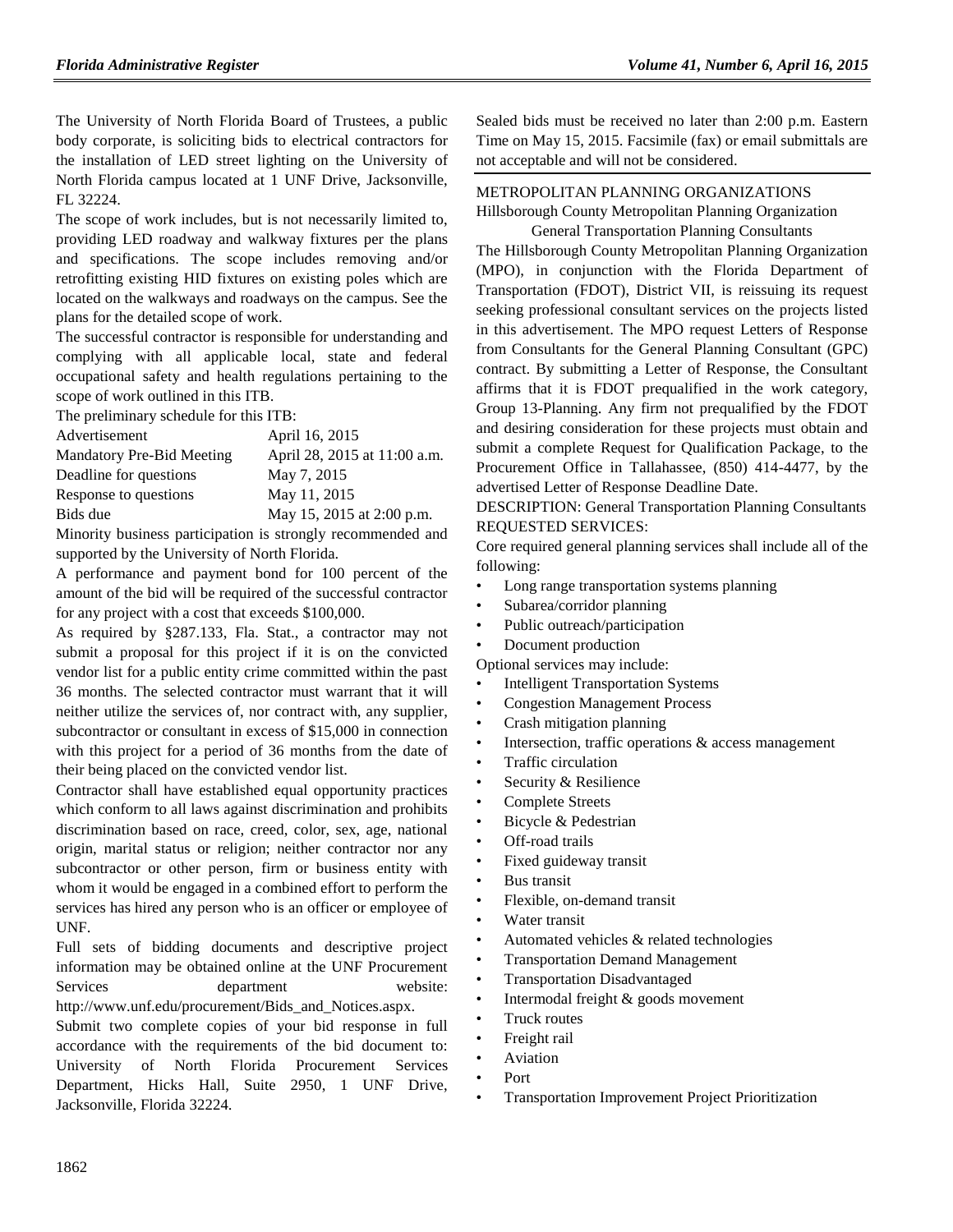The University of North Florida Board of Trustees, a public body corporate, is soliciting bids to electrical contractors for the installation of LED street lighting on the University of North Florida campus located at 1 UNF Drive, Jacksonville, FL 32224.

The scope of work includes, but is not necessarily limited to, providing LED roadway and walkway fixtures per the plans and specifications. The scope includes removing and/or retrofitting existing HID fixtures on existing poles which are located on the walkways and roadways on the campus. See the plans for the detailed scope of work.

The successful contractor is responsible for understanding and complying with all applicable local, state and federal occupational safety and health regulations pertaining to the scope of work outlined in this ITB.

The preliminary schedule for this ITB:

| Advertisement             | April 16, 2015               |
|---------------------------|------------------------------|
| Mandatory Pre-Bid Meeting | April 28, 2015 at 11:00 a.m. |
| Deadline for questions    | May 7, 2015                  |
| Response to questions     | May 11, 2015                 |
| Bids due                  | May 15, 2015 at 2:00 p.m.    |
|                           |                              |

Minority business participation is strongly recommended and supported by the University of North Florida.

A performance and payment bond for 100 percent of the amount of the bid will be required of the successful contractor for any project with a cost that exceeds \$100,000.

As required by §287.133, Fla. Stat., a contractor may not submit a proposal for this project if it is on the convicted vendor list for a public entity crime committed within the past 36 months. The selected contractor must warrant that it will neither utilize the services of, nor contract with, any supplier, subcontractor or consultant in excess of \$15,000 in connection with this project for a period of 36 months from the date of their being placed on the convicted vendor list.

Contractor shall have established equal opportunity practices which conform to all laws against discrimination and prohibits discrimination based on race, creed, color, sex, age, national origin, marital status or religion; neither contractor nor any subcontractor or other person, firm or business entity with whom it would be engaged in a combined effort to perform the services has hired any person who is an officer or employee of UNF.

Full sets of bidding documents and descriptive project information may be obtained online at the UNF Procurement Services department website: [http://www.unf.edu/procurement/Bids\\_and\\_Notices.aspx.](http://www.unf.edu/procurement/Bids_and_Notices.aspx.)

Submit two complete copies of your bid response in full accordance with the requirements of the bid document to: University of North Florida Procurement Services Department, Hicks Hall, Suite 2950, 1 UNF Drive, Jacksonville, Florida 32224.

Sealed bids must be received no later than 2:00 p.m. Eastern Time on May 15, 2015. Facsimile (fax) or email submittals are not acceptable and will not be considered.

### [METROPOLITAN PLANNING ORGANIZATIONS](https://www.flrules.org/gateway/department.asp?id=35)

[Hillsborough County Metropolitan Planning Organization](https://www.flrules.org/gateway/organization.asp?id=95)

General Transportation Planning Consultants The Hillsborough County Metropolitan Planning Organization (MPO), in conjunction with the Florida Department of Transportation (FDOT), District VII, is reissuing its request seeking professional consultant services on the projects listed in this advertisement. The MPO request Letters of Response from Consultants for the General Planning Consultant (GPC) contract. By submitting a Letter of Response, the Consultant affirms that it is FDOT prequalified in the work category, Group 13-Planning. Any firm not prequalified by the FDOT and desiring consideration for these projects must obtain and submit a complete Request for Qualification Package, to the Procurement Office in Tallahassee, (850) 414-4477, by the advertised Letter of Response Deadline Date.

DESCRIPTION: General Transportation Planning Consultants REQUESTED SERVICES:

Core required general planning services shall include all of the following:

- Long range transportation systems planning
- Subarea/corridor planning
- Public outreach/participation
- Document production

Optional services may include:

- **Intelligent Transportation Systems**
- Congestion Management Process
- Crash mitigation planning
- Intersection, traffic operations  $\&$  access management
- Traffic circulation
- Security & Resilience
- Complete Streets
- Bicycle & Pedestrian
- Off-road trails
- Fixed guideway transit
- **Bus transit**
- Flexible, on-demand transit
- Water transit
- Automated vehicles & related technologies
- Transportation Demand Management
- Transportation Disadvantaged
- Intermodal freight & goods movement
- Truck routes
- Freight rail
- **Aviation**
- Port
- Transportation Improvement Project Prioritization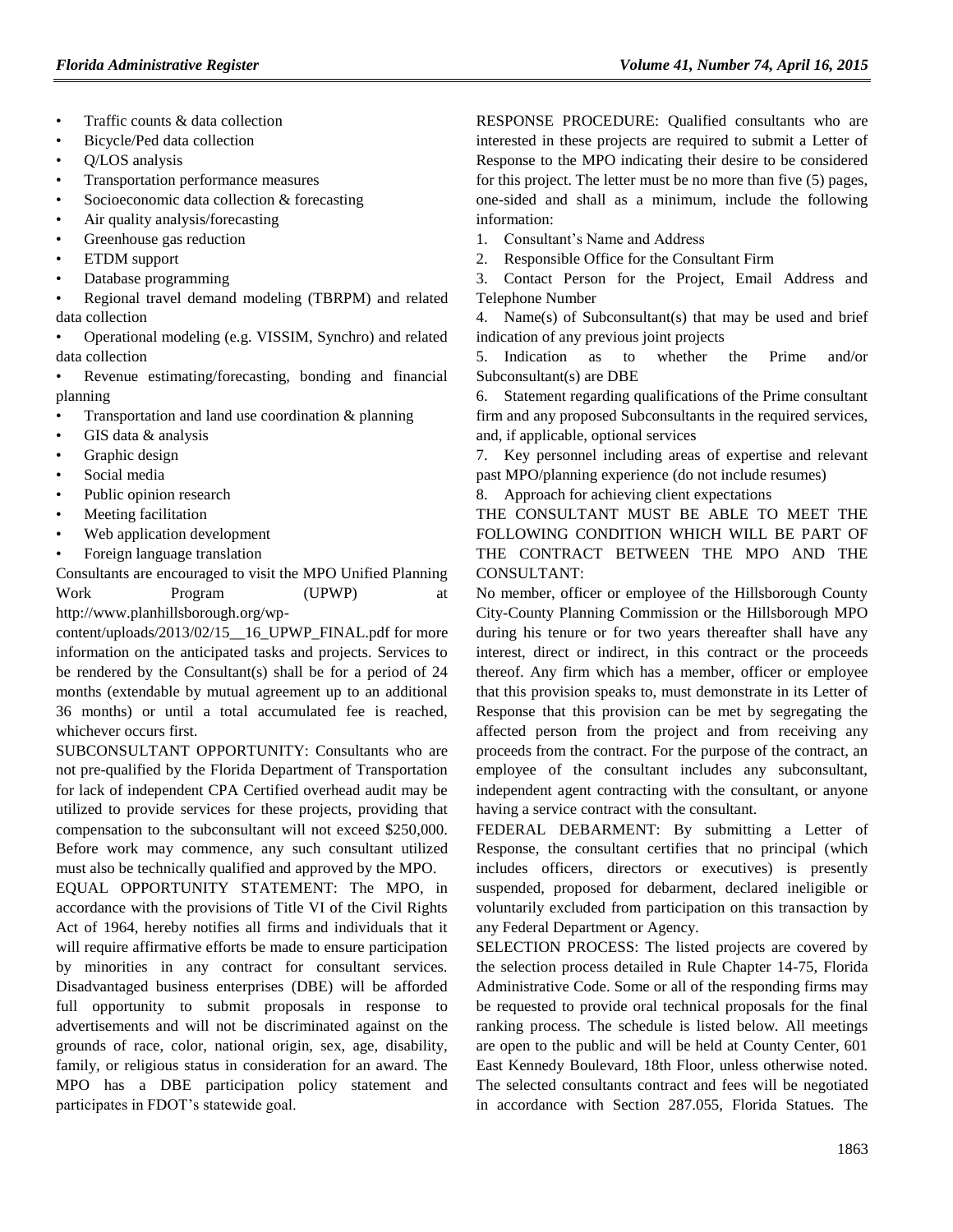- Traffic counts & data collection
- Bicycle/Ped data collection
- Q/LOS analysis
- Transportation performance measures
- Socioeconomic data collection & forecasting
- Air quality analysis/forecasting
- Greenhouse gas reduction
- ETDM support
- Database programming

• Regional travel demand modeling (TBRPM) and related data collection

- Operational modeling (e.g. VISSIM, Synchro) and related data collection
- Revenue estimating/forecasting, bonding and financial planning
- Transportation and land use coordination  $\&$  planning
- GIS data & analysis
- Graphic design
- Social media
- Public opinion research
- Meeting facilitation
- Web application development
- Foreign language translation

Consultants are encouraged to visit the MPO Unified Planning Work Program (UPWP) at [http://www.planhillsborough.org/wp-](http://www.planhillsborough.org/wp-content/uploads/2013/02/15__16_UPWP_FINAL.pdf)

[content/uploads/2013/02/15\\_\\_16\\_UPWP\\_FINAL.pdf](http://www.planhillsborough.org/wp-content/uploads/2013/02/15__16_UPWP_FINAL.pdf) for more information on the anticipated tasks and projects. Services to be rendered by the Consultant(s) shall be for a period of 24 months (extendable by mutual agreement up to an additional 36 months) or until a total accumulated fee is reached, whichever occurs first.

SUBCONSULTANT OPPORTUNITY: Consultants who are not pre-qualified by the Florida Department of Transportation for lack of independent CPA Certified overhead audit may be utilized to provide services for these projects, providing that compensation to the subconsultant will not exceed \$250,000. Before work may commence, any such consultant utilized must also be technically qualified and approved by the MPO.

EQUAL OPPORTUNITY STATEMENT: The MPO, in accordance with the provisions of Title VI of the Civil Rights Act of 1964, hereby notifies all firms and individuals that it will require affirmative efforts be made to ensure participation by minorities in any contract for consultant services. Disadvantaged business enterprises (DBE) will be afforded full opportunity to submit proposals in response to advertisements and will not be discriminated against on the grounds of race, color, national origin, sex, age, disability, family, or religious status in consideration for an award. The MPO has a DBE participation policy statement and participates in FDOT's statewide goal.

RESPONSE PROCEDURE: Qualified consultants who are interested in these projects are required to submit a Letter of Response to the MPO indicating their desire to be considered for this project. The letter must be no more than five (5) pages, one-sided and shall as a minimum, include the following information:

- 1. Consultant's Name and Address
- 2. Responsible Office for the Consultant Firm

3. Contact Person for the Project, Email Address and Telephone Number

4. Name(s) of Subconsultant(s) that may be used and brief indication of any previous joint projects

5. Indication as to whether the Prime and/or Subconsultant(s) are DBE

6. Statement regarding qualifications of the Prime consultant firm and any proposed Subconsultants in the required services, and, if applicable, optional services

7. Key personnel including areas of expertise and relevant past MPO/planning experience (do not include resumes)

8. Approach for achieving client expectations

THE CONSULTANT MUST BE ABLE TO MEET THE FOLLOWING CONDITION WHICH WILL BE PART OF THE CONTRACT BETWEEN THE MPO AND THE CONSULTANT:

No member, officer or employee of the Hillsborough County City-County Planning Commission or the Hillsborough MPO during his tenure or for two years thereafter shall have any interest, direct or indirect, in this contract or the proceeds thereof. Any firm which has a member, officer or employee that this provision speaks to, must demonstrate in its Letter of Response that this provision can be met by segregating the affected person from the project and from receiving any proceeds from the contract. For the purpose of the contract, an employee of the consultant includes any subconsultant, independent agent contracting with the consultant, or anyone having a service contract with the consultant.

FEDERAL DEBARMENT: By submitting a Letter of Response, the consultant certifies that no principal (which includes officers, directors or executives) is presently suspended, proposed for debarment, declared ineligible or voluntarily excluded from participation on this transaction by any Federal Department or Agency.

SELECTION PROCESS: The listed projects are covered by the selection process detailed in Rule Chapter 14-75, Florida Administrative Code. Some or all of the responding firms may be requested to provide oral technical proposals for the final ranking process. The schedule is listed below. All meetings are open to the public and will be held at County Center, 601 East Kennedy Boulevard, 18th Floor, unless otherwise noted. The selected consultants contract and fees will be negotiated in accordance with Section 287.055, Florida Statues. The